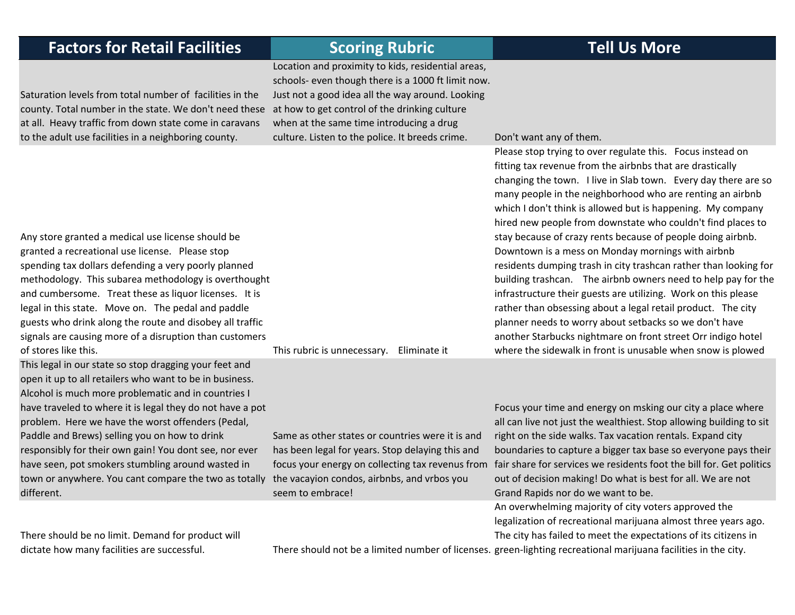| <b>Factors for Retail Facilities</b>                                                                                                                                                                                                                                                                                                                                                                                                                                                                                              | <b>Scoring Rubric</b>                                                                                                                                                                                                                                                                                        | <b>Tell Us More</b>                                                                                                                                                                                                                                                                                                                                                                                                                                                                                                                                                                                                                                                                                                                                                                                                                                                                                                                                                      |
|-----------------------------------------------------------------------------------------------------------------------------------------------------------------------------------------------------------------------------------------------------------------------------------------------------------------------------------------------------------------------------------------------------------------------------------------------------------------------------------------------------------------------------------|--------------------------------------------------------------------------------------------------------------------------------------------------------------------------------------------------------------------------------------------------------------------------------------------------------------|--------------------------------------------------------------------------------------------------------------------------------------------------------------------------------------------------------------------------------------------------------------------------------------------------------------------------------------------------------------------------------------------------------------------------------------------------------------------------------------------------------------------------------------------------------------------------------------------------------------------------------------------------------------------------------------------------------------------------------------------------------------------------------------------------------------------------------------------------------------------------------------------------------------------------------------------------------------------------|
| Saturation levels from total number of facilities in the<br>county. Total number in the state. We don't need these<br>at all. Heavy traffic from down state come in caravans<br>to the adult use facilities in a neighboring county.                                                                                                                                                                                                                                                                                              | Location and proximity to kids, residential areas,<br>schools- even though there is a 1000 ft limit now.<br>Just not a good idea all the way around. Looking<br>at how to get control of the drinking culture<br>when at the same time introducing a drug<br>culture. Listen to the police. It breeds crime. | Don't want any of them.                                                                                                                                                                                                                                                                                                                                                                                                                                                                                                                                                                                                                                                                                                                                                                                                                                                                                                                                                  |
| Any store granted a medical use license should be<br>granted a recreational use license. Please stop<br>spending tax dollars defending a very poorly planned<br>methodology. This subarea methodology is overthought<br>and cumbersome. Treat these as liquor licenses. It is<br>legal in this state. Move on. The pedal and paddle<br>guests who drink along the route and disobey all traffic<br>signals are causing more of a disruption than customers<br>of stores like this.                                                | This rubric is unnecessary.<br>Eliminate it                                                                                                                                                                                                                                                                  | Please stop trying to over regulate this. Focus instead on<br>fitting tax revenue from the airbnbs that are drastically<br>changing the town. I live in Slab town. Every day there are so<br>many people in the neighborhood who are renting an airbnb<br>which I don't think is allowed but is happening. My company<br>hired new people from downstate who couldn't find places to<br>stay because of crazy rents because of people doing airbnb.<br>Downtown is a mess on Monday mornings with airbnb<br>residents dumping trash in city trashcan rather than looking for<br>building trashcan. The airbnb owners need to help pay for the<br>infrastructure their guests are utilizing. Work on this please<br>rather than obsessing about a legal retail product. The city<br>planner needs to worry about setbacks so we don't have<br>another Starbucks nightmare on front street Orr indigo hotel<br>where the sidewalk in front is unusable when snow is plowed |
| This legal in our state so stop dragging your feet and<br>open it up to all retailers who want to be in business.<br>Alcohol is much more problematic and in countries I<br>have traveled to where it is legal they do not have a pot<br>problem. Here we have the worst offenders (Pedal,<br>Paddle and Brews) selling you on how to drink<br>responsibly for their own gain! You dont see, nor ever<br>have seen, pot smokers stumbling around wasted in<br>town or anywhere. You cant compare the two as totally<br>different. | Same as other states or countries were it is and<br>has been legal for years. Stop delaying this and<br>focus your energy on collecting tax revenus from<br>the vacayion condos, airbnbs, and vrbos you<br>seem to embrace!                                                                                  | Focus your time and energy on msking our city a place where<br>all can live not just the wealthiest. Stop allowing building to sit<br>right on the side walks. Tax vacation rentals. Expand city<br>boundaries to capture a bigger tax base so everyone pays their<br>fair share for services we residents foot the bill for. Get politics<br>out of decision making! Do what is best for all. We are not<br>Grand Rapids nor do we want to be.<br>An overwhelming majority of city voters approved the                                                                                                                                                                                                                                                                                                                                                                                                                                                                  |
| There should be no limit. Demand for product will<br>dictate how many facilities are successful.                                                                                                                                                                                                                                                                                                                                                                                                                                  |                                                                                                                                                                                                                                                                                                              | legalization of recreational marijuana almost three years ago.<br>The city has failed to meet the expectations of its citizens in<br>There should not be a limited number of licenses. green-lighting recreational marijuana facilities in the city.                                                                                                                                                                                                                                                                                                                                                                                                                                                                                                                                                                                                                                                                                                                     |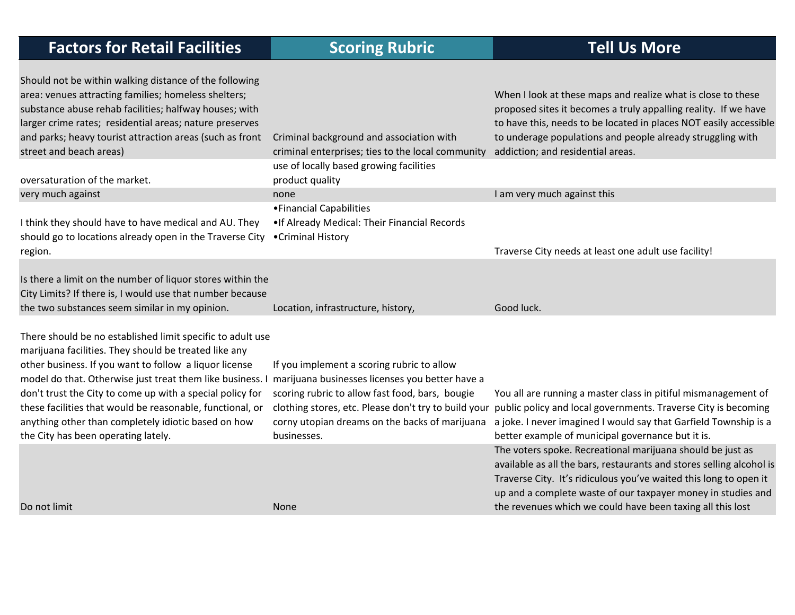| <b>Factors for Retail Facilities</b>                                                                                                                                                                                                                                                                                                                                                                                                                               | <b>Scoring Rubric</b>                                                                                                                                                                                                   | <b>Tell Us More</b>                                                                                                                                                                                                                                                                                                                   |
|--------------------------------------------------------------------------------------------------------------------------------------------------------------------------------------------------------------------------------------------------------------------------------------------------------------------------------------------------------------------------------------------------------------------------------------------------------------------|-------------------------------------------------------------------------------------------------------------------------------------------------------------------------------------------------------------------------|---------------------------------------------------------------------------------------------------------------------------------------------------------------------------------------------------------------------------------------------------------------------------------------------------------------------------------------|
| Should not be within walking distance of the following<br>area: venues attracting families; homeless shelters;<br>substance abuse rehab facilities; halfway houses; with<br>larger crime rates; residential areas; nature preserves<br>and parks; heavy tourist attraction areas (such as front<br>street and beach areas)<br>oversaturation of the market.                                                                                                        | Criminal background and association with<br>criminal enterprises; ties to the local community<br>use of locally based growing facilities<br>product quality                                                             | When I look at these maps and realize what is close to these<br>proposed sites it becomes a truly appalling reality. If we have<br>to have this, needs to be located in places NOT easily accessible<br>to underage populations and people already struggling with<br>addiction; and residential areas.                               |
| very much against                                                                                                                                                                                                                                                                                                                                                                                                                                                  | none                                                                                                                                                                                                                    | I am very much against this                                                                                                                                                                                                                                                                                                           |
| I think they should have to have medical and AU. They<br>should go to locations already open in the Traverse City<br>region.                                                                                                                                                                                                                                                                                                                                       | • Financial Capabilities<br>. If Already Medical: Their Financial Records<br>•Criminal History                                                                                                                          | Traverse City needs at least one adult use facility!                                                                                                                                                                                                                                                                                  |
| Is there a limit on the number of liquor stores within the<br>City Limits? If there is, I would use that number because<br>the two substances seem similar in my opinion.                                                                                                                                                                                                                                                                                          | Location, infrastructure, history,                                                                                                                                                                                      | Good luck.                                                                                                                                                                                                                                                                                                                            |
| There should be no established limit specific to adult use<br>marijuana facilities. They should be treated like any<br>other business. If you want to follow a liquor license<br>model do that. Otherwise just treat them like business. I<br>don't trust the City to come up with a special policy for<br>these facilities that would be reasonable, functional, or<br>anything other than completely idiotic based on how<br>the City has been operating lately. | If you implement a scoring rubric to allow<br>marijuana businesses licenses you better have a<br>scoring rubric to allow fast food, bars, bougie<br>clothing stores, etc. Please don't try to build your<br>businesses. | You all are running a master class in pitiful mismanagement of<br>public policy and local governments. Traverse City is becoming<br>corny utopian dreams on the backs of marijuana a joke. I never imagined I would say that Garfield Township is a<br>better example of municipal governance but it is.                              |
| Do not limit                                                                                                                                                                                                                                                                                                                                                                                                                                                       | None                                                                                                                                                                                                                    | The voters spoke. Recreational marijuana should be just as<br>available as all the bars, restaurants and stores selling alcohol is<br>Traverse City. It's ridiculous you've waited this long to open it<br>up and a complete waste of our taxpayer money in studies and<br>the revenues which we could have been taxing all this lost |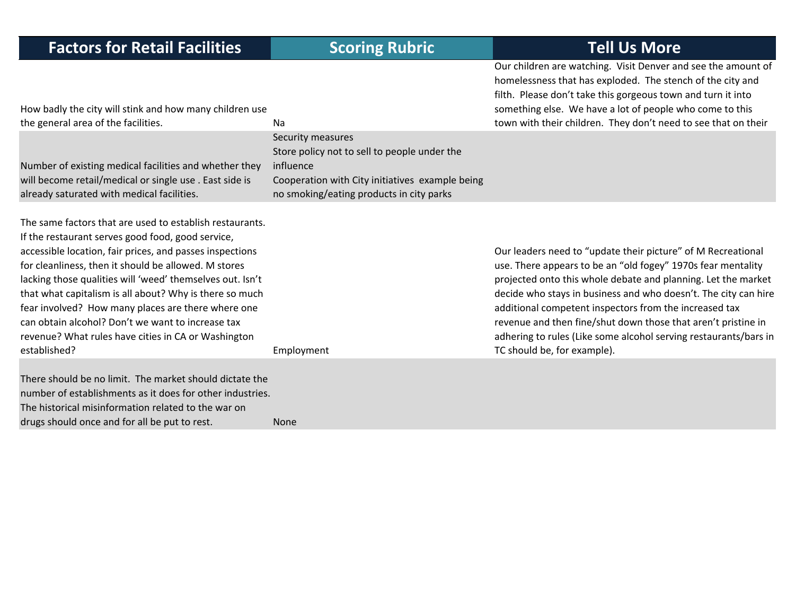Our children are watching. Visit Denver and see the amount of homelessness that has exploded. The stench of the city and filth. Please don't take this gorgeous town and turn it into something else. We have <sup>a</sup> lot of people who come to this townn with their children. They don't need to see that on their

| How badly the city will stink and how many children use                                                                                                                                                                                                                                                                                                                                                                                                                                                                                     |                                                                                                                                                                               | something else. We have a lot of people who come to this                                                                                                                                                                                                                                                                                                                                                                                                                                       |
|---------------------------------------------------------------------------------------------------------------------------------------------------------------------------------------------------------------------------------------------------------------------------------------------------------------------------------------------------------------------------------------------------------------------------------------------------------------------------------------------------------------------------------------------|-------------------------------------------------------------------------------------------------------------------------------------------------------------------------------|------------------------------------------------------------------------------------------------------------------------------------------------------------------------------------------------------------------------------------------------------------------------------------------------------------------------------------------------------------------------------------------------------------------------------------------------------------------------------------------------|
| the general area of the facilities.                                                                                                                                                                                                                                                                                                                                                                                                                                                                                                         | Na                                                                                                                                                                            | town with their children. They don't need to see that on their                                                                                                                                                                                                                                                                                                                                                                                                                                 |
| Number of existing medical facilities and whether they<br>will become retail/medical or single use. East side is<br>already saturated with medical facilities.                                                                                                                                                                                                                                                                                                                                                                              | Security measures<br>Store policy not to sell to people under the<br>influence<br>Cooperation with City initiatives example being<br>no smoking/eating products in city parks |                                                                                                                                                                                                                                                                                                                                                                                                                                                                                                |
| The same factors that are used to establish restaurants.<br>If the restaurant serves good food, good service,<br>accessible location, fair prices, and passes inspections<br>for cleanliness, then it should be allowed. M stores<br>lacking those qualities will 'weed' themselves out. Isn't<br>that what capitalism is all about? Why is there so much<br>fear involved? How many places are there where one<br>can obtain alcohol? Don't we want to increase tax<br>revenue? What rules have cities in CA or Washington<br>established? | Employment                                                                                                                                                                    | Our leaders need to "update their picture" of M Recreational<br>use. There appears to be an "old fogey" 1970s fear mentality<br>projected onto this whole debate and planning. Let the market<br>decide who stays in business and who doesn't. The city can hire<br>additional competent inspectors from the increased tax<br>revenue and then fine/shut down those that aren't pristine in<br>adhering to rules (Like some alcohol serving restaurants/bars in<br>TC should be, for example). |
| There should be no limit. The market should dictate the<br>number of establishments as it does for other industries.<br>The historical misinformation related to the war on<br>drugs should once and for all be put to rest.                                                                                                                                                                                                                                                                                                                | <b>None</b>                                                                                                                                                                   |                                                                                                                                                                                                                                                                                                                                                                                                                                                                                                |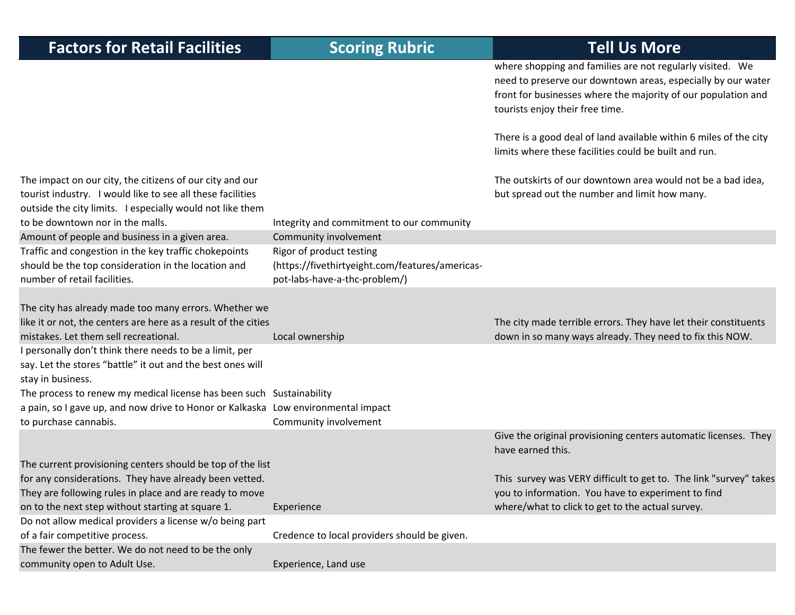| <b>Factors for Retail Facilities</b>                                                                                                                                                | <b>Scoring Rubric</b>                                                                                        | <b>Tell Us More</b>                                                                                                                                                                                                           |
|-------------------------------------------------------------------------------------------------------------------------------------------------------------------------------------|--------------------------------------------------------------------------------------------------------------|-------------------------------------------------------------------------------------------------------------------------------------------------------------------------------------------------------------------------------|
|                                                                                                                                                                                     |                                                                                                              | where shopping and families are not regularly visited. We<br>need to preserve our downtown areas, especially by our water<br>front for businesses where the majority of our population and<br>tourists enjoy their free time. |
|                                                                                                                                                                                     |                                                                                                              | There is a good deal of land available within 6 miles of the city<br>limits where these facilities could be built and run.                                                                                                    |
| The impact on our city, the citizens of our city and our<br>tourist industry. I would like to see all these facilities<br>outside the city limits. I especially would not like them |                                                                                                              | The outskirts of our downtown area would not be a bad idea,<br>but spread out the number and limit how many.                                                                                                                  |
| to be downtown nor in the malls.                                                                                                                                                    | Integrity and commitment to our community                                                                    |                                                                                                                                                                                                                               |
| Amount of people and business in a given area.                                                                                                                                      | Community involvement                                                                                        |                                                                                                                                                                                                                               |
| Traffic and congestion in the key traffic chokepoints<br>should be the top consideration in the location and<br>number of retail facilities.                                        | Rigor of product testing<br>(https://fivethirtyeight.com/features/americas-<br>pot-labs-have-a-thc-problem/) |                                                                                                                                                                                                                               |
| The city has already made too many errors. Whether we<br>like it or not, the centers are here as a result of the cities<br>mistakes. Let them sell recreational.                    | Local ownership                                                                                              | The city made terrible errors. They have let their constituents<br>down in so many ways already. They need to fix this NOW.                                                                                                   |
| I personally don't think there needs to be a limit, per<br>say. Let the stores "battle" it out and the best ones will<br>stay in business.                                          |                                                                                                              |                                                                                                                                                                                                                               |
| The process to renew my medical license has been such Sustainability                                                                                                                |                                                                                                              |                                                                                                                                                                                                                               |
| a pain, so I gave up, and now drive to Honor or Kalkaska Low environmental impact                                                                                                   |                                                                                                              |                                                                                                                                                                                                                               |
| to purchase cannabis.                                                                                                                                                               | Community involvement                                                                                        |                                                                                                                                                                                                                               |
|                                                                                                                                                                                     |                                                                                                              | Give the original provisioning centers automatic licenses. They<br>have earned this.                                                                                                                                          |
| The current provisioning centers should be top of the list                                                                                                                          |                                                                                                              |                                                                                                                                                                                                                               |
| for any considerations. They have already been vetted.                                                                                                                              |                                                                                                              | This survey was VERY difficult to get to. The link "survey" takes                                                                                                                                                             |
| They are following rules in place and are ready to move<br>on to the next step without starting at square 1.                                                                        | Experience                                                                                                   | you to information. You have to experiment to find<br>where/what to click to get to the actual survey.                                                                                                                        |
| Do not allow medical providers a license w/o being part                                                                                                                             |                                                                                                              |                                                                                                                                                                                                                               |
| of a fair competitive process.                                                                                                                                                      | Credence to local providers should be given.                                                                 |                                                                                                                                                                                                                               |
| The fewer the better. We do not need to be the only                                                                                                                                 |                                                                                                              |                                                                                                                                                                                                                               |
| community open to Adult Use.                                                                                                                                                        | Experience, Land use                                                                                         |                                                                                                                                                                                                                               |
|                                                                                                                                                                                     |                                                                                                              |                                                                                                                                                                                                                               |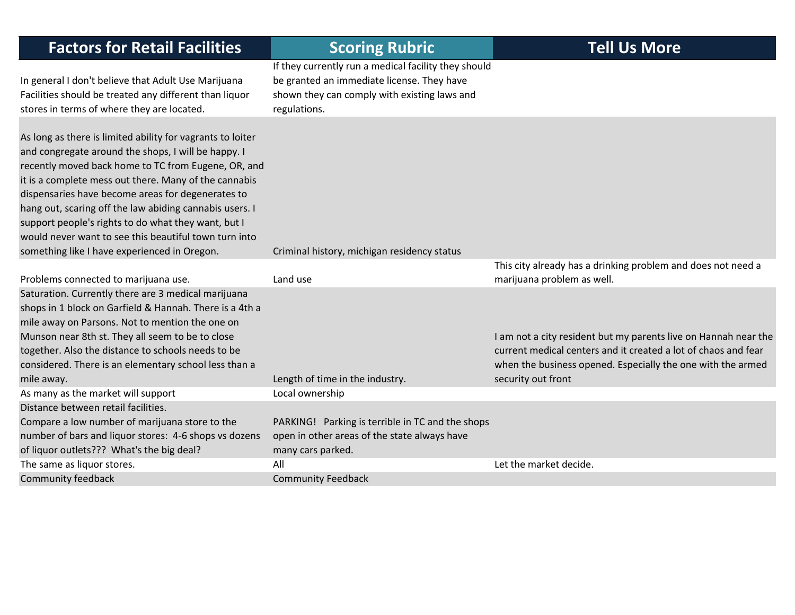| <b>Factors for Retail Facilities</b>                                                                                                                                                                                                                                                                                                                                                                                                                                                                              | <b>Scoring Rubric</b>                                                                                                                                              | <b>Tell Us More</b>                                                                                                                                                                                                    |
|-------------------------------------------------------------------------------------------------------------------------------------------------------------------------------------------------------------------------------------------------------------------------------------------------------------------------------------------------------------------------------------------------------------------------------------------------------------------------------------------------------------------|--------------------------------------------------------------------------------------------------------------------------------------------------------------------|------------------------------------------------------------------------------------------------------------------------------------------------------------------------------------------------------------------------|
| In general I don't believe that Adult Use Marijuana<br>Facilities should be treated any different than liquor<br>stores in terms of where they are located.                                                                                                                                                                                                                                                                                                                                                       | If they currently run a medical facility they should<br>be granted an immediate license. They have<br>shown they can comply with existing laws and<br>regulations. |                                                                                                                                                                                                                        |
| As long as there is limited ability for vagrants to loiter<br>and congregate around the shops, I will be happy. I<br>recently moved back home to TC from Eugene, OR, and<br>it is a complete mess out there. Many of the cannabis<br>dispensaries have become areas for degenerates to<br>hang out, scaring off the law abiding cannabis users. I<br>support people's rights to do what they want, but I<br>would never want to see this beautiful town turn into<br>something like I have experienced in Oregon. | Criminal history, michigan residency status                                                                                                                        |                                                                                                                                                                                                                        |
| Problems connected to marijuana use.                                                                                                                                                                                                                                                                                                                                                                                                                                                                              | Land use                                                                                                                                                           | This city already has a drinking problem and does not need a<br>marijuana problem as well.                                                                                                                             |
| Saturation. Currently there are 3 medical marijuana<br>shops in 1 block on Garfield & Hannah. There is a 4th a<br>mile away on Parsons. Not to mention the one on<br>Munson near 8th st. They all seem to be to close<br>together. Also the distance to schools needs to be<br>considered. There is an elementary school less than a<br>mile away.                                                                                                                                                                | Length of time in the industry.                                                                                                                                    | I am not a city resident but my parents live on Hannah near the<br>current medical centers and it created a lot of chaos and fear<br>when the business opened. Especially the one with the armed<br>security out front |
| As many as the market will support                                                                                                                                                                                                                                                                                                                                                                                                                                                                                | Local ownership                                                                                                                                                    |                                                                                                                                                                                                                        |
| Distance between retail facilities.<br>Compare a low number of marijuana store to the<br>number of bars and liquor stores: 4-6 shops vs dozens<br>of liquor outlets??? What's the big deal?                                                                                                                                                                                                                                                                                                                       | PARKING! Parking is terrible in TC and the shops<br>open in other areas of the state always have<br>many cars parked.                                              |                                                                                                                                                                                                                        |
| The same as liquor stores.                                                                                                                                                                                                                                                                                                                                                                                                                                                                                        | All                                                                                                                                                                | Let the market decide.                                                                                                                                                                                                 |
| Community feedback                                                                                                                                                                                                                                                                                                                                                                                                                                                                                                | <b>Community Feedback</b>                                                                                                                                          |                                                                                                                                                                                                                        |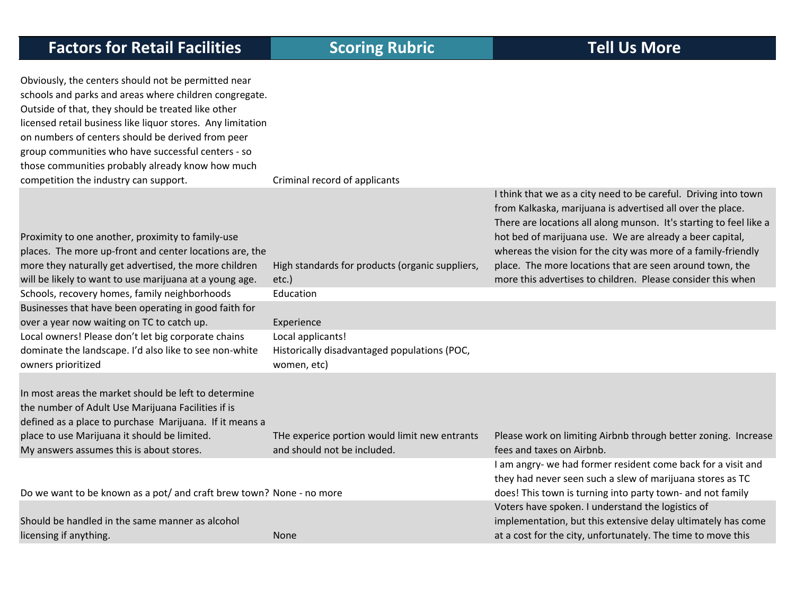Obviously, the centers should not be permitted near schools and parks and areas where children congregate. Outside of that, they should be treated like other licensed retail business like liquor stores. Any limitation on numbers of centers should be derived from peer group communities who have successful centers ‐ so those communities probably already know how much competition the industry can support. Criminal record of applicants

| Proximity to one another, proximity to family-use<br>places. The more up-front and center locations are, the<br>more they naturally get advertised, the more children | High standards for products (organic suppliers, | I think that we as a city need to be careful. Driving into town<br>from Kalkaska, marijuana is advertised all over the place.<br>There are locations all along munson. It's starting to feel like a<br>hot bed of marijuana use. We are already a beer capital,<br>whereas the vision for the city was more of a family-friendly<br>place. The more locations that are seen around town, the |
|-----------------------------------------------------------------------------------------------------------------------------------------------------------------------|-------------------------------------------------|----------------------------------------------------------------------------------------------------------------------------------------------------------------------------------------------------------------------------------------------------------------------------------------------------------------------------------------------------------------------------------------------|
| will be likely to want to use marijuana at a young age.                                                                                                               | $etc.$ )                                        | more this advertises to children. Please consider this when                                                                                                                                                                                                                                                                                                                                  |
| Schools, recovery homes, family neighborhoods                                                                                                                         | Education                                       |                                                                                                                                                                                                                                                                                                                                                                                              |
| Businesses that have been operating in good faith for                                                                                                                 |                                                 |                                                                                                                                                                                                                                                                                                                                                                                              |
| over a year now waiting on TC to catch up.                                                                                                                            | Experience                                      |                                                                                                                                                                                                                                                                                                                                                                                              |
| Local owners! Please don't let big corporate chains                                                                                                                   | Local applicants!                               |                                                                                                                                                                                                                                                                                                                                                                                              |
| dominate the landscape. I'd also like to see non-white                                                                                                                | Historically disadvantaged populations (POC,    |                                                                                                                                                                                                                                                                                                                                                                                              |
| owners prioritized                                                                                                                                                    | women, etc)                                     |                                                                                                                                                                                                                                                                                                                                                                                              |
| In most areas the market should be left to determine<br>the number of Adult Use Marijuana Facilities if is<br>defined as a place to purchase Marijuana. If it means a |                                                 |                                                                                                                                                                                                                                                                                                                                                                                              |
| place to use Marijuana it should be limited.                                                                                                                          | THe experice portion would limit new entrants   | Please work on limiting Airbnb through better zoning. Increase                                                                                                                                                                                                                                                                                                                               |
| My answers assumes this is about stores.                                                                                                                              | and should not be included.                     | fees and taxes on Airbnb.                                                                                                                                                                                                                                                                                                                                                                    |
|                                                                                                                                                                       |                                                 | I am angry- we had former resident come back for a visit and<br>they had never seen such a slew of marijuana stores as TC                                                                                                                                                                                                                                                                    |
| Do we want to be known as a pot/ and craft brew town? None - no more                                                                                                  |                                                 | does! This town is turning into party town- and not family                                                                                                                                                                                                                                                                                                                                   |
|                                                                                                                                                                       |                                                 | Voters have spoken. I understand the logistics of                                                                                                                                                                                                                                                                                                                                            |
| Should be handled in the same manner as alcohol                                                                                                                       |                                                 | implementation, but this extensive delay ultimately has come                                                                                                                                                                                                                                                                                                                                 |
| licensing if anything.                                                                                                                                                | <b>None</b>                                     | at a cost for the city, unfortunately. The time to move this                                                                                                                                                                                                                                                                                                                                 |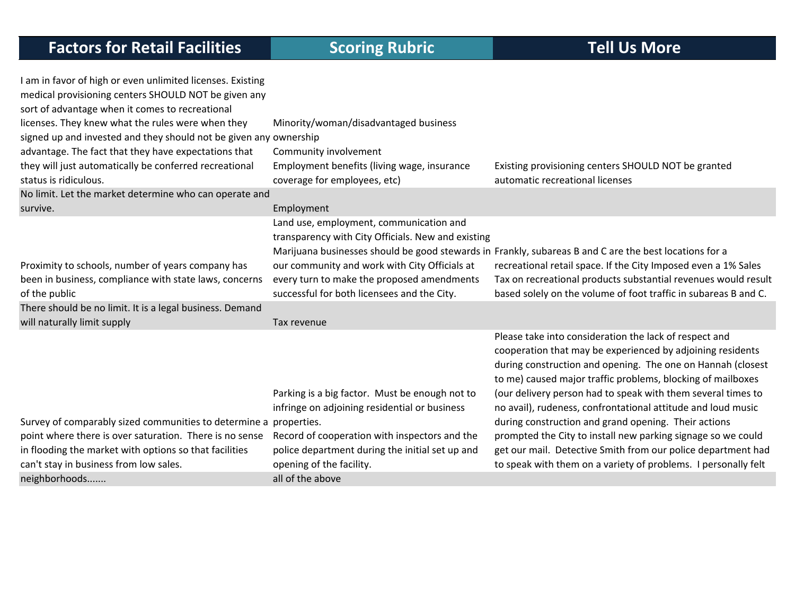| I am in favor of high or even unlimited licenses. Existing        |                                                    |                                                                                                        |
|-------------------------------------------------------------------|----------------------------------------------------|--------------------------------------------------------------------------------------------------------|
| medical provisioning centers SHOULD NOT be given any              |                                                    |                                                                                                        |
| sort of advantage when it comes to recreational                   |                                                    |                                                                                                        |
| licenses. They knew what the rules were when they                 | Minority/woman/disadvantaged business              |                                                                                                        |
| signed up and invested and they should not be given any ownership |                                                    |                                                                                                        |
| advantage. The fact that they have expectations that              | Community involvement                              |                                                                                                        |
| they will just automatically be conferred recreational            | Employment benefits (living wage, insurance        | Existing provisioning centers SHOULD NOT be granted                                                    |
| status is ridiculous.                                             | coverage for employees, etc)                       | automatic recreational licenses                                                                        |
| No limit. Let the market determine who can operate and            |                                                    |                                                                                                        |
| survive.                                                          | Employment                                         |                                                                                                        |
|                                                                   | Land use, employment, communication and            |                                                                                                        |
|                                                                   | transparency with City Officials. New and existing |                                                                                                        |
|                                                                   |                                                    | Marijuana businesses should be good stewards in Frankly, subareas B and C are the best locations for a |
| Proximity to schools, number of years company has                 | our community and work with City Officials at      | recreational retail space. If the City Imposed even a 1% Sales                                         |
| been in business, compliance with state laws, concerns            | every turn to make the proposed amendments         | Tax on recreational products substantial revenues would result                                         |
| of the public                                                     | successful for both licensees and the City.        | based solely on the volume of foot traffic in subareas B and C.                                        |
| There should be no limit. It is a legal business. Demand          |                                                    |                                                                                                        |
| will naturally limit supply                                       | Tax revenue                                        |                                                                                                        |
|                                                                   |                                                    | Please take into consideration the lack of respect and                                                 |
|                                                                   |                                                    | cooperation that may be experienced by adjoining residents                                             |
|                                                                   |                                                    | during construction and opening. The one on Hannah (closest                                            |
|                                                                   |                                                    | to me) caused major traffic problems, blocking of mailboxes                                            |
|                                                                   | Parking is a big factor. Must be enough not to     | (our delivery person had to speak with them several times to                                           |
|                                                                   | infringe on adjoining residential or business      | no avail), rudeness, confrontational attitude and loud music                                           |
| Survey of comparably sized communities to determine a properties. |                                                    | during construction and grand opening. Their actions                                                   |
| point where there is over saturation. There is no sense           | Record of cooperation with inspectors and the      | prompted the City to install new parking signage so we could                                           |
| in flooding the market with options so that facilities            | police department during the initial set up and    | get our mail. Detective Smith from our police department had                                           |
| can't stay in business from low sales.                            | opening of the facility.                           | to speak with them on a variety of problems. I personally felt                                         |
| neighborhoods                                                     | all of the above                                   |                                                                                                        |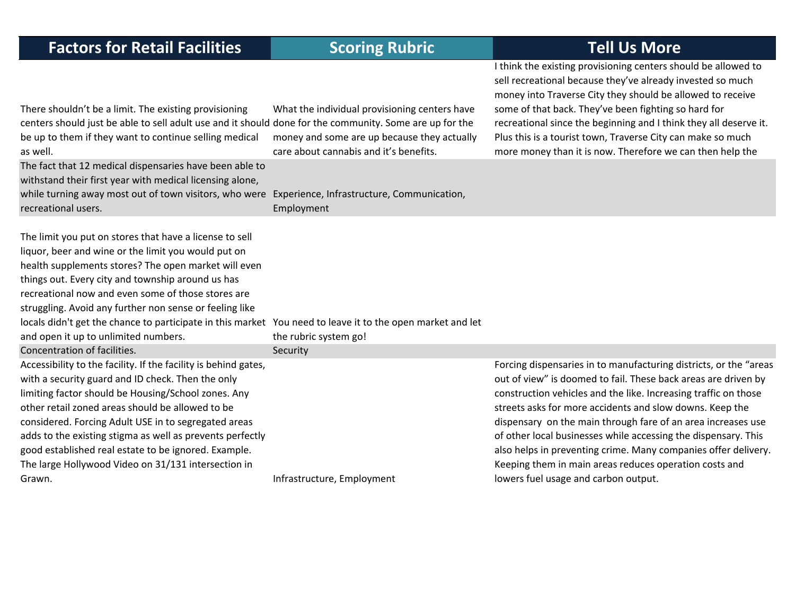| <b>Scoring Rubric</b>                                                                                                                  | <b>Tell Us More</b>                                                                                                                                                                                                                                                                                                                                                                                                                                                                                                                                                      |
|----------------------------------------------------------------------------------------------------------------------------------------|--------------------------------------------------------------------------------------------------------------------------------------------------------------------------------------------------------------------------------------------------------------------------------------------------------------------------------------------------------------------------------------------------------------------------------------------------------------------------------------------------------------------------------------------------------------------------|
| What the individual provisioning centers have<br>money and some are up because they actually<br>care about cannabis and it's benefits. | I think the existing provisioning centers should be allowed to<br>sell recreational because they've already invested so much<br>money into Traverse City they should be allowed to receive<br>some of that back. They've been fighting so hard for<br>recreational since the beginning and I think they all deserve it.<br>Plus this is a tourist town, Traverse City can make so much<br>more money than it is now. Therefore we can then help the                                                                                                                      |
| Employment                                                                                                                             |                                                                                                                                                                                                                                                                                                                                                                                                                                                                                                                                                                          |
| the rubric system go!                                                                                                                  |                                                                                                                                                                                                                                                                                                                                                                                                                                                                                                                                                                          |
| Security                                                                                                                               |                                                                                                                                                                                                                                                                                                                                                                                                                                                                                                                                                                          |
|                                                                                                                                        | Forcing dispensaries in to manufacturing districts, or the "areas<br>out of view" is doomed to fail. These back areas are driven by<br>construction vehicles and the like. Increasing traffic on those<br>streets asks for more accidents and slow downs. Keep the<br>dispensary on the main through fare of an area increases use<br>of other local businesses while accessing the dispensary. This<br>also helps in preventing crime. Many companies offer delivery.<br>Keeping them in main areas reduces operation costs and<br>lowers fuel usage and carbon output. |
|                                                                                                                                        | centers should just be able to sell adult use and it should done for the community. Some are up for the<br>The fact that 12 medical dispensaries have been able to<br>while turning away most out of town visitors, who were Experience, Infrastructure, Communication,<br>locals didn't get the chance to participate in this market You need to leave it to the open market and let<br>adds to the existing stigma as well as prevents perfectly<br>Infrastructure, Employment                                                                                         |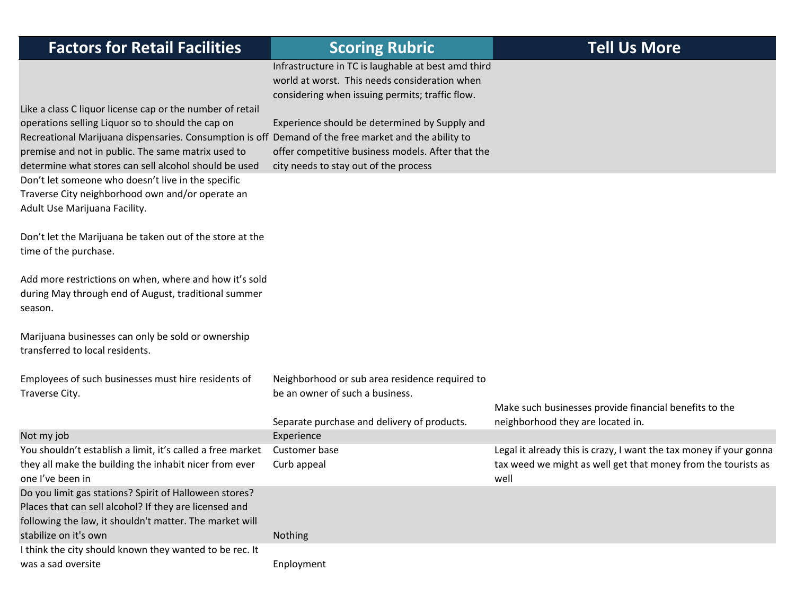| <b>Factors for Retail Facilities</b>                                                                                                                      | <b>Scoring Rubric</b>                               | <b>Tell Us More</b>                                                |
|-----------------------------------------------------------------------------------------------------------------------------------------------------------|-----------------------------------------------------|--------------------------------------------------------------------|
|                                                                                                                                                           | Infrastructure in TC is laughable at best amd third |                                                                    |
|                                                                                                                                                           | world at worst. This needs consideration when       |                                                                    |
|                                                                                                                                                           | considering when issuing permits; traffic flow.     |                                                                    |
| Like a class C liquor license cap or the number of retail                                                                                                 |                                                     |                                                                    |
| operations selling Liquor so to should the cap on<br>Recreational Marijuana dispensaries. Consumption is off Demand of the free market and the ability to | Experience should be determined by Supply and       |                                                                    |
| premise and not in public. The same matrix used to                                                                                                        | offer competitive business models. After that the   |                                                                    |
| determine what stores can sell alcohol should be used                                                                                                     | city needs to stay out of the process               |                                                                    |
| Don't let someone who doesn't live in the specific                                                                                                        |                                                     |                                                                    |
| Traverse City neighborhood own and/or operate an                                                                                                          |                                                     |                                                                    |
| Adult Use Marijuana Facility.                                                                                                                             |                                                     |                                                                    |
|                                                                                                                                                           |                                                     |                                                                    |
| Don't let the Marijuana be taken out of the store at the                                                                                                  |                                                     |                                                                    |
| time of the purchase.                                                                                                                                     |                                                     |                                                                    |
| Add more restrictions on when, where and how it's sold                                                                                                    |                                                     |                                                                    |
| during May through end of August, traditional summer                                                                                                      |                                                     |                                                                    |
| season.                                                                                                                                                   |                                                     |                                                                    |
|                                                                                                                                                           |                                                     |                                                                    |
| Marijuana businesses can only be sold or ownership                                                                                                        |                                                     |                                                                    |
| transferred to local residents.                                                                                                                           |                                                     |                                                                    |
| Employees of such businesses must hire residents of                                                                                                       | Neighborhood or sub area residence required to      |                                                                    |
| Traverse City.                                                                                                                                            | be an owner of such a business.                     |                                                                    |
|                                                                                                                                                           |                                                     | Make such businesses provide financial benefits to the             |
|                                                                                                                                                           | Separate purchase and delivery of products.         | neighborhood they are located in.                                  |
| Not my job                                                                                                                                                | Experience                                          |                                                                    |
| You shouldn't establish a limit, it's called a free market                                                                                                | Customer base                                       | Legal it already this is crazy, I want the tax money if your gonna |
| they all make the building the inhabit nicer from ever                                                                                                    | Curb appeal                                         | tax weed we might as well get that money from the tourists as      |
| one I've been in                                                                                                                                          |                                                     | well                                                               |
| Do you limit gas stations? Spirit of Halloween stores?<br>Places that can sell alcohol? If they are licensed and                                          |                                                     |                                                                    |
| following the law, it shouldn't matter. The market will                                                                                                   |                                                     |                                                                    |
| stabilize on it's own                                                                                                                                     | Nothing                                             |                                                                    |
| I think the city should known they wanted to be rec. It                                                                                                   |                                                     |                                                                    |
| was a sad oversite                                                                                                                                        | Enployment                                          |                                                                    |
|                                                                                                                                                           |                                                     |                                                                    |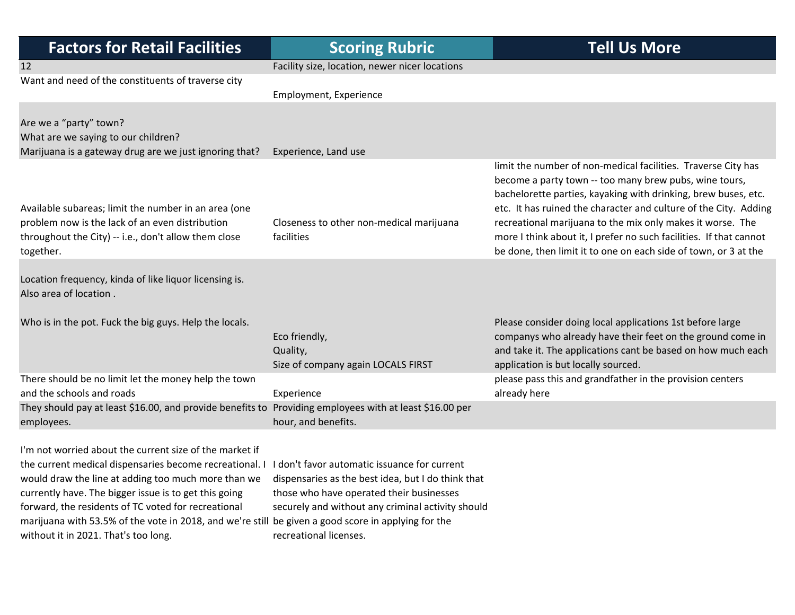| <b>Factors for Retail Facilities</b>                                                                                                                                                                                                                                                                                                                                                                                                     | <b>Scoring Rubric</b>                                                                                                                                                                                                         | <b>Tell Us More</b>                                                                                                                                                                                                                                                                                                                                                                                                                                                  |
|------------------------------------------------------------------------------------------------------------------------------------------------------------------------------------------------------------------------------------------------------------------------------------------------------------------------------------------------------------------------------------------------------------------------------------------|-------------------------------------------------------------------------------------------------------------------------------------------------------------------------------------------------------------------------------|----------------------------------------------------------------------------------------------------------------------------------------------------------------------------------------------------------------------------------------------------------------------------------------------------------------------------------------------------------------------------------------------------------------------------------------------------------------------|
| 12                                                                                                                                                                                                                                                                                                                                                                                                                                       | Facility size, location, newer nicer locations                                                                                                                                                                                |                                                                                                                                                                                                                                                                                                                                                                                                                                                                      |
| Want and need of the constituents of traverse city                                                                                                                                                                                                                                                                                                                                                                                       | Employment, Experience                                                                                                                                                                                                        |                                                                                                                                                                                                                                                                                                                                                                                                                                                                      |
| Are we a "party" town?<br>What are we saying to our children?<br>Marijuana is a gateway drug are we just ignoring that?                                                                                                                                                                                                                                                                                                                  | Experience, Land use                                                                                                                                                                                                          |                                                                                                                                                                                                                                                                                                                                                                                                                                                                      |
| Available subareas; limit the number in an area (one<br>problem now is the lack of an even distribution<br>throughout the City) -- i.e., don't allow them close<br>together.                                                                                                                                                                                                                                                             | Closeness to other non-medical marijuana<br>facilities                                                                                                                                                                        | limit the number of non-medical facilities. Traverse City has<br>become a party town -- too many brew pubs, wine tours,<br>bachelorette parties, kayaking with drinking, brew buses, etc.<br>etc. It has ruined the character and culture of the City. Adding<br>recreational marijuana to the mix only makes it worse. The<br>more I think about it, I prefer no such facilities. If that cannot<br>be done, then limit it to one on each side of town, or 3 at the |
| Location frequency, kinda of like liquor licensing is.<br>Also area of location.                                                                                                                                                                                                                                                                                                                                                         |                                                                                                                                                                                                                               |                                                                                                                                                                                                                                                                                                                                                                                                                                                                      |
| Who is in the pot. Fuck the big guys. Help the locals.                                                                                                                                                                                                                                                                                                                                                                                   | Eco friendly,<br>Quality,<br>Size of company again LOCALS FIRST                                                                                                                                                               | Please consider doing local applications 1st before large<br>companys who already have their feet on the ground come in<br>and take it. The applications cant be based on how much each<br>application is but locally sourced.                                                                                                                                                                                                                                       |
| There should be no limit let the money help the town<br>and the schools and roads                                                                                                                                                                                                                                                                                                                                                        | Experience                                                                                                                                                                                                                    | please pass this and grandfather in the provision centers<br>already here                                                                                                                                                                                                                                                                                                                                                                                            |
| They should pay at least \$16.00, and provide benefits to Providing employees with at least \$16.00 per<br>employees.                                                                                                                                                                                                                                                                                                                    | hour, and benefits.                                                                                                                                                                                                           |                                                                                                                                                                                                                                                                                                                                                                                                                                                                      |
| I'm not worried about the current size of the market if<br>the current medical dispensaries become recreational. I<br>would draw the line at adding too much more than we<br>currently have. The bigger issue is to get this going<br>forward, the residents of TC voted for recreational<br>marijuana with 53.5% of the vote in 2018, and we're still be given a good score in applying for the<br>without it in 2021. That's too long. | I don't favor automatic issuance for current<br>dispensaries as the best idea, but I do think that<br>those who have operated their businesses<br>securely and without any criminal activity should<br>recreational licenses. |                                                                                                                                                                                                                                                                                                                                                                                                                                                                      |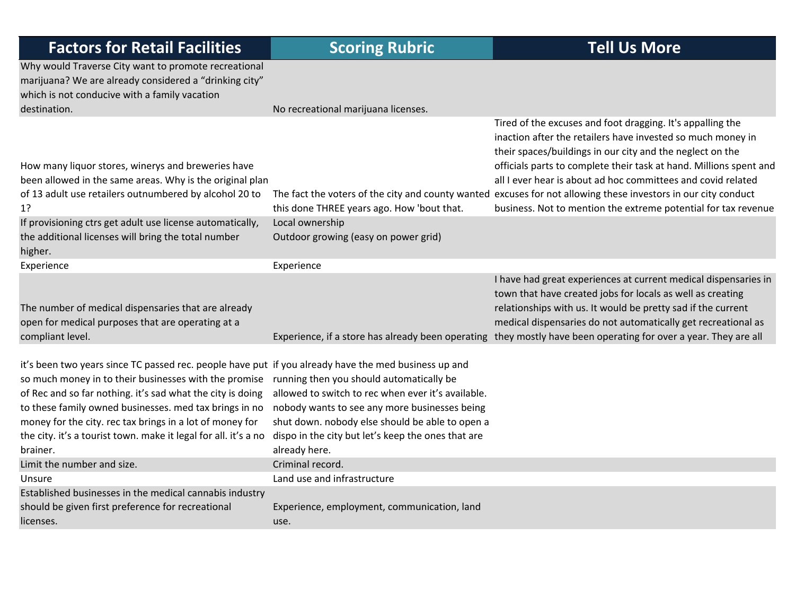| <b>Factors for Retail Facilities</b>                                                                                                                                           | <b>Scoring Rubric</b>                                               | <b>Tell Us More</b>                                                                                                                                                                                                                                                                                                                                                                                                                                                                                              |
|--------------------------------------------------------------------------------------------------------------------------------------------------------------------------------|---------------------------------------------------------------------|------------------------------------------------------------------------------------------------------------------------------------------------------------------------------------------------------------------------------------------------------------------------------------------------------------------------------------------------------------------------------------------------------------------------------------------------------------------------------------------------------------------|
| Why would Traverse City want to promote recreational<br>marijuana? We are already considered a "drinking city"<br>which is not conducive with a family vacation                |                                                                     |                                                                                                                                                                                                                                                                                                                                                                                                                                                                                                                  |
| destination.                                                                                                                                                                   | No recreational marijuana licenses.                                 |                                                                                                                                                                                                                                                                                                                                                                                                                                                                                                                  |
| How many liquor stores, winerys and breweries have<br>been allowed in the same areas. Why is the original plan<br>of 13 adult use retailers outnumbered by alcohol 20 to<br>1? | this done THREE years ago. How 'bout that.                          | Tired of the excuses and foot dragging. It's appalling the<br>inaction after the retailers have invested so much money in<br>their spaces/buildings in our city and the neglect on the<br>officials parts to complete their task at hand. Millions spent and<br>all I ever hear is about ad hoc committees and covid related<br>The fact the voters of the city and county wanted excuses for not allowing these investors in our city conduct<br>business. Not to mention the extreme potential for tax revenue |
| If provisioning ctrs get adult use license automatically,                                                                                                                      | Local ownership                                                     |                                                                                                                                                                                                                                                                                                                                                                                                                                                                                                                  |
| the additional licenses will bring the total number                                                                                                                            | Outdoor growing (easy on power grid)                                |                                                                                                                                                                                                                                                                                                                                                                                                                                                                                                                  |
| higher.                                                                                                                                                                        |                                                                     |                                                                                                                                                                                                                                                                                                                                                                                                                                                                                                                  |
| Experience                                                                                                                                                                     | Experience                                                          |                                                                                                                                                                                                                                                                                                                                                                                                                                                                                                                  |
| The number of medical dispensaries that are already<br>open for medical purposes that are operating at a<br>compliant level.                                                   | Experience, if a store has already been operating                   | I have had great experiences at current medical dispensaries in<br>town that have created jobs for locals as well as creating<br>relationships with us. It would be pretty sad if the current<br>medical dispensaries do not automatically get recreational as<br>they mostly have been operating for over a year. They are all                                                                                                                                                                                  |
|                                                                                                                                                                                |                                                                     |                                                                                                                                                                                                                                                                                                                                                                                                                                                                                                                  |
| it's been two years since TC passed rec. people have put if you already have the med business up and                                                                           |                                                                     |                                                                                                                                                                                                                                                                                                                                                                                                                                                                                                                  |
| so much money in to their businesses with the promise                                                                                                                          | running then you should automatically be                            |                                                                                                                                                                                                                                                                                                                                                                                                                                                                                                                  |
| of Rec and so far nothing. it's sad what the city is doing                                                                                                                     | allowed to switch to rec when ever it's available.                  |                                                                                                                                                                                                                                                                                                                                                                                                                                                                                                                  |
| to these family owned businesses. med tax brings in no                                                                                                                         | nobody wants to see any more businesses being                       |                                                                                                                                                                                                                                                                                                                                                                                                                                                                                                                  |
| money for the city. rec tax brings in a lot of money for                                                                                                                       | shut down. nobody else should be able to open a                     |                                                                                                                                                                                                                                                                                                                                                                                                                                                                                                                  |
| the city. it's a tourist town. make it legal for all. it's a no<br>brainer.                                                                                                    | dispo in the city but let's keep the ones that are<br>already here. |                                                                                                                                                                                                                                                                                                                                                                                                                                                                                                                  |
| Limit the number and size.                                                                                                                                                     | Criminal record.                                                    |                                                                                                                                                                                                                                                                                                                                                                                                                                                                                                                  |
| Unsure                                                                                                                                                                         | Land use and infrastructure                                         |                                                                                                                                                                                                                                                                                                                                                                                                                                                                                                                  |
| Established businesses in the medical cannabis industry                                                                                                                        |                                                                     |                                                                                                                                                                                                                                                                                                                                                                                                                                                                                                                  |
| should be given first preference for recreational                                                                                                                              | Experience, employment, communication, land                         |                                                                                                                                                                                                                                                                                                                                                                                                                                                                                                                  |
| licenses.                                                                                                                                                                      | use.                                                                |                                                                                                                                                                                                                                                                                                                                                                                                                                                                                                                  |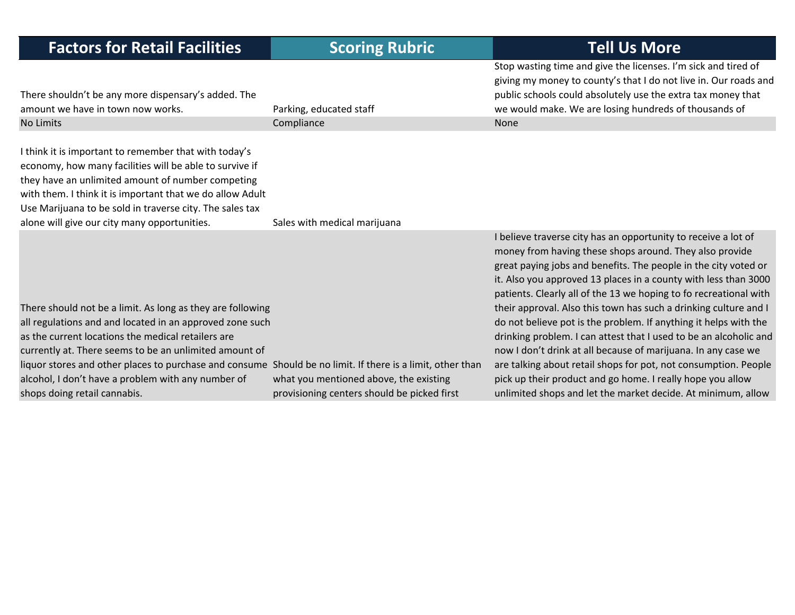| <b>Factors for Retail Facilities</b>                                                                                                                                                                                                                                                                                                                                                                                                       | <b>Scoring Rubric</b>                                                                 | <b>Tell Us More</b>                                                                                                                                                                                                                                                                                                                                                                                                                                                                                                                                                                                                                                                                                                                                                                                                 |
|--------------------------------------------------------------------------------------------------------------------------------------------------------------------------------------------------------------------------------------------------------------------------------------------------------------------------------------------------------------------------------------------------------------------------------------------|---------------------------------------------------------------------------------------|---------------------------------------------------------------------------------------------------------------------------------------------------------------------------------------------------------------------------------------------------------------------------------------------------------------------------------------------------------------------------------------------------------------------------------------------------------------------------------------------------------------------------------------------------------------------------------------------------------------------------------------------------------------------------------------------------------------------------------------------------------------------------------------------------------------------|
| There shouldn't be any more dispensary's added. The<br>amount we have in town now works.                                                                                                                                                                                                                                                                                                                                                   | Parking, educated staff                                                               | Stop wasting time and give the licenses. I'm sick and tired of<br>giving my money to county's that I do not live in. Our roads and<br>public schools could absolutely use the extra tax money that<br>we would make. We are losing hundreds of thousands of                                                                                                                                                                                                                                                                                                                                                                                                                                                                                                                                                         |
| No Limits                                                                                                                                                                                                                                                                                                                                                                                                                                  | Compliance                                                                            | None                                                                                                                                                                                                                                                                                                                                                                                                                                                                                                                                                                                                                                                                                                                                                                                                                |
| I think it is important to remember that with today's<br>economy, how many facilities will be able to survive if<br>they have an unlimited amount of number competing<br>with them. I think it is important that we do allow Adult<br>Use Marijuana to be sold in traverse city. The sales tax<br>alone will give our city many opportunities.                                                                                             | Sales with medical marijuana                                                          |                                                                                                                                                                                                                                                                                                                                                                                                                                                                                                                                                                                                                                                                                                                                                                                                                     |
| There should not be a limit. As long as they are following<br>all regulations and and located in an approved zone such<br>as the current locations the medical retailers are<br>currently at. There seems to be an unlimited amount of<br>liquor stores and other places to purchase and consume Should be no limit. If there is a limit, other than<br>alcohol, I don't have a problem with any number of<br>shops doing retail cannabis. | what you mentioned above, the existing<br>provisioning centers should be picked first | I believe traverse city has an opportunity to receive a lot of<br>money from having these shops around. They also provide<br>great paying jobs and benefits. The people in the city voted or<br>it. Also you approved 13 places in a county with less than 3000<br>patients. Clearly all of the 13 we hoping to fo recreational with<br>their approval. Also this town has such a drinking culture and I<br>do not believe pot is the problem. If anything it helps with the<br>drinking problem. I can attest that I used to be an alcoholic and<br>now I don't drink at all because of marijuana. In any case we<br>are talking about retail shops for pot, not consumption. People<br>pick up their product and go home. I really hope you allow<br>unlimited shops and let the market decide. At minimum, allow |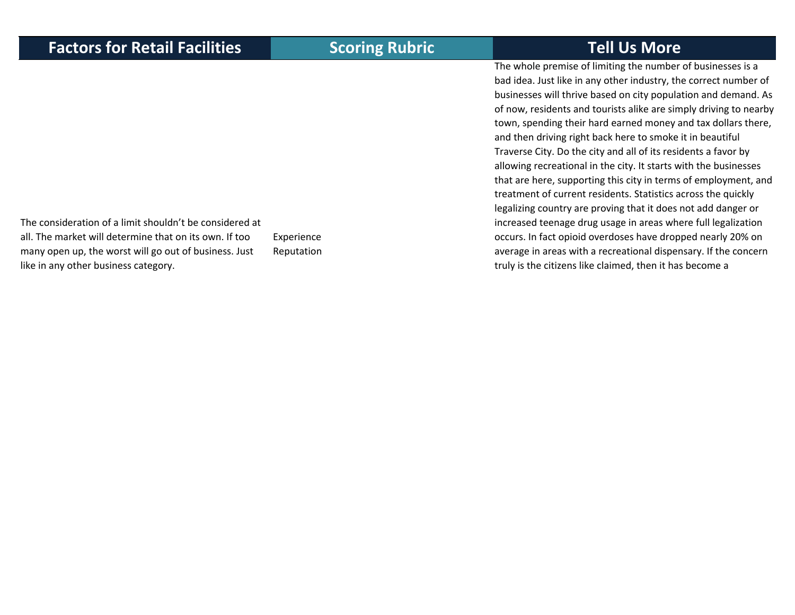The whole premise of limiting the number of businesses is <sup>a</sup> bad idea. Just like in any other industry, the correct number of businesses will thrive based on city population and demand. As of now, residents and tourists alike are simply driving to nearby town, spending their hard earned money and tax dollars there, and then driving right back here to smoke it in beautiful Traverse City. Do the city and all of its residents <sup>a</sup> favor by allowing recreational in the city. It starts with the businesses that are here, supporting this city in terms of employment, and treatment of current residents. Statistics across the quickly legalizing country are proving that it does not add danger or increased teenage drug usage in areas where full legalization occurs. In fact opioid overdoses have dropped nearly 20% on average in areas with <sup>a</sup> recreational dispensary. If the concern truly is the citizens like claimed, then it has become <sup>a</sup>

The consideration of <sup>a</sup> limit shouldn't be considered at all. The market will determine that on its own. If toomany open up, the worst will go out of business. Just like in any other business category.

Experience Reputation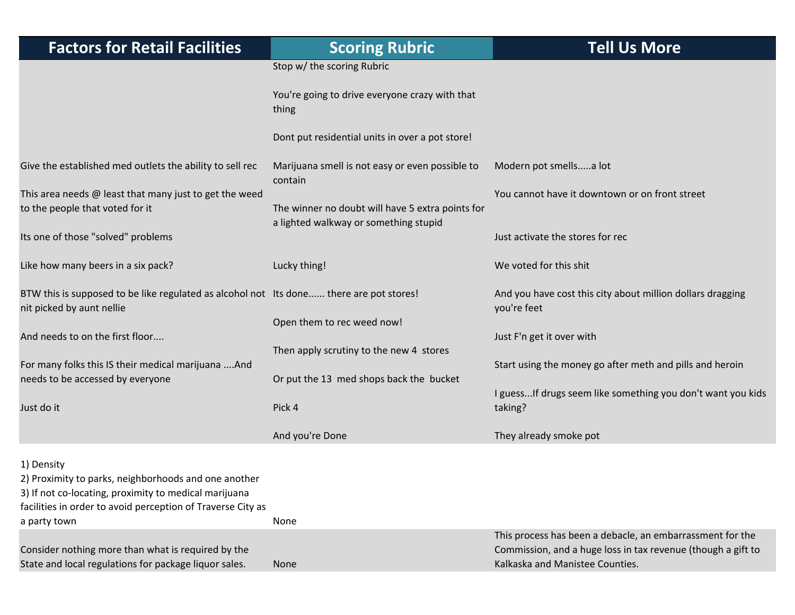| <b>Factors for Retail Facilities</b>                                                                                                                                                                       | <b>Scoring Rubric</b>                                      | <b>Tell Us More</b>                                                                                                                                          |
|------------------------------------------------------------------------------------------------------------------------------------------------------------------------------------------------------------|------------------------------------------------------------|--------------------------------------------------------------------------------------------------------------------------------------------------------------|
|                                                                                                                                                                                                            | Stop w/ the scoring Rubric                                 |                                                                                                                                                              |
|                                                                                                                                                                                                            | You're going to drive everyone crazy with that<br>thing    |                                                                                                                                                              |
|                                                                                                                                                                                                            | Dont put residential units in over a pot store!            |                                                                                                                                                              |
| Give the established med outlets the ability to sell rec                                                                                                                                                   | Marijuana smell is not easy or even possible to<br>contain | Modern pot smellsa lot                                                                                                                                       |
| This area needs $@$ least that many just to get the weed<br>to the people that voted for it                                                                                                                | The winner no doubt will have 5 extra points for           | You cannot have it downtown or on front street                                                                                                               |
| Its one of those "solved" problems                                                                                                                                                                         | a lighted walkway or something stupid                      | Just activate the stores for rec                                                                                                                             |
| Like how many beers in a six pack?                                                                                                                                                                         | Lucky thing!                                               | We voted for this shit                                                                                                                                       |
| BTW this is supposed to be like regulated as alcohol not Its done there are pot stores!<br>nit picked by aunt nellie                                                                                       |                                                            | And you have cost this city about million dollars dragging<br>you're feet                                                                                    |
| And needs to on the first floor                                                                                                                                                                            | Open them to rec weed now!                                 | Just F'n get it over with                                                                                                                                    |
| For many folks this IS their medical marijuana  And                                                                                                                                                        | Then apply scrutiny to the new 4 stores                    | Start using the money go after meth and pills and heroin                                                                                                     |
| needs to be accessed by everyone                                                                                                                                                                           | Or put the 13 med shops back the bucket                    | I guess If drugs seem like something you don't want you kids                                                                                                 |
| Just do it                                                                                                                                                                                                 | Pick 4                                                     | taking?                                                                                                                                                      |
|                                                                                                                                                                                                            | And you're Done                                            | They already smoke pot                                                                                                                                       |
| 1) Density<br>2) Proximity to parks, neighborhoods and one another<br>3) If not co-locating, proximity to medical marijuana<br>facilities in order to avoid perception of Traverse City as<br>a party town | None                                                       |                                                                                                                                                              |
| Consider nothing more than what is required by the<br>State and local regulations for package liquor sales.                                                                                                | None                                                       | This process has been a debacle, an embarrassment for the<br>Commission, and a huge loss in tax revenue (though a gift to<br>Kalkaska and Manistee Counties. |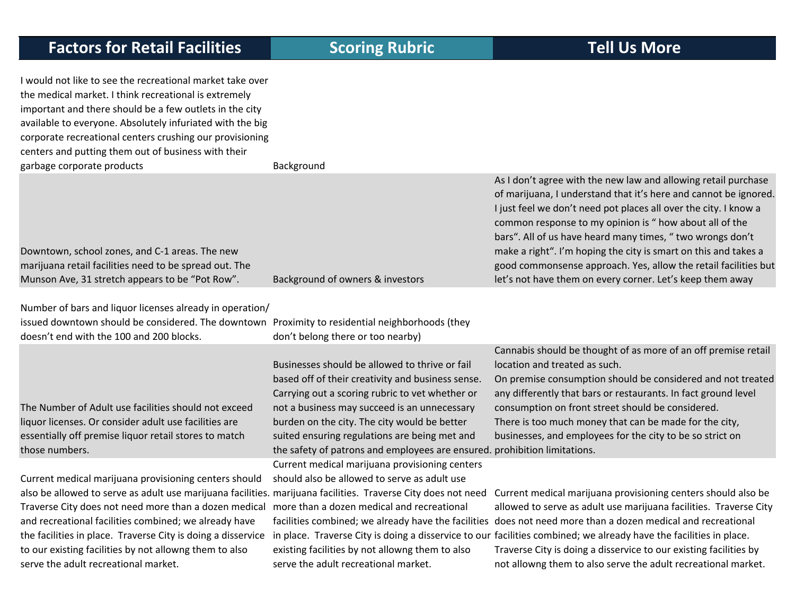I would not like to see the recreational market take over the medical market. I think recreational is extremely important and there should be <sup>a</sup> few outlets in the city available to everyone. Absolutely infuriated with the big corporate recreational centers crushing our provisioning centers and putting them out of business with their garbage corporate products Background

|                                                        |                                  | As I don't agree with the new law and allowing retail purchase   |
|--------------------------------------------------------|----------------------------------|------------------------------------------------------------------|
|                                                        |                                  | of marijuana, I understand that it's here and cannot be ignored. |
|                                                        |                                  | I just feel we don't need pot places all over the city. I know a |
|                                                        |                                  | common response to my opinion is " how about all of the          |
|                                                        |                                  | bars". All of us have heard many times, "two wrongs don't        |
| Downtown, school zones, and C-1 areas. The new         |                                  | make a right". I'm hoping the city is smart on this and takes a  |
| marijuana retail facilities need to be spread out. The |                                  | good commonsense approach. Yes, allow the retail facilities but  |
| Munson Ave, 31 stretch appears to be "Pot Row".        | Background of owners & investors | let's not have them on every corner. Let's keep them away        |
|                                                        |                                  |                                                                  |

Number of bars and liquor licenses already in operation/

issued downtown should be considered. The downtown Proximity to residential neighborhoods (they doesn't end with the 100 and 200 blocks.

The Number of Adult use facilities should not exceed liquor licenses. Or consider adult use facilities are essentially off premise liquor retail stores to match those numbers.

Current medical marijuana provisioning centers should also be allowed to serve as adult use marijuana facilities. marijuana facilities. Traverse City does not need Traverse City does not need more than <sup>a</sup> dozen medical and recreational facilities combined; we already have the facilities in place. Traverse City is doing <sup>a</sup> disservice to our existing facilities by not allowng them to also serve the adult recreational market.

Businesses should be allowed to thrive or fail based off of their creativity and business sense. Carrying out <sup>a</sup> scoring rubric to vet whether or not a business may succeed is an unnecessary burden on the city. The city would be better suited ensuring regulations are being met and the safety of patrons and employees are ensured. prohibition limitations.

don't belong there or too nearby)

Current medical marijuana provisioning centers should also be allowed to serve as adult use more than <sup>a</sup> dozen medical and recreational existing facilities by not allowng them to also serve the adult recreational market.

Cannabis should be thought of as more of an off premise retail location and treated as such.

On premise consumption should be considered and not treated any differently that bars or restaurants. In fact ground level consumption on front street should be considered. There is too much money that can be made for the city, businesses, and employees for the city to be so strict on

facilities combined; we already have the facilities does not need more than <sup>a</sup> dozen medical and recreational in place. Traverse City is doing a disservice to our facilities combined; we already have the facilities in place. Current medical marijuana provisioning centers should also be allowed to serve as adult use marijuana facilities. Traverse City Traverse City is doing <sup>a</sup> disservice to our existing facilities by not allowng them to also serve the adult recreational market.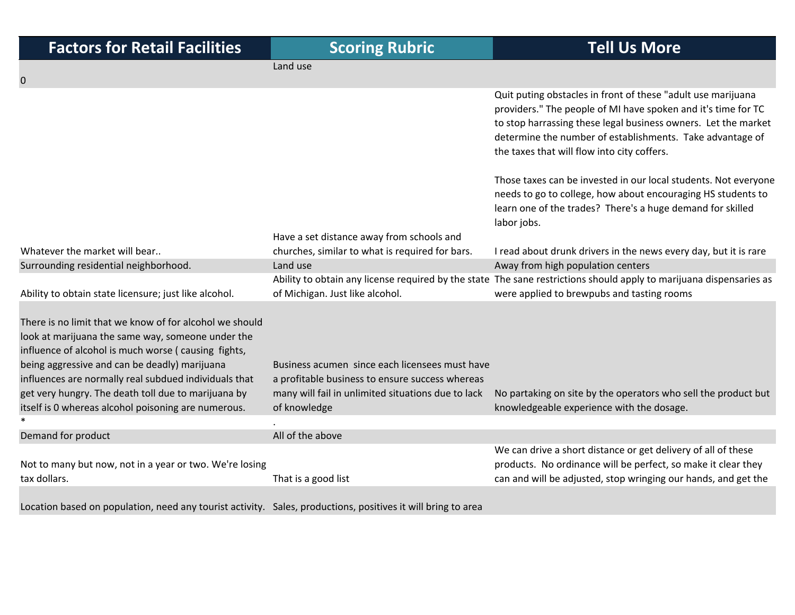| <b>Factors for Retail Facilitie</b> |  |  |
|-------------------------------------|--|--|
|                                     |  |  |

Have <sup>a</sup> set distance away from schools and

Quit puting obstacles in front of these "adult use marijuana providers." The people of MI have spoken and it's time for TC to stop harrassing these legal business owners. Let the market determine the number of establishments. Take advantage of the taxes that will flow into city coffers.

Those taxes can be invested in our local students. Not everyone needs to go to college, how about encouraging HS students to learn one of the trades? There's <sup>a</sup> huge demand for skilled labor jobs.

No partaking on site by the operators who sell the product but

We can drive <sup>a</sup> short distance or get delivery of all of these products. No ordinance will be perfect, so make it clear they can and will be adjusted, stop wringing our hands, and get the

churches, similar to what is required for bars. I read about drunk drivers in the news every day, but it is rare Surrounding residential neighborhood. Land use Land use Away from high population centers

knowledgeable experience with the dosage.

Ability to obtain state licensure; just like alcohol. Ability to obtain any license required by the state The sane restrictions should apply to marijuana dispensaries as of Michigan. Just like alcohol. were applied to brewpubs and tasting rooms

There is no limit that we know of for alcohol we should look at marijuana the same way, someone under the influence of alcohol is much worse ( causing fights, being aggressive and can be deadly) marijuana influences are normally real subdued individuals that get very hungry. The death toll due to marijuana by itself is 0 whereas alcohol poisoning are numerous. \*

Demand for product and all of the above  $\blacksquare$ 

Whatever the market will bear..

0

Not to many but now, not in <sup>a</sup> year or two. We're losing tax dollars. dollars. That is <sup>a</sup> good list

of knowledge

.

Land use

Location based on population, need any tourist activity. Sales, productions, positives it will bring to area

Business acumen since each licensees must have a profitable business to ensure success whereas many will fail in unlimited situations due to lack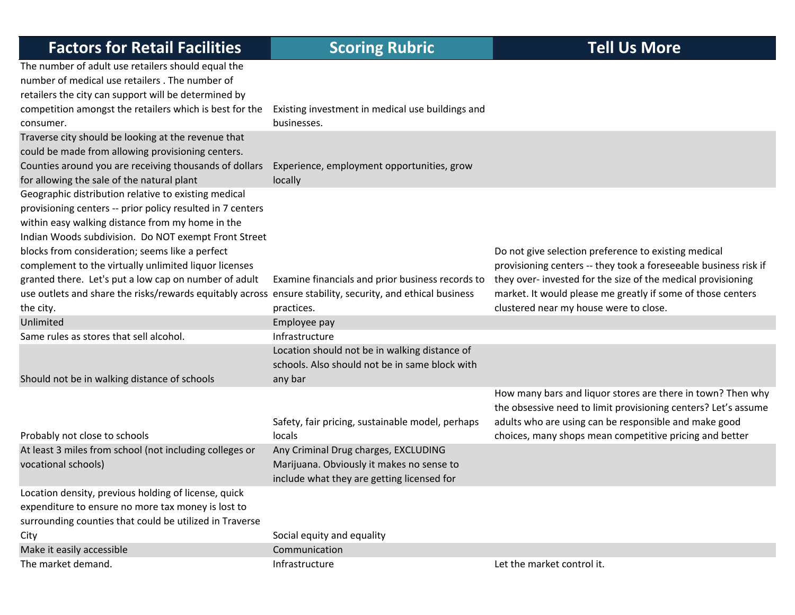| <b>Factors for Retail Facilities</b>                                                                                                                                                                                                                                                                                                                                                                                                                                                                                          | <b>Scoring Rubric</b>                                                                                                           | <b>Tell Us More</b>                                                                                                                                                                                                                                                                               |
|-------------------------------------------------------------------------------------------------------------------------------------------------------------------------------------------------------------------------------------------------------------------------------------------------------------------------------------------------------------------------------------------------------------------------------------------------------------------------------------------------------------------------------|---------------------------------------------------------------------------------------------------------------------------------|---------------------------------------------------------------------------------------------------------------------------------------------------------------------------------------------------------------------------------------------------------------------------------------------------|
| The number of adult use retailers should equal the<br>number of medical use retailers. The number of<br>retailers the city can support will be determined by<br>competition amongst the retailers which is best for the<br>consumer.                                                                                                                                                                                                                                                                                          | Existing investment in medical use buildings and<br>businesses.                                                                 |                                                                                                                                                                                                                                                                                                   |
| Traverse city should be looking at the revenue that<br>could be made from allowing provisioning centers.<br>Counties around you are receiving thousands of dollars<br>for allowing the sale of the natural plant                                                                                                                                                                                                                                                                                                              | Experience, employment opportunities, grow<br>locally                                                                           |                                                                                                                                                                                                                                                                                                   |
| Geographic distribution relative to existing medical<br>provisioning centers -- prior policy resulted in 7 centers<br>within easy walking distance from my home in the<br>Indian Woods subdivision. Do NOT exempt Front Street<br>blocks from consideration; seems like a perfect<br>complement to the virtually unlimited liquor licenses<br>granted there. Let's put a low cap on number of adult<br>use outlets and share the risks/rewards equitably across ensure stability, security, and ethical business<br>the city. | Examine financials and prior business records to<br>practices.                                                                  | Do not give selection preference to existing medical<br>provisioning centers -- they took a foreseeable business risk if<br>they over- invested for the size of the medical provisioning<br>market. It would please me greatly if some of those centers<br>clustered near my house were to close. |
| Unlimited                                                                                                                                                                                                                                                                                                                                                                                                                                                                                                                     | Employee pay                                                                                                                    |                                                                                                                                                                                                                                                                                                   |
| Same rules as stores that sell alcohol.                                                                                                                                                                                                                                                                                                                                                                                                                                                                                       | Infrastructure                                                                                                                  |                                                                                                                                                                                                                                                                                                   |
| Should not be in walking distance of schools                                                                                                                                                                                                                                                                                                                                                                                                                                                                                  | Location should not be in walking distance of<br>schools. Also should not be in same block with<br>any bar                      |                                                                                                                                                                                                                                                                                                   |
| Probably not close to schools                                                                                                                                                                                                                                                                                                                                                                                                                                                                                                 | Safety, fair pricing, sustainable model, perhaps<br>locals                                                                      | How many bars and liquor stores are there in town? Then why<br>the obsessive need to limit provisioning centers? Let's assume<br>adults who are using can be responsible and make good<br>choices, many shops mean competitive pricing and better                                                 |
| At least 3 miles from school (not including colleges or<br>vocational schools)                                                                                                                                                                                                                                                                                                                                                                                                                                                | Any Criminal Drug charges, EXCLUDING<br>Marijuana. Obviously it makes no sense to<br>include what they are getting licensed for |                                                                                                                                                                                                                                                                                                   |
| Location density, previous holding of license, quick<br>expenditure to ensure no more tax money is lost to<br>surrounding counties that could be utilized in Traverse                                                                                                                                                                                                                                                                                                                                                         |                                                                                                                                 |                                                                                                                                                                                                                                                                                                   |
| City                                                                                                                                                                                                                                                                                                                                                                                                                                                                                                                          | Social equity and equality                                                                                                      |                                                                                                                                                                                                                                                                                                   |
| Make it easily accessible                                                                                                                                                                                                                                                                                                                                                                                                                                                                                                     | Communication                                                                                                                   |                                                                                                                                                                                                                                                                                                   |
| The market demand.                                                                                                                                                                                                                                                                                                                                                                                                                                                                                                            | Infrastructure                                                                                                                  | Let the market control it.                                                                                                                                                                                                                                                                        |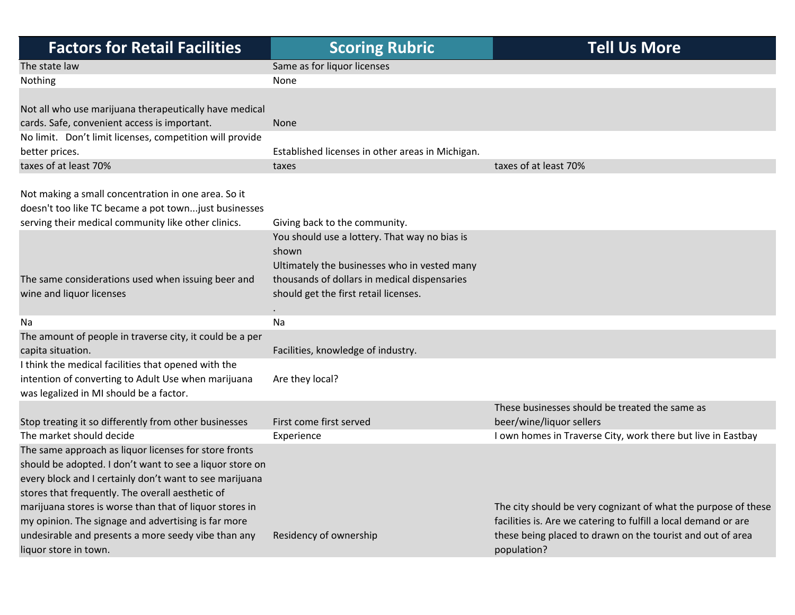| <b>Factors for Retail Facilities</b>                                                                                                                                                                                             | <b>Scoring Rubric</b>                                                                                                                                                                           | <b>Tell Us More</b>                                                                                                                                                                                            |
|----------------------------------------------------------------------------------------------------------------------------------------------------------------------------------------------------------------------------------|-------------------------------------------------------------------------------------------------------------------------------------------------------------------------------------------------|----------------------------------------------------------------------------------------------------------------------------------------------------------------------------------------------------------------|
| The state law                                                                                                                                                                                                                    | Same as for liquor licenses                                                                                                                                                                     |                                                                                                                                                                                                                |
| Nothing                                                                                                                                                                                                                          | None                                                                                                                                                                                            |                                                                                                                                                                                                                |
|                                                                                                                                                                                                                                  |                                                                                                                                                                                                 |                                                                                                                                                                                                                |
| Not all who use marijuana therapeutically have medical                                                                                                                                                                           |                                                                                                                                                                                                 |                                                                                                                                                                                                                |
| cards. Safe, convenient access is important.                                                                                                                                                                                     | None                                                                                                                                                                                            |                                                                                                                                                                                                                |
| No limit. Don't limit licenses, competition will provide                                                                                                                                                                         |                                                                                                                                                                                                 |                                                                                                                                                                                                                |
| better prices.                                                                                                                                                                                                                   | Established licenses in other areas in Michigan.                                                                                                                                                |                                                                                                                                                                                                                |
| taxes of at least 70%                                                                                                                                                                                                            | taxes                                                                                                                                                                                           | taxes of at least 70%                                                                                                                                                                                          |
| Not making a small concentration in one area. So it<br>doesn't too like TC became a pot townjust businesses<br>serving their medical community like other clinics.                                                               | Giving back to the community.                                                                                                                                                                   |                                                                                                                                                                                                                |
| The same considerations used when issuing beer and<br>wine and liquor licenses                                                                                                                                                   | You should use a lottery. That way no bias is<br>shown<br>Ultimately the businesses who in vested many<br>thousands of dollars in medical dispensaries<br>should get the first retail licenses. |                                                                                                                                                                                                                |
| Na                                                                                                                                                                                                                               | Na                                                                                                                                                                                              |                                                                                                                                                                                                                |
| The amount of people in traverse city, it could be a per<br>capita situation.                                                                                                                                                    | Facilities, knowledge of industry.                                                                                                                                                              |                                                                                                                                                                                                                |
| I think the medical facilities that opened with the<br>intention of converting to Adult Use when marijuana<br>was legalized in MI should be a factor.                                                                            | Are they local?                                                                                                                                                                                 |                                                                                                                                                                                                                |
|                                                                                                                                                                                                                                  |                                                                                                                                                                                                 | These businesses should be treated the same as                                                                                                                                                                 |
| Stop treating it so differently from other businesses                                                                                                                                                                            | First come first served                                                                                                                                                                         | beer/wine/liquor sellers                                                                                                                                                                                       |
| The market should decide                                                                                                                                                                                                         | Experience                                                                                                                                                                                      | I own homes in Traverse City, work there but live in Eastbay                                                                                                                                                   |
| The same approach as liquor licenses for store fronts<br>should be adopted. I don't want to see a liquor store on<br>every block and I certainly don't want to see marijuana<br>stores that frequently. The overall aesthetic of |                                                                                                                                                                                                 |                                                                                                                                                                                                                |
| marijuana stores is worse than that of liquor stores in<br>my opinion. The signage and advertising is far more<br>undesirable and presents a more seedy vibe than any<br>liquor store in town.                                   | Residency of ownership                                                                                                                                                                          | The city should be very cognizant of what the purpose of these<br>facilities is. Are we catering to fulfill a local demand or are<br>these being placed to drawn on the tourist and out of area<br>population? |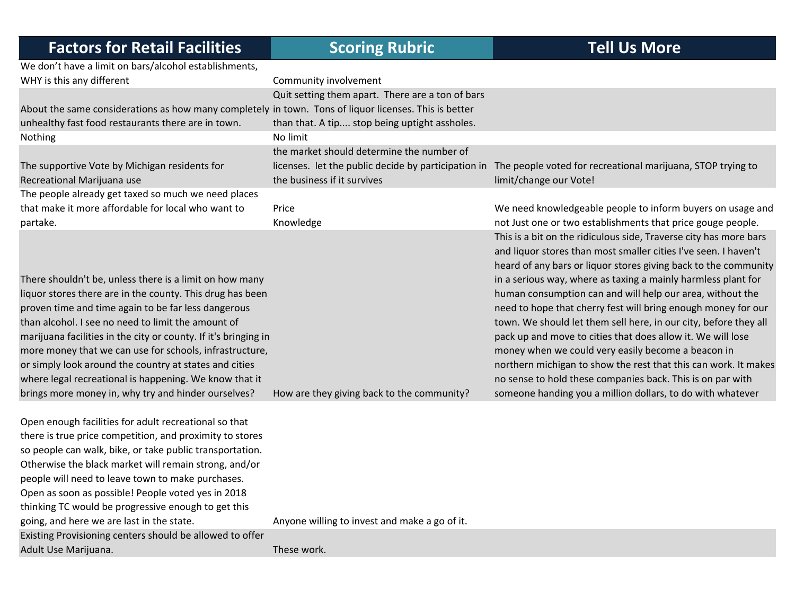| <b>Factors for Retail Facilities</b>                                                                                                                                                                                                                                                                                                                                                                                                                                                                                                       | <b>Scoring Rubric</b>                                                                             | <b>Tell Us More</b>                                                                                                                                                                                                                                                                                                                                                                                                                                                                                                                                                                                                                                                                                                                                                                            |
|--------------------------------------------------------------------------------------------------------------------------------------------------------------------------------------------------------------------------------------------------------------------------------------------------------------------------------------------------------------------------------------------------------------------------------------------------------------------------------------------------------------------------------------------|---------------------------------------------------------------------------------------------------|------------------------------------------------------------------------------------------------------------------------------------------------------------------------------------------------------------------------------------------------------------------------------------------------------------------------------------------------------------------------------------------------------------------------------------------------------------------------------------------------------------------------------------------------------------------------------------------------------------------------------------------------------------------------------------------------------------------------------------------------------------------------------------------------|
| We don't have a limit on bars/alcohol establishments,<br>WHY is this any different                                                                                                                                                                                                                                                                                                                                                                                                                                                         | Community involvement                                                                             |                                                                                                                                                                                                                                                                                                                                                                                                                                                                                                                                                                                                                                                                                                                                                                                                |
| About the same considerations as how many completely in town. Tons of liquor licenses. This is better<br>unhealthy fast food restaurants there are in town.                                                                                                                                                                                                                                                                                                                                                                                | Quit setting them apart. There are a ton of bars<br>than that. A tip stop being uptight assholes. |                                                                                                                                                                                                                                                                                                                                                                                                                                                                                                                                                                                                                                                                                                                                                                                                |
| Nothing                                                                                                                                                                                                                                                                                                                                                                                                                                                                                                                                    | No limit                                                                                          |                                                                                                                                                                                                                                                                                                                                                                                                                                                                                                                                                                                                                                                                                                                                                                                                |
| The supportive Vote by Michigan residents for<br>Recreational Marijuana use                                                                                                                                                                                                                                                                                                                                                                                                                                                                | the market should determine the number of<br>the business if it survives                          | licenses. let the public decide by participation in The people voted for recreational marijuana, STOP trying to<br>limit/change our Vote!                                                                                                                                                                                                                                                                                                                                                                                                                                                                                                                                                                                                                                                      |
| The people already get taxed so much we need places<br>that make it more affordable for local who want to<br>partake.                                                                                                                                                                                                                                                                                                                                                                                                                      | Price<br>Knowledge                                                                                | We need knowledgeable people to inform buyers on usage and<br>not Just one or two establishments that price gouge people.                                                                                                                                                                                                                                                                                                                                                                                                                                                                                                                                                                                                                                                                      |
| There shouldn't be, unless there is a limit on how many<br>liquor stores there are in the county. This drug has been<br>proven time and time again to be far less dangerous<br>than alcohol. I see no need to limit the amount of<br>marijuana facilities in the city or county. If it's bringing in<br>more money that we can use for schools, infrastructure,<br>or simply look around the country at states and cities<br>where legal recreational is happening. We know that it<br>brings more money in, why try and hinder ourselves? | How are they giving back to the community?                                                        | This is a bit on the ridiculous side, Traverse city has more bars<br>and liquor stores than most smaller cities I've seen. I haven't<br>heard of any bars or liquor stores giving back to the community<br>in a serious way, where as taxing a mainly harmless plant for<br>human consumption can and will help our area, without the<br>need to hope that cherry fest will bring enough money for our<br>town. We should let them sell here, in our city, before they all<br>pack up and move to cities that does allow it. We will lose<br>money when we could very easily become a beacon in<br>northern michigan to show the rest that this can work. It makes<br>no sense to hold these companies back. This is on par with<br>someone handing you a million dollars, to do with whatever |
| Open enough facilities for adult recreational so that<br>there is true price competition, and proximity to stores<br>so people can walk, bike, or take public transportation.<br>Otherwise the black market will remain strong, and/or<br>people will need to leave town to make purchases.<br>Open as soon as possible! People voted yes in 2018<br>thinking TC would be progressive enough to get this<br>going, and here we are last in the state.                                                                                      | Anyone willing to invest and make a go of it.                                                     |                                                                                                                                                                                                                                                                                                                                                                                                                                                                                                                                                                                                                                                                                                                                                                                                |
| Existing Provisioning centers should be allowed to offer<br>Adult Use Marijuana.                                                                                                                                                                                                                                                                                                                                                                                                                                                           | These work.                                                                                       |                                                                                                                                                                                                                                                                                                                                                                                                                                                                                                                                                                                                                                                                                                                                                                                                |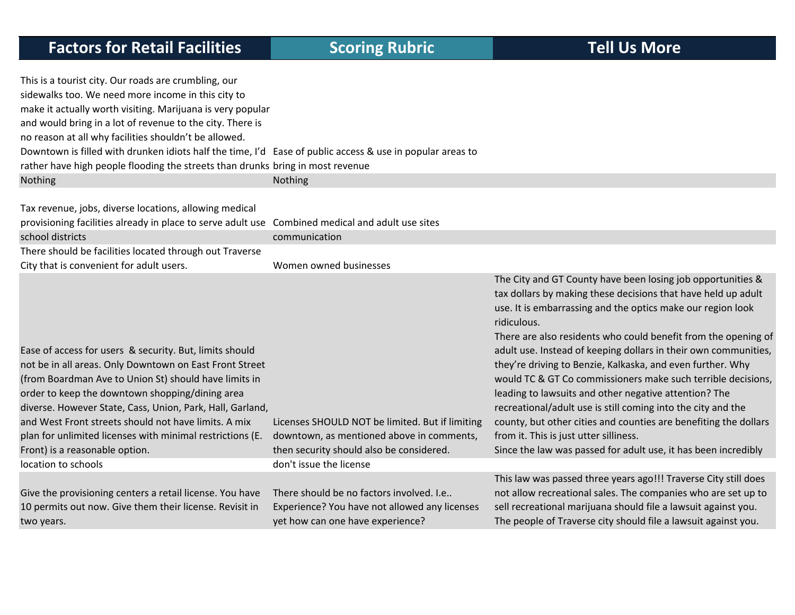| <b>Factors for Retail Facilities</b>                                                                                                                                                                                                                                                                                                                                                                                                                                                                     | <b>Scoring Rubric</b>                                                                                                                                               | <b>Tell Us More</b>                                                                                                                                                                                                                                                                                                                                                                                                                                                                                                                                                                                                                                                                                                                                                                    |
|----------------------------------------------------------------------------------------------------------------------------------------------------------------------------------------------------------------------------------------------------------------------------------------------------------------------------------------------------------------------------------------------------------------------------------------------------------------------------------------------------------|---------------------------------------------------------------------------------------------------------------------------------------------------------------------|----------------------------------------------------------------------------------------------------------------------------------------------------------------------------------------------------------------------------------------------------------------------------------------------------------------------------------------------------------------------------------------------------------------------------------------------------------------------------------------------------------------------------------------------------------------------------------------------------------------------------------------------------------------------------------------------------------------------------------------------------------------------------------------|
| This is a tourist city. Our roads are crumbling, our<br>sidewalks too. We need more income in this city to<br>make it actually worth visiting. Marijuana is very popular<br>and would bring in a lot of revenue to the city. There is<br>no reason at all why facilities shouldn't be allowed.<br>Downtown is filled with drunken idiots half the time, I'd Ease of public access & use in popular areas to<br>rather have high people flooding the streets than drunks bring in most revenue<br>Nothing | Nothing                                                                                                                                                             |                                                                                                                                                                                                                                                                                                                                                                                                                                                                                                                                                                                                                                                                                                                                                                                        |
|                                                                                                                                                                                                                                                                                                                                                                                                                                                                                                          |                                                                                                                                                                     |                                                                                                                                                                                                                                                                                                                                                                                                                                                                                                                                                                                                                                                                                                                                                                                        |
| Tax revenue, jobs, diverse locations, allowing medical                                                                                                                                                                                                                                                                                                                                                                                                                                                   |                                                                                                                                                                     |                                                                                                                                                                                                                                                                                                                                                                                                                                                                                                                                                                                                                                                                                                                                                                                        |
| provisioning facilities already in place to serve adult use Combined medical and adult use sites<br>school districts                                                                                                                                                                                                                                                                                                                                                                                     | communication                                                                                                                                                       |                                                                                                                                                                                                                                                                                                                                                                                                                                                                                                                                                                                                                                                                                                                                                                                        |
| There should be facilities located through out Traverse                                                                                                                                                                                                                                                                                                                                                                                                                                                  |                                                                                                                                                                     |                                                                                                                                                                                                                                                                                                                                                                                                                                                                                                                                                                                                                                                                                                                                                                                        |
| City that is convenient for adult users.                                                                                                                                                                                                                                                                                                                                                                                                                                                                 | Women owned businesses                                                                                                                                              |                                                                                                                                                                                                                                                                                                                                                                                                                                                                                                                                                                                                                                                                                                                                                                                        |
| Ease of access for users & security. But, limits should<br>not be in all areas. Only Downtown on East Front Street<br>(from Boardman Ave to Union St) should have limits in<br>order to keep the downtown shopping/dining area<br>diverse. However State, Cass, Union, Park, Hall, Garland,<br>and West Front streets should not have limits. A mix<br>plan for unlimited licenses with minimal restrictions (E.<br>Front) is a reasonable option.<br>location to schools                                | Licenses SHOULD NOT be limited. But if limiting<br>downtown, as mentioned above in comments,<br>then security should also be considered.<br>don't issue the license | The City and GT County have been losing job opportunities &<br>tax dollars by making these decisions that have held up adult<br>use. It is embarrassing and the optics make our region look<br>ridiculous.<br>There are also residents who could benefit from the opening of<br>adult use. Instead of keeping dollars in their own communities,<br>they're driving to Benzie, Kalkaska, and even further. Why<br>would TC & GT Co commissioners make such terrible decisions,<br>leading to lawsuits and other negative attention? The<br>recreational/adult use is still coming into the city and the<br>county, but other cities and counties are benefiting the dollars<br>from it. This is just utter silliness.<br>Since the law was passed for adult use, it has been incredibly |
| Give the provisioning centers a retail license. You have                                                                                                                                                                                                                                                                                                                                                                                                                                                 | There should be no factors involved. I.e                                                                                                                            | This law was passed three years ago!!! Traverse City still does<br>not allow recreational sales. The companies who are set up to                                                                                                                                                                                                                                                                                                                                                                                                                                                                                                                                                                                                                                                       |
| 10 permits out now. Give them their license. Revisit in<br>two years.                                                                                                                                                                                                                                                                                                                                                                                                                                    | Experience? You have not allowed any licenses<br>yet how can one have experience?                                                                                   | sell recreational marijuana should file a lawsuit against you.<br>The people of Traverse city should file a lawsuit against you.                                                                                                                                                                                                                                                                                                                                                                                                                                                                                                                                                                                                                                                       |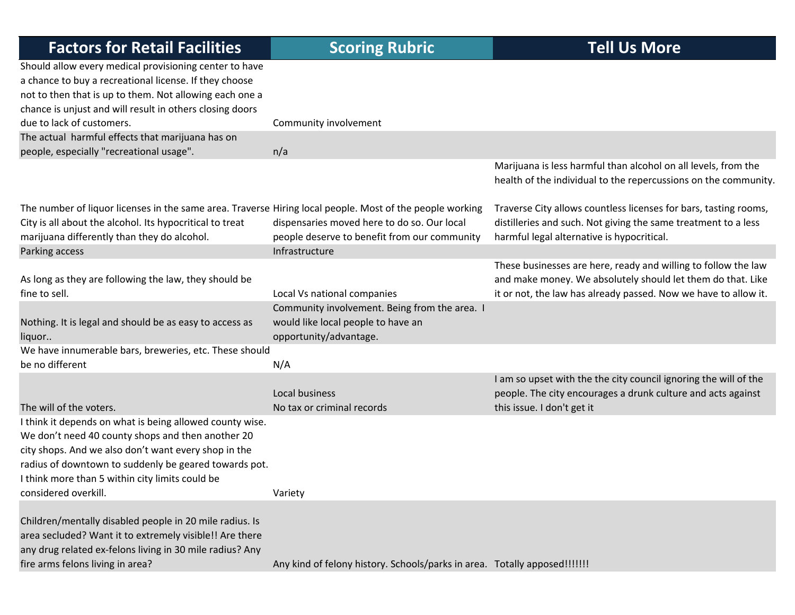| <b>Factors for Retail Facilities</b>                                                                                                                                                                                                                                                                      | <b>Scoring Rubric</b>                                                                                         | <b>Tell Us More</b>                                                                                                                                                                              |
|-----------------------------------------------------------------------------------------------------------------------------------------------------------------------------------------------------------------------------------------------------------------------------------------------------------|---------------------------------------------------------------------------------------------------------------|--------------------------------------------------------------------------------------------------------------------------------------------------------------------------------------------------|
| Should allow every medical provisioning center to have<br>a chance to buy a recreational license. If they choose<br>not to then that is up to them. Not allowing each one a<br>chance is unjust and will result in others closing doors                                                                   |                                                                                                               |                                                                                                                                                                                                  |
| due to lack of customers.                                                                                                                                                                                                                                                                                 | Community involvement                                                                                         |                                                                                                                                                                                                  |
| The actual harmful effects that marijuana has on<br>people, especially "recreational usage".                                                                                                                                                                                                              | n/a                                                                                                           |                                                                                                                                                                                                  |
|                                                                                                                                                                                                                                                                                                           |                                                                                                               | Marijuana is less harmful than alcohol on all levels, from the<br>health of the individual to the repercussions on the community.                                                                |
| The number of liquor licenses in the same area. Traverse Hiring local people. Most of the people working<br>City is all about the alcohol. Its hypocritical to treat<br>marijuana differently than they do alcohol.<br>Parking access                                                                     | dispensaries moved here to do so. Our local<br>people deserve to benefit from our community<br>Infrastructure | Traverse City allows countless licenses for bars, tasting rooms,<br>distilleries and such. Not giving the same treatment to a less<br>harmful legal alternative is hypocritical.                 |
| As long as they are following the law, they should be<br>fine to sell.                                                                                                                                                                                                                                    | Local Vs national companies                                                                                   | These businesses are here, ready and willing to follow the law<br>and make money. We absolutely should let them do that. Like<br>it or not, the law has already passed. Now we have to allow it. |
| Nothing. It is legal and should be as easy to access as<br>liquor                                                                                                                                                                                                                                         | Community involvement. Being from the area. I<br>would like local people to have an<br>opportunity/advantage. |                                                                                                                                                                                                  |
| We have innumerable bars, breweries, etc. These should<br>be no different                                                                                                                                                                                                                                 | N/A                                                                                                           |                                                                                                                                                                                                  |
| The will of the voters.                                                                                                                                                                                                                                                                                   | Local business<br>No tax or criminal records                                                                  | I am so upset with the the city council ignoring the will of the<br>people. The city encourages a drunk culture and acts against<br>this issue. I don't get it                                   |
| I think it depends on what is being allowed county wise.<br>We don't need 40 county shops and then another 20<br>city shops. And we also don't want every shop in the<br>radius of downtown to suddenly be geared towards pot.<br>I think more than 5 within city limits could be<br>considered overkill. | Variety                                                                                                       |                                                                                                                                                                                                  |
| Children/mentally disabled people in 20 mile radius. Is<br>area secluded? Want it to extremely visible!! Are there<br>any drug related ex-felons living in 30 mile radius? Any<br>fire arms felons living in area?                                                                                        | Any kind of felony history. Schools/parks in area. Totally apposed!!!!!!!                                     |                                                                                                                                                                                                  |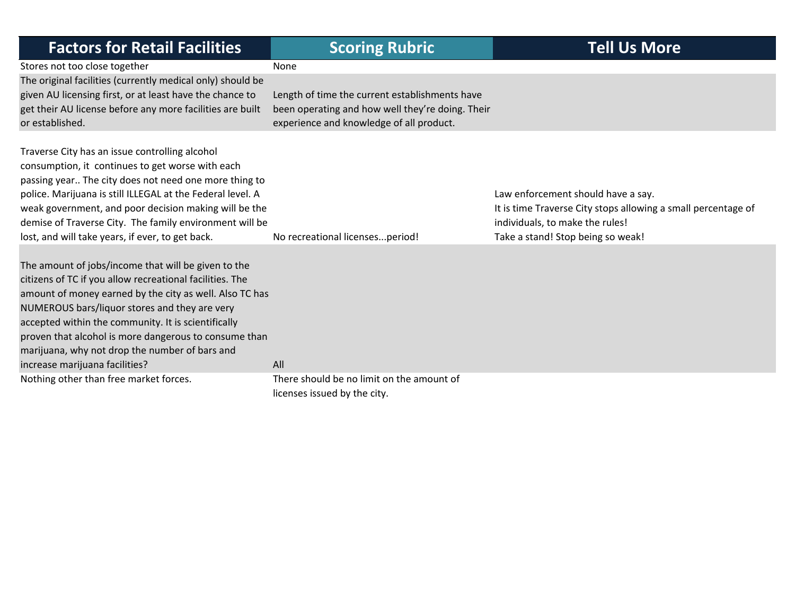| <b>Factors for Retail Facilities</b>                                                                                                                                                                                                                                                                                                                                                                                            | <b>Scoring Rubric</b>                                                                                                                          | <b>Tell Us More</b>                                                                                                                                                         |
|---------------------------------------------------------------------------------------------------------------------------------------------------------------------------------------------------------------------------------------------------------------------------------------------------------------------------------------------------------------------------------------------------------------------------------|------------------------------------------------------------------------------------------------------------------------------------------------|-----------------------------------------------------------------------------------------------------------------------------------------------------------------------------|
| Stores not too close together                                                                                                                                                                                                                                                                                                                                                                                                   | None                                                                                                                                           |                                                                                                                                                                             |
| The original facilities (currently medical only) should be<br>given AU licensing first, or at least have the chance to<br>get their AU license before any more facilities are built<br>or established.                                                                                                                                                                                                                          | Length of time the current establishments have<br>been operating and how well they're doing. Their<br>experience and knowledge of all product. |                                                                                                                                                                             |
| Traverse City has an issue controlling alcohol<br>consumption, it continues to get worse with each<br>passing year The city does not need one more thing to<br>police. Marijuana is still ILLEGAL at the Federal level. A<br>weak government, and poor decision making will be the<br>demise of Traverse City. The family environment will be<br>lost, and will take years, if ever, to get back.                               | No recreational licensesperiod!                                                                                                                | Law enforcement should have a say.<br>It is time Traverse City stops allowing a small percentage of<br>individuals, to make the rules!<br>Take a stand! Stop being so weak! |
| The amount of jobs/income that will be given to the<br>citizens of TC if you allow recreational facilities. The<br>amount of money earned by the city as well. Also TC has<br>NUMEROUS bars/liquor stores and they are very<br>accepted within the community. It is scientifically<br>proven that alcohol is more dangerous to consume than<br>marijuana, why not drop the number of bars and<br>increase marijuana facilities? | All                                                                                                                                            |                                                                                                                                                                             |
| Nothing other than free market forces.                                                                                                                                                                                                                                                                                                                                                                                          | There should be no limit on the amount of<br>licenses issued by the city.                                                                      |                                                                                                                                                                             |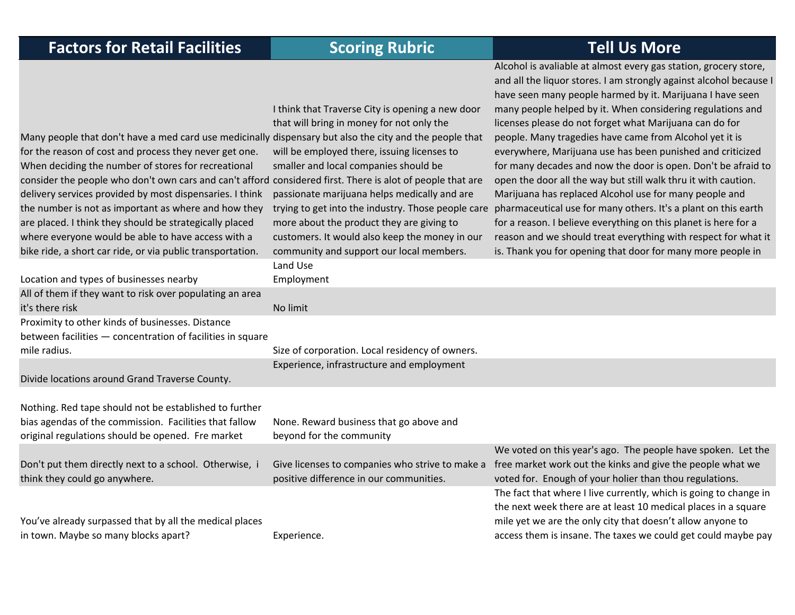Alcohol is avaliable at almost every gas station, grocery store,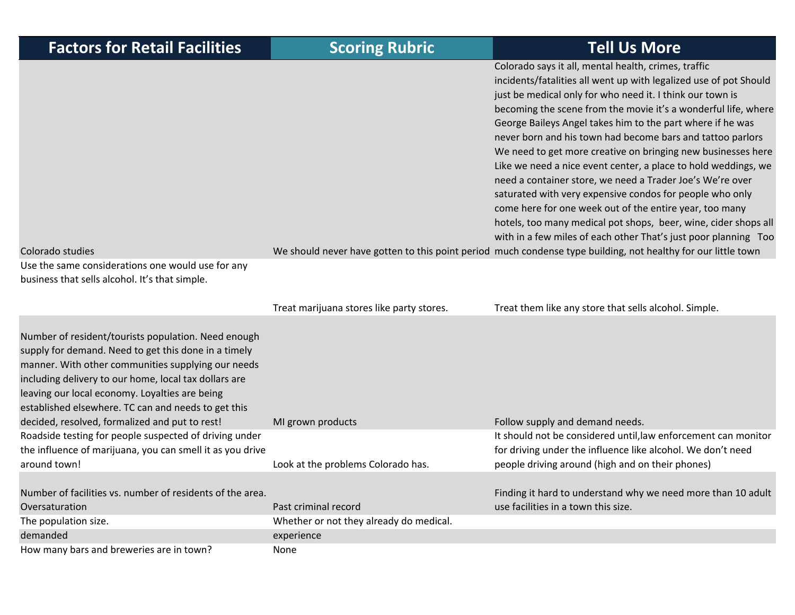| <b>Factors for Retail Facilities</b>                                                                                                                                                                                                                                                                                                | <b>Scoring Rubric</b>                     | <b>Tell Us More</b>                                                                                                                                                                                                                                                                                                                                                                                                                                                                                                                                                                                                                                                                                                                                                           |
|-------------------------------------------------------------------------------------------------------------------------------------------------------------------------------------------------------------------------------------------------------------------------------------------------------------------------------------|-------------------------------------------|-------------------------------------------------------------------------------------------------------------------------------------------------------------------------------------------------------------------------------------------------------------------------------------------------------------------------------------------------------------------------------------------------------------------------------------------------------------------------------------------------------------------------------------------------------------------------------------------------------------------------------------------------------------------------------------------------------------------------------------------------------------------------------|
|                                                                                                                                                                                                                                                                                                                                     |                                           | Colorado says it all, mental health, crimes, traffic<br>incidents/fatalities all went up with legalized use of pot Should<br>just be medical only for who need it. I think our town is<br>becoming the scene from the movie it's a wonderful life, where<br>George Baileys Angel takes him to the part where if he was<br>never born and his town had become bars and tattoo parlors<br>We need to get more creative on bringing new businesses here<br>Like we need a nice event center, a place to hold weddings, we<br>need a container store, we need a Trader Joe's We're over<br>saturated with very expensive condos for people who only<br>come here for one week out of the entire year, too many<br>hotels, too many medical pot shops, beer, wine, cider shops all |
| Colorado studies<br>Use the same considerations one would use for any<br>business that sells alcohol. It's that simple.                                                                                                                                                                                                             |                                           | with in a few miles of each other That's just poor planning Too<br>We should never have gotten to this point period much condense type building, not healthy for our little town                                                                                                                                                                                                                                                                                                                                                                                                                                                                                                                                                                                              |
|                                                                                                                                                                                                                                                                                                                                     | Treat marijuana stores like party stores. | Treat them like any store that sells alcohol. Simple.                                                                                                                                                                                                                                                                                                                                                                                                                                                                                                                                                                                                                                                                                                                         |
| Number of resident/tourists population. Need enough<br>supply for demand. Need to get this done in a timely<br>manner. With other communities supplying our needs<br>including delivery to our home, local tax dollars are<br>leaving our local economy. Loyalties are being<br>established elsewhere. TC can and needs to get this |                                           |                                                                                                                                                                                                                                                                                                                                                                                                                                                                                                                                                                                                                                                                                                                                                                               |
| decided, resolved, formalized and put to rest!                                                                                                                                                                                                                                                                                      | MI grown products                         | Follow supply and demand needs.                                                                                                                                                                                                                                                                                                                                                                                                                                                                                                                                                                                                                                                                                                                                               |
| Roadside testing for people suspected of driving under<br>the influence of marijuana, you can smell it as you drive                                                                                                                                                                                                                 |                                           | It should not be considered until, law enforcement can monitor<br>for driving under the influence like alcohol. We don't need                                                                                                                                                                                                                                                                                                                                                                                                                                                                                                                                                                                                                                                 |
| around town!                                                                                                                                                                                                                                                                                                                        | Look at the problems Colorado has.        | people driving around (high and on their phones)                                                                                                                                                                                                                                                                                                                                                                                                                                                                                                                                                                                                                                                                                                                              |
| Number of facilities vs. number of residents of the area.<br>Oversaturation                                                                                                                                                                                                                                                         | Past criminal record                      | Finding it hard to understand why we need more than 10 adult<br>use facilities in a town this size.                                                                                                                                                                                                                                                                                                                                                                                                                                                                                                                                                                                                                                                                           |
| The population size.                                                                                                                                                                                                                                                                                                                | Whether or not they already do medical.   |                                                                                                                                                                                                                                                                                                                                                                                                                                                                                                                                                                                                                                                                                                                                                                               |
| demanded                                                                                                                                                                                                                                                                                                                            | experience                                |                                                                                                                                                                                                                                                                                                                                                                                                                                                                                                                                                                                                                                                                                                                                                                               |
| How many bars and breweries are in town?                                                                                                                                                                                                                                                                                            | None                                      |                                                                                                                                                                                                                                                                                                                                                                                                                                                                                                                                                                                                                                                                                                                                                                               |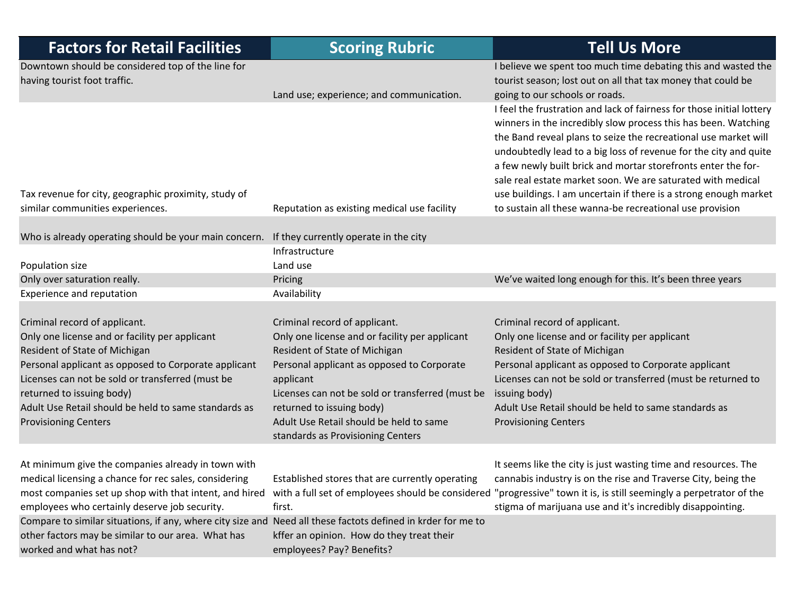| <b>Factors for Retail Facilities</b>                                                                                                                               | <b>Scoring Rubric</b>                                                | <b>Tell Us More</b>                                                                                                                                                        |
|--------------------------------------------------------------------------------------------------------------------------------------------------------------------|----------------------------------------------------------------------|----------------------------------------------------------------------------------------------------------------------------------------------------------------------------|
| Downtown should be considered top of the line for<br>having tourist foot traffic.                                                                                  |                                                                      | I believe we spent too much time debating this and wasted the<br>tourist season; lost out on all that tax money that could be                                              |
|                                                                                                                                                                    | Land use; experience; and communication.                             | going to our schools or roads.                                                                                                                                             |
|                                                                                                                                                                    |                                                                      | I feel the frustration and lack of fairness for those initial lottery                                                                                                      |
|                                                                                                                                                                    |                                                                      | winners in the incredibly slow process this has been. Watching                                                                                                             |
|                                                                                                                                                                    |                                                                      | the Band reveal plans to seize the recreational use market will                                                                                                            |
|                                                                                                                                                                    |                                                                      | undoubtedly lead to a big loss of revenue for the city and quite                                                                                                           |
|                                                                                                                                                                    |                                                                      | a few newly built brick and mortar storefronts enter the for-<br>sale real estate market soon. We are saturated with medical                                               |
| Tax revenue for city, geographic proximity, study of                                                                                                               |                                                                      | use buildings. I am uncertain if there is a strong enough market                                                                                                           |
| similar communities experiences.                                                                                                                                   | Reputation as existing medical use facility                          | to sustain all these wanna-be recreational use provision                                                                                                                   |
|                                                                                                                                                                    |                                                                      |                                                                                                                                                                            |
| Who is already operating should be your main concern.                                                                                                              | If they currently operate in the city                                |                                                                                                                                                                            |
|                                                                                                                                                                    | Infrastructure                                                       |                                                                                                                                                                            |
| Population size                                                                                                                                                    | Land use                                                             |                                                                                                                                                                            |
| Only over saturation really.                                                                                                                                       | Pricing                                                              | We've waited long enough for this. It's been three years                                                                                                                   |
| Experience and reputation                                                                                                                                          | Availability                                                         |                                                                                                                                                                            |
|                                                                                                                                                                    |                                                                      |                                                                                                                                                                            |
| Criminal record of applicant.                                                                                                                                      | Criminal record of applicant.                                        | Criminal record of applicant.                                                                                                                                              |
| Only one license and or facility per applicant                                                                                                                     | Only one license and or facility per applicant                       | Only one license and or facility per applicant                                                                                                                             |
| Resident of State of Michigan                                                                                                                                      | Resident of State of Michigan                                        | Resident of State of Michigan                                                                                                                                              |
| Personal applicant as opposed to Corporate applicant                                                                                                               | Personal applicant as opposed to Corporate                           | Personal applicant as opposed to Corporate applicant                                                                                                                       |
| Licenses can not be sold or transferred (must be                                                                                                                   | applicant                                                            | Licenses can not be sold or transferred (must be returned to                                                                                                               |
| returned to issuing body)                                                                                                                                          | Licenses can not be sold or transferred (must be                     | issuing body)                                                                                                                                                              |
| Adult Use Retail should be held to same standards as                                                                                                               | returned to issuing body)<br>Adult Use Retail should be held to same | Adult Use Retail should be held to same standards as                                                                                                                       |
| <b>Provisioning Centers</b>                                                                                                                                        | standards as Provisioning Centers                                    | <b>Provisioning Centers</b>                                                                                                                                                |
|                                                                                                                                                                    |                                                                      |                                                                                                                                                                            |
| At minimum give the companies already in town with                                                                                                                 |                                                                      | It seems like the city is just wasting time and resources. The                                                                                                             |
| medical licensing a chance for rec sales, considering                                                                                                              | Established stores that are currently operating                      | cannabis industry is on the rise and Traverse City, being the                                                                                                              |
|                                                                                                                                                                    |                                                                      | most companies set up shop with that intent, and hired with a full set of employees should be considered "progressive" town it is, is still seemingly a perpetrator of the |
| employees who certainly deserve job security.                                                                                                                      | first.                                                               | stigma of marijuana use and it's incredibly disappointing.                                                                                                                 |
| Compare to similar situations, if any, where city size and Need all these factots defined in krder for me to<br>other factors may be similar to our area. What has | kffer an opinion. How do they treat their                            |                                                                                                                                                                            |
| worked and what has not?                                                                                                                                           | employees? Pay? Benefits?                                            |                                                                                                                                                                            |
|                                                                                                                                                                    |                                                                      |                                                                                                                                                                            |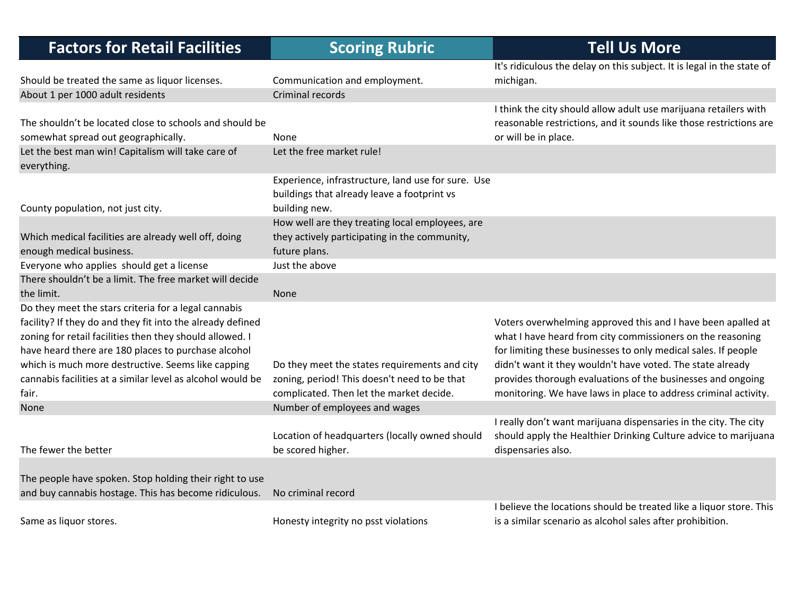| <b>Factors for Retail Facilities</b>                                                                                                                                                                                                                                                                                                                               | <b>Scoring Rubric</b>                                                                                                                     | <b>Tell Us More</b>                                                                                                                                                                                                                                                                                                                                                                          |
|--------------------------------------------------------------------------------------------------------------------------------------------------------------------------------------------------------------------------------------------------------------------------------------------------------------------------------------------------------------------|-------------------------------------------------------------------------------------------------------------------------------------------|----------------------------------------------------------------------------------------------------------------------------------------------------------------------------------------------------------------------------------------------------------------------------------------------------------------------------------------------------------------------------------------------|
|                                                                                                                                                                                                                                                                                                                                                                    |                                                                                                                                           | It's ridiculous the delay on this subject. It is legal in the state of                                                                                                                                                                                                                                                                                                                       |
| Should be treated the same as liquor licenses.                                                                                                                                                                                                                                                                                                                     | Communication and employment.                                                                                                             | michigan.                                                                                                                                                                                                                                                                                                                                                                                    |
| About 1 per 1000 adult residents                                                                                                                                                                                                                                                                                                                                   | Criminal records                                                                                                                          |                                                                                                                                                                                                                                                                                                                                                                                              |
| The shouldn't be located close to schools and should be<br>somewhat spread out geographically.                                                                                                                                                                                                                                                                     | None                                                                                                                                      | I think the city should allow adult use marijuana retailers with<br>reasonable restrictions, and it sounds like those restrictions are<br>or will be in place.                                                                                                                                                                                                                               |
| Let the best man win! Capitalism will take care of<br>everything.                                                                                                                                                                                                                                                                                                  | Let the free market rule!                                                                                                                 |                                                                                                                                                                                                                                                                                                                                                                                              |
| County population, not just city.                                                                                                                                                                                                                                                                                                                                  | Experience, infrastructure, land use for sure. Use<br>buildings that already leave a footprint vs<br>building new.                        |                                                                                                                                                                                                                                                                                                                                                                                              |
| Which medical facilities are already well off, doing<br>enough medical business.                                                                                                                                                                                                                                                                                   | How well are they treating local employees, are<br>they actively participating in the community,<br>future plans.                         |                                                                                                                                                                                                                                                                                                                                                                                              |
| Everyone who applies should get a license                                                                                                                                                                                                                                                                                                                          | Just the above                                                                                                                            |                                                                                                                                                                                                                                                                                                                                                                                              |
| There shouldn't be a limit. The free market will decide<br>the limit.                                                                                                                                                                                                                                                                                              | None                                                                                                                                      |                                                                                                                                                                                                                                                                                                                                                                                              |
| Do they meet the stars criteria for a legal cannabis<br>facility? If they do and they fit into the already defined<br>zoning for retail facilities then they should allowed. I<br>have heard there are 180 places to purchase alcohol<br>which is much more destructive. Seems like capping<br>cannabis facilities at a similar level as alcohol would be<br>fair. | Do they meet the states requirements and city<br>zoning, period! This doesn't need to be that<br>complicated. Then let the market decide. | Voters overwhelming approved this and I have been apalled at<br>what I have heard from city commissioners on the reasoning<br>for limiting these businesses to only medical sales. If people<br>didn't want it they wouldn't have voted. The state already<br>provides thorough evaluations of the businesses and ongoing<br>monitoring. We have laws in place to address criminal activity. |
| <b>None</b>                                                                                                                                                                                                                                                                                                                                                        | Number of employees and wages                                                                                                             |                                                                                                                                                                                                                                                                                                                                                                                              |
| The fewer the better                                                                                                                                                                                                                                                                                                                                               | Location of headquarters (locally owned should<br>be scored higher.                                                                       | I really don't want marijuana dispensaries in the city. The city<br>should apply the Healthier Drinking Culture advice to marijuana<br>dispensaries also.                                                                                                                                                                                                                                    |
| The people have spoken. Stop holding their right to use<br>and buy cannabis hostage. This has become ridiculous.                                                                                                                                                                                                                                                   | No criminal record                                                                                                                        |                                                                                                                                                                                                                                                                                                                                                                                              |
| Same as liquor stores.                                                                                                                                                                                                                                                                                                                                             | Honesty integrity no psst violations                                                                                                      | I believe the locations should be treated like a liquor store. This<br>is a similar scenario as alcohol sales after prohibition.                                                                                                                                                                                                                                                             |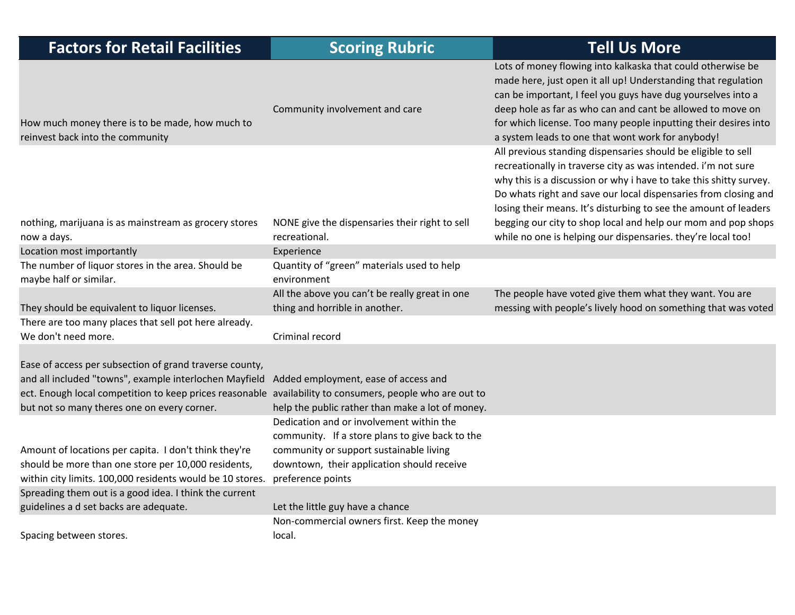| <b>Factors for Retail Facilities</b>                                                                                                                                                                                                                                         | <b>Scoring Rubric</b>                                                                                                                                                                                     | <b>Tell Us More</b>                                                                                                                                                                                                                                                                                                                                                                                          |
|------------------------------------------------------------------------------------------------------------------------------------------------------------------------------------------------------------------------------------------------------------------------------|-----------------------------------------------------------------------------------------------------------------------------------------------------------------------------------------------------------|--------------------------------------------------------------------------------------------------------------------------------------------------------------------------------------------------------------------------------------------------------------------------------------------------------------------------------------------------------------------------------------------------------------|
| How much money there is to be made, how much to<br>reinvest back into the community                                                                                                                                                                                          | Community involvement and care                                                                                                                                                                            | Lots of money flowing into kalkaska that could otherwise be<br>made here, just open it all up! Understanding that regulation<br>can be important, I feel you guys have dug yourselves into a<br>deep hole as far as who can and cant be allowed to move on<br>for which license. Too many people inputting their desires into<br>a system leads to one that wont work for anybody!                           |
| nothing, marijuana is as mainstream as grocery stores                                                                                                                                                                                                                        | NONE give the dispensaries their right to sell                                                                                                                                                            | All previous standing dispensaries should be eligible to sell<br>recreationally in traverse city as was intended. i'm not sure<br>why this is a discussion or why i have to take this shitty survey.<br>Do whats right and save our local dispensaries from closing and<br>losing their means. It's disturbing to see the amount of leaders<br>begging our city to shop local and help our mom and pop shops |
| now a days.                                                                                                                                                                                                                                                                  | recreational.                                                                                                                                                                                             | while no one is helping our dispensaries. they're local too!                                                                                                                                                                                                                                                                                                                                                 |
| Location most importantly                                                                                                                                                                                                                                                    | Experience                                                                                                                                                                                                |                                                                                                                                                                                                                                                                                                                                                                                                              |
| The number of liquor stores in the area. Should be                                                                                                                                                                                                                           | Quantity of "green" materials used to help                                                                                                                                                                |                                                                                                                                                                                                                                                                                                                                                                                                              |
| maybe half or similar.                                                                                                                                                                                                                                                       | environment                                                                                                                                                                                               |                                                                                                                                                                                                                                                                                                                                                                                                              |
| They should be equivalent to liquor licenses.                                                                                                                                                                                                                                | All the above you can't be really great in one<br>thing and horrible in another.                                                                                                                          | The people have voted give them what they want. You are<br>messing with people's lively hood on something that was voted                                                                                                                                                                                                                                                                                     |
| There are too many places that sell pot here already.<br>We don't need more.                                                                                                                                                                                                 | Criminal record                                                                                                                                                                                           |                                                                                                                                                                                                                                                                                                                                                                                                              |
| Ease of access per subsection of grand traverse county,<br>and all included "towns", example interlochen Mayfield<br>ect. Enough local competition to keep prices reasonable availability to consumers, people who are out to<br>but not so many theres one on every corner. | Added employment, ease of access and<br>help the public rather than make a lot of money.                                                                                                                  |                                                                                                                                                                                                                                                                                                                                                                                                              |
| Amount of locations per capita. I don't think they're<br>should be more than one store per 10,000 residents,<br>within city limits. 100,000 residents would be 10 stores.                                                                                                    | Dedication and or involvement within the<br>community. If a store plans to give back to the<br>community or support sustainable living<br>downtown, their application should receive<br>preference points |                                                                                                                                                                                                                                                                                                                                                                                                              |
| Spreading them out is a good idea. I think the current                                                                                                                                                                                                                       |                                                                                                                                                                                                           |                                                                                                                                                                                                                                                                                                                                                                                                              |
| guidelines a d set backs are adequate.                                                                                                                                                                                                                                       | Let the little guy have a chance                                                                                                                                                                          |                                                                                                                                                                                                                                                                                                                                                                                                              |
| Spacing between stores.                                                                                                                                                                                                                                                      | Non-commercial owners first. Keep the money<br>local.                                                                                                                                                     |                                                                                                                                                                                                                                                                                                                                                                                                              |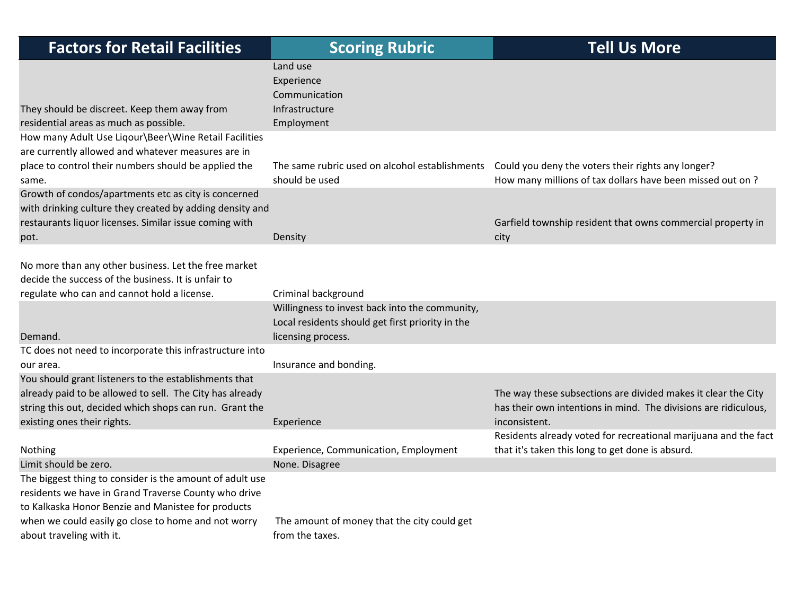| <b>Factors for Retail Facilities</b>                                                                                                                                                                                                                   | <b>Scoring Rubric</b>                                                                                                                           | <b>Tell Us More</b>                                                                                                                                             |
|--------------------------------------------------------------------------------------------------------------------------------------------------------------------------------------------------------------------------------------------------------|-------------------------------------------------------------------------------------------------------------------------------------------------|-----------------------------------------------------------------------------------------------------------------------------------------------------------------|
| They should be discreet. Keep them away from<br>residential areas as much as possible.                                                                                                                                                                 | Land use<br>Experience<br>Communication<br>Infrastructure<br>Employment                                                                         |                                                                                                                                                                 |
| How many Adult Use Liqour\Beer\Wine Retail Facilities<br>are currently allowed and whatever measures are in<br>place to control their numbers should be applied the<br>same.                                                                           | should be used                                                                                                                                  | The same rubric used on alcohol establishments  Could you deny the voters their rights any longer?<br>How many millions of tax dollars have been missed out on? |
| Growth of condos/apartments etc as city is concerned<br>with drinking culture they created by adding density and<br>restaurants liquor licenses. Similar issue coming with<br>pot.                                                                     | Density                                                                                                                                         | Garfield township resident that owns commercial property in<br>city                                                                                             |
| No more than any other business. Let the free market<br>decide the success of the business. It is unfair to<br>regulate who can and cannot hold a license.<br>Demand.                                                                                  | Criminal background<br>Willingness to invest back into the community,<br>Local residents should get first priority in the<br>licensing process. |                                                                                                                                                                 |
| TC does not need to incorporate this infrastructure into<br>our area.                                                                                                                                                                                  | Insurance and bonding.                                                                                                                          |                                                                                                                                                                 |
| You should grant listeners to the establishments that<br>already paid to be allowed to sell. The City has already<br>string this out, decided which shops can run. Grant the<br>existing ones their rights.                                            | Experience                                                                                                                                      | The way these subsections are divided makes it clear the City<br>has their own intentions in mind. The divisions are ridiculous,<br>inconsistent.               |
| Nothing                                                                                                                                                                                                                                                | Experience, Communication, Employment                                                                                                           | Residents already voted for recreational marijuana and the fact<br>that it's taken this long to get done is absurd.                                             |
| Limit should be zero.<br>The biggest thing to consider is the amount of adult use<br>residents we have in Grand Traverse County who drive<br>to Kalkaska Honor Benzie and Manistee for products<br>when we could easily go close to home and not worry | None. Disagree<br>The amount of money that the city could get                                                                                   |                                                                                                                                                                 |
| about traveling with it.                                                                                                                                                                                                                               | from the taxes.                                                                                                                                 |                                                                                                                                                                 |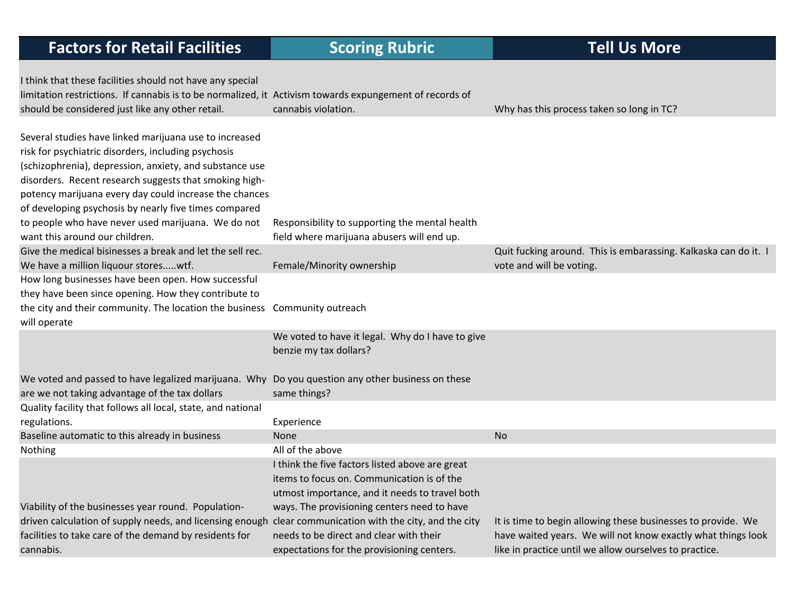| I think that these facilities should not have any special                                                |                                                  |                                                                 |
|----------------------------------------------------------------------------------------------------------|--------------------------------------------------|-----------------------------------------------------------------|
| limitation restrictions. If cannabis is to be normalized, it Activism towards expungement of records of  |                                                  |                                                                 |
| should be considered just like any other retail.                                                         | cannabis violation.                              | Why has this process taken so long in TC?                       |
|                                                                                                          |                                                  |                                                                 |
| Several studies have linked marijuana use to increased                                                   |                                                  |                                                                 |
| risk for psychiatric disorders, including psychosis                                                      |                                                  |                                                                 |
| (schizophrenia), depression, anxiety, and substance use                                                  |                                                  |                                                                 |
| disorders. Recent research suggests that smoking high-                                                   |                                                  |                                                                 |
| potency marijuana every day could increase the chances                                                   |                                                  |                                                                 |
| of developing psychosis by nearly five times compared                                                    |                                                  |                                                                 |
| to people who have never used marijuana. We do not                                                       | Responsibility to supporting the mental health   |                                                                 |
| want this around our children.                                                                           | field where marijuana abusers will end up.       |                                                                 |
| Give the medical bisinesses a break and let the sell rec.                                                |                                                  | Quit fucking around. This is embarassing. Kalkaska can do it. I |
| We have a million liquour storeswtf.                                                                     | Female/Minority ownership                        | vote and will be voting.                                        |
| How long businesses have been open. How successful                                                       |                                                  |                                                                 |
| they have been since opening. How they contribute to                                                     |                                                  |                                                                 |
| the city and their community. The location the business Community outreach                               |                                                  |                                                                 |
| will operate                                                                                             |                                                  |                                                                 |
|                                                                                                          | We voted to have it legal. Why do I have to give |                                                                 |
|                                                                                                          | benzie my tax dollars?                           |                                                                 |
|                                                                                                          |                                                  |                                                                 |
| We voted and passed to have legalized marijuana. Why Do you question any other business on these         |                                                  |                                                                 |
| are we not taking advantage of the tax dollars                                                           | same things?                                     |                                                                 |
| Quality facility that follows all local, state, and national                                             |                                                  |                                                                 |
| regulations.                                                                                             | Experience                                       |                                                                 |
| Baseline automatic to this already in business                                                           | <b>None</b>                                      | <b>No</b>                                                       |
| Nothing                                                                                                  | All of the above                                 |                                                                 |
|                                                                                                          | I think the five factors listed above are great  |                                                                 |
|                                                                                                          | items to focus on. Communication is of the       |                                                                 |
|                                                                                                          | utmost importance, and it needs to travel both   |                                                                 |
| Viability of the businesses year round. Population-                                                      | ways. The provisioning centers need to have      |                                                                 |
| driven calculation of supply needs, and licensing enough clear communication with the city, and the city |                                                  | It is time to begin allowing these businesses to provide. We    |
| facilities to take care of the demand by residents for                                                   | needs to be direct and clear with their          | have waited years. We will not know exactly what things look    |
| cannabis.                                                                                                | expectations for the provisioning centers.       | like in practice until we allow ourselves to practice.          |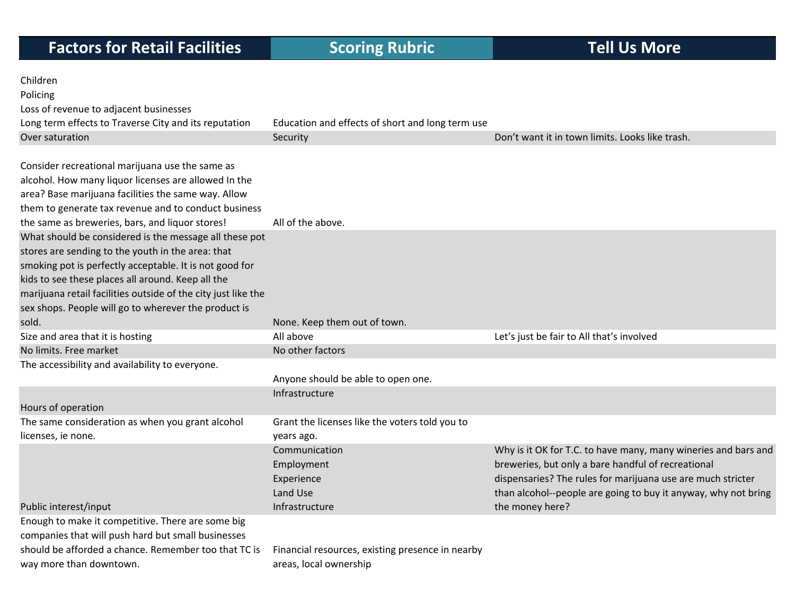| Children                                                      |                                                  |                                                                |
|---------------------------------------------------------------|--------------------------------------------------|----------------------------------------------------------------|
| Policing                                                      |                                                  |                                                                |
| Loss of revenue to adjacent businesses                        |                                                  |                                                                |
| Long term effects to Traverse City and its reputation         | Education and effects of short and long term use |                                                                |
| Over saturation                                               | Security                                         | Don't want it in town limits. Looks like trash.                |
|                                                               |                                                  |                                                                |
| Consider recreational marijuana use the same as               |                                                  |                                                                |
| alcohol. How many liquor licenses are allowed In the          |                                                  |                                                                |
| area? Base marijuana facilities the same way. Allow           |                                                  |                                                                |
| them to generate tax revenue and to conduct business          |                                                  |                                                                |
| the same as breweries, bars, and liquor stores!               | All of the above.                                |                                                                |
| What should be considered is the message all these pot        |                                                  |                                                                |
| stores are sending to the youth in the area: that             |                                                  |                                                                |
| smoking pot is perfectly acceptable. It is not good for       |                                                  |                                                                |
| kids to see these places all around. Keep all the             |                                                  |                                                                |
| marijuana retail facilities outside of the city just like the |                                                  |                                                                |
| sex shops. People will go to wherever the product is          |                                                  |                                                                |
| sold.                                                         | None. Keep them out of town.                     |                                                                |
| Size and area that it is hosting                              | All above                                        | Let's just be fair to All that's involved                      |
| No limits. Free market                                        | No other factors                                 |                                                                |
| The accessibility and availability to everyone.               |                                                  |                                                                |
|                                                               | Anyone should be able to open one.               |                                                                |
|                                                               | Infrastructure                                   |                                                                |
| Hours of operation                                            |                                                  |                                                                |
| The same consideration as when you grant alcohol              | Grant the licenses like the voters told you to   |                                                                |
| licenses, ie none.                                            | years ago.                                       |                                                                |
|                                                               | Communication                                    | Why is it OK for T.C. to have many, many wineries and bars and |
|                                                               | Employment                                       | breweries, but only a bare handful of recreational             |
|                                                               | Experience                                       | dispensaries? The rules for marijuana use are much stricter    |
|                                                               | Land Use                                         | than alcohol--people are going to buy it anyway, why not bring |
| Public interest/input                                         | Infrastructure                                   | the money here?                                                |
| Enough to make it competitive. There are some big             |                                                  |                                                                |
| companies that will push hard but small businesses            |                                                  |                                                                |
| should be afforded a chance. Remember too that TC is          | Financial resources, existing presence in nearby |                                                                |
| way more than downtown.                                       | areas, local ownership                           |                                                                |
|                                                               |                                                  |                                                                |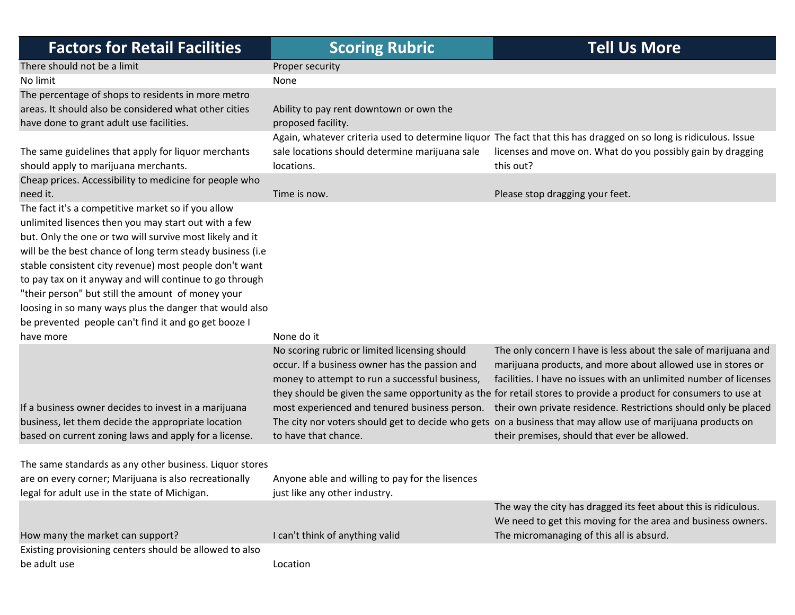| <b>Factors for Retail Facilities</b>                              | <b>Scoring Rubric</b>                           | <b>Tell Us More</b>                                                                                              |
|-------------------------------------------------------------------|-------------------------------------------------|------------------------------------------------------------------------------------------------------------------|
| There should not be a limit                                       | Proper security                                 |                                                                                                                  |
| No limit                                                          | None                                            |                                                                                                                  |
| The percentage of shops to residents in more metro                |                                                 |                                                                                                                  |
| areas. It should also be considered what other cities             | Ability to pay rent downtown or own the         |                                                                                                                  |
| have done to grant adult use facilities.                          | proposed facility.                              |                                                                                                                  |
|                                                                   |                                                 | Again, whatever criteria used to determine liquor The fact that this has dragged on so long is ridiculous. Issue |
| The same guidelines that apply for liquor merchants               | sale locations should determine marijuana sale  | licenses and move on. What do you possibly gain by dragging                                                      |
| should apply to marijuana merchants.                              | locations.                                      | this out?                                                                                                        |
| Cheap prices. Accessibility to medicine for people who            |                                                 |                                                                                                                  |
| need it.                                                          | Time is now.                                    | Please stop dragging your feet.                                                                                  |
| The fact it's a competitive market so if you allow                |                                                 |                                                                                                                  |
| unlimited lisences then you may start out with a few              |                                                 |                                                                                                                  |
| but. Only the one or two will survive most likely and it          |                                                 |                                                                                                                  |
| will be the best chance of long term steady business (i.e         |                                                 |                                                                                                                  |
| stable consistent city revenue) most people don't want            |                                                 |                                                                                                                  |
| to pay tax on it anyway and will continue to go through           |                                                 |                                                                                                                  |
| "their person" but still the amount of money your                 |                                                 |                                                                                                                  |
| loosing in so many ways plus the danger that would also           |                                                 |                                                                                                                  |
| be prevented people can't find it and go get booze I<br>have more | None do it                                      |                                                                                                                  |
|                                                                   | No scoring rubric or limited licensing should   | The only concern I have is less about the sale of marijuana and                                                  |
|                                                                   | occur. If a business owner has the passion and  | marijuana products, and more about allowed use in stores or                                                      |
|                                                                   | money to attempt to run a successful business,  | facilities. I have no issues with an unlimited number of licenses                                                |
|                                                                   |                                                 | they should be given the same opportunity as the for retail stores to provide a product for consumers to use at  |
| If a business owner decides to invest in a marijuana              |                                                 | most experienced and tenured business person. their own private residence. Restrictions should only be placed    |
| business, let them decide the appropriate location                |                                                 | The city nor voters should get to decide who gets on a business that may allow use of marijuana products on      |
| based on current zoning laws and apply for a license.             | to have that chance.                            | their premises, should that ever be allowed.                                                                     |
|                                                                   |                                                 |                                                                                                                  |
| The same standards as any other business. Liquor stores           |                                                 |                                                                                                                  |
| are on every corner; Marijuana is also recreationally             | Anyone able and willing to pay for the lisences |                                                                                                                  |
| legal for adult use in the state of Michigan.                     | just like any other industry.                   |                                                                                                                  |
|                                                                   |                                                 | The way the city has dragged its feet about this is ridiculous.                                                  |
|                                                                   |                                                 | We need to get this moving for the area and business owners.                                                     |
| How many the market can support?                                  | I can't think of anything valid                 | The micromanaging of this all is absurd.                                                                         |
| Existing provisioning centers should be allowed to also           |                                                 |                                                                                                                  |
| be adult use                                                      | Location                                        |                                                                                                                  |
|                                                                   |                                                 |                                                                                                                  |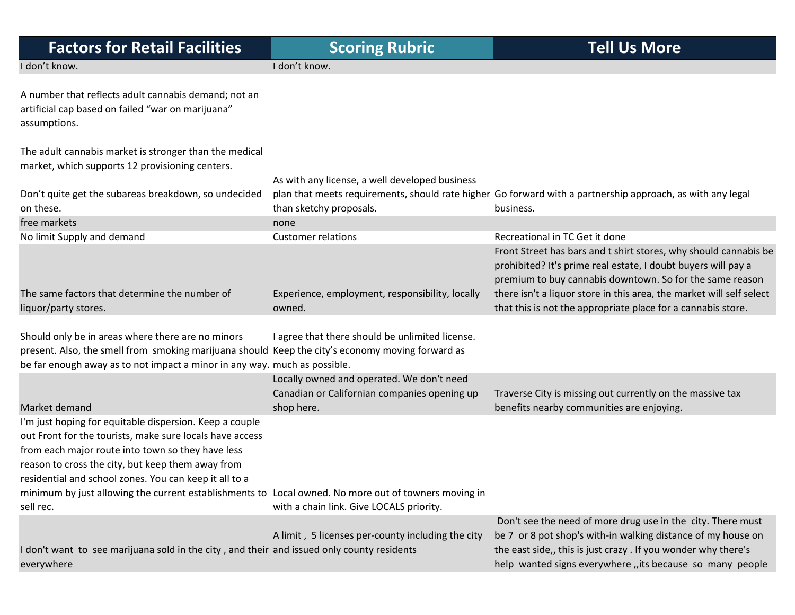| <b>Factors for Retail Facilities</b>                                                                                                                                                                                                                                                                                                                                                                         | <b>Scoring Rubric</b>                                                                                   | <b>Tell Us More</b>                                                                                                                                                                                                                                                   |
|--------------------------------------------------------------------------------------------------------------------------------------------------------------------------------------------------------------------------------------------------------------------------------------------------------------------------------------------------------------------------------------------------------------|---------------------------------------------------------------------------------------------------------|-----------------------------------------------------------------------------------------------------------------------------------------------------------------------------------------------------------------------------------------------------------------------|
| I don't know.                                                                                                                                                                                                                                                                                                                                                                                                | I don't know.                                                                                           |                                                                                                                                                                                                                                                                       |
| A number that reflects adult cannabis demand; not an<br>artificial cap based on failed "war on marijuana"<br>assumptions.                                                                                                                                                                                                                                                                                    |                                                                                                         |                                                                                                                                                                                                                                                                       |
| The adult cannabis market is stronger than the medical<br>market, which supports 12 provisioning centers.                                                                                                                                                                                                                                                                                                    |                                                                                                         |                                                                                                                                                                                                                                                                       |
|                                                                                                                                                                                                                                                                                                                                                                                                              | As with any license, a well developed business                                                          |                                                                                                                                                                                                                                                                       |
| Don't quite get the subareas breakdown, so undecided<br>on these.                                                                                                                                                                                                                                                                                                                                            | than sketchy proposals.                                                                                 | plan that meets requirements, should rate higher Go forward with a partnership approach, as with any legal<br>business.                                                                                                                                               |
| free markets                                                                                                                                                                                                                                                                                                                                                                                                 | none                                                                                                    |                                                                                                                                                                                                                                                                       |
| No limit Supply and demand                                                                                                                                                                                                                                                                                                                                                                                   | <b>Customer relations</b>                                                                               | Recreational in TC Get it done                                                                                                                                                                                                                                        |
| The same factors that determine the number of                                                                                                                                                                                                                                                                                                                                                                | Experience, employment, responsibility, locally                                                         | Front Street has bars and t shirt stores, why should cannabis be<br>prohibited? It's prime real estate, I doubt buyers will pay a<br>premium to buy cannabis downtown. So for the same reason<br>there isn't a liquor store in this area, the market will self select |
| liquor/party stores.                                                                                                                                                                                                                                                                                                                                                                                         | owned.                                                                                                  | that this is not the appropriate place for a cannabis store.                                                                                                                                                                                                          |
|                                                                                                                                                                                                                                                                                                                                                                                                              |                                                                                                         |                                                                                                                                                                                                                                                                       |
| Should only be in areas where there are no minors<br>present. Also, the smell from smoking marijuana should Keep the city's economy moving forward as<br>be far enough away as to not impact a minor in any way. much as possible.                                                                                                                                                                           | I agree that there should be unlimited license.                                                         |                                                                                                                                                                                                                                                                       |
| Market demand                                                                                                                                                                                                                                                                                                                                                                                                | Locally owned and operated. We don't need<br>Canadian or Californian companies opening up<br>shop here. | Traverse City is missing out currently on the massive tax<br>benefits nearby communities are enjoying.                                                                                                                                                                |
| I'm just hoping for equitable dispersion. Keep a couple<br>out Front for the tourists, make sure locals have access<br>from each major route into town so they have less<br>reason to cross the city, but keep them away from<br>residential and school zones. You can keep it all to a<br>minimum by just allowing the current establishments to Local owned. No more out of towners moving in<br>sell rec. | with a chain link. Give LOCALS priority.                                                                |                                                                                                                                                                                                                                                                       |
| I don't want to see marijuana sold in the city, and their and issued only county residents<br>everywhere                                                                                                                                                                                                                                                                                                     | A limit, 5 licenses per-county including the city                                                       | Don't see the need of more drug use in the city. There must<br>be 7 or 8 pot shop's with-in walking distance of my house on<br>the east side,, this is just crazy . If you wonder why there's<br>help wanted signs everywhere, its because so many people             |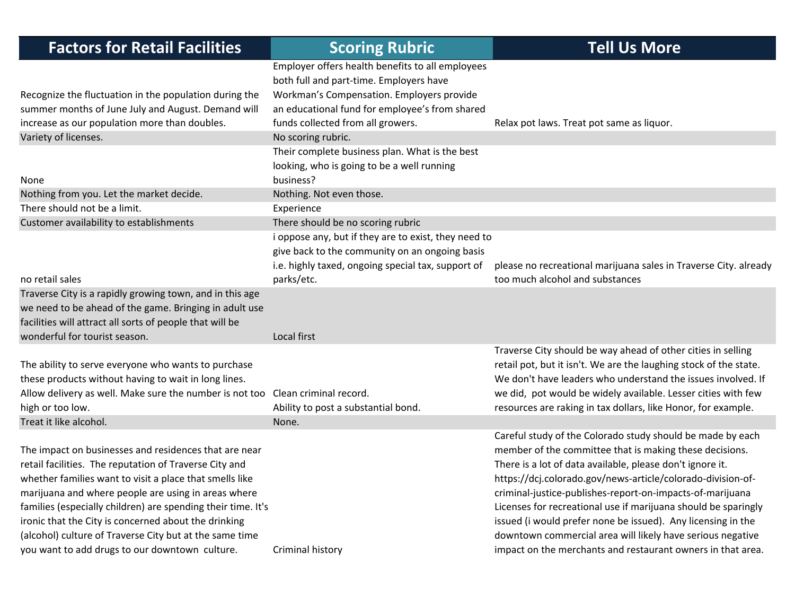| <b>Factors for Retail Facilities</b>                                           | <b>Scoring Rubric</b>                                | <b>Tell Us More</b>                                               |
|--------------------------------------------------------------------------------|------------------------------------------------------|-------------------------------------------------------------------|
|                                                                                | Employer offers health benefits to all employees     |                                                                   |
|                                                                                | both full and part-time. Employers have              |                                                                   |
| Recognize the fluctuation in the population during the                         | Workman's Compensation. Employers provide            |                                                                   |
| summer months of June July and August. Demand will                             | an educational fund for employee's from shared       |                                                                   |
| increase as our population more than doubles.                                  | funds collected from all growers.                    | Relax pot laws. Treat pot same as liquor.                         |
| Variety of licenses.                                                           | No scoring rubric.                                   |                                                                   |
|                                                                                | Their complete business plan. What is the best       |                                                                   |
|                                                                                | looking, who is going to be a well running           |                                                                   |
| None                                                                           | business?                                            |                                                                   |
| Nothing from you. Let the market decide.                                       | Nothing. Not even those.                             |                                                                   |
| There should not be a limit.                                                   | Experience                                           |                                                                   |
| Customer availability to establishments                                        | There should be no scoring rubric                    |                                                                   |
|                                                                                | i oppose any, but if they are to exist, they need to |                                                                   |
|                                                                                | give back to the community on an ongoing basis       |                                                                   |
|                                                                                | i.e. highly taxed, ongoing special tax, support of   | please no recreational marijuana sales in Traverse City. already  |
| no retail sales                                                                | parks/etc.                                           | too much alcohol and substances                                   |
| Traverse City is a rapidly growing town, and in this age                       |                                                      |                                                                   |
| we need to be ahead of the game. Bringing in adult use                         |                                                      |                                                                   |
| facilities will attract all sorts of people that will be                       |                                                      |                                                                   |
| wonderful for tourist season.                                                  | Local first                                          |                                                                   |
|                                                                                |                                                      | Traverse City should be way ahead of other cities in selling      |
| The ability to serve everyone who wants to purchase                            |                                                      | retail pot, but it isn't. We are the laughing stock of the state. |
| these products without having to wait in long lines.                           |                                                      | We don't have leaders who understand the issues involved. If      |
| Allow delivery as well. Make sure the number is not too Clean criminal record. |                                                      | we did, pot would be widely available. Lesser cities with few     |
| high or too low.                                                               | Ability to post a substantial bond.                  | resources are raking in tax dollars, like Honor, for example.     |
| Treat it like alcohol.                                                         | None.                                                |                                                                   |
|                                                                                |                                                      | Careful study of the Colorado study should be made by each        |
| The impact on businesses and residences that are near                          |                                                      | member of the committee that is making these decisions.           |
| retail facilities. The reputation of Traverse City and                         |                                                      | There is a lot of data available, please don't ignore it.         |
| whether families want to visit a place that smells like                        |                                                      | https://dcj.colorado.gov/news-article/colorado-division-of-       |
| marijuana and where people are using in areas where                            |                                                      | criminal-justice-publishes-report-on-impacts-of-marijuana         |
| families (especially children) are spending their time. It's                   |                                                      | Licenses for recreational use if marijuana should be sparingly    |
| ironic that the City is concerned about the drinking                           |                                                      | issued (i would prefer none be issued). Any licensing in the      |
| (alcohol) culture of Traverse City but at the same time                        |                                                      | downtown commercial area will likely have serious negative        |
| you want to add drugs to our downtown culture.                                 | Criminal history                                     | impact on the merchants and restaurant owners in that area.       |
|                                                                                |                                                      |                                                                   |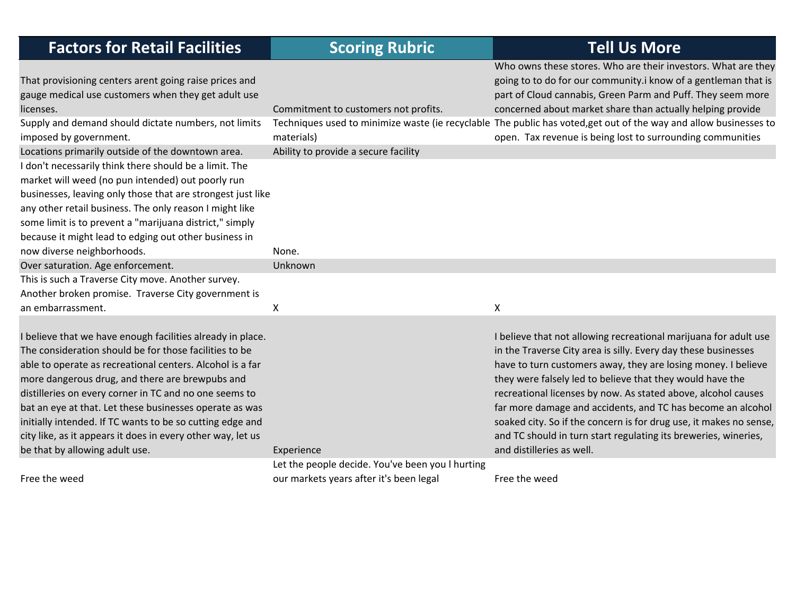| <b>Factors for Retail Facilities</b>                                                                                                                                                                                                                                                                                                                                                                                                                                                                                    | <b>Scoring Rubric</b>                              | <b>Tell Us More</b>                                                                                                                                                                                                                                                                                                                                                                                                                                                                                                                                                    |
|-------------------------------------------------------------------------------------------------------------------------------------------------------------------------------------------------------------------------------------------------------------------------------------------------------------------------------------------------------------------------------------------------------------------------------------------------------------------------------------------------------------------------|----------------------------------------------------|------------------------------------------------------------------------------------------------------------------------------------------------------------------------------------------------------------------------------------------------------------------------------------------------------------------------------------------------------------------------------------------------------------------------------------------------------------------------------------------------------------------------------------------------------------------------|
| That provisioning centers arent going raise prices and<br>gauge medical use customers when they get adult use<br>licenses.                                                                                                                                                                                                                                                                                                                                                                                              | Commitment to customers not profits.               | Who owns these stores. Who are their investors. What are they<br>going to to do for our community.i know of a gentleman that is<br>part of Cloud cannabis, Green Parm and Puff. They seem more<br>concerned about market share than actually helping provide                                                                                                                                                                                                                                                                                                           |
| Supply and demand should dictate numbers, not limits<br>imposed by government.<br>Locations primarily outside of the downtown area.                                                                                                                                                                                                                                                                                                                                                                                     | materials)<br>Ability to provide a secure facility | Techniques used to minimize waste (ie recyclable The public has voted, get out of the way and allow businesses to<br>open. Tax revenue is being lost to surrounding communities                                                                                                                                                                                                                                                                                                                                                                                        |
| I don't necessarily think there should be a limit. The<br>market will weed (no pun intended) out poorly run<br>businesses, leaving only those that are strongest just like<br>any other retail business. The only reason I might like<br>some limit is to prevent a "marijuana district," simply<br>because it might lead to edging out other business in                                                                                                                                                               |                                                    |                                                                                                                                                                                                                                                                                                                                                                                                                                                                                                                                                                        |
| now diverse neighborhoods.                                                                                                                                                                                                                                                                                                                                                                                                                                                                                              | None.                                              |                                                                                                                                                                                                                                                                                                                                                                                                                                                                                                                                                                        |
| Over saturation. Age enforcement.                                                                                                                                                                                                                                                                                                                                                                                                                                                                                       | Unknown                                            |                                                                                                                                                                                                                                                                                                                                                                                                                                                                                                                                                                        |
| This is such a Traverse City move. Another survey.                                                                                                                                                                                                                                                                                                                                                                                                                                                                      |                                                    |                                                                                                                                                                                                                                                                                                                                                                                                                                                                                                                                                                        |
| Another broken promise. Traverse City government is<br>an embarrassment.                                                                                                                                                                                                                                                                                                                                                                                                                                                | X                                                  | X                                                                                                                                                                                                                                                                                                                                                                                                                                                                                                                                                                      |
| I believe that we have enough facilities already in place.<br>The consideration should be for those facilities to be<br>able to operate as recreational centers. Alcohol is a far<br>more dangerous drug, and there are brewpubs and<br>distilleries on every corner in TC and no one seems to<br>bat an eye at that. Let these businesses operate as was<br>initially intended. If TC wants to be so cutting edge and<br>city like, as it appears it does in every other way, let us<br>be that by allowing adult use. | Experience                                         | I believe that not allowing recreational marijuana for adult use<br>in the Traverse City area is silly. Every day these businesses<br>have to turn customers away, they are losing money. I believe<br>they were falsely led to believe that they would have the<br>recreational licenses by now. As stated above, alcohol causes<br>far more damage and accidents, and TC has become an alcohol<br>soaked city. So if the concern is for drug use, it makes no sense,<br>and TC should in turn start regulating its breweries, wineries,<br>and distilleries as well. |
|                                                                                                                                                                                                                                                                                                                                                                                                                                                                                                                         | Let the people decide. You've been you I hurting   |                                                                                                                                                                                                                                                                                                                                                                                                                                                                                                                                                                        |
| Free the weed                                                                                                                                                                                                                                                                                                                                                                                                                                                                                                           | our markets years after it's been legal            | Free the weed                                                                                                                                                                                                                                                                                                                                                                                                                                                                                                                                                          |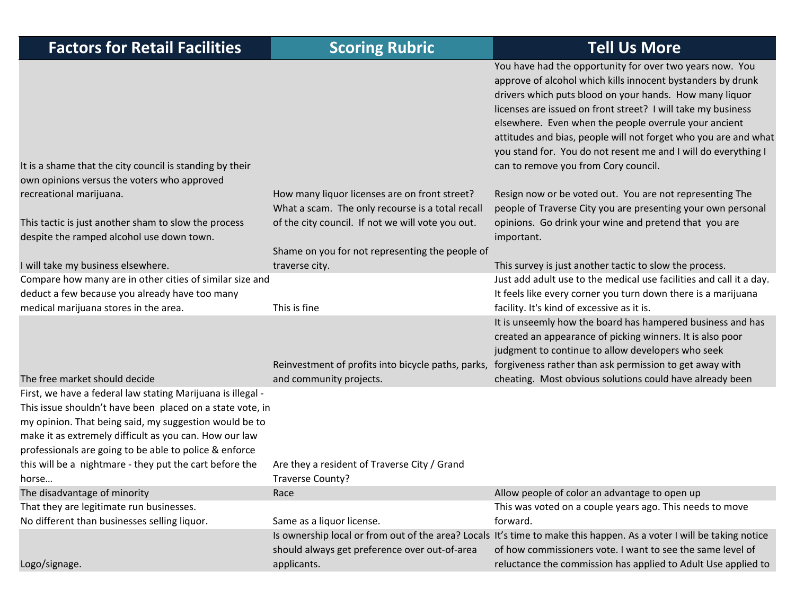| <b>Factors for Retail Facilities</b>                                                                                                                                                                                                                                                                   | <b>Scoring Rubric</b>                                                                             | <b>Tell Us More</b>                                                                                                                                                                                                                                                                                                                                                                                                                                                                      |
|--------------------------------------------------------------------------------------------------------------------------------------------------------------------------------------------------------------------------------------------------------------------------------------------------------|---------------------------------------------------------------------------------------------------|------------------------------------------------------------------------------------------------------------------------------------------------------------------------------------------------------------------------------------------------------------------------------------------------------------------------------------------------------------------------------------------------------------------------------------------------------------------------------------------|
| It is a shame that the city council is standing by their<br>own opinions versus the voters who approved                                                                                                                                                                                                |                                                                                                   | You have had the opportunity for over two years now. You<br>approve of alcohol which kills innocent bystanders by drunk<br>drivers which puts blood on your hands. How many liquor<br>licenses are issued on front street? I will take my business<br>elsewhere. Even when the people overrule your ancient<br>attitudes and bias, people will not forget who you are and what<br>you stand for. You do not resent me and I will do everything I<br>can to remove you from Cory council. |
| recreational marijuana.                                                                                                                                                                                                                                                                                | How many liquor licenses are on front street?<br>What a scam. The only recourse is a total recall | Resign now or be voted out. You are not representing The<br>people of Traverse City you are presenting your own personal                                                                                                                                                                                                                                                                                                                                                                 |
| This tactic is just another sham to slow the process<br>despite the ramped alcohol use down town.                                                                                                                                                                                                      | of the city council. If not we will vote you out.                                                 | opinions. Go drink your wine and pretend that you are<br>important.                                                                                                                                                                                                                                                                                                                                                                                                                      |
|                                                                                                                                                                                                                                                                                                        | Shame on you for not representing the people of                                                   |                                                                                                                                                                                                                                                                                                                                                                                                                                                                                          |
| I will take my business elsewhere.                                                                                                                                                                                                                                                                     | traverse city.                                                                                    | This survey is just another tactic to slow the process.                                                                                                                                                                                                                                                                                                                                                                                                                                  |
| Compare how many are in other cities of similar size and                                                                                                                                                                                                                                               |                                                                                                   | Just add adult use to the medical use facilities and call it a day.                                                                                                                                                                                                                                                                                                                                                                                                                      |
| deduct a few because you already have too many                                                                                                                                                                                                                                                         |                                                                                                   | It feels like every corner you turn down there is a marijuana                                                                                                                                                                                                                                                                                                                                                                                                                            |
| medical marijuana stores in the area.                                                                                                                                                                                                                                                                  | This is fine                                                                                      | facility. It's kind of excessive as it is.                                                                                                                                                                                                                                                                                                                                                                                                                                               |
|                                                                                                                                                                                                                                                                                                        | Reinvestment of profits into bicycle paths, parks,                                                | It is unseemly how the board has hampered business and has<br>created an appearance of picking winners. It is also poor<br>judgment to continue to allow developers who seek<br>forgiveness rather than ask permission to get away with                                                                                                                                                                                                                                                  |
| The free market should decide                                                                                                                                                                                                                                                                          | and community projects.                                                                           | cheating. Most obvious solutions could have already been                                                                                                                                                                                                                                                                                                                                                                                                                                 |
| First, we have a federal law stating Marijuana is illegal -<br>This issue shouldn't have been placed on a state vote, in<br>my opinion. That being said, my suggestion would be to<br>make it as extremely difficult as you can. How our law<br>professionals are going to be able to police & enforce |                                                                                                   |                                                                                                                                                                                                                                                                                                                                                                                                                                                                                          |
| this will be a nightmare - they put the cart before the                                                                                                                                                                                                                                                | Are they a resident of Traverse City / Grand                                                      |                                                                                                                                                                                                                                                                                                                                                                                                                                                                                          |
| horse                                                                                                                                                                                                                                                                                                  | Traverse County?                                                                                  |                                                                                                                                                                                                                                                                                                                                                                                                                                                                                          |
| The disadvantage of minority                                                                                                                                                                                                                                                                           | Race                                                                                              | Allow people of color an advantage to open up                                                                                                                                                                                                                                                                                                                                                                                                                                            |
| That they are legitimate run businesses.<br>No different than businesses selling liquor.                                                                                                                                                                                                               | Same as a liquor license.                                                                         | This was voted on a couple years ago. This needs to move<br>forward.                                                                                                                                                                                                                                                                                                                                                                                                                     |
|                                                                                                                                                                                                                                                                                                        |                                                                                                   | Is ownership local or from out of the area? Locals It's time to make this happen. As a voter I will be taking notice                                                                                                                                                                                                                                                                                                                                                                     |
|                                                                                                                                                                                                                                                                                                        | should always get preference over out-of-area                                                     | of how commissioners vote. I want to see the same level of                                                                                                                                                                                                                                                                                                                                                                                                                               |
| Logo/signage.                                                                                                                                                                                                                                                                                          | applicants.                                                                                       | reluctance the commission has applied to Adult Use applied to                                                                                                                                                                                                                                                                                                                                                                                                                            |
|                                                                                                                                                                                                                                                                                                        |                                                                                                   |                                                                                                                                                                                                                                                                                                                                                                                                                                                                                          |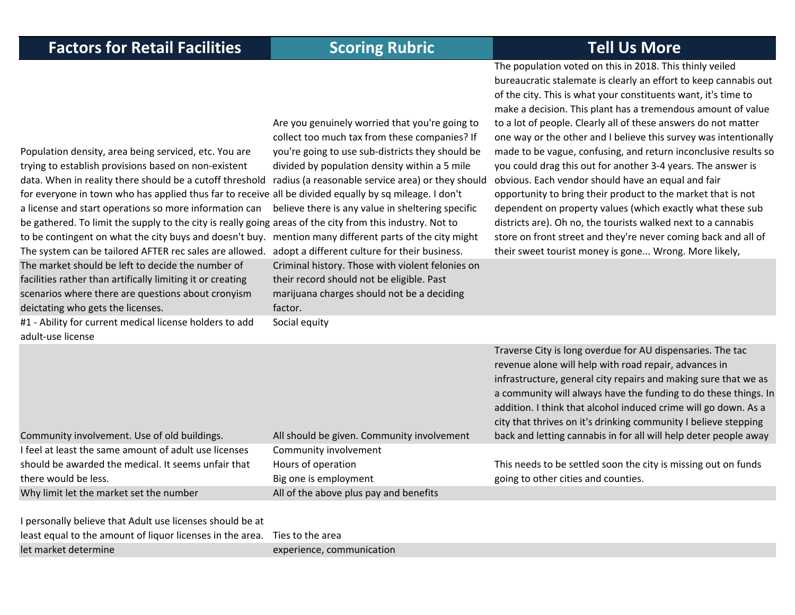The population voted on this in 2018. This thinly veiled

Population density, area being serviced, etc. You are trying to establish provisions based on non‐existent data. When in reality there should be <sup>a</sup> cutoff threshold radius (a reasonable service area) or they should for everyone in town who has applied thus far to receive all be divided equally by sq mileage. I don't a license and start operations so more information can be gathered. To limit the supply to the city is really going areas of the city from this industry. Not to to be contingent on what the city buys and doesn't buy. mention many different parts of the city might The system can be tailored AFTER rec sales are allowed. Are you genuinely worried that you're going to collect too much tax from these companies? If you're going to use sub‐districts they should be divided by population density within <sup>a</sup> 5 mile believe there is any value in sheltering specific adopt <sup>a</sup> different culture for their business. bureaucratic stalemate is clearly an effort to keep cannabis out of the city. This is what your constituents want, it's time to make <sup>a</sup> decision. This plant has <sup>a</sup> tremendous amount of value to <sup>a</sup> lot of people. Clearly all of these answers do not matter one way or the other and I believe this survey was intentionally made to be vague, confusing, and return inconclusive results so you could drag this out for another 3‐4 years. The answer is obvious. Each vendor should have an equal and fair opportunity to bring their product to the market that is not dependent on property values (which exactly what these sub districts are). Oh no, the tourists walked next to <sup>a</sup> cannabis store on front street and they're never coming back and all of their sweet tourist money is gone... Wrong. More likely, The market should be left to decide the number of facilities rather than artifically limiting it or creating scenarios where there are questions about cronyism deictating who gets the licenses. Criminal history. Those with violent felonies on their record should not be eligible. Past marijuana charges should not be <sup>a</sup> deciding factor.

#1 ‐ Ability for current medical license holders to add adult‐use license

Social equity

Community involvement. Use of old buildings. All should be given. Community involvement

Traverse City is long overdue for AU dispensaries. The tac revenue alone will help with road repair, advances in infrastructure, general city repairs and making sure that we as a community will always have the funding to do these things. In addition. I think that alcohol induced crime will go down. As <sup>a</sup> city that thrives on it's drinking community I believe stepping back and letting cannabis in for all will help deter people away

| I feel at least the same amount of adult use licenses | Community involvement                  |                                                                |
|-------------------------------------------------------|----------------------------------------|----------------------------------------------------------------|
| should be awarded the medical. It seems unfair that   | Hours of operation                     | This needs to be settled soon the city is missing out on funds |
| there would be less.                                  | Big one is employment                  | going to other cities and counties.                            |
| Why limit let the market set the number               | All of the above plus pay and benefits |                                                                |

| I personally believe that Adult use licenses should be at                  |                           |
|----------------------------------------------------------------------------|---------------------------|
| least equal to the amount of liquor licenses in the area. Ties to the area |                           |
| let market determine                                                       | experience, communication |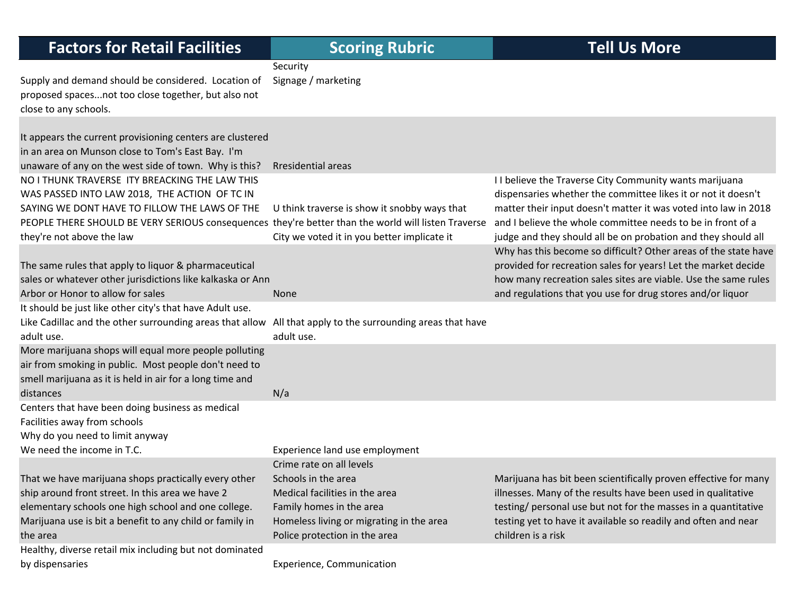| <b>Factors for Retail Facilities</b>                                                                                                                                                                                                    | <b>Scoring Rubric</b>                                                                                                                                                                      | <b>Tell Us More</b>                                                                                                                                                                                                                                                                                                                                                                                                             |
|-----------------------------------------------------------------------------------------------------------------------------------------------------------------------------------------------------------------------------------------|--------------------------------------------------------------------------------------------------------------------------------------------------------------------------------------------|---------------------------------------------------------------------------------------------------------------------------------------------------------------------------------------------------------------------------------------------------------------------------------------------------------------------------------------------------------------------------------------------------------------------------------|
| Supply and demand should be considered. Location of<br>proposed spacesnot too close together, but also not<br>close to any schools.                                                                                                     | Security<br>Signage / marketing                                                                                                                                                            |                                                                                                                                                                                                                                                                                                                                                                                                                                 |
| It appears the current provisioning centers are clustered<br>in an area on Munson close to Tom's East Bay. I'm<br>unaware of any on the west side of town. Why is this?                                                                 | Rresidential areas                                                                                                                                                                         |                                                                                                                                                                                                                                                                                                                                                                                                                                 |
| NO I THUNK TRAVERSE ITY BREACKING THE LAW THIS<br>WAS PASSED INTO LAW 2018, THE ACTION OF TC IN<br>SAYING WE DONT HAVE TO FILLOW THE LAWS OF THE<br>they're not above the law                                                           | U think traverse is show it snobby ways that<br>City we voted it in you better implicate it                                                                                                | I I believe the Traverse City Community wants marijuana<br>dispensaries whether the committee likes it or not it doesn't<br>matter their input doesn't matter it was voted into law in 2018<br>PEOPLE THERE SHOULD BE VERY SERIOUS consequences they're better than the world will listen Traverse and I believe the whole committee needs to be in front of a<br>judge and they should all be on probation and they should all |
| The same rules that apply to liquor & pharmaceutical<br>sales or whatever other jurisdictions like kalkaska or Ann<br>Arbor or Honor to allow for sales                                                                                 | <b>None</b>                                                                                                                                                                                | Why has this become so difficult? Other areas of the state have<br>provided for recreation sales for years! Let the market decide<br>how many recreation sales sites are viable. Use the same rules<br>and regulations that you use for drug stores and/or liquor                                                                                                                                                               |
| It should be just like other city's that have Adult use.<br>Like Cadillac and the other surrounding areas that allow<br>adult use.                                                                                                      | All that apply to the surrounding areas that have<br>adult use.                                                                                                                            |                                                                                                                                                                                                                                                                                                                                                                                                                                 |
| More marijuana shops will equal more people polluting<br>air from smoking in public. Most people don't need to<br>smell marijuana as it is held in air for a long time and<br>distances                                                 | N/a                                                                                                                                                                                        |                                                                                                                                                                                                                                                                                                                                                                                                                                 |
| Centers that have been doing business as medical<br>Facilities away from schools<br>Why do you need to limit anyway<br>We need the income in T.C.                                                                                       | Experience land use employment                                                                                                                                                             |                                                                                                                                                                                                                                                                                                                                                                                                                                 |
| That we have marijuana shops practically every other<br>ship around front street. In this area we have 2<br>elementary schools one high school and one college.<br>Marijuana use is bit a benefit to any child or family in<br>the area | Crime rate on all levels<br>Schools in the area<br>Medical facilities in the area<br>Family homes in the area<br>Homeless living or migrating in the area<br>Police protection in the area | Marijuana has bit been scientifically proven effective for many<br>illnesses. Many of the results have been used in qualitative<br>testing/ personal use but not for the masses in a quantitative<br>testing yet to have it available so readily and often and near<br>children is a risk                                                                                                                                       |
| Healthy, diverse retail mix including but not dominated<br>by dispensaries                                                                                                                                                              | Experience, Communication                                                                                                                                                                  |                                                                                                                                                                                                                                                                                                                                                                                                                                 |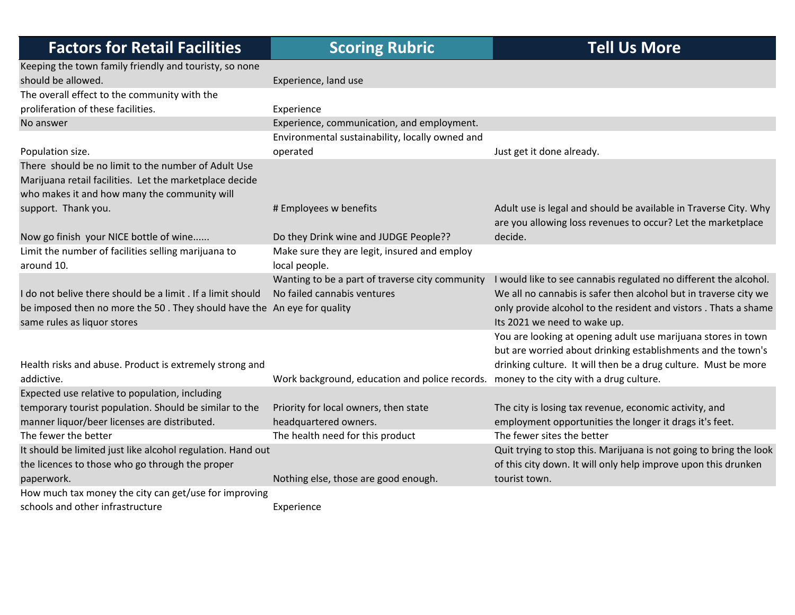| <b>Factors for Retail Facilities</b>                                    | <b>Scoring Rubric</b>                                                                 | <b>Tell Us More</b>                                                |
|-------------------------------------------------------------------------|---------------------------------------------------------------------------------------|--------------------------------------------------------------------|
| Keeping the town family friendly and touristy, so none                  |                                                                                       |                                                                    |
| should be allowed.                                                      | Experience, land use                                                                  |                                                                    |
| The overall effect to the community with the                            |                                                                                       |                                                                    |
| proliferation of these facilities.                                      | Experience                                                                            |                                                                    |
| No answer                                                               | Experience, communication, and employment.                                            |                                                                    |
|                                                                         | Environmental sustainability, locally owned and                                       |                                                                    |
| Population size.                                                        | operated                                                                              | Just get it done already.                                          |
| There should be no limit to the number of Adult Use                     |                                                                                       |                                                                    |
| Marijuana retail facilities. Let the marketplace decide                 |                                                                                       |                                                                    |
| who makes it and how many the community will                            |                                                                                       |                                                                    |
| support. Thank you.                                                     | # Employees w benefits                                                                | Adult use is legal and should be available in Traverse City. Why   |
|                                                                         |                                                                                       | are you allowing loss revenues to occur? Let the marketplace       |
| Now go finish your NICE bottle of wine                                  | Do they Drink wine and JUDGE People??                                                 | decide.                                                            |
| Limit the number of facilities selling marijuana to                     | Make sure they are legit, insured and employ                                          |                                                                    |
| around 10.                                                              | local people.                                                                         |                                                                    |
|                                                                         | Wanting to be a part of traverse city community                                       | I would like to see cannabis regulated no different the alcohol.   |
| I do not belive there should be a limit . If a limit should             | No failed cannabis ventures                                                           | We all no cannabis is safer then alcohol but in traverse city we   |
| be imposed then no more the 50. They should have the An eye for quality |                                                                                       | only provide alcohol to the resident and vistors. Thats a shame    |
| same rules as liquor stores                                             |                                                                                       | Its 2021 we need to wake up.                                       |
|                                                                         |                                                                                       | You are looking at opening adult use marijuana stores in town      |
|                                                                         |                                                                                       | but are worried about drinking establishments and the town's       |
| Health risks and abuse. Product is extremely strong and                 |                                                                                       | drinking culture. It will then be a drug culture. Must be more     |
| addictive.                                                              | Work background, education and police records. money to the city with a drug culture. |                                                                    |
| Expected use relative to population, including                          |                                                                                       |                                                                    |
| temporary tourist population. Should be similar to the                  | Priority for local owners, then state                                                 | The city is losing tax revenue, economic activity, and             |
| manner liquor/beer licenses are distributed.                            | headquartered owners.                                                                 | employment opportunities the longer it drags it's feet.            |
| The fewer the better                                                    | The health need for this product                                                      | The fewer sites the better                                         |
| It should be limited just like alcohol regulation. Hand out             |                                                                                       | Quit trying to stop this. Marijuana is not going to bring the look |
| the licences to those who go through the proper                         |                                                                                       | of this city down. It will only help improve upon this drunken     |
| paperwork.                                                              | Nothing else, those are good enough.                                                  | tourist town.                                                      |
| How much tax money the city can get/use for improving                   |                                                                                       |                                                                    |
| schools and other infrastructure                                        | Experience                                                                            |                                                                    |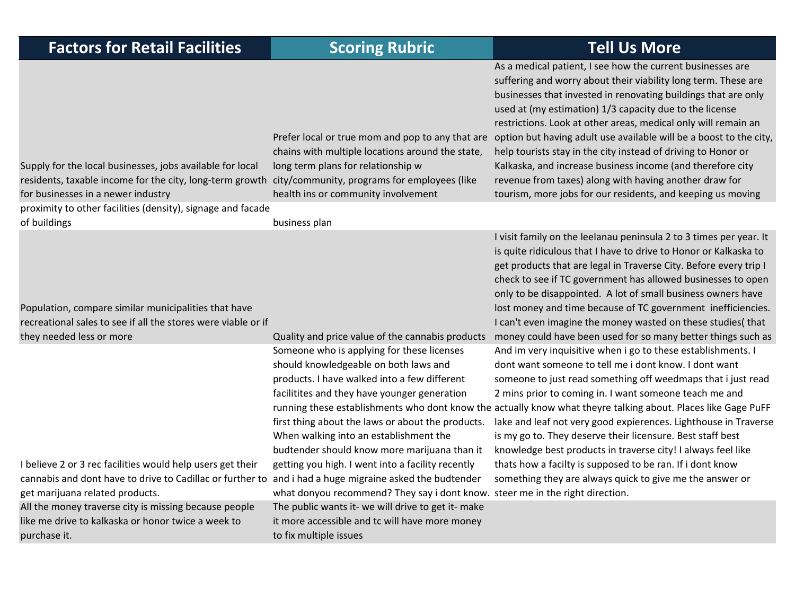| <b>Factors for Retail Facilities</b>                                                                                                                                                                     | <b>Scoring Rubric</b>                                                                                                                                                                                                                                                                                                                                                                   | <b>Tell Us More</b>                                                                                                                                                                                                                                                                                                                                                                                                                                                                                                                                                                                                                                       |
|----------------------------------------------------------------------------------------------------------------------------------------------------------------------------------------------------------|-----------------------------------------------------------------------------------------------------------------------------------------------------------------------------------------------------------------------------------------------------------------------------------------------------------------------------------------------------------------------------------------|-----------------------------------------------------------------------------------------------------------------------------------------------------------------------------------------------------------------------------------------------------------------------------------------------------------------------------------------------------------------------------------------------------------------------------------------------------------------------------------------------------------------------------------------------------------------------------------------------------------------------------------------------------------|
| Supply for the local businesses, jobs available for local<br>residents, taxable income for the city, long-term growth city/community, programs for employees (like<br>for businesses in a newer industry | Prefer local or true mom and pop to any that are<br>chains with multiple locations around the state,<br>long term plans for relationship w<br>health ins or community involvement                                                                                                                                                                                                       | As a medical patient, I see how the current businesses are<br>suffering and worry about their viability long term. These are<br>businesses that invested in renovating buildings that are only<br>used at (my estimation) 1/3 capacity due to the license<br>restrictions. Look at other areas, medical only will remain an<br>option but having adult use available will be a boost to the city,<br>help tourists stay in the city instead of driving to Honor or<br>Kalkaska, and increase business income (and therefore city<br>revenue from taxes) along with having another draw for<br>tourism, more jobs for our residents, and keeping us moving |
| proximity to other facilities (density), signage and facade<br>of buildings                                                                                                                              | business plan                                                                                                                                                                                                                                                                                                                                                                           |                                                                                                                                                                                                                                                                                                                                                                                                                                                                                                                                                                                                                                                           |
| Population, compare similar municipalities that have<br>recreational sales to see if all the stores were viable or if                                                                                    |                                                                                                                                                                                                                                                                                                                                                                                         | I visit family on the leelanau peninsula 2 to 3 times per year. It<br>is quite ridiculous that I have to drive to Honor or Kalkaska to<br>get products that are legal in Traverse City. Before every trip I<br>check to see if TC government has allowed businesses to open<br>only to be disappointed. A lot of small business owners have<br>lost money and time because of TC government inefficiencies.<br>I can't even imagine the money wasted on these studies(that                                                                                                                                                                                |
| they needed less or more                                                                                                                                                                                 | Quality and price value of the cannabis products                                                                                                                                                                                                                                                                                                                                        | money could have been used for so many better things such as                                                                                                                                                                                                                                                                                                                                                                                                                                                                                                                                                                                              |
| I believe 2 or 3 rec facilities would help users get their                                                                                                                                               | Someone who is applying for these licenses<br>should knowledgeable on both laws and<br>products. I have walked into a few different<br>facilitites and they have younger generation<br>first thing about the laws or about the products.<br>When walking into an establishment the<br>budtender should know more marijuana than it<br>getting you high. I went into a facility recently | And im very inquisitive when i go to these establishments. I<br>dont want someone to tell me i dont know. I dont want<br>someone to just read something off weedmaps that i just read<br>2 mins prior to coming in. I want someone teach me and<br>running these establishments who dont know the actually know what theyre talking about. Places like Gage PuFF<br>lake and leaf not very good expierences. Lighthouse in Traverse<br>is my go to. They deserve their licensure. Best staff best<br>knowledge best products in traverse city! I always feel like<br>thats how a facilty is supposed to be ran. If i dont know                            |
| cannabis and dont have to drive to Cadillac or further to and i had a huge migraine asked the budtender<br>get marijuana related products.                                                               | what donyou recommend? They say i dont know. steer me in the right direction.                                                                                                                                                                                                                                                                                                           | something they are always quick to give me the answer or                                                                                                                                                                                                                                                                                                                                                                                                                                                                                                                                                                                                  |
| All the money traverse city is missing because people<br>like me drive to kalkaska or honor twice a week to<br>purchase it.                                                                              | The public wants it- we will drive to get it- make<br>it more accessible and tc will have more money<br>to fix multiple issues                                                                                                                                                                                                                                                          |                                                                                                                                                                                                                                                                                                                                                                                                                                                                                                                                                                                                                                                           |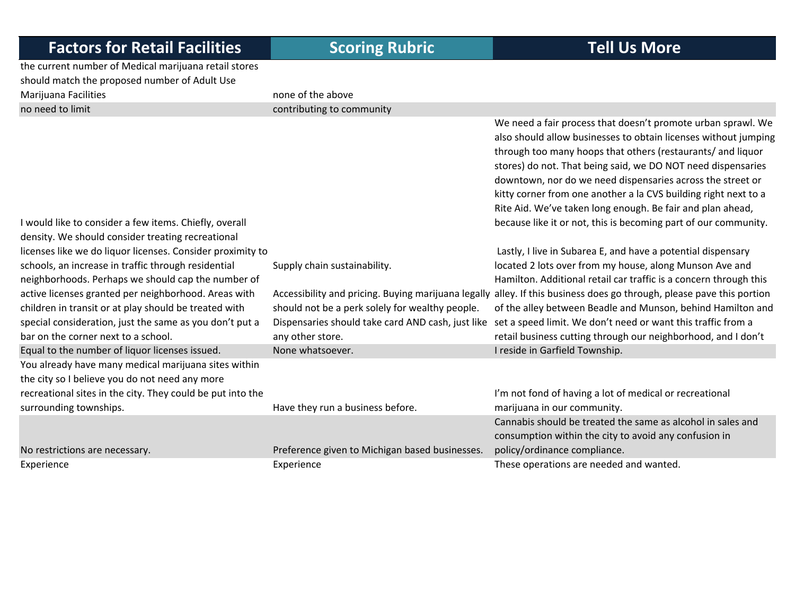the current number of Medical marijuana retail stores should match the proposed number of Adult Use Marijuana Facilities **none of the above** no need to limit

contributing to community

|                                                            |                                                     | We need a fair process that doesn't promote urban sprawl. We      |
|------------------------------------------------------------|-----------------------------------------------------|-------------------------------------------------------------------|
|                                                            |                                                     | also should allow businesses to obtain licenses without jumping   |
|                                                            |                                                     | through too many hoops that others (restaurants/ and liquor       |
|                                                            |                                                     | stores) do not. That being said, we DO NOT need dispensaries      |
|                                                            |                                                     | downtown, nor do we need dispensaries across the street or        |
|                                                            |                                                     | kitty corner from one another a la CVS building right next to a   |
|                                                            |                                                     | Rite Aid. We've taken long enough. Be fair and plan ahead,        |
| I would like to consider a few items. Chiefly, overall     |                                                     | because like it or not, this is becoming part of our community.   |
| density. We should consider treating recreational          |                                                     |                                                                   |
| licenses like we do liquor licenses. Consider proximity to |                                                     | Lastly, I live in Subarea E, and have a potential dispensary      |
| schools, an increase in traffic through residential        | Supply chain sustainability.                        | located 2 lots over from my house, along Munson Ave and           |
| neighborhoods. Perhaps we should cap the number of         |                                                     | Hamilton. Additional retail car traffic is a concern through this |
| active licenses granted per neighborhood. Areas with       | Accessibility and pricing. Buying marijuana legally | alley. If this business does go through, please pave this portion |
| children in transit or at play should be treated with      | should not be a perk solely for wealthy people.     | of the alley between Beadle and Munson, behind Hamilton and       |
| special consideration, just the same as you don't put a    | Dispensaries should take card AND cash, just like   | set a speed limit. We don't need or want this traffic from a      |
| bar on the corner next to a school.                        | any other store.                                    | retail business cutting through our neighborhood, and I don't     |
| Equal to the number of liquor licenses issued.             | None whatsoever.                                    | I reside in Garfield Township.                                    |
| You already have many medical marijuana sites within       |                                                     |                                                                   |
| the city so I believe you do not need any more             |                                                     |                                                                   |
| recreational sites in the city. They could be put into the |                                                     | I'm not fond of having a lot of medical or recreational           |
| surrounding townships.                                     | Have they run a business before.                    | marijuana in our community.                                       |
|                                                            |                                                     | Cannabis should be treated the same as alcohol in sales and       |
|                                                            |                                                     | consumption within the city to avoid any confusion in             |
| No restrictions are necessary.                             | Preference given to Michigan based businesses.      | policy/ordinance compliance.                                      |
| Experience                                                 | Experience                                          | These operations are needed and wanted.                           |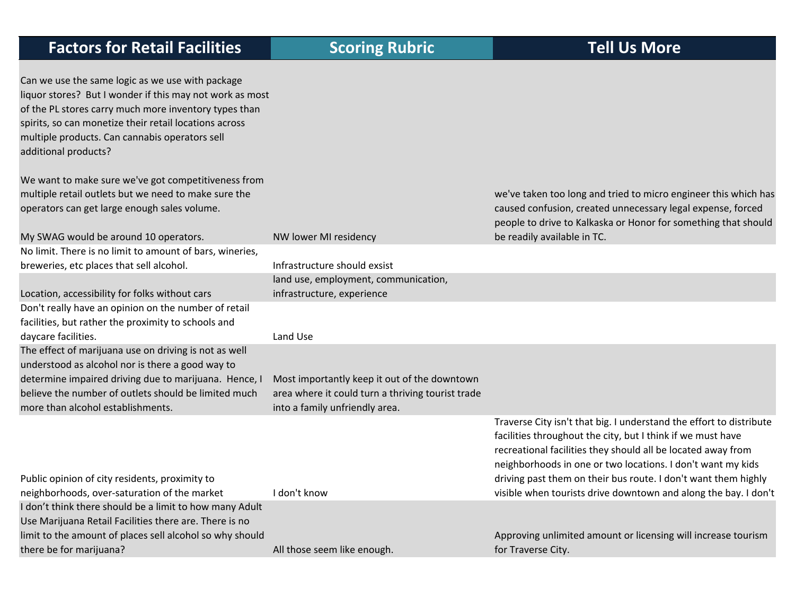|  |  |  | <b>Factors for Retail Facilities</b> |
|--|--|--|--------------------------------------|
|--|--|--|--------------------------------------|

 $\Gamma$ 

| Can we use the same logic as we use with package<br>liquor stores? But I wonder if this may not work as most<br>of the PL stores carry much more inventory types than<br>spirits, so can monetize their retail locations across<br>multiple products. Can cannabis operators sell<br>additional products? |                                                   |                                                                                                                                                                                                                                                                   |
|-----------------------------------------------------------------------------------------------------------------------------------------------------------------------------------------------------------------------------------------------------------------------------------------------------------|---------------------------------------------------|-------------------------------------------------------------------------------------------------------------------------------------------------------------------------------------------------------------------------------------------------------------------|
| We want to make sure we've got competitiveness from                                                                                                                                                                                                                                                       |                                                   |                                                                                                                                                                                                                                                                   |
| multiple retail outlets but we need to make sure the                                                                                                                                                                                                                                                      |                                                   | we've taken too long and tried to micro engineer this which has                                                                                                                                                                                                   |
| operators can get large enough sales volume.                                                                                                                                                                                                                                                              |                                                   | caused confusion, created unnecessary legal expense, forced<br>people to drive to Kalkaska or Honor for something that should                                                                                                                                     |
| My SWAG would be around 10 operators.                                                                                                                                                                                                                                                                     | NW lower MI residency                             | be readily available in TC.                                                                                                                                                                                                                                       |
| No limit. There is no limit to amount of bars, wineries,                                                                                                                                                                                                                                                  |                                                   |                                                                                                                                                                                                                                                                   |
| breweries, etc places that sell alcohol.                                                                                                                                                                                                                                                                  | Infrastructure should exsist                      |                                                                                                                                                                                                                                                                   |
|                                                                                                                                                                                                                                                                                                           | land use, employment, communication,              |                                                                                                                                                                                                                                                                   |
| Location, accessibility for folks without cars                                                                                                                                                                                                                                                            | infrastructure, experience                        |                                                                                                                                                                                                                                                                   |
| Don't really have an opinion on the number of retail                                                                                                                                                                                                                                                      |                                                   |                                                                                                                                                                                                                                                                   |
| facilities, but rather the proximity to schools and                                                                                                                                                                                                                                                       |                                                   |                                                                                                                                                                                                                                                                   |
| daycare facilities.                                                                                                                                                                                                                                                                                       | Land Use                                          |                                                                                                                                                                                                                                                                   |
| The effect of marijuana use on driving is not as well                                                                                                                                                                                                                                                     |                                                   |                                                                                                                                                                                                                                                                   |
| understood as alcohol nor is there a good way to                                                                                                                                                                                                                                                          |                                                   |                                                                                                                                                                                                                                                                   |
| determine impaired driving due to marijuana. Hence, I                                                                                                                                                                                                                                                     | Most importantly keep it out of the downtown      |                                                                                                                                                                                                                                                                   |
| believe the number of outlets should be limited much                                                                                                                                                                                                                                                      | area where it could turn a thriving tourist trade |                                                                                                                                                                                                                                                                   |
| more than alcohol establishments.                                                                                                                                                                                                                                                                         | into a family unfriendly area.                    |                                                                                                                                                                                                                                                                   |
|                                                                                                                                                                                                                                                                                                           |                                                   | Traverse City isn't that big. I understand the effort to distribute<br>facilities throughout the city, but I think if we must have<br>recreational facilities they should all be located away from<br>neighborhoods in one or two locations. I don't want my kids |
| Public opinion of city residents, proximity to                                                                                                                                                                                                                                                            |                                                   | driving past them on their bus route. I don't want them highly                                                                                                                                                                                                    |
| neighborhoods, over-saturation of the market                                                                                                                                                                                                                                                              | I don't know                                      | visible when tourists drive downtown and along the bay. I don't                                                                                                                                                                                                   |
| I don't think there should be a limit to how many Adult                                                                                                                                                                                                                                                   |                                                   |                                                                                                                                                                                                                                                                   |
| Use Marijuana Retail Facilities there are. There is no                                                                                                                                                                                                                                                    |                                                   |                                                                                                                                                                                                                                                                   |
| limit to the amount of places sell alcohol so why should                                                                                                                                                                                                                                                  |                                                   | Approving unlimited amount or licensing will increase tourism                                                                                                                                                                                                     |
| there be for marijuana?                                                                                                                                                                                                                                                                                   | All those seem like enough.                       | for Traverse City.                                                                                                                                                                                                                                                |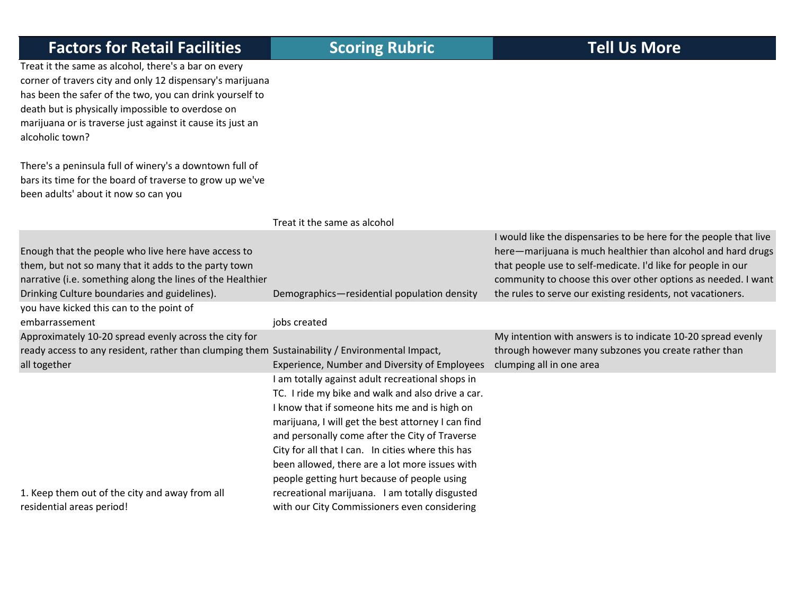Treat it the same as alcohol, there's <sup>a</sup> bar on every corner of travers city and only 12 dispensary's marijuana has been the safer of the two, you can drink yourself to death but is physically impossible to overdose on marijuana or is traverse just against it cause its just an alcoholic town?

There's a peninsula full of winery's <sup>a</sup> downtown full of bars its time for the board of traverse to grow up we've been adults' about it now so can you

### Treat it the same as alcohol

### Enough that the people who live here have access to them, but not so many that it adds to the party town narrative (i.e. something along the lines of the Healthier Drinking Culture boundaries and guidelines). Demographics—residential population density would like the dispensaries to be here for the people that live here—marijuana is much healthier than alcohol and hard drugs that people use to self‐medicate. I'd like for people in our community to choose this over other options as needed. I want the rules to serve our existing residents, not vacationers. you have kicked this can to the point of embarrassement in the settlement of the settlement of the settlement of the settlement of the settlement of the settlement of the settlement of the settlement of the settlement of the settlement of the settlement of the se Approximately 10‐20 spread evenly across the city for ready access to any resident, rather than clumping them Sustainability / Environmental Impact,

Experience, Number and Diversity of Employees

 am totally against adult recreational shops in TC. I ride my bike and walk and also drive <sup>a</sup> car. I know that if someone hits me and is high on marijuana, I will get the best attorney I can find and personally come after the City of Traverse City for all that I can. In cities where this has been allowed, there are <sup>a</sup> lot more issues with people getting hurt because of people using recreational marijuana. I am totally disgusted with our City Commissioners even considering

1. Keep them out of the city and away from all residential areas period!

all together

My intention with answers is to indicate 10‐20 spread evenly through however many subzones you create rather than clumping all in one area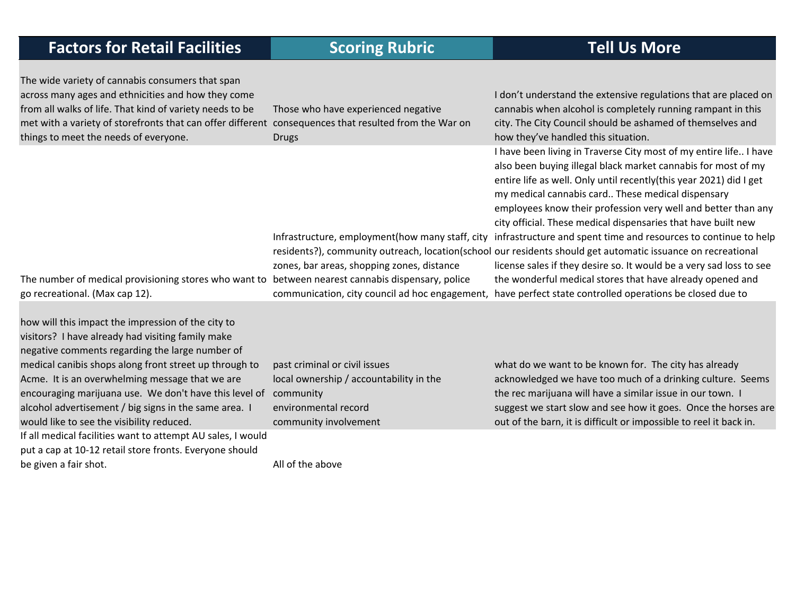| <b>Factors for Retail Facilities</b>                                                                                                                                                                                                                                                                                                                                                                                                                                                                   | <b>Scoring Rubric</b>                                                                                                                  | <b>Tell Us More</b>                                                                                                                                                                                                                                                                                                                                                                                                                                                                                                                                                                                                                                                                                                                                                                                                                |
|--------------------------------------------------------------------------------------------------------------------------------------------------------------------------------------------------------------------------------------------------------------------------------------------------------------------------------------------------------------------------------------------------------------------------------------------------------------------------------------------------------|----------------------------------------------------------------------------------------------------------------------------------------|------------------------------------------------------------------------------------------------------------------------------------------------------------------------------------------------------------------------------------------------------------------------------------------------------------------------------------------------------------------------------------------------------------------------------------------------------------------------------------------------------------------------------------------------------------------------------------------------------------------------------------------------------------------------------------------------------------------------------------------------------------------------------------------------------------------------------------|
| The wide variety of cannabis consumers that span<br>across many ages and ethnicities and how they come<br>from all walks of life. That kind of variety needs to be<br>met with a variety of storefronts that can offer different consequences that resulted from the War on<br>things to meet the needs of everyone.                                                                                                                                                                                   | Those who have experienced negative<br><b>Drugs</b>                                                                                    | I don't understand the extensive regulations that are placed on<br>cannabis when alcohol is completely running rampant in this<br>city. The City Council should be ashamed of themselves and<br>how they've handled this situation.                                                                                                                                                                                                                                                                                                                                                                                                                                                                                                                                                                                                |
| The number of medical provisioning stores who want to between nearest cannabis dispensary, police<br>go recreational. (Max cap 12).                                                                                                                                                                                                                                                                                                                                                                    | Infrastructure, employment(how many staff, city<br>zones, bar areas, shopping zones, distance                                          | I have been living in Traverse City most of my entire life I have<br>also been buying illegal black market cannabis for most of my<br>entire life as well. Only until recently(this year 2021) did I get<br>my medical cannabis card These medical dispensary<br>employees know their profession very well and better than any<br>city official. These medical dispensaries that have built new<br>infrastructure and spent time and resources to continue to help<br>residents?), community outreach, location(school our residents should get automatic issuance on recreational<br>license sales if they desire so. It would be a very sad loss to see<br>the wonderful medical stores that have already opened and<br>communication, city council ad hoc engagement, have perfect state controlled operations be closed due to |
| how will this impact the impression of the city to<br>visitors? I have already had visiting family make<br>negative comments regarding the large number of<br>medical canibis shops along front street up through to<br>Acme. It is an overwhelming message that we are<br>encouraging marijuana use. We don't have this level of<br>alcohol advertisement / big signs in the same area. I<br>would like to see the visibility reduced.<br>If all medical facilities want to attempt AU sales, I would | past criminal or civil issues<br>local ownership / accountability in the<br>community<br>environmental record<br>community involvement | what do we want to be known for. The city has already<br>acknowledged we have too much of a drinking culture. Seems<br>the rec marijuana will have a similar issue in our town. I<br>suggest we start slow and see how it goes. Once the horses are<br>out of the barn, it is difficult or impossible to reel it back in.                                                                                                                                                                                                                                                                                                                                                                                                                                                                                                          |
| put a cap at 10-12 retail store fronts. Everyone should                                                                                                                                                                                                                                                                                                                                                                                                                                                |                                                                                                                                        |                                                                                                                                                                                                                                                                                                                                                                                                                                                                                                                                                                                                                                                                                                                                                                                                                                    |

be given a fair shot. All of the above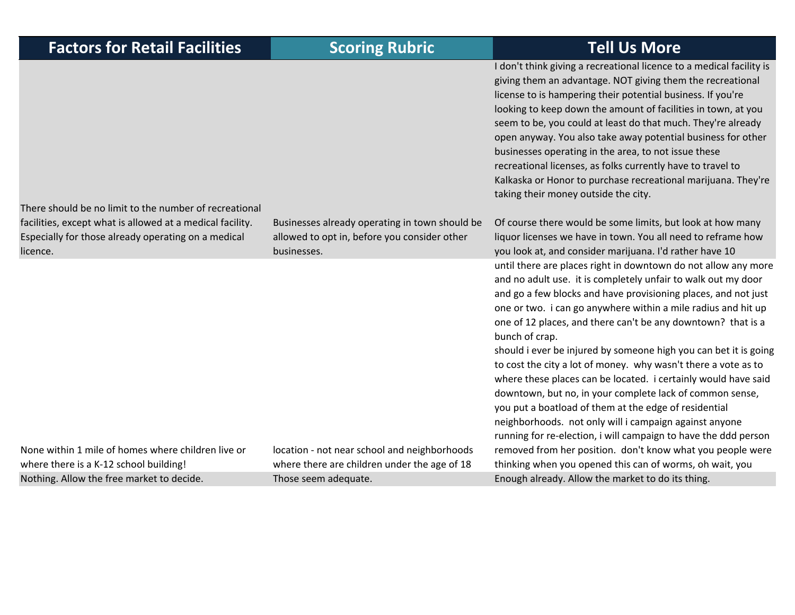| <b>Factors for Retail Facilities</b>                                                                                                      | <b>Scoring Rubric</b>                                                                                                | <b>Tell Us More</b>                                                                                                                                                                                                                                                                                                                                                                                                                                                                                                                                                                                                                                                                                                                         |
|-------------------------------------------------------------------------------------------------------------------------------------------|----------------------------------------------------------------------------------------------------------------------|---------------------------------------------------------------------------------------------------------------------------------------------------------------------------------------------------------------------------------------------------------------------------------------------------------------------------------------------------------------------------------------------------------------------------------------------------------------------------------------------------------------------------------------------------------------------------------------------------------------------------------------------------------------------------------------------------------------------------------------------|
| There should be no limit to the number of recreational                                                                                    |                                                                                                                      | I don't think giving a recreational licence to a medical facility is<br>giving them an advantage. NOT giving them the recreational<br>license to is hampering their potential business. If you're<br>looking to keep down the amount of facilities in town, at you<br>seem to be, you could at least do that much. They're already<br>open anyway. You also take away potential business for other<br>businesses operating in the area, to not issue these<br>recreational licenses, as folks currently have to travel to<br>Kalkaska or Honor to purchase recreational marijuana. They're<br>taking their money outside the city.                                                                                                          |
| facilities, except what is allowed at a medical facility.<br>Especially for those already operating on a medical<br>licence.              | Businesses already operating in town should be<br>allowed to opt in, before you consider other<br>businesses.        | Of course there would be some limits, but look at how many<br>liquor licenses we have in town. You all need to reframe how<br>you look at, and consider marijuana. I'd rather have 10                                                                                                                                                                                                                                                                                                                                                                                                                                                                                                                                                       |
|                                                                                                                                           |                                                                                                                      | until there are places right in downtown do not allow any more<br>and no adult use. it is completely unfair to walk out my door<br>and go a few blocks and have provisioning places, and not just<br>one or two. i can go anywhere within a mile radius and hit up<br>one of 12 places, and there can't be any downtown? that is a<br>bunch of crap.<br>should i ever be injured by someone high you can bet it is going<br>to cost the city a lot of money. why wasn't there a vote as to<br>where these places can be located. i certainly would have said<br>downtown, but no, in your complete lack of common sense,<br>you put a boatload of them at the edge of residential<br>neighborhoods. not only will i campaign against anyone |
| None within 1 mile of homes where children live or<br>where there is a K-12 school building!<br>Nothing. Allow the free market to decide. | location - not near school and neighborhoods<br>where there are children under the age of 18<br>Those seem adequate. | running for re-election, i will campaign to have the ddd person<br>removed from her position. don't know what you people were<br>thinking when you opened this can of worms, oh wait, you<br>Enough already. Allow the market to do its thing.                                                                                                                                                                                                                                                                                                                                                                                                                                                                                              |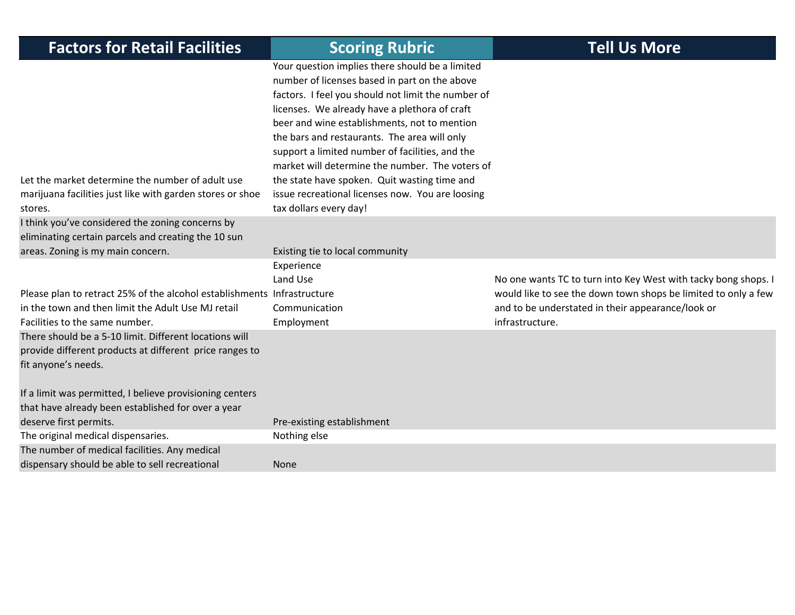| <b>Factors for Retail Facilities</b>                                                                                                                            | <b>Scoring Rubric</b>                                                                                                                                                                                                                                                                                                                                                                                                                                                                                                                       | <b>Tell Us More</b>                                                                                                                                                                                      |
|-----------------------------------------------------------------------------------------------------------------------------------------------------------------|---------------------------------------------------------------------------------------------------------------------------------------------------------------------------------------------------------------------------------------------------------------------------------------------------------------------------------------------------------------------------------------------------------------------------------------------------------------------------------------------------------------------------------------------|----------------------------------------------------------------------------------------------------------------------------------------------------------------------------------------------------------|
| Let the market determine the number of adult use<br>marijuana facilities just like with garden stores or shoe<br>stores.                                        | Your question implies there should be a limited<br>number of licenses based in part on the above<br>factors. I feel you should not limit the number of<br>licenses. We already have a plethora of craft<br>beer and wine establishments, not to mention<br>the bars and restaurants. The area will only<br>support a limited number of facilities, and the<br>market will determine the number. The voters of<br>the state have spoken. Quit wasting time and<br>issue recreational licenses now. You are loosing<br>tax dollars every day! |                                                                                                                                                                                                          |
| I think you've considered the zoning concerns by<br>eliminating certain parcels and creating the 10 sun<br>areas. Zoning is my main concern.                    | Existing tie to local community                                                                                                                                                                                                                                                                                                                                                                                                                                                                                                             |                                                                                                                                                                                                          |
| Please plan to retract 25% of the alcohol establishments Infrastructure<br>in the town and then limit the Adult Use MJ retail<br>Facilities to the same number. | Experience<br>Land Use<br>Communication<br>Employment                                                                                                                                                                                                                                                                                                                                                                                                                                                                                       | No one wants TC to turn into Key West with tacky bong shops. I<br>would like to see the down town shops be limited to only a few<br>and to be understated in their appearance/look or<br>infrastructure. |
| There should be a 5-10 limit. Different locations will<br>provide different products at different price ranges to<br>fit anyone's needs.                        |                                                                                                                                                                                                                                                                                                                                                                                                                                                                                                                                             |                                                                                                                                                                                                          |
| If a limit was permitted, I believe provisioning centers<br>that have already been established for over a year<br>deserve first permits.                        | Pre-existing establishment                                                                                                                                                                                                                                                                                                                                                                                                                                                                                                                  |                                                                                                                                                                                                          |
| The original medical dispensaries.                                                                                                                              | Nothing else                                                                                                                                                                                                                                                                                                                                                                                                                                                                                                                                |                                                                                                                                                                                                          |
| The number of medical facilities. Any medical<br>dispensary should be able to sell recreational                                                                 | None                                                                                                                                                                                                                                                                                                                                                                                                                                                                                                                                        |                                                                                                                                                                                                          |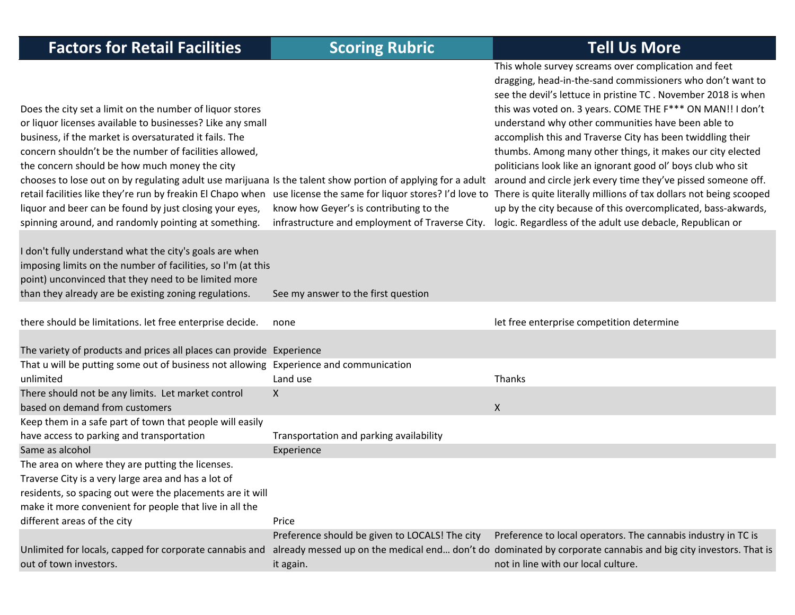| <b>Factors for Retail Facilities</b>                                                                                                                                                                                                                                                                                                                                                                                                                                                                                          | <b>Scoring Rubric</b>                                                                      | <b>Tell Us More</b>                                                                                                                                                                                                                                                                                                                                                                                                                                                                                                                                                                                                                                                                                                                                                                                                                                                                       |
|-------------------------------------------------------------------------------------------------------------------------------------------------------------------------------------------------------------------------------------------------------------------------------------------------------------------------------------------------------------------------------------------------------------------------------------------------------------------------------------------------------------------------------|--------------------------------------------------------------------------------------------|-------------------------------------------------------------------------------------------------------------------------------------------------------------------------------------------------------------------------------------------------------------------------------------------------------------------------------------------------------------------------------------------------------------------------------------------------------------------------------------------------------------------------------------------------------------------------------------------------------------------------------------------------------------------------------------------------------------------------------------------------------------------------------------------------------------------------------------------------------------------------------------------|
| Does the city set a limit on the number of liquor stores<br>or liquor licenses available to businesses? Like any small<br>business, if the market is oversaturated it fails. The<br>concern shouldn't be the number of facilities allowed,<br>the concern should be how much money the city<br>chooses to lose out on by regulating adult use marijuana Is the talent show portion of applying for a adult<br>liquor and beer can be found by just closing your eyes,<br>spinning around, and randomly pointing at something. | know how Geyer's is contributing to the<br>infrastructure and employment of Traverse City. | This whole survey screams over complication and feet<br>dragging, head-in-the-sand commissioners who don't want to<br>see the devil's lettuce in pristine TC . November 2018 is when<br>this was voted on. 3 years. COME THE F*** ON MAN!! I don't<br>understand why other communities have been able to<br>accomplish this and Traverse City has been twiddling their<br>thumbs. Among many other things, it makes our city elected<br>politicians look like an ignorant good ol' boys club who sit<br>around and circle jerk every time they've pissed someone off.<br>retail facilities like they're run by freakin El Chapo when use license the same for liquor stores? I'd love to There is quite literally millions of tax dollars not being scooped<br>up by the city because of this overcomplicated, bass-akwards,<br>logic. Regardless of the adult use debacle, Republican or |
| I don't fully understand what the city's goals are when<br>imposing limits on the number of facilities, so I'm (at this<br>point) unconvinced that they need to be limited more<br>than they already are be existing zoning regulations.                                                                                                                                                                                                                                                                                      | See my answer to the first question                                                        |                                                                                                                                                                                                                                                                                                                                                                                                                                                                                                                                                                                                                                                                                                                                                                                                                                                                                           |
| there should be limitations. let free enterprise decide.                                                                                                                                                                                                                                                                                                                                                                                                                                                                      | none                                                                                       | let free enterprise competition determine                                                                                                                                                                                                                                                                                                                                                                                                                                                                                                                                                                                                                                                                                                                                                                                                                                                 |
| The variety of products and prices all places can provide Experience<br>That u will be putting some out of business not allowing Experience and communication                                                                                                                                                                                                                                                                                                                                                                 |                                                                                            |                                                                                                                                                                                                                                                                                                                                                                                                                                                                                                                                                                                                                                                                                                                                                                                                                                                                                           |
| unlimited                                                                                                                                                                                                                                                                                                                                                                                                                                                                                                                     | Land use                                                                                   | Thanks                                                                                                                                                                                                                                                                                                                                                                                                                                                                                                                                                                                                                                                                                                                                                                                                                                                                                    |
| There should not be any limits. Let market control<br>based on demand from customers                                                                                                                                                                                                                                                                                                                                                                                                                                          | X                                                                                          | $\mathsf{X}$                                                                                                                                                                                                                                                                                                                                                                                                                                                                                                                                                                                                                                                                                                                                                                                                                                                                              |
| Keep them in a safe part of town that people will easily                                                                                                                                                                                                                                                                                                                                                                                                                                                                      |                                                                                            |                                                                                                                                                                                                                                                                                                                                                                                                                                                                                                                                                                                                                                                                                                                                                                                                                                                                                           |
| have access to parking and transportation                                                                                                                                                                                                                                                                                                                                                                                                                                                                                     | Transportation and parking availability                                                    |                                                                                                                                                                                                                                                                                                                                                                                                                                                                                                                                                                                                                                                                                                                                                                                                                                                                                           |
| Same as alcohol                                                                                                                                                                                                                                                                                                                                                                                                                                                                                                               | Experience                                                                                 |                                                                                                                                                                                                                                                                                                                                                                                                                                                                                                                                                                                                                                                                                                                                                                                                                                                                                           |
| The area on where they are putting the licenses.<br>Traverse City is a very large area and has a lot of                                                                                                                                                                                                                                                                                                                                                                                                                       |                                                                                            |                                                                                                                                                                                                                                                                                                                                                                                                                                                                                                                                                                                                                                                                                                                                                                                                                                                                                           |
| residents, so spacing out were the placements are it will                                                                                                                                                                                                                                                                                                                                                                                                                                                                     |                                                                                            |                                                                                                                                                                                                                                                                                                                                                                                                                                                                                                                                                                                                                                                                                                                                                                                                                                                                                           |
| make it more convenient for people that live in all the                                                                                                                                                                                                                                                                                                                                                                                                                                                                       |                                                                                            |                                                                                                                                                                                                                                                                                                                                                                                                                                                                                                                                                                                                                                                                                                                                                                                                                                                                                           |
| different areas of the city                                                                                                                                                                                                                                                                                                                                                                                                                                                                                                   | Price                                                                                      |                                                                                                                                                                                                                                                                                                                                                                                                                                                                                                                                                                                                                                                                                                                                                                                                                                                                                           |
|                                                                                                                                                                                                                                                                                                                                                                                                                                                                                                                               | Preference should be given to LOCALS! The city                                             | Preference to local operators. The cannabis industry in TC is                                                                                                                                                                                                                                                                                                                                                                                                                                                                                                                                                                                                                                                                                                                                                                                                                             |
| Unlimited for locals, capped for corporate cannabis and<br>out of town investors.                                                                                                                                                                                                                                                                                                                                                                                                                                             | it again.                                                                                  | already messed up on the medical end don't do dominated by corporate cannabis and big city investors. That is<br>not in line with our local culture.                                                                                                                                                                                                                                                                                                                                                                                                                                                                                                                                                                                                                                                                                                                                      |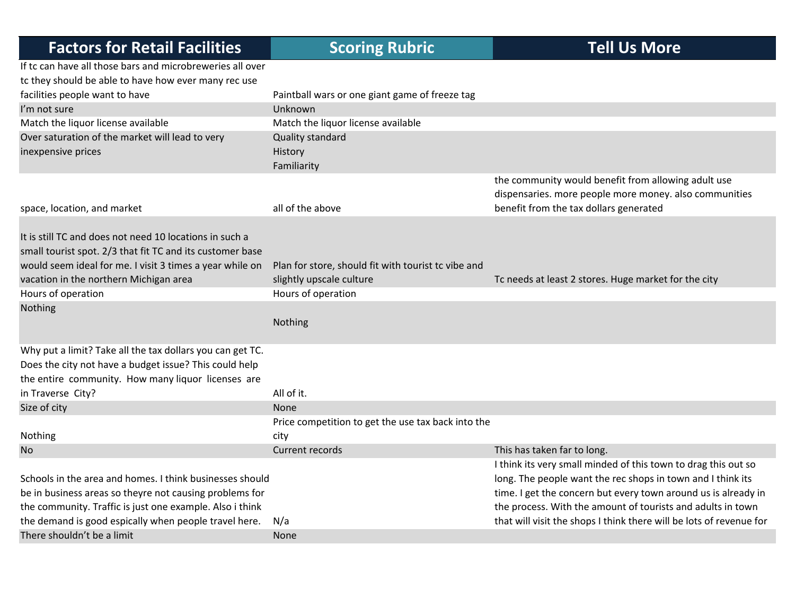| If tc can have all those bars and microbreweries all over<br>tc they should be able to have how ever many rec use<br>facilities people want to have<br>Paintball wars or one giant game of freeze tag<br>I'm not sure<br>Unknown<br>Match the liquor license available<br>Match the liquor license available<br>Over saturation of the market will lead to very<br>Quality standard<br>inexpensive prices<br>History<br>Familiarity<br>the community would benefit from allowing adult use<br>dispensaries. more people more money. also communities<br>benefit from the tax dollars generated<br>all of the above<br>space, location, and market<br>It is still TC and does not need 10 locations in such a<br>small tourist spot. 2/3 that fit TC and its customer base<br>would seem ideal for me. I visit 3 times a year while on<br>Plan for store, should fit with tourist tc vibe and<br>vacation in the northern Michigan area<br>slightly upscale culture<br>Tc needs at least 2 stores. Huge market for the city<br>Hours of operation<br>Hours of operation<br>Nothing<br>Nothing | <b>Factors for Retail Facilities</b> | <b>Scoring Rubric</b> | <b>Tell Us More</b> |
|----------------------------------------------------------------------------------------------------------------------------------------------------------------------------------------------------------------------------------------------------------------------------------------------------------------------------------------------------------------------------------------------------------------------------------------------------------------------------------------------------------------------------------------------------------------------------------------------------------------------------------------------------------------------------------------------------------------------------------------------------------------------------------------------------------------------------------------------------------------------------------------------------------------------------------------------------------------------------------------------------------------------------------------------------------------------------------------------|--------------------------------------|-----------------------|---------------------|
|                                                                                                                                                                                                                                                                                                                                                                                                                                                                                                                                                                                                                                                                                                                                                                                                                                                                                                                                                                                                                                                                                              |                                      |                       |                     |
|                                                                                                                                                                                                                                                                                                                                                                                                                                                                                                                                                                                                                                                                                                                                                                                                                                                                                                                                                                                                                                                                                              |                                      |                       |                     |
|                                                                                                                                                                                                                                                                                                                                                                                                                                                                                                                                                                                                                                                                                                                                                                                                                                                                                                                                                                                                                                                                                              |                                      |                       |                     |
|                                                                                                                                                                                                                                                                                                                                                                                                                                                                                                                                                                                                                                                                                                                                                                                                                                                                                                                                                                                                                                                                                              |                                      |                       |                     |
|                                                                                                                                                                                                                                                                                                                                                                                                                                                                                                                                                                                                                                                                                                                                                                                                                                                                                                                                                                                                                                                                                              |                                      |                       |                     |
|                                                                                                                                                                                                                                                                                                                                                                                                                                                                                                                                                                                                                                                                                                                                                                                                                                                                                                                                                                                                                                                                                              |                                      |                       |                     |
|                                                                                                                                                                                                                                                                                                                                                                                                                                                                                                                                                                                                                                                                                                                                                                                                                                                                                                                                                                                                                                                                                              |                                      |                       |                     |
|                                                                                                                                                                                                                                                                                                                                                                                                                                                                                                                                                                                                                                                                                                                                                                                                                                                                                                                                                                                                                                                                                              |                                      |                       |                     |
|                                                                                                                                                                                                                                                                                                                                                                                                                                                                                                                                                                                                                                                                                                                                                                                                                                                                                                                                                                                                                                                                                              |                                      |                       |                     |
|                                                                                                                                                                                                                                                                                                                                                                                                                                                                                                                                                                                                                                                                                                                                                                                                                                                                                                                                                                                                                                                                                              |                                      |                       |                     |
|                                                                                                                                                                                                                                                                                                                                                                                                                                                                                                                                                                                                                                                                                                                                                                                                                                                                                                                                                                                                                                                                                              |                                      |                       |                     |
|                                                                                                                                                                                                                                                                                                                                                                                                                                                                                                                                                                                                                                                                                                                                                                                                                                                                                                                                                                                                                                                                                              |                                      |                       |                     |
|                                                                                                                                                                                                                                                                                                                                                                                                                                                                                                                                                                                                                                                                                                                                                                                                                                                                                                                                                                                                                                                                                              |                                      |                       |                     |
|                                                                                                                                                                                                                                                                                                                                                                                                                                                                                                                                                                                                                                                                                                                                                                                                                                                                                                                                                                                                                                                                                              |                                      |                       |                     |
| Why put a limit? Take all the tax dollars you can get TC.                                                                                                                                                                                                                                                                                                                                                                                                                                                                                                                                                                                                                                                                                                                                                                                                                                                                                                                                                                                                                                    |                                      |                       |                     |
| Does the city not have a budget issue? This could help                                                                                                                                                                                                                                                                                                                                                                                                                                                                                                                                                                                                                                                                                                                                                                                                                                                                                                                                                                                                                                       |                                      |                       |                     |
| the entire community. How many liquor licenses are                                                                                                                                                                                                                                                                                                                                                                                                                                                                                                                                                                                                                                                                                                                                                                                                                                                                                                                                                                                                                                           |                                      |                       |                     |
| All of it.<br>in Traverse City?                                                                                                                                                                                                                                                                                                                                                                                                                                                                                                                                                                                                                                                                                                                                                                                                                                                                                                                                                                                                                                                              |                                      |                       |                     |
| Size of city<br><b>None</b>                                                                                                                                                                                                                                                                                                                                                                                                                                                                                                                                                                                                                                                                                                                                                                                                                                                                                                                                                                                                                                                                  |                                      |                       |                     |
| Price competition to get the use tax back into the                                                                                                                                                                                                                                                                                                                                                                                                                                                                                                                                                                                                                                                                                                                                                                                                                                                                                                                                                                                                                                           |                                      |                       |                     |
| Nothing<br>city                                                                                                                                                                                                                                                                                                                                                                                                                                                                                                                                                                                                                                                                                                                                                                                                                                                                                                                                                                                                                                                                              |                                      |                       |                     |
| <b>Current records</b><br><b>No</b><br>This has taken far to long.                                                                                                                                                                                                                                                                                                                                                                                                                                                                                                                                                                                                                                                                                                                                                                                                                                                                                                                                                                                                                           |                                      |                       |                     |
| I think its very small minded of this town to drag this out so<br>Schools in the area and homes. I think businesses should<br>long. The people want the rec shops in town and I think its<br>time. I get the concern but every town around us is already in<br>be in business areas so theyre not causing problems for<br>the community. Traffic is just one example. Also i think<br>the process. With the amount of tourists and adults in town                                                                                                                                                                                                                                                                                                                                                                                                                                                                                                                                                                                                                                            |                                      |                       |                     |
| the demand is good espically when people travel here.<br>that will visit the shops I think there will be lots of revenue for<br>N/a                                                                                                                                                                                                                                                                                                                                                                                                                                                                                                                                                                                                                                                                                                                                                                                                                                                                                                                                                          |                                      |                       |                     |
| There shouldn't be a limit<br>None                                                                                                                                                                                                                                                                                                                                                                                                                                                                                                                                                                                                                                                                                                                                                                                                                                                                                                                                                                                                                                                           |                                      |                       |                     |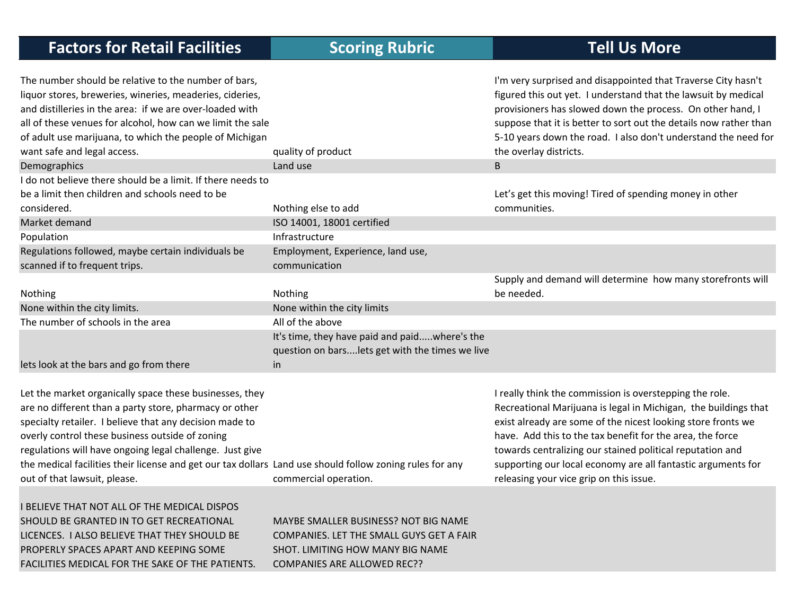| <b>Factors for Retail Facilities</b>                                                                                                                                                                                                                                                                                                                                                                                                    | <b>Scoring Rubric</b>                                                                                               | <b>Tell Us More</b>                                                                                                                                                                                                                                                                                                                                                                                                             |
|-----------------------------------------------------------------------------------------------------------------------------------------------------------------------------------------------------------------------------------------------------------------------------------------------------------------------------------------------------------------------------------------------------------------------------------------|---------------------------------------------------------------------------------------------------------------------|---------------------------------------------------------------------------------------------------------------------------------------------------------------------------------------------------------------------------------------------------------------------------------------------------------------------------------------------------------------------------------------------------------------------------------|
| The number should be relative to the number of bars,<br>liquor stores, breweries, wineries, meaderies, cideries,<br>and distilleries in the area: if we are over-loaded with<br>all of these venues for alcohol, how can we limit the sale<br>of adult use marijuana, to which the people of Michigan<br>want safe and legal access.                                                                                                    | quality of product                                                                                                  | I'm very surprised and disappointed that Traverse City hasn't<br>figured this out yet. I understand that the lawsuit by medical<br>provisioners has slowed down the process. On other hand, I<br>suppose that it is better to sort out the details now rather than<br>5-10 years down the road. I also don't understand the need for<br>the overlay districts.                                                                  |
| Demographics                                                                                                                                                                                                                                                                                                                                                                                                                            | Land use                                                                                                            | $\sf{B}$                                                                                                                                                                                                                                                                                                                                                                                                                        |
| I do not believe there should be a limit. If there needs to<br>be a limit then children and schools need to be<br>considered.                                                                                                                                                                                                                                                                                                           | Nothing else to add                                                                                                 | Let's get this moving! Tired of spending money in other<br>communities.                                                                                                                                                                                                                                                                                                                                                         |
| Market demand                                                                                                                                                                                                                                                                                                                                                                                                                           | ISO 14001, 18001 certified                                                                                          |                                                                                                                                                                                                                                                                                                                                                                                                                                 |
| Population                                                                                                                                                                                                                                                                                                                                                                                                                              | Infrastructure                                                                                                      |                                                                                                                                                                                                                                                                                                                                                                                                                                 |
| Regulations followed, maybe certain individuals be<br>scanned if to frequent trips.                                                                                                                                                                                                                                                                                                                                                     | Employment, Experience, land use,<br>communication                                                                  |                                                                                                                                                                                                                                                                                                                                                                                                                                 |
| Nothing                                                                                                                                                                                                                                                                                                                                                                                                                                 | Nothing                                                                                                             | Supply and demand will determine how many storefronts will<br>be needed.                                                                                                                                                                                                                                                                                                                                                        |
| None within the city limits.                                                                                                                                                                                                                                                                                                                                                                                                            | None within the city limits                                                                                         |                                                                                                                                                                                                                                                                                                                                                                                                                                 |
| The number of schools in the area                                                                                                                                                                                                                                                                                                                                                                                                       | All of the above                                                                                                    |                                                                                                                                                                                                                                                                                                                                                                                                                                 |
| lets look at the bars and go from there                                                                                                                                                                                                                                                                                                                                                                                                 | It's time, they have paid and paidwhere's the<br>question on barslets get with the times we live<br>in              |                                                                                                                                                                                                                                                                                                                                                                                                                                 |
| Let the market organically space these businesses, they<br>are no different than a party store, pharmacy or other<br>specialty retailer. I believe that any decision made to<br>overly control these business outside of zoning<br>regulations will have ongoing legal challenge. Just give<br>the medical facilities their license and get our tax dollars Land use should follow zoning rules for any<br>out of that lawsuit, please. | commercial operation.                                                                                               | I really think the commission is overstepping the role.<br>Recreational Marijuana is legal in Michigan, the buildings that<br>exist already are some of the nicest looking store fronts we<br>have. Add this to the tax benefit for the area, the force<br>towards centralizing our stained political reputation and<br>supporting our local economy are all fantastic arguments for<br>releasing your vice grip on this issue. |
| I BELIEVE THAT NOT ALL OF THE MEDICAL DISPOS<br>SHOULD BE GRANTED IN TO GET RECREATIONAL<br>LICENCES. I ALSO BELIEVE THAT THEY SHOULD BE<br><b>DRODEDI V CRACEC ARART AND KEEDING COME</b>                                                                                                                                                                                                                                              | MAYBE SMALLER BUSINESS? NOT BIG NAME<br>COMPANIES. LET THE SMALL GUYS GET A FAIR<br>CHOT TIMITING HOM MANN RIG NAME |                                                                                                                                                                                                                                                                                                                                                                                                                                 |

PROPERLY SPACES APART AND KEEPING SOME FACILITIES MEDICAL FOR THE SAKE OF THE PATIENTS.

SHOT. LIMITING HOW MANY BIG NAME COMPANIES ARE ALLOWED REC??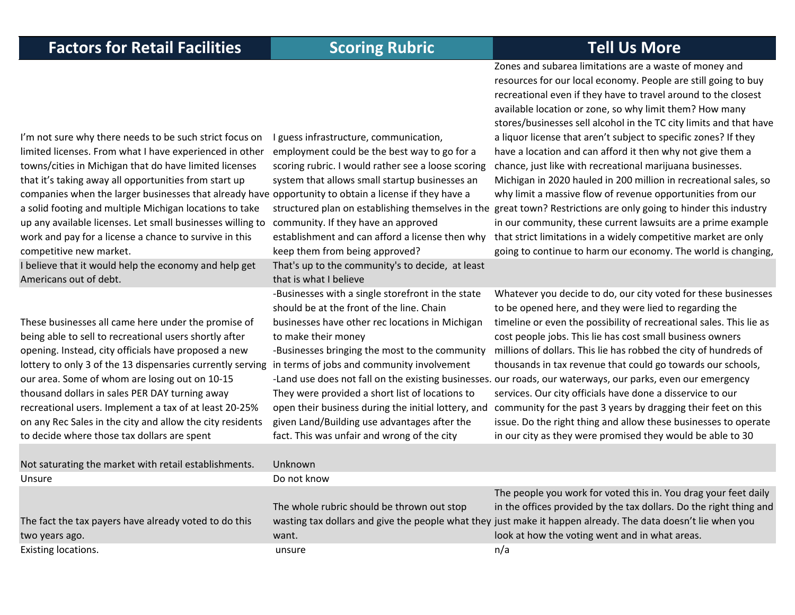Zones and subarea limitations are <sup>a</sup> waste of money and resources for our local economy. People are still going to buy

I'm not sure why there needs to be such strict focus on limited licenses. From what I have experienced in other towns/cities in Michigan that do have limited licenses that it's taking away all opportunities from start up companies when the larger businesses that already have opportunity to obtain <sup>a</sup> license if they have <sup>a</sup> a solid footing and multiple Michigan locations to take up any available licenses. Let small businesses willing to community. If they have an approved work and pay for <sup>a</sup> license <sup>a</sup> chance to survive in this competitive new market. I guess infrastructure, communication, employment could be the best way to go for <sup>a</sup> scoring rubric. I would rather see <sup>a</sup> loose scoring system that allows small startup businesses an structured plan on establishing themselves in the great town? Restrictions are only going to hinder this industry establishment and can afford <sup>a</sup> license then why keep them from being approved? recreational even if they have to travel around to the closest available location or zone, so why limit them? How many stores/businesses sell alcohol in the TC city limits and that have a liquor license that aren't subject to specific zones? If they have <sup>a</sup> location and can afford it then why not give them <sup>a</sup> chance, just like with recreational marijuana businesses. Michigan in 2020 hauled in 200 million in recreational sales, so why limit <sup>a</sup> massive flow of revenue opportunities from our in our community, these current lawsuits are <sup>a</sup> prime example that strict limitations in <sup>a</sup> widely competitive market are only going to continue to harm our economy. The world is changing, believe that it would help the economy and help get Americans out of debt. That's up to the community's to decide, at least that is what I believeThese businesses all came here under the promise of being able to sell to recreational users shortly after opening. Instead, city officials have proposed <sup>a</sup> new lottery to only 3 of the 13 dispensaries currently serving our area. Some of whom are losing out on 10‐15 thousand dollars in sales PER DAY turning away recreational users. Implement <sup>a</sup> tax of at least 20‐25% on any Rec Sales in the city and allow the city residents to decide where those tax dollars are spent ‐Businesses with <sup>a</sup> single storefront in the state should be at the front of the line. Chain businesses have other rec locations in Michigan to make their money ‐Businesses bringing the most to the community in terms of jobs and community involvement ‐Land use does not fall on the existing businesses. our roads, our waterways, our parks, even our emergency They were provided <sup>a</sup> short list of locations to open their business during the initial lottery, and given Land/Building use advantages after the fact. This was unfair and wrong of the city Whatever you decide to do, our city voted for these businesses to be opened here, and they were lied to regarding the timeline or even the possibility of recreational sales. This lie as cost people jobs. This lie has cost small business owners millions of dollars. This lie has robbed the city of hundreds of thousands in tax revenue that could go towards our schools, services. Our city officials have done <sup>a</sup> disservice to our community for the past 3 years by dragging their feet on this issue. Do the right thing and allow these businesses to operate in our city as they were promised they would be able to 30 Not saturating the market with retail establishments. Unknown Unsure Do not know The fact the tax payers have already voted to do this two years ago. The whole rubric should be thrown out stop wasting tax dollars and give the people what they just make it happen already. The data doesn't lie when you want.The people you work for voted this in. You drag your feet daily in the offices provided by the tax dollars. Do the right thing and look at how the voting went and in what areas. Existing locations. The contract of the contract of the contract of the contract of the contract of the contract of the contract of the contract of the contract of the contract of the contract of the contract of the contra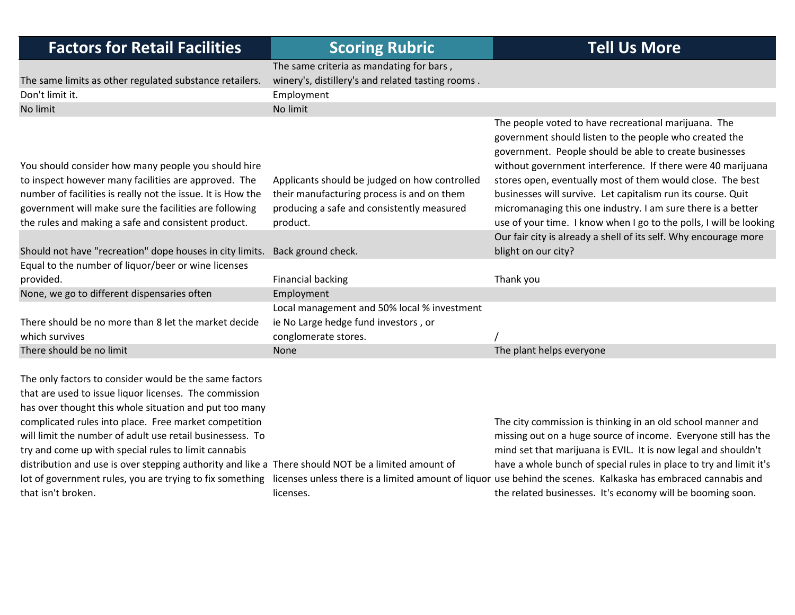| <b>Factors for Retail Facilities</b>                                                                                                                                                                                                                                                                                                                                                                                                                           | <b>Scoring Rubric</b>                                                                                                                     | <b>Tell Us More</b>                                                                                                                                                                                                                                                                                                                                                                                                                   |
|----------------------------------------------------------------------------------------------------------------------------------------------------------------------------------------------------------------------------------------------------------------------------------------------------------------------------------------------------------------------------------------------------------------------------------------------------------------|-------------------------------------------------------------------------------------------------------------------------------------------|---------------------------------------------------------------------------------------------------------------------------------------------------------------------------------------------------------------------------------------------------------------------------------------------------------------------------------------------------------------------------------------------------------------------------------------|
|                                                                                                                                                                                                                                                                                                                                                                                                                                                                | The same criteria as mandating for bars,                                                                                                  |                                                                                                                                                                                                                                                                                                                                                                                                                                       |
| The same limits as other regulated substance retailers.                                                                                                                                                                                                                                                                                                                                                                                                        | winery's, distillery's and related tasting rooms.                                                                                         |                                                                                                                                                                                                                                                                                                                                                                                                                                       |
| Don't limit it.                                                                                                                                                                                                                                                                                                                                                                                                                                                | Employment                                                                                                                                |                                                                                                                                                                                                                                                                                                                                                                                                                                       |
| No limit                                                                                                                                                                                                                                                                                                                                                                                                                                                       | No limit                                                                                                                                  |                                                                                                                                                                                                                                                                                                                                                                                                                                       |
| You should consider how many people you should hire<br>to inspect however many facilities are approved. The<br>number of facilities is really not the issue. It is How the<br>government will make sure the facilities are following                                                                                                                                                                                                                           | Applicants should be judged on how controlled<br>their manufacturing process is and on them<br>producing a safe and consistently measured | The people voted to have recreational marijuana. The<br>government should listen to the people who created the<br>government. People should be able to create businesses<br>without government interference. If there were 40 marijuana<br>stores open, eventually most of them would close. The best<br>businesses will survive. Let capitalism run its course. Quit<br>micromanaging this one industry. I am sure there is a better |
| the rules and making a safe and consistent product.                                                                                                                                                                                                                                                                                                                                                                                                            | product.                                                                                                                                  | use of your time. I know when I go to the polls, I will be looking                                                                                                                                                                                                                                                                                                                                                                    |
| Should not have "recreation" dope houses in city limits.                                                                                                                                                                                                                                                                                                                                                                                                       | Back ground check.                                                                                                                        | Our fair city is already a shell of its self. Why encourage more<br>blight on our city?                                                                                                                                                                                                                                                                                                                                               |
| Equal to the number of liquor/beer or wine licenses                                                                                                                                                                                                                                                                                                                                                                                                            |                                                                                                                                           |                                                                                                                                                                                                                                                                                                                                                                                                                                       |
| provided.                                                                                                                                                                                                                                                                                                                                                                                                                                                      | <b>Financial backing</b>                                                                                                                  | Thank you                                                                                                                                                                                                                                                                                                                                                                                                                             |
| None, we go to different dispensaries often                                                                                                                                                                                                                                                                                                                                                                                                                    | Employment                                                                                                                                |                                                                                                                                                                                                                                                                                                                                                                                                                                       |
| There should be no more than 8 let the market decide<br>which survives                                                                                                                                                                                                                                                                                                                                                                                         | Local management and 50% local % investment<br>ie No Large hedge fund investors, or<br>conglomerate stores.                               |                                                                                                                                                                                                                                                                                                                                                                                                                                       |
| There should be no limit                                                                                                                                                                                                                                                                                                                                                                                                                                       | <b>None</b>                                                                                                                               | The plant helps everyone                                                                                                                                                                                                                                                                                                                                                                                                              |
| The only factors to consider would be the same factors<br>that are used to issue liquor licenses. The commission<br>has over thought this whole situation and put too many<br>complicated rules into place. Free market competition<br>will limit the number of adult use retail businessess. To<br>try and come up with special rules to limit cannabis<br>distribution and use is over stepping authority and like a There should NOT be a limited amount of |                                                                                                                                           | The city commission is thinking in an old school manner and<br>missing out on a huge source of income. Everyone still has the<br>mind set that marijuana is EVIL. It is now legal and shouldn't<br>have a whole bunch of special rules in place to try and limit it's                                                                                                                                                                 |
| lot of government rules, you are trying to fix something<br>that isn't broken.                                                                                                                                                                                                                                                                                                                                                                                 | licenses.                                                                                                                                 | licenses unless there is a limited amount of liquor use behind the scenes. Kalkaska has embraced cannabis and<br>the related businesses. It's economy will be booming soon.                                                                                                                                                                                                                                                           |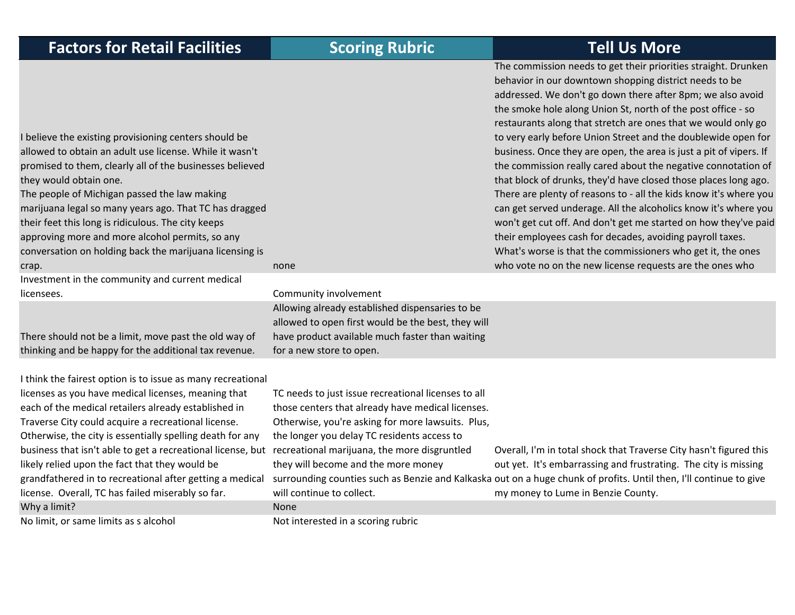|  | <b>Factors for Retail Facilities</b> |  |
|--|--------------------------------------|--|
|--|--------------------------------------|--|

 believe the existing provisioning centers should be allowed to obtain an adult use license. While it wasn't promised to them, clearly all of the businesses believed they would obtain one.

The people of Michigan passed the law making marijuana legal so many years ago. That TC has dragged their feet this long is ridiculous. The city keeps approving more and more alcohol permits, so any conversation on holding back the marijuana licensing is crap. none

Investment in the community and current medical licensees.

There should not be <sup>a</sup> limit, move past the old way of thinking and be happy for the additional tax revenue.

 think the fairest option is to issue as many recreational licenses as you have medical licenses, meaning that each of the medical retailers already established in Traverse City could acquire <sup>a</sup> recreational license. Otherwise, the city is essentially spelling death for any business that isn't able to get <sup>a</sup> recreational license, but recreational marijuana, the more disgruntled likely relied upon the fact that they would be grandfathered in to recreational after getting <sup>a</sup> medical license. Overall, TC has failed miserably so far. Why a limit? None

The commission needs to get their priorities straight. Drunken behavior in our downtown shopping district needs to be addressed. We don't go down there after 8pm; we also avoid the smoke hole along Union St, north of the post office ‐ so restaurants along that stretch are ones that we would only go to very early before Union Street and the doublewide open for business. Once they are open, the area is just <sup>a</sup> pit of vipers. If the commission really cared about the negative connotation of that block of drunks, they'd have closed those places long ago. There are plenty of reasons to ‐ all the kids know it's where you can get served underage. All the alcoholics know it's where you won't get cut off. And don't get me started on how they've paid their employees cash for decades, avoiding payroll taxes. What's worse is that the commissioners who get it, the ones who vote no on the new license requests are the ones who

 Community involvement Allowing already established dispensaries to be allowed to open first would be the best, they will have product available much faster than waiting for a new store to open.

TC needs to just issue recreational licenses to all those centers that already have medical licenses. Otherwise, you're asking for more lawsuits. Plus, the longer you delay TC residents access to they will become and the more money will continue to collect.

surrounding counties such as Benzie and Kalkaska out on a huge chunk of profits. Until then, I'll continue to give Overall, I'm in total shock that Traverse City hasn't figured this out yet. It's embarrassing and frustrating. The city is missing my money to Lume in Benzie County.

No limit, or same limits as s alcohol Not interested in a scoring rubric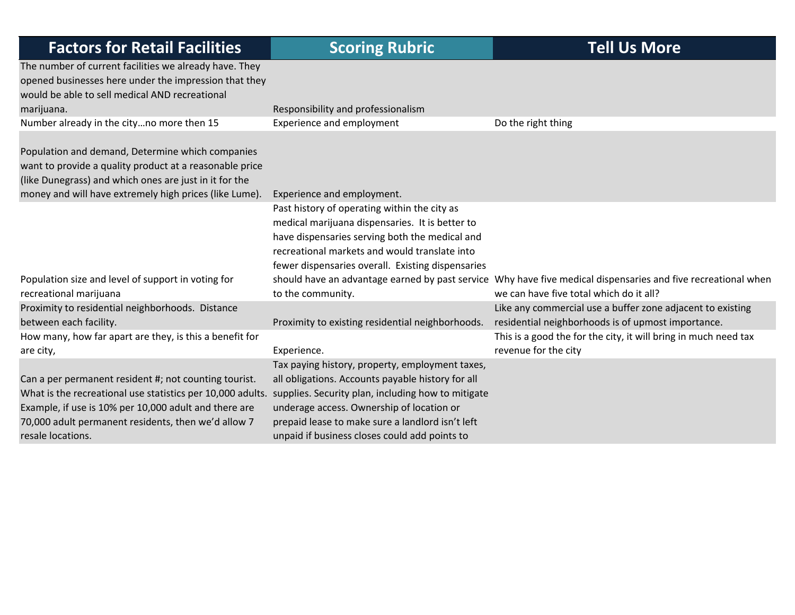| <b>Factors for Retail Facilities</b>                                                                                                                                                                                                                                                                        | <b>Scoring Rubric</b>                                                                                                                                                                                                                                                        | <b>Tell Us More</b>                                                                                                                                      |
|-------------------------------------------------------------------------------------------------------------------------------------------------------------------------------------------------------------------------------------------------------------------------------------------------------------|------------------------------------------------------------------------------------------------------------------------------------------------------------------------------------------------------------------------------------------------------------------------------|----------------------------------------------------------------------------------------------------------------------------------------------------------|
| The number of current facilities we already have. They<br>opened businesses here under the impression that they<br>would be able to sell medical AND recreational<br>marijuana.                                                                                                                             | Responsibility and professionalism                                                                                                                                                                                                                                           |                                                                                                                                                          |
| Number already in the cityno more then 15                                                                                                                                                                                                                                                                   | Experience and employment                                                                                                                                                                                                                                                    | Do the right thing                                                                                                                                       |
| Population and demand, Determine which companies<br>want to provide a quality product at a reasonable price<br>(like Dunegrass) and which ones are just in it for the<br>money and will have extremely high prices (like Lume).                                                                             | Experience and employment.                                                                                                                                                                                                                                                   |                                                                                                                                                          |
| Population size and level of support in voting for<br>recreational marijuana                                                                                                                                                                                                                                | Past history of operating within the city as<br>medical marijuana dispensaries. It is better to<br>have dispensaries serving both the medical and<br>recreational markets and would translate into<br>fewer dispensaries overall. Existing dispensaries<br>to the community. | should have an advantage earned by past service Why have five medical dispensaries and five recreational when<br>we can have five total which do it all? |
| Proximity to residential neighborhoods. Distance<br>between each facility.                                                                                                                                                                                                                                  | Proximity to existing residential neighborhoods.                                                                                                                                                                                                                             | Like any commercial use a buffer zone adjacent to existing<br>residential neighborhoods is of upmost importance.                                         |
| How many, how far apart are they, is this a benefit for<br>are city,                                                                                                                                                                                                                                        | Experience.                                                                                                                                                                                                                                                                  | This is a good the for the city, it will bring in much need tax<br>revenue for the city                                                                  |
| Can a per permanent resident #; not counting tourist.<br>What is the recreational use statistics per 10,000 adults. supplies. Security plan, including how to mitigate<br>Example, if use is 10% per 10,000 adult and there are<br>70,000 adult permanent residents, then we'd allow 7<br>resale locations. | Tax paying history, property, employment taxes,<br>all obligations. Accounts payable history for all<br>underage access. Ownership of location or<br>prepaid lease to make sure a landlord isn't left<br>unpaid if business closes could add points to                       |                                                                                                                                                          |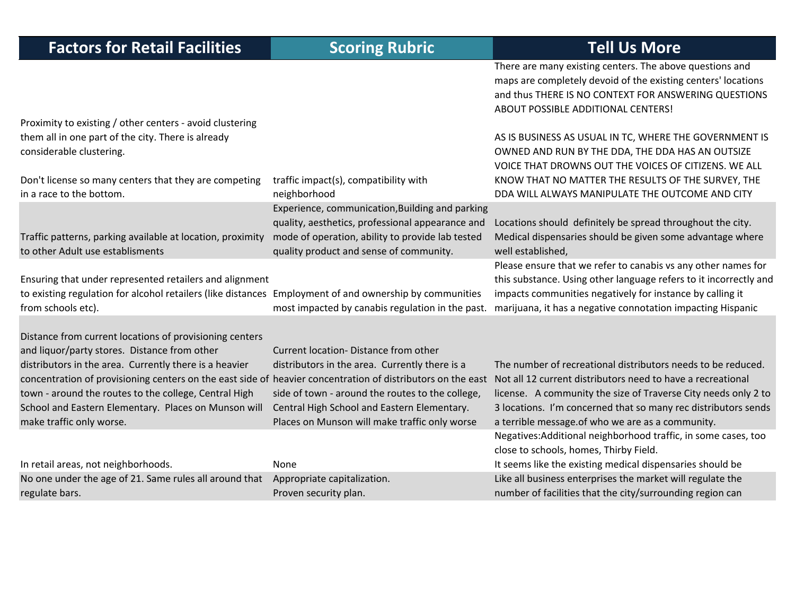| <b>Factors for Retail Facilities</b>                                                                                                                                                                                                                                                                                                                                                                                          | <b>Scoring Rubric</b>                                                                                                                                                                                                                      | <b>Tell Us More</b>                                                                                                                                                                                                                                                                                                 |
|-------------------------------------------------------------------------------------------------------------------------------------------------------------------------------------------------------------------------------------------------------------------------------------------------------------------------------------------------------------------------------------------------------------------------------|--------------------------------------------------------------------------------------------------------------------------------------------------------------------------------------------------------------------------------------------|---------------------------------------------------------------------------------------------------------------------------------------------------------------------------------------------------------------------------------------------------------------------------------------------------------------------|
|                                                                                                                                                                                                                                                                                                                                                                                                                               |                                                                                                                                                                                                                                            | There are many existing centers. The above questions and<br>maps are completely devoid of the existing centers' locations<br>and thus THERE IS NO CONTEXT FOR ANSWERING QUESTIONS<br>ABOUT POSSIBLE ADDITIONAL CENTERS!                                                                                             |
| Proximity to existing / other centers - avoid clustering<br>them all in one part of the city. There is already<br>considerable clustering.                                                                                                                                                                                                                                                                                    |                                                                                                                                                                                                                                            | AS IS BUSINESS AS USUAL IN TC, WHERE THE GOVERNMENT IS<br>OWNED AND RUN BY THE DDA, THE DDA HAS AN OUTSIZE<br>VOICE THAT DROWNS OUT THE VOICES OF CITIZENS. WE ALL                                                                                                                                                  |
| Don't license so many centers that they are competing<br>in a race to the bottom.                                                                                                                                                                                                                                                                                                                                             | traffic impact(s), compatibility with<br>neighborhood                                                                                                                                                                                      | KNOW THAT NO MATTER THE RESULTS OF THE SURVEY, THE<br>DDA WILL ALWAYS MANIPULATE THE OUTCOME AND CITY                                                                                                                                                                                                               |
| Traffic patterns, parking available at location, proximity<br>to other Adult use establisments                                                                                                                                                                                                                                                                                                                                | Experience, communication, Building and parking<br>quality, aesthetics, professional appearance and<br>mode of operation, ability to provide lab tested<br>quality product and sense of community.                                         | Locations should definitely be spread throughout the city.<br>Medical dispensaries should be given some advantage where<br>well established,                                                                                                                                                                        |
| Ensuring that under represented retailers and alignment<br>to existing regulation for alcohol retailers (like distances Employment of and ownership by communities<br>from schools etc).                                                                                                                                                                                                                                      | most impacted by canabis regulation in the past.                                                                                                                                                                                           | Please ensure that we refer to canabis vs any other names for<br>this substance. Using other language refers to it incorrectly and<br>impacts communities negatively for instance by calling it<br>marijuana, it has a negative connotation impacting Hispanic                                                      |
| Distance from current locations of provisioning centers<br>and liquor/party stores. Distance from other<br>distributors in the area. Currently there is a heavier<br>concentration of provisioning centers on the east side of heavier concentration of distributors on the east<br>town - around the routes to the college, Central High<br>School and Eastern Elementary. Places on Munson will<br>make traffic only worse. | Current location-Distance from other<br>distributors in the area. Currently there is a<br>side of town - around the routes to the college,<br>Central High School and Eastern Elementary.<br>Places on Munson will make traffic only worse | The number of recreational distributors needs to be reduced.<br>Not all 12 current distributors need to have a recreational<br>license. A community the size of Traverse City needs only 2 to<br>3 locations. I'm concerned that so many rec distributors sends<br>a terrible message.of who we are as a community. |
| In retail areas, not neighborhoods.                                                                                                                                                                                                                                                                                                                                                                                           | None                                                                                                                                                                                                                                       | Negatives: Additional neighborhood traffic, in some cases, too<br>close to schools, homes, Thirby Field.<br>It seems like the existing medical dispensaries should be                                                                                                                                               |
| No one under the age of 21. Same rules all around that                                                                                                                                                                                                                                                                                                                                                                        | Appropriate capitalization.                                                                                                                                                                                                                | Like all business enterprises the market will regulate the                                                                                                                                                                                                                                                          |
| regulate bars.                                                                                                                                                                                                                                                                                                                                                                                                                | Proven security plan.                                                                                                                                                                                                                      | number of facilities that the city/surrounding region can                                                                                                                                                                                                                                                           |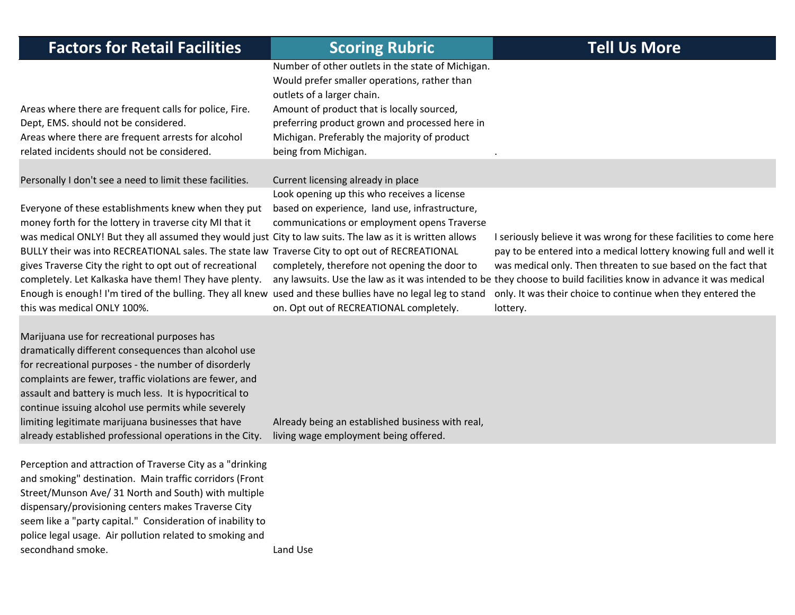| <b>Factors for Retail Facilities</b>                                                                                                                                                                                                                                                                                                                                                                                                                                                                                                                                                              | <b>Scoring Rubric</b>                                                                                                                                                                                                                                                                                   | <b>Tell Us More</b>                                                                                                                                                                                                                                                                                                                                                                                      |
|---------------------------------------------------------------------------------------------------------------------------------------------------------------------------------------------------------------------------------------------------------------------------------------------------------------------------------------------------------------------------------------------------------------------------------------------------------------------------------------------------------------------------------------------------------------------------------------------------|---------------------------------------------------------------------------------------------------------------------------------------------------------------------------------------------------------------------------------------------------------------------------------------------------------|----------------------------------------------------------------------------------------------------------------------------------------------------------------------------------------------------------------------------------------------------------------------------------------------------------------------------------------------------------------------------------------------------------|
| Areas where there are frequent calls for police, Fire.<br>Dept, EMS. should not be considered.<br>Areas where there are frequent arrests for alcohol<br>related incidents should not be considered.                                                                                                                                                                                                                                                                                                                                                                                               | Number of other outlets in the state of Michigan.<br>Would prefer smaller operations, rather than<br>outlets of a larger chain.<br>Amount of product that is locally sourced,<br>preferring product grown and processed here in<br>Michigan. Preferably the majority of product<br>being from Michigan. |                                                                                                                                                                                                                                                                                                                                                                                                          |
| Personally I don't see a need to limit these facilities.                                                                                                                                                                                                                                                                                                                                                                                                                                                                                                                                          | Current licensing already in place                                                                                                                                                                                                                                                                      |                                                                                                                                                                                                                                                                                                                                                                                                          |
| Everyone of these establishments knew when they put<br>money forth for the lottery in traverse city MI that it<br>was medical ONLY! But they all assumed they would just City to law suits. The law as it is written allows<br>BULLY their was into RECREATIONAL sales. The state law Traverse City to opt out of RECREATIONAL<br>gives Traverse City the right to opt out of recreational<br>completely. Let Kalkaska have them! They have plenty.<br>Enough is enough! I'm tired of the bulling. They all knew used and these bullies have no legal leg to stand<br>this was medical ONLY 100%. | Look opening up this who receives a license<br>based on experience, land use, infrastructure,<br>communications or employment opens Traverse<br>completely, therefore not opening the door to<br>on. Opt out of RECREATIONAL completely.                                                                | I seriously believe it was wrong for these facilities to come here<br>pay to be entered into a medical lottery knowing full and well it<br>was medical only. Then threaten to sue based on the fact that<br>any lawsuits. Use the law as it was intended to be they choose to build facilities know in advance it was medical<br>only. It was their choice to continue when they entered the<br>lottery. |
| Marijuana use for recreational purposes has<br>dramatically different consequences than alcohol use<br>for recreational purposes - the number of disorderly<br>complaints are fewer, traffic violations are fewer, and<br>assault and battery is much less. It is hypocritical to<br>continue issuing alcohol use permits while severely<br>limiting legitimate marijuana businesses that have<br>already established professional operations in the City.                                                                                                                                        | Already being an established business with real,<br>living wage employment being offered.                                                                                                                                                                                                               |                                                                                                                                                                                                                                                                                                                                                                                                          |
| Perception and attraction of Traverse City as a "drinking<br>and smoking" destination. Main traffic corridors (Front<br>Street/Munson Ave/ 31 North and South) with multiple<br>dispensary/provisioning centers makes Traverse City<br>seem like a "party capital." Consideration of inability to<br>police legal usage. Air pollution related to smoking and<br>secondhand smoke.                                                                                                                                                                                                                | Land Use                                                                                                                                                                                                                                                                                                |                                                                                                                                                                                                                                                                                                                                                                                                          |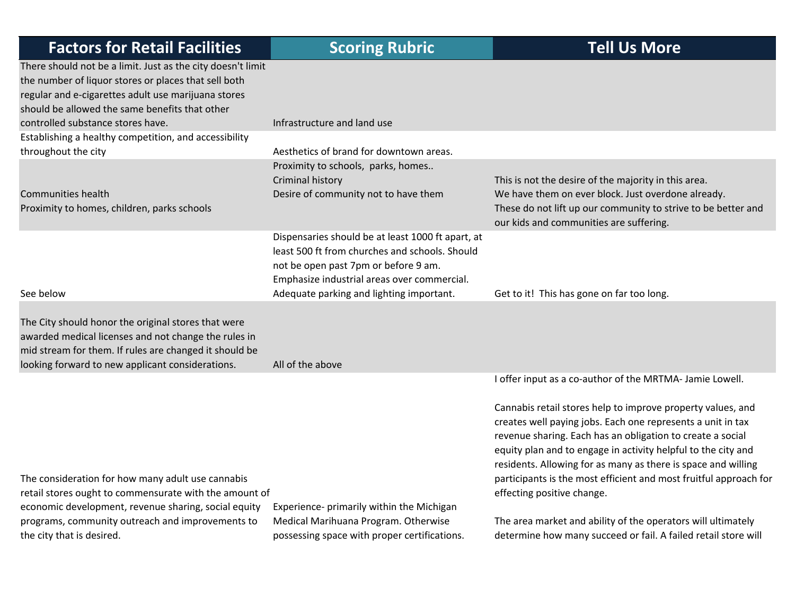| <b>Factors for Retail Facilities</b>                                                                                                                                                                                                                              | <b>Scoring Rubric</b>                                                                                                                                                                                                                  | <b>Tell Us More</b>                                                                                                                                                                                                                                                                                                                                                                                                           |
|-------------------------------------------------------------------------------------------------------------------------------------------------------------------------------------------------------------------------------------------------------------------|----------------------------------------------------------------------------------------------------------------------------------------------------------------------------------------------------------------------------------------|-------------------------------------------------------------------------------------------------------------------------------------------------------------------------------------------------------------------------------------------------------------------------------------------------------------------------------------------------------------------------------------------------------------------------------|
| There should not be a limit. Just as the city doesn't limit<br>the number of liquor stores or places that sell both<br>regular and e-cigarettes adult use marijuana stores<br>should be allowed the same benefits that other<br>controlled substance stores have. | Infrastructure and land use                                                                                                                                                                                                            |                                                                                                                                                                                                                                                                                                                                                                                                                               |
| Establishing a healthy competition, and accessibility                                                                                                                                                                                                             |                                                                                                                                                                                                                                        |                                                                                                                                                                                                                                                                                                                                                                                                                               |
| throughout the city                                                                                                                                                                                                                                               | Aesthetics of brand for downtown areas.                                                                                                                                                                                                |                                                                                                                                                                                                                                                                                                                                                                                                                               |
| <b>Communities health</b><br>Proximity to homes, children, parks schools                                                                                                                                                                                          | Proximity to schools, parks, homes<br>Criminal history<br>Desire of community not to have them                                                                                                                                         | This is not the desire of the majority in this area.<br>We have them on ever block. Just overdone already.<br>These do not lift up our community to strive to be better and<br>our kids and communities are suffering.                                                                                                                                                                                                        |
| See below                                                                                                                                                                                                                                                         | Dispensaries should be at least 1000 ft apart, at<br>least 500 ft from churches and schools. Should<br>not be open past 7pm or before 9 am.<br>Emphasize industrial areas over commercial.<br>Adequate parking and lighting important. | Get to it! This has gone on far too long.                                                                                                                                                                                                                                                                                                                                                                                     |
| The City should honor the original stores that were<br>awarded medical licenses and not change the rules in<br>mid stream for them. If rules are changed it should be<br>looking forward to new applicant considerations.                                         | All of the above                                                                                                                                                                                                                       |                                                                                                                                                                                                                                                                                                                                                                                                                               |
|                                                                                                                                                                                                                                                                   |                                                                                                                                                                                                                                        | I offer input as a co-author of the MRTMA- Jamie Lowell.                                                                                                                                                                                                                                                                                                                                                                      |
| The consideration for how many adult use cannabis<br>retail stores ought to commensurate with the amount of                                                                                                                                                       |                                                                                                                                                                                                                                        | Cannabis retail stores help to improve property values, and<br>creates well paying jobs. Each one represents a unit in tax<br>revenue sharing. Each has an obligation to create a social<br>equity plan and to engage in activity helpful to the city and<br>residents. Allowing for as many as there is space and willing<br>participants is the most efficient and most fruitful approach for<br>effecting positive change. |
| economic development, revenue sharing, social equity<br>programs, community outreach and improvements to<br>the city that is desired.                                                                                                                             | Experience- primarily within the Michigan<br>Medical Marihuana Program. Otherwise<br>possessing space with proper certifications.                                                                                                      | The area market and ability of the operators will ultimately<br>determine how many succeed or fail. A failed retail store will                                                                                                                                                                                                                                                                                                |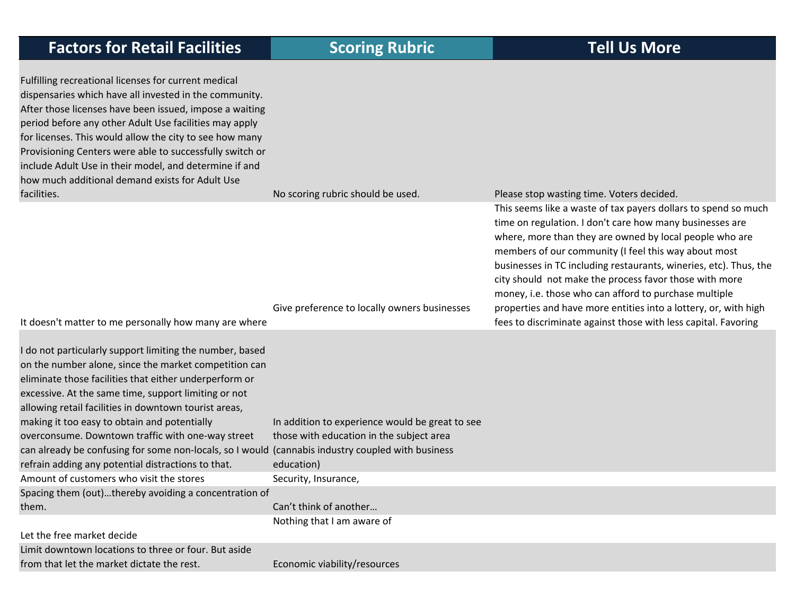| <b>Factors for Retail Facilities</b>                                                                                                                                                                                                                                                                                                                                                                                                                                                                                                                         | <b>Scoring Rubric</b>                                                                                     | <b>Tell Us More</b>                                                                                                                                                                                                                                                                                                                                                                                                                                                                                                                                   |
|--------------------------------------------------------------------------------------------------------------------------------------------------------------------------------------------------------------------------------------------------------------------------------------------------------------------------------------------------------------------------------------------------------------------------------------------------------------------------------------------------------------------------------------------------------------|-----------------------------------------------------------------------------------------------------------|-------------------------------------------------------------------------------------------------------------------------------------------------------------------------------------------------------------------------------------------------------------------------------------------------------------------------------------------------------------------------------------------------------------------------------------------------------------------------------------------------------------------------------------------------------|
| Fulfilling recreational licenses for current medical<br>dispensaries which have all invested in the community.<br>After those licenses have been issued, impose a waiting<br>period before any other Adult Use facilities may apply<br>for licenses. This would allow the city to see how many<br>Provisioning Centers were able to successfully switch or<br>include Adult Use in their model, and determine if and<br>how much additional demand exists for Adult Use                                                                                      |                                                                                                           |                                                                                                                                                                                                                                                                                                                                                                                                                                                                                                                                                       |
| facilities.                                                                                                                                                                                                                                                                                                                                                                                                                                                                                                                                                  | No scoring rubric should be used.<br>Give preference to locally owners businesses                         | Please stop wasting time. Voters decided.<br>This seems like a waste of tax payers dollars to spend so much<br>time on regulation. I don't care how many businesses are<br>where, more than they are owned by local people who are<br>members of our community (I feel this way about most<br>businesses in TC including restaurants, wineries, etc). Thus, the<br>city should not make the process favor those with more<br>money, i.e. those who can afford to purchase multiple<br>properties and have more entities into a lottery, or, with high |
| It doesn't matter to me personally how many are where                                                                                                                                                                                                                                                                                                                                                                                                                                                                                                        |                                                                                                           | fees to discriminate against those with less capital. Favoring                                                                                                                                                                                                                                                                                                                                                                                                                                                                                        |
| I do not particularly support limiting the number, based<br>on the number alone, since the market competition can<br>eliminate those facilities that either underperform or<br>excessive. At the same time, support limiting or not<br>allowing retail facilities in downtown tourist areas,<br>making it too easy to obtain and potentially<br>overconsume. Downtown traffic with one-way street<br>can already be confusing for some non-locals, so I would (cannabis industry coupled with business<br>refrain adding any potential distractions to that. | In addition to experience would be great to see<br>those with education in the subject area<br>education) |                                                                                                                                                                                                                                                                                                                                                                                                                                                                                                                                                       |
| Amount of customers who visit the stores                                                                                                                                                                                                                                                                                                                                                                                                                                                                                                                     | Security, Insurance,                                                                                      |                                                                                                                                                                                                                                                                                                                                                                                                                                                                                                                                                       |
| Spacing them (out)thereby avoiding a concentration of<br>them.                                                                                                                                                                                                                                                                                                                                                                                                                                                                                               | Can't think of another                                                                                    |                                                                                                                                                                                                                                                                                                                                                                                                                                                                                                                                                       |
| Let the free market decide                                                                                                                                                                                                                                                                                                                                                                                                                                                                                                                                   | Nothing that I am aware of                                                                                |                                                                                                                                                                                                                                                                                                                                                                                                                                                                                                                                                       |

Limit downtown locations to three or four. But aside from that let the market dictate the rest. Economic viability/resources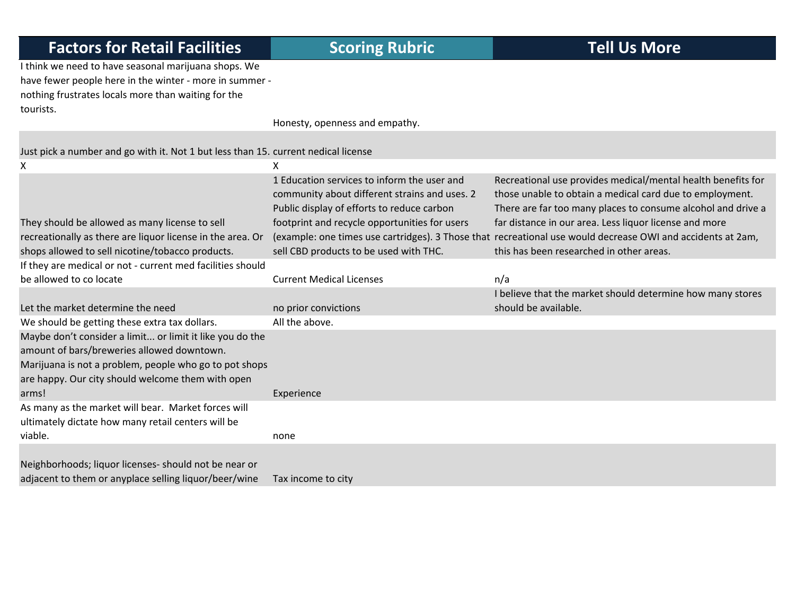I think we need to have seasonal marijuana shops. We have fewer people here in the winter ‐ more in summer ‐ nothing frustrates locals more than waiting for the tourists.

Honesty, openness and empathy.

| Just pick a number and go with it. Not 1 but less than 15. current nedical license |
|------------------------------------------------------------------------------------|
|                                                                                    |

| x                                                                                                                                                                                                                     | x                                                                                                                                                                                           |                                                                                                                                                                                                                                                    |
|-----------------------------------------------------------------------------------------------------------------------------------------------------------------------------------------------------------------------|---------------------------------------------------------------------------------------------------------------------------------------------------------------------------------------------|----------------------------------------------------------------------------------------------------------------------------------------------------------------------------------------------------------------------------------------------------|
| They should be allowed as many license to sell                                                                                                                                                                        | 1 Education services to inform the user and<br>community about different strains and uses. 2<br>Public display of efforts to reduce carbon<br>footprint and recycle opportunities for users | Recreational use provides medical/mental health benefits for<br>those unable to obtain a medical card due to employment.<br>There are far too many places to consume alcohol and drive a<br>far distance in our area. Less liquor license and more |
| recreationally as there are liquor license in the area. Or                                                                                                                                                            |                                                                                                                                                                                             | (example: one times use cartridges). 3 Those that recreational use would decrease OWI and accidents at 2am,                                                                                                                                        |
| shops allowed to sell nicotine/tobacco products.                                                                                                                                                                      | sell CBD products to be used with THC.                                                                                                                                                      | this has been researched in other areas.                                                                                                                                                                                                           |
| If they are medical or not - current med facilities should                                                                                                                                                            |                                                                                                                                                                                             |                                                                                                                                                                                                                                                    |
| be allowed to co locate                                                                                                                                                                                               | <b>Current Medical Licenses</b>                                                                                                                                                             | n/a                                                                                                                                                                                                                                                |
|                                                                                                                                                                                                                       |                                                                                                                                                                                             | I believe that the market should determine how many stores                                                                                                                                                                                         |
| Let the market determine the need                                                                                                                                                                                     | no prior convictions                                                                                                                                                                        | should be available.                                                                                                                                                                                                                               |
| We should be getting these extra tax dollars.                                                                                                                                                                         | All the above.                                                                                                                                                                              |                                                                                                                                                                                                                                                    |
| Maybe don't consider a limit or limit it like you do the<br>amount of bars/breweries allowed downtown.<br>Marijuana is not a problem, people who go to pot shops<br>are happy. Our city should welcome them with open |                                                                                                                                                                                             |                                                                                                                                                                                                                                                    |
| arms!                                                                                                                                                                                                                 | Experience                                                                                                                                                                                  |                                                                                                                                                                                                                                                    |
| As many as the market will bear. Market forces will<br>ultimately dictate how many retail centers will be                                                                                                             |                                                                                                                                                                                             |                                                                                                                                                                                                                                                    |
| viable.                                                                                                                                                                                                               | none                                                                                                                                                                                        |                                                                                                                                                                                                                                                    |
| Neighborhoods; liquor licenses- should not be near or<br>adjacent to them or anyplace selling liquor/beer/wine                                                                                                        | Tax income to city                                                                                                                                                                          |                                                                                                                                                                                                                                                    |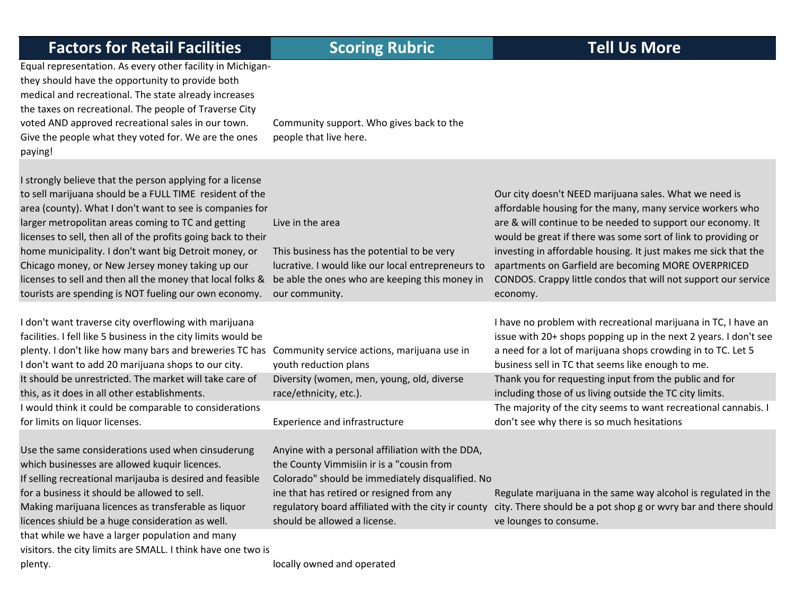Equal representation. As every other facility in Michigan‐ they should have the opportunity to provide both medical and recreational. The state already increases the taxes on recreational. The people of Traverse City voted AND approved recreational sales in our town. Give the people what they voted for. We are the ones paying!

Community support. Who gives back to the people that live here.

I strongly believe that the person applying for a license to sell marijuana should be <sup>a</sup> FULL TIME resident of the area (county). What I don't want to see is companies for larger metropolitan areas coming to TC and getting licenses to sell, then all of the profits going back to their home municipality. I don't want big Detroit money, or Chicago money, or New Jersey money taking up our licenses to sell and then all the money that local folks & be able the ones who are keeping this money in tourists are spending is NOT fueling our own economy.

II don't want traverse city overflowing with marijuana facilities. I fell like 5 business in the city limits would be plenty. I don't like how many bars and breweries TC has I don't want to add 20 marijuana shops to our city. It should be unrestricted. The market will take care of this, as it does in all other establishments. would think it could be comparable to considerations for limits on

Use the same considerations used when cinsuderung which businesses are allowed kuquir licences. If selling recreational marijauba is desired and feasible for a business it should be allowed to sell. Making marijuana licences as transferable as liquor licences shiuld be <sup>a</sup> huge consideration as well. that while we have <sup>a</sup> larger population and many

visitors. the city limits are SMALL. I think have one two is plenty. *plenty* and operated being only and operated and operated being  $\alpha$ 

This business has the potential to be very lucrative. I would like our local entrepreneurs to our community.

| Community service actions, marijuana use in |
|---------------------------------------------|
| youth reduction plans                       |
| Diversity (women, men, young, old, diverse  |
| race/ethnicity, etc.).                      |

### Experience and infrastructure

Live in the area

Anyine with <sup>a</sup> personal affiliation with the DDA, the County Vimmisiin ir is <sup>a</sup> "cousin from Colorado" should be immediately disqualified. No ine that has retired or resigned from any regulatory board affiliated with the city ir county should be allowed <sup>a</sup> license.

Our city doesn't NEED marijuana sales. What we need is affordable housing for the many, many service workers who are & will continue to be needed to support our economy. It would be great if there was some sort of link to providing or investing in affordable housing. It just makes me sick that the apartments on Garfield are becoming MORE OVERPRICED CONDOS. Crappy little condos that will not support our service economy.

I have no problem with recreational marijuana in TC, I have an issue with 20+ shops popping up in the next 2 years. I don't see a need for <sup>a</sup> lot of marijuana shops crowding in to TC. Let 5 business sell in TC that seems like enough to me. Thank you for requesting input from the public and for including those of us living outside the TC city limits. The majority of the city seems to want recreational cannabis. I don't see why there is so much hesitations

Regulate marijuana in the same way alcohol is regulated in the city. There should be <sup>a</sup> pot shop g or wvry bar and there should ve lounges to consume.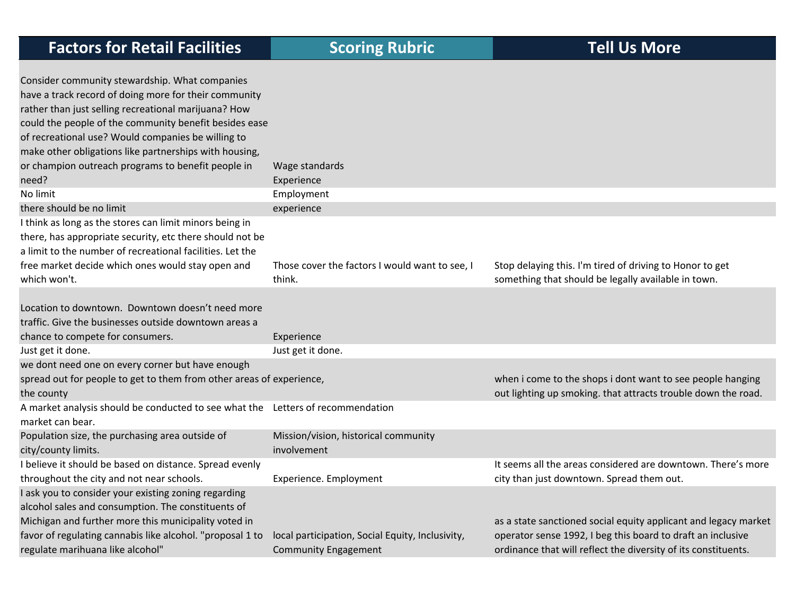| <b>Factors for Retail Facilities</b>                                                                                                                                                                                                                                                                                                                                                                     | <b>Scoring Rubric</b>                                                           | <b>Tell Us More</b>                                                                                                                                                                              |
|----------------------------------------------------------------------------------------------------------------------------------------------------------------------------------------------------------------------------------------------------------------------------------------------------------------------------------------------------------------------------------------------------------|---------------------------------------------------------------------------------|--------------------------------------------------------------------------------------------------------------------------------------------------------------------------------------------------|
| Consider community stewardship. What companies<br>have a track record of doing more for their community<br>rather than just selling recreational marijuana? How<br>could the people of the community benefit besides ease<br>of recreational use? Would companies be willing to<br>make other obligations like partnerships with housing,<br>or champion outreach programs to benefit people in<br>need? | Wage standards<br>Experience                                                    |                                                                                                                                                                                                  |
| No limit                                                                                                                                                                                                                                                                                                                                                                                                 | Employment                                                                      |                                                                                                                                                                                                  |
| there should be no limit<br>I think as long as the stores can limit minors being in<br>there, has appropriate security, etc there should not be<br>a limit to the number of recreational facilities. Let the<br>free market decide which ones would stay open and<br>which won't.                                                                                                                        | experience<br>Those cover the factors I would want to see, I<br>think.          | Stop delaying this. I'm tired of driving to Honor to get<br>something that should be legally available in town.                                                                                  |
| Location to downtown. Downtown doesn't need more<br>traffic. Give the businesses outside downtown areas a<br>chance to compete for consumers.                                                                                                                                                                                                                                                            | Experience                                                                      |                                                                                                                                                                                                  |
| Just get it done.                                                                                                                                                                                                                                                                                                                                                                                        | Just get it done.                                                               |                                                                                                                                                                                                  |
| we dont need one on every corner but have enough<br>spread out for people to get to them from other areas of experience,<br>the county                                                                                                                                                                                                                                                                   |                                                                                 | when i come to the shops i dont want to see people hanging<br>out lighting up smoking. that attracts trouble down the road.                                                                      |
| A market analysis should be conducted to see what the Letters of recommendation<br>market can bear.                                                                                                                                                                                                                                                                                                      |                                                                                 |                                                                                                                                                                                                  |
| Population size, the purchasing area outside of<br>city/county limits.                                                                                                                                                                                                                                                                                                                                   | Mission/vision, historical community<br>involvement                             |                                                                                                                                                                                                  |
| I believe it should be based on distance. Spread evenly<br>throughout the city and not near schools.                                                                                                                                                                                                                                                                                                     | Experience. Employment                                                          | It seems all the areas considered are downtown. There's more<br>city than just downtown. Spread them out.                                                                                        |
| I ask you to consider your existing zoning regarding<br>alcohol sales and consumption. The constituents of<br>Michigan and further more this municipality voted in<br>favor of regulating cannabis like alcohol. "proposal 1 to<br>regulate marihuana like alcohol"                                                                                                                                      | local participation, Social Equity, Inclusivity,<br><b>Community Engagement</b> | as a state sanctioned social equity applicant and legacy market<br>operator sense 1992, I beg this board to draft an inclusive<br>ordinance that will reflect the diversity of its constituents. |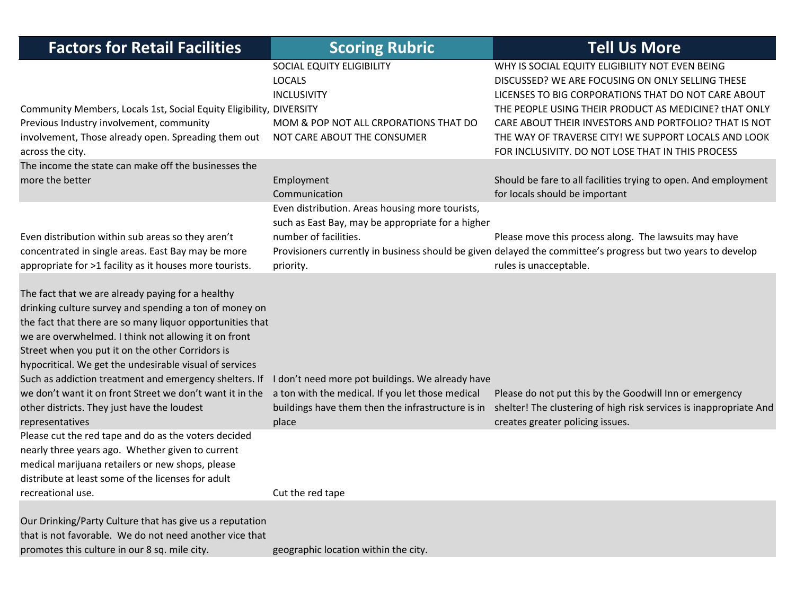| <b>Factors for Retail Facilities</b>                                                                                                                                                                                                                                                                                                                                                                                                                                                                                                    | <b>Scoring Rubric</b>                                                                                                                                              | <b>Tell Us More</b>                                                                                                                                                                                                                                                                                                                                                                       |
|-----------------------------------------------------------------------------------------------------------------------------------------------------------------------------------------------------------------------------------------------------------------------------------------------------------------------------------------------------------------------------------------------------------------------------------------------------------------------------------------------------------------------------------------|--------------------------------------------------------------------------------------------------------------------------------------------------------------------|-------------------------------------------------------------------------------------------------------------------------------------------------------------------------------------------------------------------------------------------------------------------------------------------------------------------------------------------------------------------------------------------|
| Community Members, Locals 1st, Social Equity Eligibility, DIVERSITY<br>Previous Industry involvement, community<br>involvement, Those already open. Spreading them out<br>across the city.                                                                                                                                                                                                                                                                                                                                              | SOCIAL EQUITY ELIGIBILITY<br><b>LOCALS</b><br><b>INCLUSIVITY</b><br>MOM & POP NOT ALL CRPORATIONS THAT DO<br>NOT CARE ABOUT THE CONSUMER                           | WHY IS SOCIAL EQUITY ELIGIBILITY NOT EVEN BEING<br>DISCUSSED? WE ARE FOCUSING ON ONLY SELLING THESE<br>LICENSES TO BIG CORPORATIONS THAT DO NOT CARE ABOUT<br>THE PEOPLE USING THEIR PRODUCT AS MEDICINE? tHAT ONLY<br>CARE ABOUT THEIR INVESTORS AND PORTFOLIO? THAT IS NOT<br>THE WAY OF TRAVERSE CITY! WE SUPPORT LOCALS AND LOOK<br>FOR INCLUSIVITY. DO NOT LOSE THAT IN THIS PROCESS |
| The income the state can make off the businesses the<br>more the better                                                                                                                                                                                                                                                                                                                                                                                                                                                                 | Employment<br>Communication                                                                                                                                        | Should be fare to all facilities trying to open. And employment<br>for locals should be important                                                                                                                                                                                                                                                                                         |
| Even distribution within sub areas so they aren't<br>concentrated in single areas. East Bay may be more<br>appropriate for >1 facility as it houses more tourists.                                                                                                                                                                                                                                                                                                                                                                      | Even distribution. Areas housing more tourists,<br>such as East Bay, may be appropriate for a higher<br>number of facilities.<br>priority.                         | Please move this process along. The lawsuits may have<br>Provisioners currently in business should be given delayed the committee's progress but two years to develop<br>rules is unacceptable.                                                                                                                                                                                           |
| The fact that we are already paying for a healthy<br>drinking culture survey and spending a ton of money on<br>the fact that there are so many liquor opportunities that<br>we are overwhelmed. I think not allowing it on front<br>Street when you put it on the other Corridors is<br>hypocritical. We get the undesirable visual of services<br>Such as addiction treatment and emergency shelters. If<br>we don't want it on front Street we don't want it in the<br>other districts. They just have the loudest<br>representatives | I don't need more pot buildings. We already have<br>a ton with the medical. If you let those medical<br>buildings have them then the infrastructure is in<br>place | Please do not put this by the Goodwill Inn or emergency<br>shelter! The clustering of high risk services is inappropriate And<br>creates greater policing issues.                                                                                                                                                                                                                         |
| Please cut the red tape and do as the voters decided<br>nearly three years ago. Whether given to current<br>medical marijuana retailers or new shops, please<br>distribute at least some of the licenses for adult<br>recreational use.                                                                                                                                                                                                                                                                                                 | Cut the red tape                                                                                                                                                   |                                                                                                                                                                                                                                                                                                                                                                                           |
| Our Drinking/Party Culture that has give us a reputation<br>that is not favorable. We do not need another vice that<br>promotes this culture in our 8 sq. mile city.                                                                                                                                                                                                                                                                                                                                                                    | geographic location within the city.                                                                                                                               |                                                                                                                                                                                                                                                                                                                                                                                           |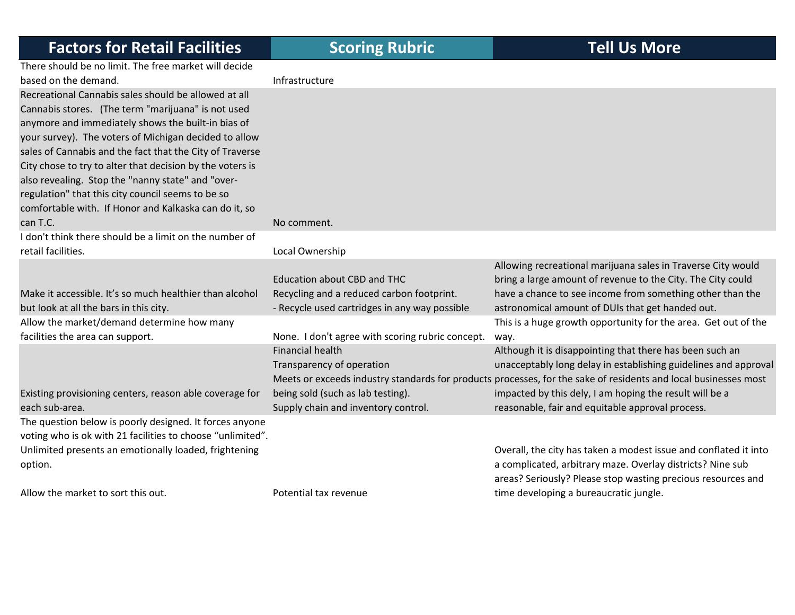‐ Recycle used cartridges in any way possible

None. I don't agree with scoring rubric concept.

There should be no limit. The free market will decide based on the demand. Infrastructure

Recreational Cannabis sales should be allowed at all Cannabis stores. (The term "marijuana" is not used anymore and immediately shows the built-in bias c your survey). The voters of Michigan decided to all sales of Cannabis and the fact that the City of Traverse City chose to try to alter that decision by the voters also revealing. Stop the "nanny state" and "over‐ regulation" that this city council seems to be so comfortable with. If Honor and Kalkaska can do it, so can T.C. T.C. No

I don't think there should be a limit on the number of retail facilities.Local Ownership

Make it accessible. It's so much healthier than alcohol but look at all the bars in this city. Allow the market/demand determine how many facilities the area can

Existing provisioning centers, reason able coverage for each sub‐area.

The question below is poorly designed. It forces anyone voting who is ok with 21 facilities to choose "unlimited". Unlimited presents an emotionally loaded, frightening option.

Allow the market to sort this out. The mass of the settlement of the Moter of Potential tax revenue

Financial health

Transparency of operation

being sold (such as lab testing). Supply chain and inventory control.

| de            |                                           |                                                              |
|---------------|-------------------------------------------|--------------------------------------------------------------|
|               | Infrastructure                            |                                                              |
| $\mathsf{II}$ |                                           |                                                              |
| d             |                                           |                                                              |
| )f            |                                           |                                                              |
| low           |                                           |                                                              |
| erse          |                                           |                                                              |
| s is          |                                           |                                                              |
|               |                                           |                                                              |
|               |                                           |                                                              |
| <b>SO</b>     |                                           |                                                              |
|               | No comment.                               |                                                              |
| of            |                                           |                                                              |
|               | Local Ownership                           |                                                              |
|               |                                           | Allowing recreational marijuana sales in Traverse City would |
|               | Education about CBD and THC               | bring a large amount of revenue to the City. The City could  |
| hol           | Recycling and a reduced carbon footprint. | have a chance to see income from something other than the    |

way.

Meets or exceeds industry standards for products processes, for the sake of residents and local businesses most

impacted by this dely, I am hoping the result will be <sup>a</sup> reasonable, fair and equitable approval process. Overall, the city has taken <sup>a</sup> modest issue and conflated it into

This is a huge growth opportunity for the area. Get out of the

unacceptably long delay in establishing guidelines and approval

Although it is disappointing that there has been such an

astronomical amount of DUIs that get handed out.

a complicated, arbitrary maze. Overlay districts? Nine sub areas? Seriously? Please stop wasting precious resources and time developing <sup>a</sup> bureaucratic jungle.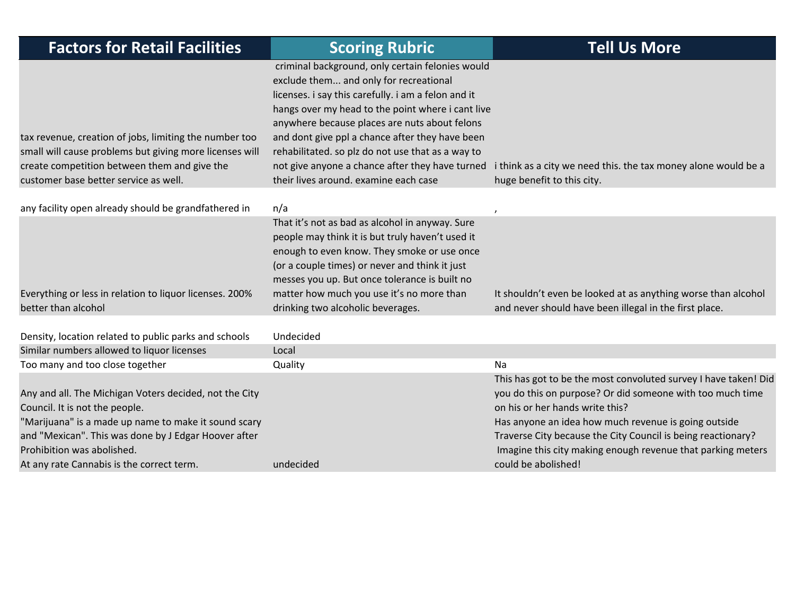| <b>Factors for Retail Facilities</b>                                                                                                                                                                       | <b>Scoring Rubric</b>                                                                                                                                                                                                                                                                                                                                                                                                                                       | <b>Tell Us More</b>                                                                                                                                                                                                    |
|------------------------------------------------------------------------------------------------------------------------------------------------------------------------------------------------------------|-------------------------------------------------------------------------------------------------------------------------------------------------------------------------------------------------------------------------------------------------------------------------------------------------------------------------------------------------------------------------------------------------------------------------------------------------------------|------------------------------------------------------------------------------------------------------------------------------------------------------------------------------------------------------------------------|
| tax revenue, creation of jobs, limiting the number too<br>small will cause problems but giving more licenses will<br>create competition between them and give the<br>customer base better service as well. | criminal background, only certain felonies would<br>exclude them and only for recreational<br>licenses. i say this carefully. i am a felon and it<br>hangs over my head to the point where i cant live<br>anywhere because places are nuts about felons<br>and dont give ppl a chance after they have been<br>rehabilitated. so plz do not use that as a way to<br>not give anyone a chance after they have turned<br>their lives around. examine each case | i think as a city we need this. the tax money alone would be a<br>huge benefit to this city.                                                                                                                           |
| any facility open already should be grandfathered in                                                                                                                                                       | n/a                                                                                                                                                                                                                                                                                                                                                                                                                                                         |                                                                                                                                                                                                                        |
| Everything or less in relation to liquor licenses. 200%<br>better than alcohol                                                                                                                             | That it's not as bad as alcohol in anyway. Sure<br>people may think it is but truly haven't used it<br>enough to even know. They smoke or use once<br>(or a couple times) or never and think it just<br>messes you up. But once tolerance is built no<br>matter how much you use it's no more than<br>drinking two alcoholic beverages.                                                                                                                     | It shouldn't even be looked at as anything worse than alcohol<br>and never should have been illegal in the first place.                                                                                                |
| Density, location related to public parks and schools                                                                                                                                                      | Undecided                                                                                                                                                                                                                                                                                                                                                                                                                                                   |                                                                                                                                                                                                                        |
| Similar numbers allowed to liquor licenses                                                                                                                                                                 | Local                                                                                                                                                                                                                                                                                                                                                                                                                                                       |                                                                                                                                                                                                                        |
| Too many and too close together<br>Any and all. The Michigan Voters decided, not the City                                                                                                                  | Quality                                                                                                                                                                                                                                                                                                                                                                                                                                                     | Na<br>This has got to be the most convoluted survey I have taken! Did<br>you do this on purpose? Or did someone with too much time                                                                                     |
| Council. It is not the people.<br>"Marijuana" is a made up name to make it sound scary<br>and "Mexican". This was done by J Edgar Hoover after<br>Prohibition was abolished.                               |                                                                                                                                                                                                                                                                                                                                                                                                                                                             | on his or her hands write this?<br>Has anyone an idea how much revenue is going outside<br>Traverse City because the City Council is being reactionary?<br>Imagine this city making enough revenue that parking meters |
| At any rate Cannabis is the correct term.                                                                                                                                                                  | undecided                                                                                                                                                                                                                                                                                                                                                                                                                                                   | could be abolished!                                                                                                                                                                                                    |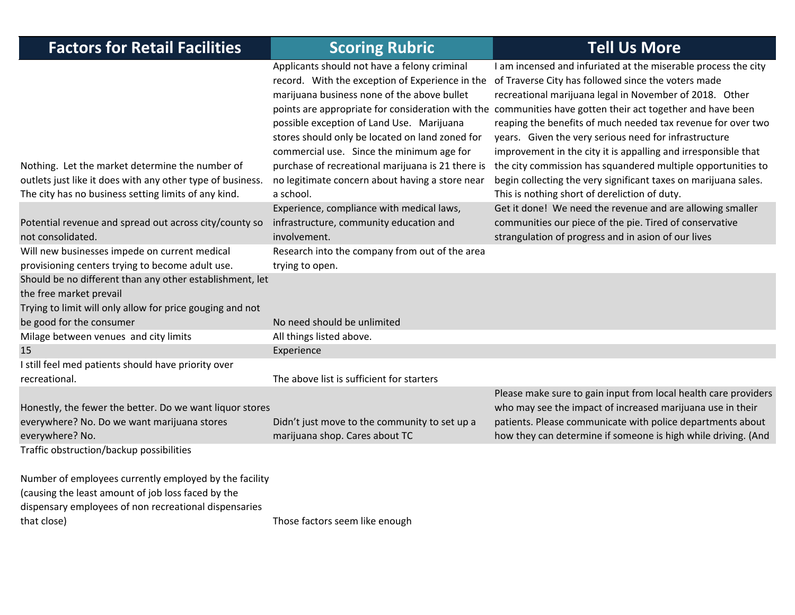| <b>Factors for Retail Facilities</b>                                                                                                                                                 | <b>Scoring Rubric</b>                                                                                                                                                                                                                                                                                                                                                                                            | <b>Tell Us More</b>                                                                                                                                                                                                                                                                                                                                                                                                                                                                                                                                                                                                                                                           |
|--------------------------------------------------------------------------------------------------------------------------------------------------------------------------------------|------------------------------------------------------------------------------------------------------------------------------------------------------------------------------------------------------------------------------------------------------------------------------------------------------------------------------------------------------------------------------------------------------------------|-------------------------------------------------------------------------------------------------------------------------------------------------------------------------------------------------------------------------------------------------------------------------------------------------------------------------------------------------------------------------------------------------------------------------------------------------------------------------------------------------------------------------------------------------------------------------------------------------------------------------------------------------------------------------------|
| Nothing. Let the market determine the number of<br>outlets just like it does with any other type of business.<br>The city has no business setting limits of any kind.                | Applicants should not have a felony criminal<br>record. With the exception of Experience in the<br>marijuana business none of the above bullet<br>possible exception of Land Use. Marijuana<br>stores should only be located on land zoned for<br>commercial use. Since the minimum age for<br>purchase of recreational marijuana is 21 there is<br>no legitimate concern about having a store near<br>a school. | I am incensed and infuriated at the miserable process the city<br>of Traverse City has followed since the voters made<br>recreational marijuana legal in November of 2018. Other<br>points are appropriate for consideration with the communities have gotten their act together and have been<br>reaping the benefits of much needed tax revenue for over two<br>years. Given the very serious need for infrastructure<br>improvement in the city it is appalling and irresponsible that<br>the city commission has squandered multiple opportunities to<br>begin collecting the very significant taxes on marijuana sales.<br>This is nothing short of dereliction of duty. |
| Potential revenue and spread out across city/county so<br>not consolidated.                                                                                                          | Experience, compliance with medical laws,<br>infrastructure, community education and<br>involvement.                                                                                                                                                                                                                                                                                                             | Get it done! We need the revenue and are allowing smaller<br>communities our piece of the pie. Tired of conservative<br>strangulation of progress and in asion of our lives                                                                                                                                                                                                                                                                                                                                                                                                                                                                                                   |
| Will new businesses impede on current medical<br>provisioning centers trying to become adult use.                                                                                    | Research into the company from out of the area<br>trying to open.                                                                                                                                                                                                                                                                                                                                                |                                                                                                                                                                                                                                                                                                                                                                                                                                                                                                                                                                                                                                                                               |
| Should be no different than any other establishment, let<br>the free market prevail<br>Trying to limit will only allow for price gouging and not                                     |                                                                                                                                                                                                                                                                                                                                                                                                                  |                                                                                                                                                                                                                                                                                                                                                                                                                                                                                                                                                                                                                                                                               |
| be good for the consumer                                                                                                                                                             | No need should be unlimited                                                                                                                                                                                                                                                                                                                                                                                      |                                                                                                                                                                                                                                                                                                                                                                                                                                                                                                                                                                                                                                                                               |
| Milage between venues and city limits                                                                                                                                                | All things listed above.                                                                                                                                                                                                                                                                                                                                                                                         |                                                                                                                                                                                                                                                                                                                                                                                                                                                                                                                                                                                                                                                                               |
| 15                                                                                                                                                                                   | Experience                                                                                                                                                                                                                                                                                                                                                                                                       |                                                                                                                                                                                                                                                                                                                                                                                                                                                                                                                                                                                                                                                                               |
| I still feel med patients should have priority over<br>recreational.                                                                                                                 | The above list is sufficient for starters                                                                                                                                                                                                                                                                                                                                                                        |                                                                                                                                                                                                                                                                                                                                                                                                                                                                                                                                                                                                                                                                               |
| Honestly, the fewer the better. Do we want liquor stores<br>everywhere? No. Do we want marijuana stores<br>everywhere? No.                                                           | Didn't just move to the community to set up a<br>marijuana shop. Cares about TC                                                                                                                                                                                                                                                                                                                                  | Please make sure to gain input from local health care providers<br>who may see the impact of increased marijuana use in their<br>patients. Please communicate with police departments about<br>how they can determine if someone is high while driving. (And                                                                                                                                                                                                                                                                                                                                                                                                                  |
| Traffic obstruction/backup possibilities                                                                                                                                             |                                                                                                                                                                                                                                                                                                                                                                                                                  |                                                                                                                                                                                                                                                                                                                                                                                                                                                                                                                                                                                                                                                                               |
| Number of employees currently employed by the facility<br>(causing the least amount of job loss faced by the<br>dispensary employees of non recreational dispensaries<br>that close) | Those factors seem like enough                                                                                                                                                                                                                                                                                                                                                                                   |                                                                                                                                                                                                                                                                                                                                                                                                                                                                                                                                                                                                                                                                               |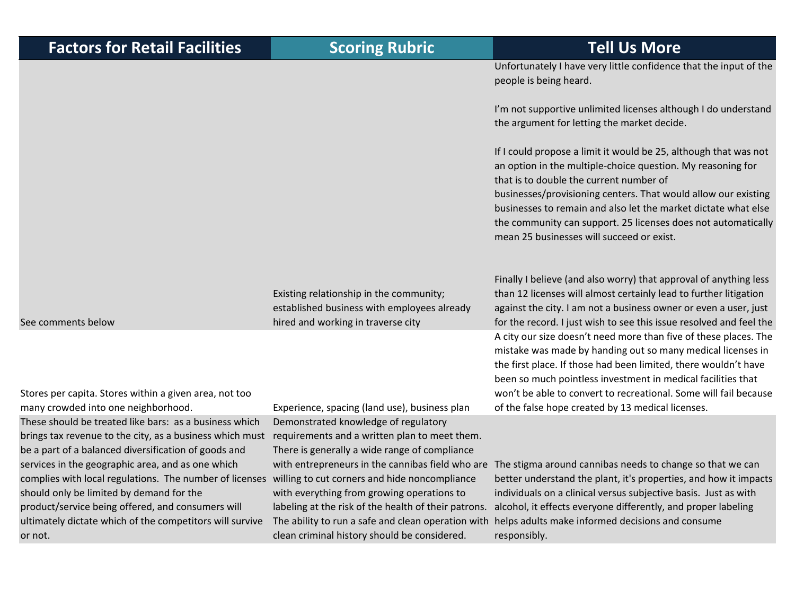Unfortunately I have very little confidence that the input of the people is being heard.

I'm not supportive unlimited licenses although I do understand the argument for letting the market decide.

If I could propose <sup>a</sup> limit it would be 25, although that was not an option in the multiple‐choice question. My reasoning for that is to double the current number of businesses/provisioning centers. That would allow our existing businesses to remain and also let the market dictate what else the community can support. 25 licenses does not automatically mean 25 businesses will succeed or exist.

Finally I believe (and also worry) that approval of anything less than 12 licenses will almost certainly lead to further litigation against the city. I am not <sup>a</sup> business owner or even <sup>a</sup> user, just for the record. I just wish to see this issue resolved and feel the A city our size doesn't need more than five of these places. The mistake was made by handing out so many medical licenses in the first place. If those had been limited, there wouldn't have been so much pointless investment in medical facilities that won't be able to convert to recreational. Some will fail because of the false hope created by 13 medical licenses.

with entrepreneurs in the cannibas field who are The stigma around cannibas needs to change so that we can better understand the plant, it's properties, and how it impacts individuals on <sup>a</sup> clinical versus subjective basis. Just as with alcohol, it effects everyone differently, and proper labeling helps adults make informed decisions and consume responsibly.

See comments below

or not.

Stores per capita. Stores within <sup>a</sup> given area, not too many crowded into one neighborhood. Experience, spacing (land use), business plan These should be treated like bars: as <sup>a</sup> business whichbrings tax revenue to the city, as a business which must requirements and a written plan to meet them. be <sup>a</sup> part of <sup>a</sup> balanced diversification of goods and services in the geographic area, and as one which complies with local regulations. The number of licenses should only be limited by demand for the product/service being offered, and consumers will ultimately dictate which of the competitors will survive

Demonstrated knowledge of regulatory There is generally <sup>a</sup> wide range of compliance willing to cut corners and hide noncompliance with everything from growing operations to labeling at the risk of the health of their patrons. The ability to run <sup>a</sup> safe and clean operation with clean criminal history should be considered.

Existing relationship in the community;

hired and working in traverse city

established business with employees already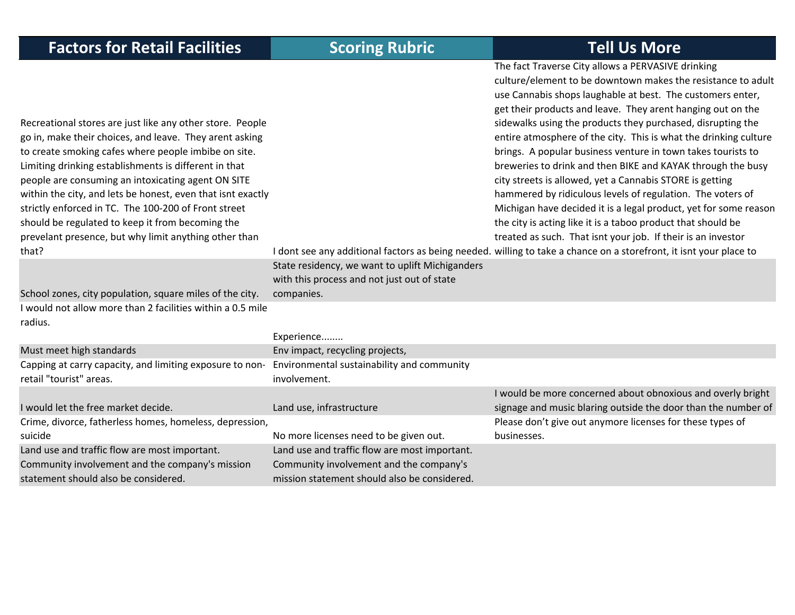| <b>Factors for Retail Facilities</b>                                                                                                                                                                                                                                                                                                                                                                                                                                                                                                     | <b>Scoring Rubric</b>                                                                                                                    | <b>Tell Us More</b>                                                                                                                                                                                                                                                                                                                                                                                                                                                                                                                                                                                                                                                                                                                                                                                                                                                                                                                                                   |
|------------------------------------------------------------------------------------------------------------------------------------------------------------------------------------------------------------------------------------------------------------------------------------------------------------------------------------------------------------------------------------------------------------------------------------------------------------------------------------------------------------------------------------------|------------------------------------------------------------------------------------------------------------------------------------------|-----------------------------------------------------------------------------------------------------------------------------------------------------------------------------------------------------------------------------------------------------------------------------------------------------------------------------------------------------------------------------------------------------------------------------------------------------------------------------------------------------------------------------------------------------------------------------------------------------------------------------------------------------------------------------------------------------------------------------------------------------------------------------------------------------------------------------------------------------------------------------------------------------------------------------------------------------------------------|
| Recreational stores are just like any other store. People<br>go in, make their choices, and leave. They arent asking<br>to create smoking cafes where people imbibe on site.<br>Limiting drinking establishments is different in that<br>people are consuming an intoxicating agent ON SITE<br>within the city, and lets be honest, even that isnt exactly<br>strictly enforced in TC. The 100-200 of Front street<br>should be regulated to keep it from becoming the<br>prevelant presence, but why limit anything other than<br>that? | State residency, we want to uplift Michiganders<br>with this process and not just out of state                                           | The fact Traverse City allows a PERVASIVE drinking<br>culture/element to be downtown makes the resistance to adult<br>use Cannabis shops laughable at best. The customers enter,<br>get their products and leave. They arent hanging out on the<br>sidewalks using the products they purchased, disrupting the<br>entire atmosphere of the city. This is what the drinking culture<br>brings. A popular business venture in town takes tourists to<br>breweries to drink and then BIKE and KAYAK through the busy<br>city streets is allowed, yet a Cannabis STORE is getting<br>hammered by ridiculous levels of regulation. The voters of<br>Michigan have decided it is a legal product, yet for some reason<br>the city is acting like it is a taboo product that should be<br>treated as such. That isnt your job. If their is an investor<br>I dont see any additional factors as being needed. willing to take a chance on a storefront, it isnt your place to |
| School zones, city population, square miles of the city.                                                                                                                                                                                                                                                                                                                                                                                                                                                                                 | companies.                                                                                                                               |                                                                                                                                                                                                                                                                                                                                                                                                                                                                                                                                                                                                                                                                                                                                                                                                                                                                                                                                                                       |
| I would not allow more than 2 facilities within a 0.5 mile<br>radius.                                                                                                                                                                                                                                                                                                                                                                                                                                                                    |                                                                                                                                          |                                                                                                                                                                                                                                                                                                                                                                                                                                                                                                                                                                                                                                                                                                                                                                                                                                                                                                                                                                       |
|                                                                                                                                                                                                                                                                                                                                                                                                                                                                                                                                          | Experience                                                                                                                               |                                                                                                                                                                                                                                                                                                                                                                                                                                                                                                                                                                                                                                                                                                                                                                                                                                                                                                                                                                       |
| Must meet high standards                                                                                                                                                                                                                                                                                                                                                                                                                                                                                                                 | Env impact, recycling projects,                                                                                                          |                                                                                                                                                                                                                                                                                                                                                                                                                                                                                                                                                                                                                                                                                                                                                                                                                                                                                                                                                                       |
| Capping at carry capacity, and limiting exposure to non-<br>retail "tourist" areas.                                                                                                                                                                                                                                                                                                                                                                                                                                                      | Environmental sustainability and community<br>involvement.                                                                               |                                                                                                                                                                                                                                                                                                                                                                                                                                                                                                                                                                                                                                                                                                                                                                                                                                                                                                                                                                       |
| I would let the free market decide.<br>Crime, divorce, fatherless homes, homeless, depression,<br>suicide                                                                                                                                                                                                                                                                                                                                                                                                                                | Land use, infrastructure<br>No more licenses need to be given out.                                                                       | I would be more concerned about obnoxious and overly bright<br>signage and music blaring outside the door than the number of<br>Please don't give out anymore licenses for these types of<br>businesses.                                                                                                                                                                                                                                                                                                                                                                                                                                                                                                                                                                                                                                                                                                                                                              |
| Land use and traffic flow are most important.<br>Community involvement and the company's mission<br>statement should also be considered.                                                                                                                                                                                                                                                                                                                                                                                                 | Land use and traffic flow are most important.<br>Community involvement and the company's<br>mission statement should also be considered. |                                                                                                                                                                                                                                                                                                                                                                                                                                                                                                                                                                                                                                                                                                                                                                                                                                                                                                                                                                       |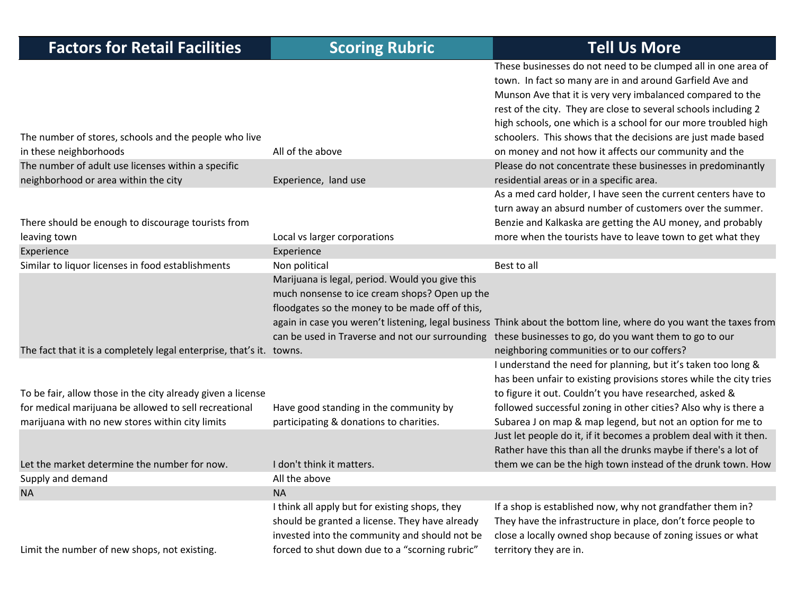| <b>Factors for Retail Facilities</b>                                 | <b>Scoring Rubric</b>                           | <b>Tell Us More</b>                                                                                               |
|----------------------------------------------------------------------|-------------------------------------------------|-------------------------------------------------------------------------------------------------------------------|
|                                                                      |                                                 | These businesses do not need to be clumped all in one area of                                                     |
|                                                                      |                                                 | town. In fact so many are in and around Garfield Ave and                                                          |
|                                                                      |                                                 | Munson Ave that it is very very imbalanced compared to the                                                        |
|                                                                      |                                                 | rest of the city. They are close to several schools including 2                                                   |
|                                                                      |                                                 | high schools, one which is a school for our more troubled high                                                    |
| The number of stores, schools and the people who live                |                                                 | schoolers. This shows that the decisions are just made based                                                      |
| in these neighborhoods                                               | All of the above                                | on money and not how it affects our community and the                                                             |
| The number of adult use licenses within a specific                   |                                                 | Please do not concentrate these businesses in predominantly                                                       |
| neighborhood or area within the city                                 | Experience, land use                            | residential areas or in a specific area.                                                                          |
|                                                                      |                                                 | As a med card holder, I have seen the current centers have to                                                     |
|                                                                      |                                                 | turn away an absurd number of customers over the summer.                                                          |
| There should be enough to discourage tourists from                   |                                                 | Benzie and Kalkaska are getting the AU money, and probably                                                        |
| leaving town                                                         | Local vs larger corporations                    | more when the tourists have to leave town to get what they                                                        |
| Experience                                                           | Experience                                      |                                                                                                                   |
| Similar to liquor licenses in food establishments                    | Non political                                   | Best to all                                                                                                       |
|                                                                      | Marijuana is legal, period. Would you give this |                                                                                                                   |
|                                                                      | much nonsense to ice cream shops? Open up the   |                                                                                                                   |
|                                                                      | floodgates so the money to be made off of this, |                                                                                                                   |
|                                                                      |                                                 | again in case you weren't listening, legal business Think about the bottom line, where do you want the taxes from |
|                                                                      |                                                 | can be used in Traverse and not our surrounding these businesses to go, do you want them to go to our             |
| The fact that it is a completely legal enterprise, that's it. towns. |                                                 | neighboring communities or to our coffers?                                                                        |
|                                                                      |                                                 | I understand the need for planning, but it's taken too long &                                                     |
|                                                                      |                                                 | has been unfair to existing provisions stores while the city tries                                                |
| To be fair, allow those in the city already given a license          |                                                 | to figure it out. Couldn't you have researched, asked &                                                           |
| for medical marijuana be allowed to sell recreational                | Have good standing in the community by          | followed successful zoning in other cities? Also why is there a                                                   |
| marijuana with no new stores within city limits                      | participating & donations to charities.         | Subarea J on map & map legend, but not an option for me to                                                        |
|                                                                      |                                                 | Just let people do it, if it becomes a problem deal with it then.                                                 |
|                                                                      |                                                 | Rather have this than all the drunks maybe if there's a lot of                                                    |
| Let the market determine the number for now.                         | I don't think it matters.                       | them we can be the high town instead of the drunk town. How                                                       |
| Supply and demand                                                    | All the above                                   |                                                                                                                   |
| <b>NA</b>                                                            | <b>NA</b>                                       |                                                                                                                   |
|                                                                      | I think all apply but for existing shops, they  | If a shop is established now, why not grandfather them in?                                                        |
|                                                                      | should be granted a license. They have already  | They have the infrastructure in place, don't force people to                                                      |
|                                                                      | invested into the community and should not be   | close a locally owned shop because of zoning issues or what                                                       |
| Limit the number of new shops, not existing.                         | forced to shut down due to a "scorning rubric"  | territory they are in.                                                                                            |
|                                                                      |                                                 |                                                                                                                   |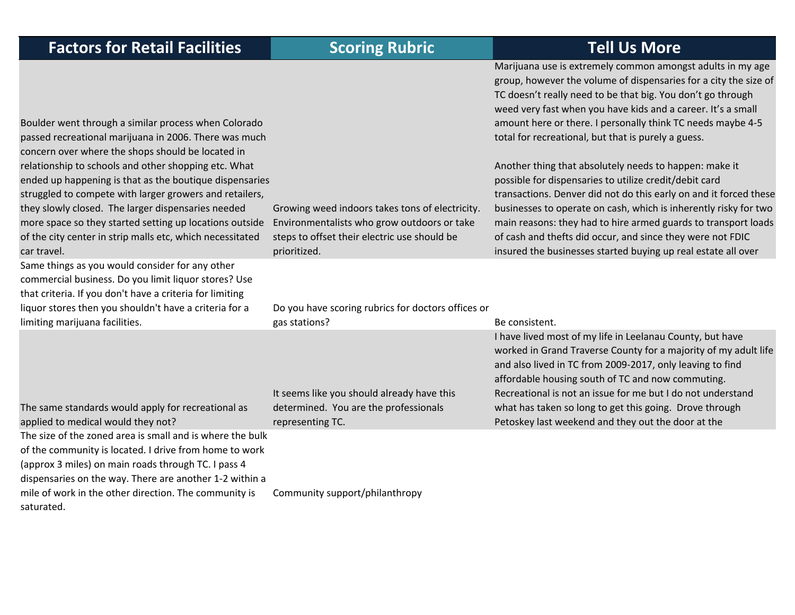| <b>Factors for Retail Facilities</b>                                                                                                                                                                                                                                                                                                                     | <b>Scoring Rubric</b>                                                                                                                          | <b>Tell Us More</b>                                                                                                                                                                                                                                                                                                                                                                       |
|----------------------------------------------------------------------------------------------------------------------------------------------------------------------------------------------------------------------------------------------------------------------------------------------------------------------------------------------------------|------------------------------------------------------------------------------------------------------------------------------------------------|-------------------------------------------------------------------------------------------------------------------------------------------------------------------------------------------------------------------------------------------------------------------------------------------------------------------------------------------------------------------------------------------|
| Boulder went through a similar process when Colorado<br>passed recreational marijuana in 2006. There was much<br>concern over where the shops should be located in                                                                                                                                                                                       |                                                                                                                                                | Marijuana use is extremely common amongst adults in my age<br>group, however the volume of dispensaries for a city the size of<br>TC doesn't really need to be that big. You don't go through<br>weed very fast when you have kids and a career. It's a small<br>amount here or there. I personally think TC needs maybe 4-5<br>total for recreational, but that is purely a guess.       |
| relationship to schools and other shopping etc. What<br>ended up happening is that as the boutique dispensaries<br>struggled to compete with larger growers and retailers,<br>they slowly closed. The larger dispensaries needed<br>more space so they started setting up locations outside<br>of the city center in strip malls etc, which necessitated | Growing weed indoors takes tons of electricity.<br>Environmentalists who grow outdoors or take<br>steps to offset their electric use should be | Another thing that absolutely needs to happen: make it<br>possible for dispensaries to utilize credit/debit card<br>transactions. Denver did not do this early on and it forced these<br>businesses to operate on cash, which is inherently risky for two<br>main reasons: they had to hire armed guards to transport loads<br>of cash and thefts did occur, and since they were not FDIC |
| car travel.<br>Same things as you would consider for any other                                                                                                                                                                                                                                                                                           | prioritized.                                                                                                                                   | insured the businesses started buying up real estate all over                                                                                                                                                                                                                                                                                                                             |
| commercial business. Do you limit liquor stores? Use<br>that criteria. If you don't have a criteria for limiting<br>liquor stores then you shouldn't have a criteria for a                                                                                                                                                                               | Do you have scoring rubrics for doctors offices or                                                                                             |                                                                                                                                                                                                                                                                                                                                                                                           |
| limiting marijuana facilities.                                                                                                                                                                                                                                                                                                                           | gas stations?                                                                                                                                  | Be consistent.                                                                                                                                                                                                                                                                                                                                                                            |
|                                                                                                                                                                                                                                                                                                                                                          | It seems like you should already have this                                                                                                     | I have lived most of my life in Leelanau County, but have<br>worked in Grand Traverse County for a majority of my adult life<br>and also lived in TC from 2009-2017, only leaving to find<br>affordable housing south of TC and now commuting.<br>Recreational is not an issue for me but I do not understand                                                                             |
| The same standards would apply for recreational as<br>applied to medical would they not?                                                                                                                                                                                                                                                                 | determined. You are the professionals<br>representing TC.                                                                                      | what has taken so long to get this going. Drove through<br>Petoskey last weekend and they out the door at the                                                                                                                                                                                                                                                                             |
| The size of the zoned area is small and is where the bulk<br>of the community is located. I drive from home to work<br>(approx 3 miles) on main roads through TC. I pass 4<br>dispensaries on the way. There are another 1-2 within a                                                                                                                    |                                                                                                                                                |                                                                                                                                                                                                                                                                                                                                                                                           |
| mile of work in the other direction. The community is<br>saturated.                                                                                                                                                                                                                                                                                      | Community support/philanthropy                                                                                                                 |                                                                                                                                                                                                                                                                                                                                                                                           |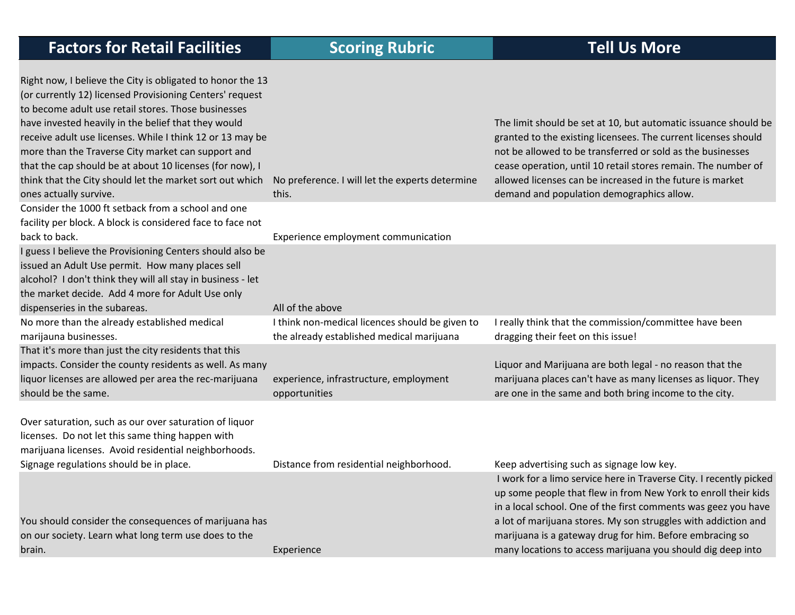|  | <b>Factors for Retail Facilities</b> |  |  |  |  |
|--|--------------------------------------|--|--|--|--|
|--|--------------------------------------|--|--|--|--|

| Right now, I believe the City is obligated to honor the 13<br>(or currently 12) licensed Provisioning Centers' request<br>to become adult use retail stores. Those businesses<br>have invested heavily in the belief that they would<br>receive adult use licenses. While I think 12 or 13 may be<br>more than the Traverse City market can support and<br>that the cap should be at about 10 licenses (for now), I<br>think that the City should let the market sort out which<br>ones actually survive. | No preference. I will let the experts determine<br>this.                                     | The limit should be set at 10, but automatic issuance should be<br>granted to the existing licensees. The current licenses should<br>not be allowed to be transferred or sold as the businesses<br>cease operation, until 10 retail stores remain. The number of<br>allowed licenses can be increased in the future is market<br>demand and population demographics allow. |
|-----------------------------------------------------------------------------------------------------------------------------------------------------------------------------------------------------------------------------------------------------------------------------------------------------------------------------------------------------------------------------------------------------------------------------------------------------------------------------------------------------------|----------------------------------------------------------------------------------------------|----------------------------------------------------------------------------------------------------------------------------------------------------------------------------------------------------------------------------------------------------------------------------------------------------------------------------------------------------------------------------|
| Consider the 1000 ft setback from a school and one<br>facility per block. A block is considered face to face not<br>back to back.                                                                                                                                                                                                                                                                                                                                                                         | Experience employment communication                                                          |                                                                                                                                                                                                                                                                                                                                                                            |
| I guess I believe the Provisioning Centers should also be<br>issued an Adult Use permit. How many places sell<br>alcohol? I don't think they will all stay in business - let<br>the market decide. Add 4 more for Adult Use only<br>dispenseries in the subareas.                                                                                                                                                                                                                                         | All of the above                                                                             |                                                                                                                                                                                                                                                                                                                                                                            |
| No more than the already established medical<br>marijauna businesses.                                                                                                                                                                                                                                                                                                                                                                                                                                     | I think non-medical licences should be given to<br>the already established medical marijuana | I really think that the commission/committee have been<br>dragging their feet on this issue!                                                                                                                                                                                                                                                                               |
| That it's more than just the city residents that this<br>impacts. Consider the county residents as well. As many<br>liquor licenses are allowed per area the rec-marijuana<br>should be the same.                                                                                                                                                                                                                                                                                                         | experience, infrastructure, employment<br>opportunities                                      | Liquor and Marijuana are both legal - no reason that the<br>marijuana places can't have as many licenses as liquor. They<br>are one in the same and both bring income to the city.                                                                                                                                                                                         |
| Over saturation, such as our over saturation of liquor<br>licenses. Do not let this same thing happen with<br>marijuana licenses. Avoid residential neighborhoods.                                                                                                                                                                                                                                                                                                                                        |                                                                                              |                                                                                                                                                                                                                                                                                                                                                                            |
| Signage regulations should be in place.                                                                                                                                                                                                                                                                                                                                                                                                                                                                   | Distance from residential neighborhood.                                                      | Keep advertising such as signage low key.<br>I work for a limo service here in Traverse City. I recently picked<br>up some people that flew in from New York to enroll their kids<br>in a local school. One of the first comments was geez you have                                                                                                                        |
| You should consider the consequences of marijuana has<br>on our society. Learn what long term use does to the<br>brain.                                                                                                                                                                                                                                                                                                                                                                                   | Experience                                                                                   | a lot of marijuana stores. My son struggles with addiction and<br>marijuana is a gateway drug for him. Before embracing so<br>many locations to access marijuana you should dig deep into                                                                                                                                                                                  |
|                                                                                                                                                                                                                                                                                                                                                                                                                                                                                                           |                                                                                              |                                                                                                                                                                                                                                                                                                                                                                            |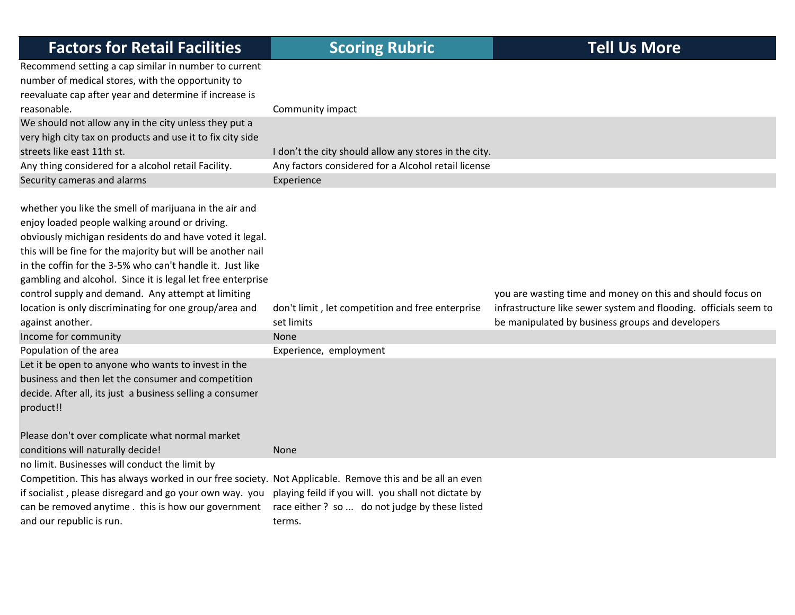| <b>Factors for Retail Facilities</b>                                                                                                                                                                                                                                                                                                                            | <b>Scoring Rubric</b>                                                                                          | <b>Tell Us More</b>                                                                                                  |
|-----------------------------------------------------------------------------------------------------------------------------------------------------------------------------------------------------------------------------------------------------------------------------------------------------------------------------------------------------------------|----------------------------------------------------------------------------------------------------------------|----------------------------------------------------------------------------------------------------------------------|
| Recommend setting a cap similar in number to current<br>number of medical stores, with the opportunity to<br>reevaluate cap after year and determine if increase is<br>reasonable.                                                                                                                                                                              | Community impact                                                                                               |                                                                                                                      |
| We should not allow any in the city unless they put a<br>very high city tax on products and use it to fix city side                                                                                                                                                                                                                                             |                                                                                                                |                                                                                                                      |
| streets like east 11th st.                                                                                                                                                                                                                                                                                                                                      | I don't the city should allow any stores in the city.                                                          |                                                                                                                      |
| Any thing considered for a alcohol retail Facility.                                                                                                                                                                                                                                                                                                             | Any factors considered for a Alcohol retail license                                                            |                                                                                                                      |
| Security cameras and alarms                                                                                                                                                                                                                                                                                                                                     | Experience                                                                                                     |                                                                                                                      |
| whether you like the smell of marijuana in the air and<br>enjoy loaded people walking around or driving.<br>obviously michigan residents do and have voted it legal.<br>this will be fine for the majority but will be another nail<br>in the coffin for the 3-5% who can't handle it. Just like<br>gambling and alcohol. Since it is legal let free enterprise |                                                                                                                |                                                                                                                      |
| control supply and demand. Any attempt at limiting                                                                                                                                                                                                                                                                                                              |                                                                                                                | you are wasting time and money on this and should focus on                                                           |
| location is only discriminating for one group/area and<br>against another.                                                                                                                                                                                                                                                                                      | don't limit, let competition and free enterprise<br>set limits                                                 | infrastructure like sewer system and flooding. officials seem to<br>be manipulated by business groups and developers |
| Income for community                                                                                                                                                                                                                                                                                                                                            | None                                                                                                           |                                                                                                                      |
| Population of the area                                                                                                                                                                                                                                                                                                                                          | Experience, employment                                                                                         |                                                                                                                      |
| Let it be open to anyone who wants to invest in the<br>business and then let the consumer and competition<br>decide. After all, its just a business selling a consumer<br>product!!                                                                                                                                                                             |                                                                                                                |                                                                                                                      |
| Please don't over complicate what normal market                                                                                                                                                                                                                                                                                                                 |                                                                                                                |                                                                                                                      |
| conditions will naturally decide!                                                                                                                                                                                                                                                                                                                               | <b>None</b>                                                                                                    |                                                                                                                      |
| no limit. Businesses will conduct the limit by<br>Competition. This has always worked in our free society. Not Applicable. Remove this and be all an even<br>if socialist, please disregard and go your own way. you<br>can be removed anytime . this is how our government<br>and our republic is run.                                                         | playing feild if you will. you shall not dictate by<br>race either? so  do not judge by these listed<br>terms. |                                                                                                                      |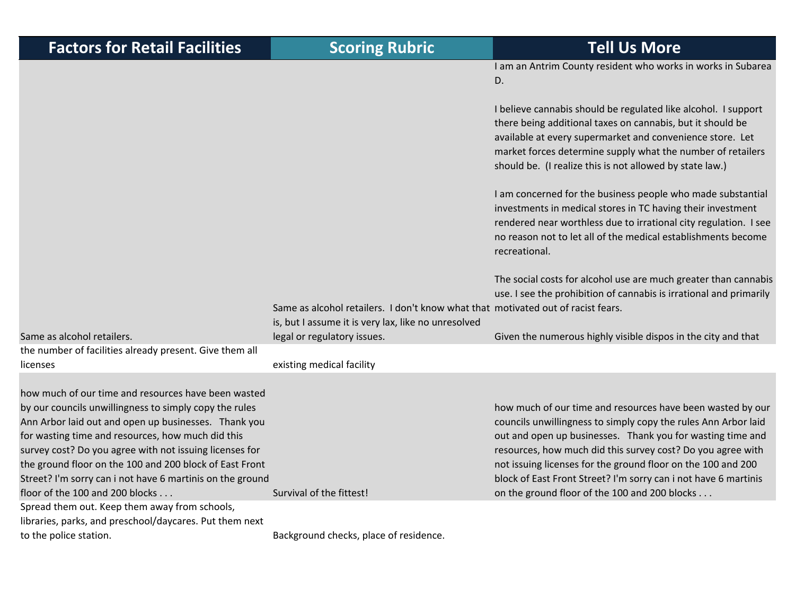| <b>Factors for Retail Facilities</b>                                                                                                                                                                                                                                                                                                                                                                                                             | <b>Scoring Rubric</b>                                                                                                                   | <b>Tell Us More</b>                                                                                                                                                                                                                                                                                                                                                                                                                           |
|--------------------------------------------------------------------------------------------------------------------------------------------------------------------------------------------------------------------------------------------------------------------------------------------------------------------------------------------------------------------------------------------------------------------------------------------------|-----------------------------------------------------------------------------------------------------------------------------------------|-----------------------------------------------------------------------------------------------------------------------------------------------------------------------------------------------------------------------------------------------------------------------------------------------------------------------------------------------------------------------------------------------------------------------------------------------|
|                                                                                                                                                                                                                                                                                                                                                                                                                                                  |                                                                                                                                         | I am an Antrim County resident who works in works in Subarea<br>D.                                                                                                                                                                                                                                                                                                                                                                            |
|                                                                                                                                                                                                                                                                                                                                                                                                                                                  |                                                                                                                                         | I believe cannabis should be regulated like alcohol. I support<br>there being additional taxes on cannabis, but it should be<br>available at every supermarket and convenience store. Let<br>market forces determine supply what the number of retailers<br>should be. (I realize this is not allowed by state law.)                                                                                                                          |
|                                                                                                                                                                                                                                                                                                                                                                                                                                                  |                                                                                                                                         | I am concerned for the business people who made substantial<br>investments in medical stores in TC having their investment<br>rendered near worthless due to irrational city regulation. I see<br>no reason not to let all of the medical establishments become<br>recreational.                                                                                                                                                              |
|                                                                                                                                                                                                                                                                                                                                                                                                                                                  | Same as alcohol retailers. I don't know what that motivated out of racist fears.<br>is, but I assume it is very lax, like no unresolved | The social costs for alcohol use are much greater than cannabis<br>use. I see the prohibition of cannabis is irrational and primarily                                                                                                                                                                                                                                                                                                         |
| Same as alcohol retailers.                                                                                                                                                                                                                                                                                                                                                                                                                       | legal or regulatory issues.                                                                                                             | Given the numerous highly visible dispos in the city and that                                                                                                                                                                                                                                                                                                                                                                                 |
| the number of facilities already present. Give them all<br>licenses                                                                                                                                                                                                                                                                                                                                                                              | existing medical facility                                                                                                               |                                                                                                                                                                                                                                                                                                                                                                                                                                               |
| how much of our time and resources have been wasted<br>by our councils unwillingness to simply copy the rules<br>Ann Arbor laid out and open up businesses. Thank you<br>for wasting time and resources, how much did this<br>survey cost? Do you agree with not issuing licenses for<br>the ground floor on the 100 and 200 block of East Front<br>Street? I'm sorry can i not have 6 martinis on the ground<br>floor of the 100 and 200 blocks | Survival of the fittest!                                                                                                                | how much of our time and resources have been wasted by our<br>councils unwillingness to simply copy the rules Ann Arbor laid<br>out and open up businesses. Thank you for wasting time and<br>resources, how much did this survey cost? Do you agree with<br>not issuing licenses for the ground floor on the 100 and 200<br>block of East Front Street? I'm sorry can i not have 6 martinis<br>on the ground floor of the 100 and 200 blocks |
| Spread them out. Keep them away from schools,<br>libraries, parks, and preschool/daycares. Put them next<br>to the police station.                                                                                                                                                                                                                                                                                                               | Background checks, place of residence.                                                                                                  |                                                                                                                                                                                                                                                                                                                                                                                                                                               |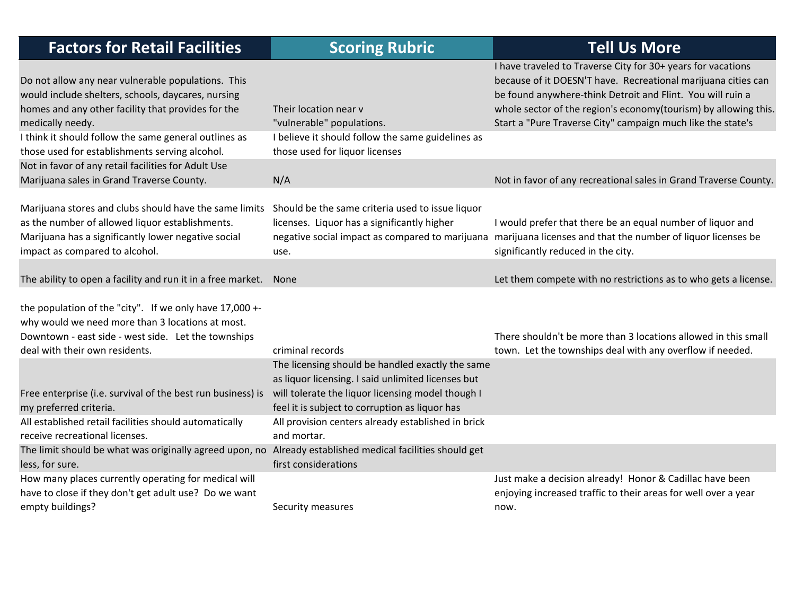| <b>Factors for Retail Facilities</b>                                                                                                                                                                 | <b>Scoring Rubric</b>                                                                                                                                                                                         | <b>Tell Us More</b>                                                                                                                                                                                                                                                                                                           |
|------------------------------------------------------------------------------------------------------------------------------------------------------------------------------------------------------|---------------------------------------------------------------------------------------------------------------------------------------------------------------------------------------------------------------|-------------------------------------------------------------------------------------------------------------------------------------------------------------------------------------------------------------------------------------------------------------------------------------------------------------------------------|
| Do not allow any near vulnerable populations. This<br>would include shelters, schools, daycares, nursing<br>homes and any other facility that provides for the<br>medically needy.                   | Their location near v<br>"vulnerable" populations.                                                                                                                                                            | I have traveled to Traverse City for 30+ years for vacations<br>because of it DOESN'T have. Recreational marijuana cities can<br>be found anywhere-think Detroit and Flint. You will ruin a<br>whole sector of the region's economy(tourism) by allowing this.<br>Start a "Pure Traverse City" campaign much like the state's |
| I think it should follow the same general outlines as<br>those used for establishments serving alcohol.                                                                                              | I believe it should follow the same guidelines as<br>those used for liquor licenses                                                                                                                           |                                                                                                                                                                                                                                                                                                                               |
| Not in favor of any retail facilities for Adult Use<br>Marijuana sales in Grand Traverse County.                                                                                                     | N/A                                                                                                                                                                                                           | Not in favor of any recreational sales in Grand Traverse County.                                                                                                                                                                                                                                                              |
| Marijuana stores and clubs should have the same limits<br>as the number of allowed liquor establishments.<br>Marijuana has a significantly lower negative social<br>impact as compared to alcohol.   | Should be the same criteria used to issue liquor<br>licenses. Liquor has a significantly higher<br>negative social impact as compared to marijuana<br>use.                                                    | I would prefer that there be an equal number of liquor and<br>marijuana licenses and that the number of liquor licenses be<br>significantly reduced in the city.                                                                                                                                                              |
| The ability to open a facility and run it in a free market. None                                                                                                                                     |                                                                                                                                                                                                               | Let them compete with no restrictions as to who gets a license.                                                                                                                                                                                                                                                               |
| the population of the "city". If we only have 17,000 +-<br>why would we need more than 3 locations at most.<br>Downtown - east side - west side. Let the townships<br>deal with their own residents. | criminal records                                                                                                                                                                                              | There shouldn't be more than 3 locations allowed in this small<br>town. Let the townships deal with any overflow if needed.                                                                                                                                                                                                   |
| Free enterprise (i.e. survival of the best run business) is<br>my preferred criteria.                                                                                                                | The licensing should be handled exactly the same<br>as liquor licensing. I said unlimited licenses but<br>will tolerate the liquor licensing model though I<br>feel it is subject to corruption as liquor has |                                                                                                                                                                                                                                                                                                                               |
| All established retail facilities should automatically<br>receive recreational licenses.                                                                                                             | All provision centers already established in brick<br>and mortar.                                                                                                                                             |                                                                                                                                                                                                                                                                                                                               |
| The limit should be what was originally agreed upon, no Already established medical facilities should get<br>less, for sure.                                                                         | first considerations                                                                                                                                                                                          |                                                                                                                                                                                                                                                                                                                               |
| How many places currently operating for medical will<br>have to close if they don't get adult use? Do we want<br>empty buildings?                                                                    | Security measures                                                                                                                                                                                             | Just make a decision already! Honor & Cadillac have been<br>enjoying increased traffic to their areas for well over a year<br>now.                                                                                                                                                                                            |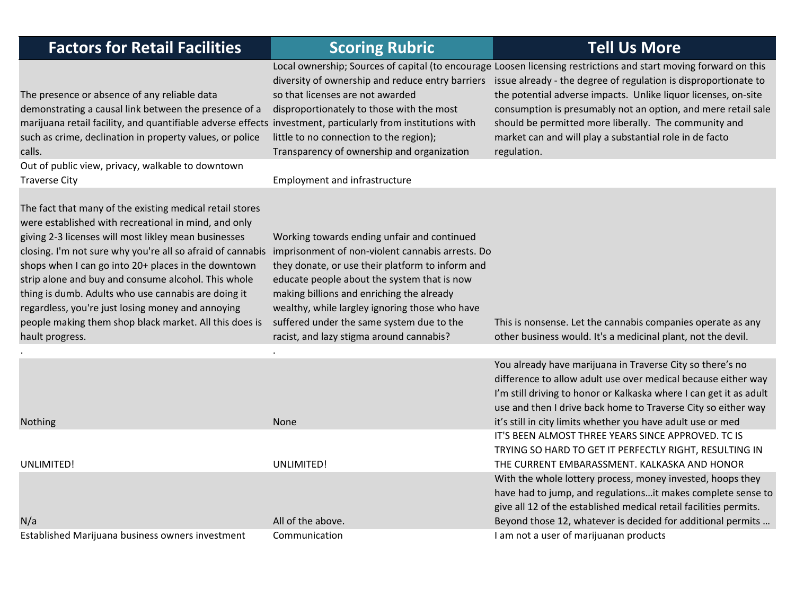| <b>Factors for Retail Facilities</b>                                                                                                                                                                                                                                                                                                                                                                                                                                                                                                          | <b>Scoring Rubric</b>                                                                                                                                                                                                                                                                                                                                                                      | <b>Tell Us More</b>                                                                                                                                                                                                                                                                                                                                                                                                                                       |
|-----------------------------------------------------------------------------------------------------------------------------------------------------------------------------------------------------------------------------------------------------------------------------------------------------------------------------------------------------------------------------------------------------------------------------------------------------------------------------------------------------------------------------------------------|--------------------------------------------------------------------------------------------------------------------------------------------------------------------------------------------------------------------------------------------------------------------------------------------------------------------------------------------------------------------------------------------|-----------------------------------------------------------------------------------------------------------------------------------------------------------------------------------------------------------------------------------------------------------------------------------------------------------------------------------------------------------------------------------------------------------------------------------------------------------|
| The presence or absence of any reliable data<br>demonstrating a causal link between the presence of a<br>marijuana retail facility, and quantifiable adverse effects investment, particularly from institutions with<br>such as crime, declination in property values, or police<br>calls.                                                                                                                                                                                                                                                    | diversity of ownership and reduce entry barriers<br>so that licenses are not awarded<br>disproportionately to those with the most<br>little to no connection to the region);<br>Transparency of ownership and organization                                                                                                                                                                 | Local ownership; Sources of capital (to encourage Loosen licensing restrictions and start moving forward on this<br>issue already - the degree of regulation is disproportionate to<br>the potential adverse impacts. Unlike liquor licenses, on-site<br>consumption is presumably not an option, and mere retail sale<br>should be permitted more liberally. The community and<br>market can and will play a substantial role in de facto<br>regulation. |
| Out of public view, privacy, walkable to downtown<br><b>Traverse City</b>                                                                                                                                                                                                                                                                                                                                                                                                                                                                     | <b>Employment and infrastructure</b>                                                                                                                                                                                                                                                                                                                                                       |                                                                                                                                                                                                                                                                                                                                                                                                                                                           |
| The fact that many of the existing medical retail stores<br>were established with recreational in mind, and only<br>giving 2-3 licenses will most likley mean businesses<br>closing. I'm not sure why you're all so afraid of cannabis<br>shops when I can go into 20+ places in the downtown<br>strip alone and buy and consume alcohol. This whole<br>thing is dumb. Adults who use cannabis are doing it<br>regardless, you're just losing money and annoying<br>people making them shop black market. All this does is<br>hault progress. | Working towards ending unfair and continued<br>imprisonment of non-violent cannabis arrests. Do<br>they donate, or use their platform to inform and<br>educate people about the system that is now<br>making billions and enriching the already<br>wealthy, while largley ignoring those who have<br>suffered under the same system due to the<br>racist, and lazy stigma around cannabis? | This is nonsense. Let the cannabis companies operate as any<br>other business would. It's a medicinal plant, not the devil.                                                                                                                                                                                                                                                                                                                               |
|                                                                                                                                                                                                                                                                                                                                                                                                                                                                                                                                               |                                                                                                                                                                                                                                                                                                                                                                                            | You already have marijuana in Traverse City so there's no                                                                                                                                                                                                                                                                                                                                                                                                 |
| <b>Nothing</b>                                                                                                                                                                                                                                                                                                                                                                                                                                                                                                                                | None                                                                                                                                                                                                                                                                                                                                                                                       | difference to allow adult use over medical because either way<br>I'm still driving to honor or Kalkaska where I can get it as adult<br>use and then I drive back home to Traverse City so either way<br>it's still in city limits whether you have adult use or med                                                                                                                                                                                       |
| UNLIMITED!                                                                                                                                                                                                                                                                                                                                                                                                                                                                                                                                    | UNLIMITED!                                                                                                                                                                                                                                                                                                                                                                                 | IT'S BEEN ALMOST THREE YEARS SINCE APPROVED. TC IS<br>TRYING SO HARD TO GET IT PERFECTLY RIGHT, RESULTING IN<br>THE CURRENT EMBARASSMENT. KALKASKA AND HONOR                                                                                                                                                                                                                                                                                              |
|                                                                                                                                                                                                                                                                                                                                                                                                                                                                                                                                               | All of the above.                                                                                                                                                                                                                                                                                                                                                                          | With the whole lottery process, money invested, hoops they<br>have had to jump, and regulationsit makes complete sense to<br>give all 12 of the established medical retail facilities permits.                                                                                                                                                                                                                                                            |
| N/a                                                                                                                                                                                                                                                                                                                                                                                                                                                                                                                                           |                                                                                                                                                                                                                                                                                                                                                                                            | Beyond those 12, whatever is decided for additional permits                                                                                                                                                                                                                                                                                                                                                                                               |

Established Marijuana business owners investment Communication **I am not a user of marijuanan products** and the communication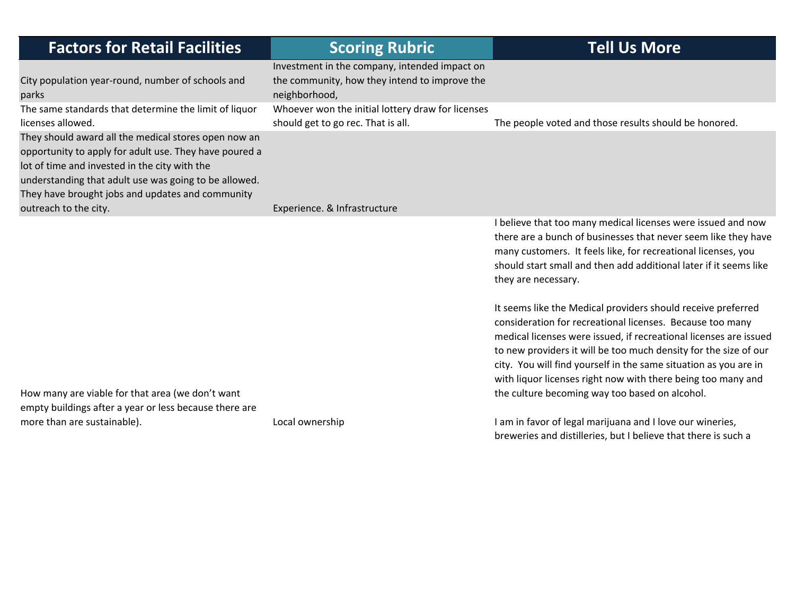| <b>Factors for Retail Facilities</b>                                                                                                                                                                                                                                                                  | <b>Scoring Rubric</b>                                                                                           | <b>Tell Us More</b>                                                                                                                                                                                                                                                                                                                                                                                                                                      |
|-------------------------------------------------------------------------------------------------------------------------------------------------------------------------------------------------------------------------------------------------------------------------------------------------------|-----------------------------------------------------------------------------------------------------------------|----------------------------------------------------------------------------------------------------------------------------------------------------------------------------------------------------------------------------------------------------------------------------------------------------------------------------------------------------------------------------------------------------------------------------------------------------------|
| City population year-round, number of schools and<br>parks                                                                                                                                                                                                                                            | Investment in the company, intended impact on<br>the community, how they intend to improve the<br>neighborhood, |                                                                                                                                                                                                                                                                                                                                                                                                                                                          |
| The same standards that determine the limit of liquor<br>licenses allowed.                                                                                                                                                                                                                            | Whoever won the initial lottery draw for licenses<br>should get to go rec. That is all.                         | The people voted and those results should be honored.                                                                                                                                                                                                                                                                                                                                                                                                    |
| They should award all the medical stores open now an<br>opportunity to apply for adult use. They have poured a<br>lot of time and invested in the city with the<br>understanding that adult use was going to be allowed.<br>They have brought jobs and updates and community<br>outreach to the city. |                                                                                                                 |                                                                                                                                                                                                                                                                                                                                                                                                                                                          |
|                                                                                                                                                                                                                                                                                                       | Experience. & Infrastructure                                                                                    | I believe that too many medical licenses were issued and now<br>there are a bunch of businesses that never seem like they have<br>many customers. It feels like, for recreational licenses, you<br>should start small and then add additional later if it seems like<br>they are necessary.                                                                                                                                                              |
| How many are viable for that area (we don't want                                                                                                                                                                                                                                                      |                                                                                                                 | It seems like the Medical providers should receive preferred<br>consideration for recreational licenses. Because too many<br>medical licenses were issued, if recreational licenses are issued<br>to new providers it will be too much density for the size of our<br>city. You will find yourself in the same situation as you are in<br>with liquor licenses right now with there being too many and<br>the culture becoming way too based on alcohol. |
| empty buildings after a year or less because there are                                                                                                                                                                                                                                                |                                                                                                                 |                                                                                                                                                                                                                                                                                                                                                                                                                                                          |
| more than are sustainable).                                                                                                                                                                                                                                                                           | Local ownership                                                                                                 | I am in favor of legal marijuana and I love our wineries,<br>breweries and distilleries, but I believe that there is such a                                                                                                                                                                                                                                                                                                                              |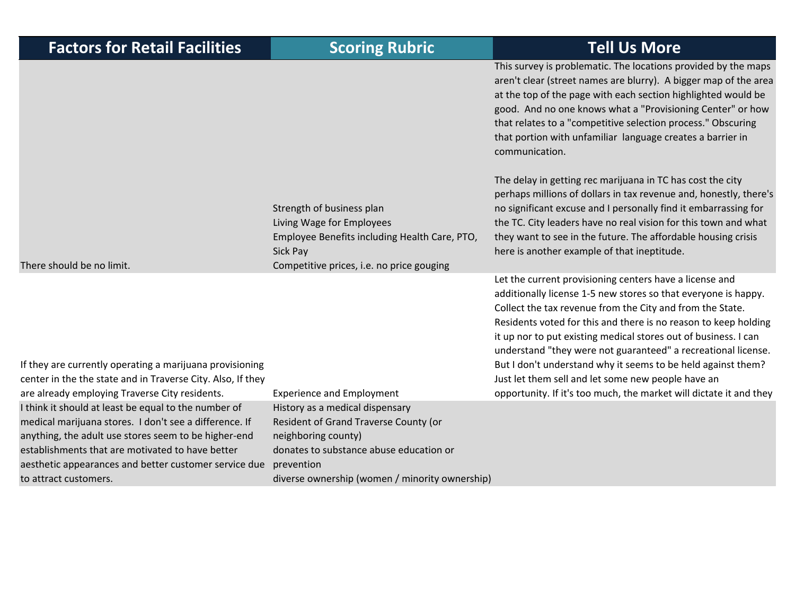| <b>Factors for Retail Facilities</b>                                                                                                                                                                                                                                                                         | <b>Scoring Rubric</b>                                                                                                                                                                                      | <b>Tell Us More</b>                                                                                                                                                                                                                                                                                                                                                                                                                                                                                                                                                                       |
|--------------------------------------------------------------------------------------------------------------------------------------------------------------------------------------------------------------------------------------------------------------------------------------------------------------|------------------------------------------------------------------------------------------------------------------------------------------------------------------------------------------------------------|-------------------------------------------------------------------------------------------------------------------------------------------------------------------------------------------------------------------------------------------------------------------------------------------------------------------------------------------------------------------------------------------------------------------------------------------------------------------------------------------------------------------------------------------------------------------------------------------|
|                                                                                                                                                                                                                                                                                                              |                                                                                                                                                                                                            | This survey is problematic. The locations provided by the maps<br>aren't clear (street names are blurry). A bigger map of the area<br>at the top of the page with each section highlighted would be<br>good. And no one knows what a "Provisioning Center" or how<br>that relates to a "competitive selection process." Obscuring<br>that portion with unfamiliar language creates a barrier in<br>communication.                                                                                                                                                                         |
| There should be no limit.                                                                                                                                                                                                                                                                                    | Strength of business plan<br>Living Wage for Employees<br>Employee Benefits including Health Care, PTO,<br>Sick Pay<br>Competitive prices, i.e. no price gouging                                           | The delay in getting rec marijuana in TC has cost the city<br>perhaps millions of dollars in tax revenue and, honestly, there's<br>no significant excuse and I personally find it embarrassing for<br>the TC. City leaders have no real vision for this town and what<br>they want to see in the future. The affordable housing crisis<br>here is another example of that ineptitude.                                                                                                                                                                                                     |
| If they are currently operating a marijuana provisioning<br>center in the the state and in Traverse City. Also, If they<br>are already employing Traverse City residents.                                                                                                                                    | <b>Experience and Employment</b>                                                                                                                                                                           | Let the current provisioning centers have a license and<br>additionally license 1-5 new stores so that everyone is happy.<br>Collect the tax revenue from the City and from the State.<br>Residents voted for this and there is no reason to keep holding<br>it up nor to put existing medical stores out of business. I can<br>understand "they were not guaranteed" a recreational license.<br>But I don't understand why it seems to be held against them?<br>Just let them sell and let some new people have an<br>opportunity. If it's too much, the market will dictate it and they |
| I think it should at least be equal to the number of<br>medical marijuana stores. I don't see a difference. If<br>anything, the adult use stores seem to be higher-end<br>establishments that are motivated to have better<br>aesthetic appearances and better customer service due<br>to attract customers. | History as a medical dispensary<br>Resident of Grand Traverse County (or<br>neighboring county)<br>donates to substance abuse education or<br>prevention<br>diverse ownership (women / minority ownership) |                                                                                                                                                                                                                                                                                                                                                                                                                                                                                                                                                                                           |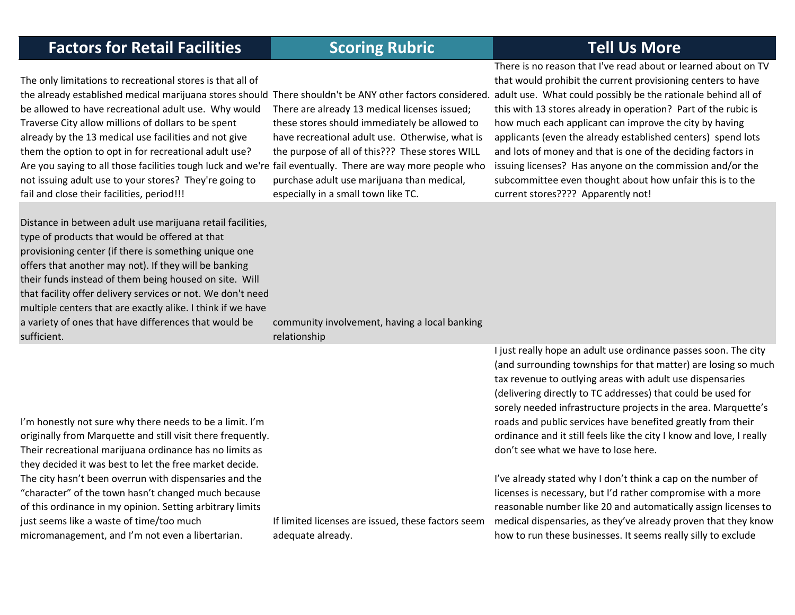The only limitations to recreational stores is that all of be allowed to have recreational adult use. Why would Traverse City allow millions of dollars to be spent already by the 13 medical use facilities and not give them the option to opt in for recreational adult use? Are you saying to all those facilities tough luck and we're fail eventually. There are way more people who not issuing adult use to your stores? They're going to fail and close their facilities, period!!!

Distance in between adult use marijuana retail facilities, type of products that would be offered at that provisioning center (if there is something unique one offers that another may not). If they will be banking their funds instead of them being housed on site. Will that facility offer delivery services or not. We don't need multiple centers that are exactly alike. I think if we have a variety of ones that have differences that would be sufficient.

There are already 13 medical licenses issued; these stores should immediately be allowed to have recreational adult use. Otherwise, what is the purpose of all of this??? These stores WILL purchase adult use marijuana than medical, especially in <sup>a</sup> small town like TC.

the already established medical marijuana stores should There shouldn't be ANY other factors considered. adult use. What could possibly be the rationale behind all of There is no reason that I've read about or learned about on TVthat would prohibit the current provisioning centers to have this with 13 stores already in operation? Part of the rubic is how much each applicant can improve the city by having applicants (even the already established centers) spend lots and lots of money and that is one of the deciding factors in issuing licenses? Has anyone on the commission and/or the subcommittee even thought about how unfair this is to the current stores???? Apparently not!

> community involvement, having <sup>a</sup> local banking relationship

I'm honestly not sure why there needs to be <sup>a</sup> limit. I'm originally from Marquette and still visit there frequently. Their recreational marijuana ordinance has no limits as they decided it was best to let the free market decide. The city hasn't been overrun with dispensaries and the "character" of the town hasn't changed much because of this ordinance in my opinion. Setting arbitrary limits just seems like <sup>a</sup> waste of time/too much micromanagement, and I'm not even <sup>a</sup> libertarian.

If limited licenses are issued, these factors seem adequate already.

I just really hope an adult use ordinance passes soon. The city (and surrounding townships for that matter) are losing so much tax revenue to outlying areas with adult use dispensaries (delivering directly to TC addresses) that could be used for sorely needed infrastructure projects in the area. Marquette's roads and public services have benefited greatly from their ordinance and it still feels like the city I know and love, I really don't see what we have to lose here.

I've already stated why I don't think <sup>a</sup> cap on the number of licenses is necessary, but I'd rather compromise with <sup>a</sup> more reasonable number like 20 and automatically assign licenses to medical dispensaries, as they've already proven that they know how to run these businesses. It seems really silly to exclude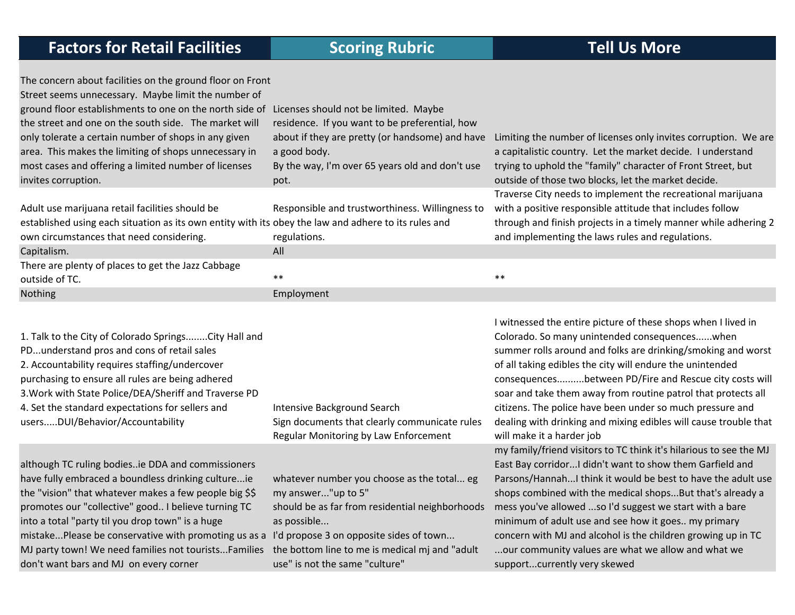| The concern about facilities on the ground floor on Front<br>Street seems unnecessary. Maybe limit the number of<br>ground floor establishments to one on the north side of<br>the street and one on the south side. The market will<br>only tolerate a certain number of shops in any given                                                                                                                                           | Licenses should not be limited. Maybe<br>residence. If you want to be preferential, how<br>about if they are pretty (or handsome) and have                                                                                                                        | Limiting the number of licenses only invites corruption. We are                                                                                                                                                                                                                                                                                                                                                                                                                                                                                                                                            |
|----------------------------------------------------------------------------------------------------------------------------------------------------------------------------------------------------------------------------------------------------------------------------------------------------------------------------------------------------------------------------------------------------------------------------------------|-------------------------------------------------------------------------------------------------------------------------------------------------------------------------------------------------------------------------------------------------------------------|------------------------------------------------------------------------------------------------------------------------------------------------------------------------------------------------------------------------------------------------------------------------------------------------------------------------------------------------------------------------------------------------------------------------------------------------------------------------------------------------------------------------------------------------------------------------------------------------------------|
| area. This makes the limiting of shops unnecessary in                                                                                                                                                                                                                                                                                                                                                                                  | a good body.                                                                                                                                                                                                                                                      | a capitalistic country. Let the market decide. I understand                                                                                                                                                                                                                                                                                                                                                                                                                                                                                                                                                |
| most cases and offering a limited number of licenses<br>invites corruption.                                                                                                                                                                                                                                                                                                                                                            | By the way, I'm over 65 years old and don't use<br>pot.                                                                                                                                                                                                           | trying to uphold the "family" character of Front Street, but<br>outside of those two blocks, let the market decide.                                                                                                                                                                                                                                                                                                                                                                                                                                                                                        |
| Adult use marijuana retail facilities should be                                                                                                                                                                                                                                                                                                                                                                                        |                                                                                                                                                                                                                                                                   | Traverse City needs to implement the recreational marijuana<br>with a positive responsible attitude that includes follow                                                                                                                                                                                                                                                                                                                                                                                                                                                                                   |
| established using each situation as its own entity with its obey the law and adhere to its rules and<br>own circumstances that need considering.                                                                                                                                                                                                                                                                                       | Responsible and trustworthiness. Willingness to<br>regulations.                                                                                                                                                                                                   | through and finish projects in a timely manner while adhering 2<br>and implementing the laws rules and regulations.                                                                                                                                                                                                                                                                                                                                                                                                                                                                                        |
| Capitalism.                                                                                                                                                                                                                                                                                                                                                                                                                            | All                                                                                                                                                                                                                                                               |                                                                                                                                                                                                                                                                                                                                                                                                                                                                                                                                                                                                            |
| There are plenty of places to get the Jazz Cabbage<br>outside of TC.                                                                                                                                                                                                                                                                                                                                                                   | $***$                                                                                                                                                                                                                                                             | $***$                                                                                                                                                                                                                                                                                                                                                                                                                                                                                                                                                                                                      |
| Nothing                                                                                                                                                                                                                                                                                                                                                                                                                                | Employment                                                                                                                                                                                                                                                        |                                                                                                                                                                                                                                                                                                                                                                                                                                                                                                                                                                                                            |
| 1. Talk to the City of Colorado Springs City Hall and<br>PDunderstand pros and cons of retail sales<br>2. Accountability requires staffing/undercover<br>purchasing to ensure all rules are being adhered<br>3. Work with State Police/DEA/Sheriff and Traverse PD<br>4. Set the standard expectations for sellers and<br>usersDUI/Behavior/Accountability                                                                             | Intensive Background Search<br>Sign documents that clearly communicate rules<br>Regular Monitoring by Law Enforcement                                                                                                                                             | I witnessed the entire picture of these shops when I lived in<br>Colorado. So many unintended consequenceswhen<br>summer rolls around and folks are drinking/smoking and worst<br>of all taking edibles the city will endure the unintended<br>consequencesbetween PD/Fire and Rescue city costs will<br>soar and take them away from routine patrol that protects all<br>citizens. The police have been under so much pressure and<br>dealing with drinking and mixing edibles will cause trouble that<br>will make it a harder job<br>my family/friend visitors to TC think it's hilarious to see the MJ |
| although TC ruling bodiesie DDA and commissioners<br>have fully embraced a boundless drinking cultureie<br>the "vision" that whatever makes a few people big \$\$<br>promotes our "collective" good I believe turning TC<br>into a total "party til you drop town" is a huge<br>mistakePlease be conservative with promoting us as a<br>MJ party town! We need families not touristsFamilies<br>don't want bars and MJ on every corner | whatever number you choose as the total eg<br>my answer"up to 5"<br>should be as far from residential neighborhoods<br>as possible<br>I'd propose 3 on opposite sides of town<br>the bottom line to me is medical mj and "adult<br>use" is not the same "culture" | East Bay corridor I didn't want to show them Garfield and<br>Parsons/Hannah I think it would be best to have the adult use<br>shops combined with the medical shopsBut that's already a<br>mess you've allowed so I'd suggest we start with a bare<br>minimum of adult use and see how it goes my primary<br>concern with MJ and alcohol is the children growing up in TC<br>our community values are what we allow and what we<br>supportcurrently very skewed                                                                                                                                            |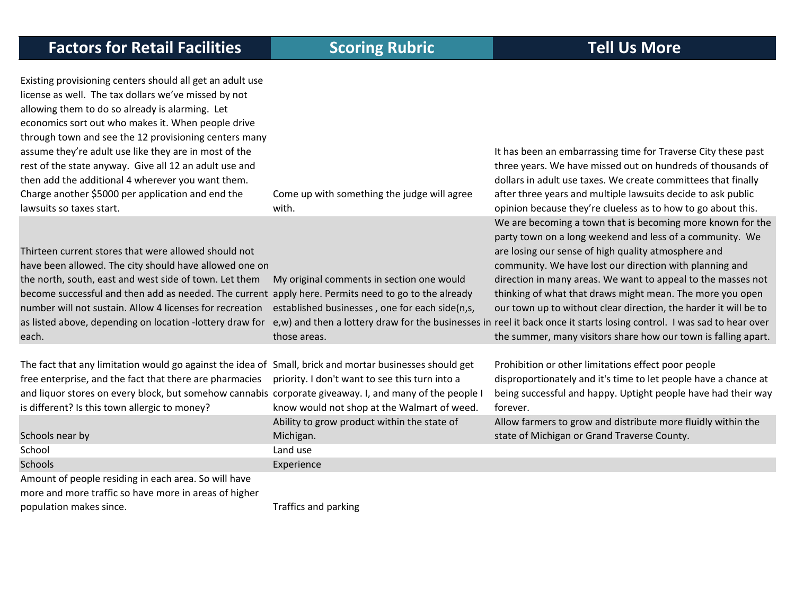| Existing provisioning centers should all get an adult use<br>license as well. The tax dollars we've missed by not<br>allowing them to do so already is alarming. Let<br>economics sort out who makes it. When people drive<br>through town and see the 12 provisioning centers many<br>assume they're adult use like they are in most of the<br>rest of the state anyway. Give all 12 an adult use and<br>then add the additional 4 wherever you want them.<br>Charge another \$5000 per application and end the | Come up with something the judge will agree                                                                                                  | It has been an embarrassing time for Traverse City these past<br>three years. We have missed out on hundreds of thousands of<br>dollars in adult use taxes. We create committees that finally<br>after three years and multiple lawsuits decide to ask public                                                                                                                                                                                                                                                                                                                                                                         |
|------------------------------------------------------------------------------------------------------------------------------------------------------------------------------------------------------------------------------------------------------------------------------------------------------------------------------------------------------------------------------------------------------------------------------------------------------------------------------------------------------------------|----------------------------------------------------------------------------------------------------------------------------------------------|---------------------------------------------------------------------------------------------------------------------------------------------------------------------------------------------------------------------------------------------------------------------------------------------------------------------------------------------------------------------------------------------------------------------------------------------------------------------------------------------------------------------------------------------------------------------------------------------------------------------------------------|
| lawsuits so taxes start.                                                                                                                                                                                                                                                                                                                                                                                                                                                                                         | with.                                                                                                                                        | opinion because they're clueless as to how to go about this.                                                                                                                                                                                                                                                                                                                                                                                                                                                                                                                                                                          |
| Thirteen current stores that were allowed should not<br>have been allowed. The city should have allowed one on<br>the north, south, east and west side of town. Let them<br>become successful and then add as needed. The current apply here. Permits need to go to the already<br>number will not sustain. Allow 4 licenses for recreation<br>as listed above, depending on location -lottery draw for<br>each.                                                                                                 | My original comments in section one would<br>established businesses, one for each side(n,s,<br>those areas.                                  | We are becoming a town that is becoming more known for the<br>party town on a long weekend and less of a community. We<br>are losing our sense of high quality atmosphere and<br>community. We have lost our direction with planning and<br>direction in many areas. We want to appeal to the masses not<br>thinking of what that draws might mean. The more you open<br>our town up to without clear direction, the harder it will be to<br>e, w) and then a lottery draw for the businesses in reel it back once it starts losing control. I was sad to hear over<br>the summer, many visitors share how our town is falling apart. |
| The fact that any limitation would go against the idea of Small, brick and mortar businesses should get<br>free enterprise, and the fact that there are pharmacies<br>and liquor stores on every block, but somehow cannabis corporate giveaway. I, and many of the people I<br>is different? Is this town allergic to money?                                                                                                                                                                                    | priority. I don't want to see this turn into a<br>know would not shop at the Walmart of weed.<br>Ability to grow product within the state of | Prohibition or other limitations effect poor people<br>disproportionately and it's time to let people have a chance at<br>being successful and happy. Uptight people have had their way<br>forever.<br>Allow farmers to grow and distribute more fluidly within the                                                                                                                                                                                                                                                                                                                                                                   |
| Schools near by                                                                                                                                                                                                                                                                                                                                                                                                                                                                                                  | Michigan.                                                                                                                                    | state of Michigan or Grand Traverse County.                                                                                                                                                                                                                                                                                                                                                                                                                                                                                                                                                                                           |
| School                                                                                                                                                                                                                                                                                                                                                                                                                                                                                                           | Land use                                                                                                                                     |                                                                                                                                                                                                                                                                                                                                                                                                                                                                                                                                                                                                                                       |
| Schools                                                                                                                                                                                                                                                                                                                                                                                                                                                                                                          | Experience                                                                                                                                   |                                                                                                                                                                                                                                                                                                                                                                                                                                                                                                                                                                                                                                       |
| Amount of people residing in each area. So will have                                                                                                                                                                                                                                                                                                                                                                                                                                                             |                                                                                                                                              |                                                                                                                                                                                                                                                                                                                                                                                                                                                                                                                                                                                                                                       |
| more and more traffic so have more in areas of higher                                                                                                                                                                                                                                                                                                                                                                                                                                                            |                                                                                                                                              |                                                                                                                                                                                                                                                                                                                                                                                                                                                                                                                                                                                                                                       |

population makes since. Traffics and parking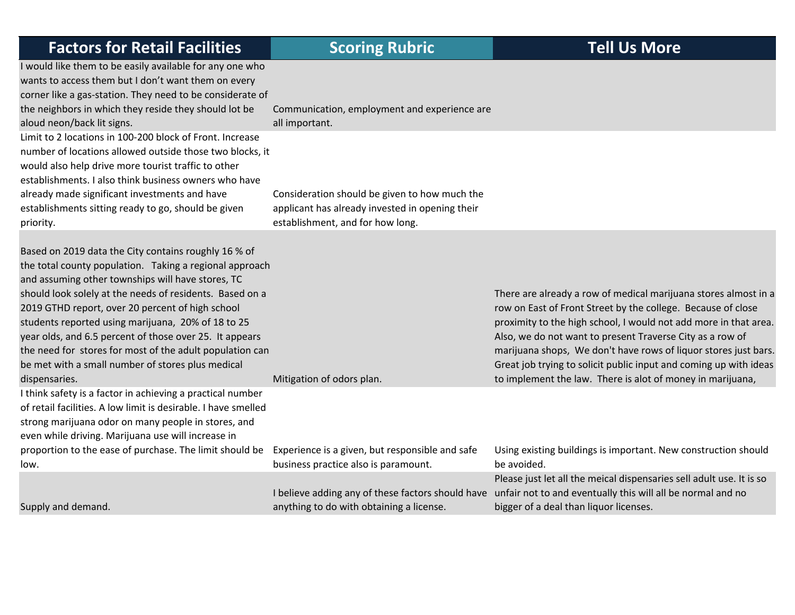| <b>Factors for Retail Facilities</b>                                                                                                                                                                                                                                                                                                                                                                                                                                                                                   | <b>Scoring Rubric</b>                                                                                                                | <b>Tell Us More</b>                                                                                                                                                                                                                                                                                                                                                                                      |
|------------------------------------------------------------------------------------------------------------------------------------------------------------------------------------------------------------------------------------------------------------------------------------------------------------------------------------------------------------------------------------------------------------------------------------------------------------------------------------------------------------------------|--------------------------------------------------------------------------------------------------------------------------------------|----------------------------------------------------------------------------------------------------------------------------------------------------------------------------------------------------------------------------------------------------------------------------------------------------------------------------------------------------------------------------------------------------------|
| I would like them to be easily available for any one who<br>wants to access them but I don't want them on every<br>corner like a gas-station. They need to be considerate of<br>the neighbors in which they reside they should lot be<br>aloud neon/back lit signs.                                                                                                                                                                                                                                                    | Communication, employment and experience are<br>all important.                                                                       |                                                                                                                                                                                                                                                                                                                                                                                                          |
| Limit to 2 locations in 100-200 block of Front. Increase<br>number of locations allowed outside those two blocks, it<br>would also help drive more tourist traffic to other<br>establishments. I also think business owners who have<br>already made significant investments and have<br>establishments sitting ready to go, should be given<br>priority.                                                                                                                                                              | Consideration should be given to how much the<br>applicant has already invested in opening their<br>establishment, and for how long. |                                                                                                                                                                                                                                                                                                                                                                                                          |
| Based on 2019 data the City contains roughly 16 % of<br>the total county population. Taking a regional approach<br>and assuming other townships will have stores, TC<br>should look solely at the needs of residents. Based on a<br>2019 GTHD report, over 20 percent of high school<br>students reported using marijuana, 20% of 18 to 25<br>year olds, and 6.5 percent of those over 25. It appears<br>the need for stores for most of the adult population can<br>be met with a small number of stores plus medical |                                                                                                                                      | There are already a row of medical marijuana stores almost in a<br>row on East of Front Street by the college. Because of close<br>proximity to the high school, I would not add more in that area.<br>Also, we do not want to present Traverse City as a row of<br>marijuana shops, We don't have rows of liquor stores just bars.<br>Great job trying to solicit public input and coming up with ideas |
| dispensaries.<br>I think safety is a factor in achieving a practical number<br>of retail facilities. A low limit is desirable. I have smelled<br>strong marijuana odor on many people in stores, and<br>even while driving. Marijuana use will increase in                                                                                                                                                                                                                                                             | Mitigation of odors plan.                                                                                                            | to implement the law. There is alot of money in marijuana,                                                                                                                                                                                                                                                                                                                                               |
| proportion to the ease of purchase. The limit should be<br>low.                                                                                                                                                                                                                                                                                                                                                                                                                                                        | Experience is a given, but responsible and safe<br>business practice also is paramount.                                              | Using existing buildings is important. New construction should<br>be avoided.                                                                                                                                                                                                                                                                                                                            |
| Supply and demand.                                                                                                                                                                                                                                                                                                                                                                                                                                                                                                     | I believe adding any of these factors should have<br>anything to do with obtaining a license.                                        | Please just let all the meical dispensaries sell adult use. It is so<br>unfair not to and eventually this will all be normal and no<br>bigger of a deal than liquor licenses.                                                                                                                                                                                                                            |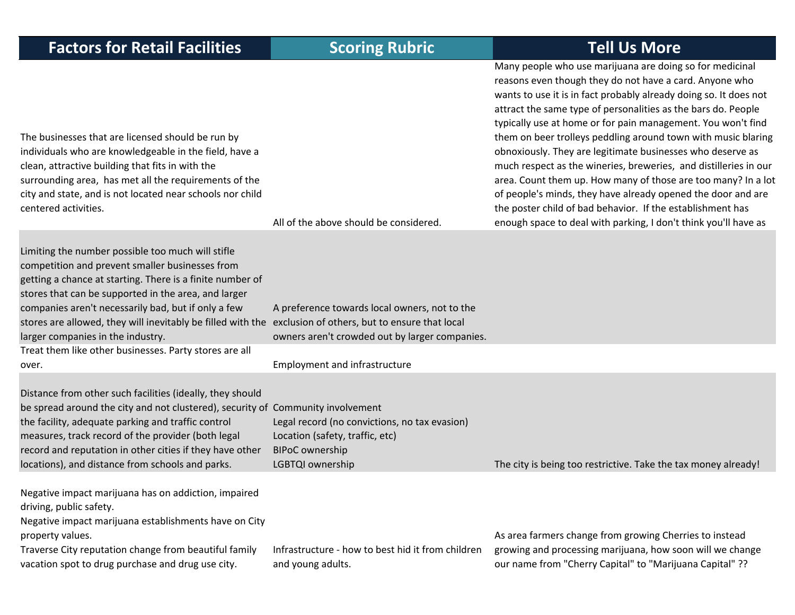| <b>Factors for Retail Facilities</b>                                                                                                                                                                                                                                                                                                                                                                                               | <b>Scoring Rubric</b>                                                                                                          | <b>Tell Us More</b>                                                                                                                                                                                                                                                                                                                                                                                                                                                                                                                                                                                                                                                                                                                                                                            |
|------------------------------------------------------------------------------------------------------------------------------------------------------------------------------------------------------------------------------------------------------------------------------------------------------------------------------------------------------------------------------------------------------------------------------------|--------------------------------------------------------------------------------------------------------------------------------|------------------------------------------------------------------------------------------------------------------------------------------------------------------------------------------------------------------------------------------------------------------------------------------------------------------------------------------------------------------------------------------------------------------------------------------------------------------------------------------------------------------------------------------------------------------------------------------------------------------------------------------------------------------------------------------------------------------------------------------------------------------------------------------------|
| The businesses that are licensed should be run by<br>individuals who are knowledgeable in the field, have a<br>clean, attractive building that fits in with the<br>surrounding area, has met all the requirements of the<br>city and state, and is not located near schools nor child<br>centered activities.                                                                                                                      | All of the above should be considered.                                                                                         | Many people who use marijuana are doing so for medicinal<br>reasons even though they do not have a card. Anyone who<br>wants to use it is in fact probably already doing so. It does not<br>attract the same type of personalities as the bars do. People<br>typically use at home or for pain management. You won't find<br>them on beer trolleys peddling around town with music blaring<br>obnoxiously. They are legitimate businesses who deserve as<br>much respect as the wineries, breweries, and distilleries in our<br>area. Count them up. How many of those are too many? In a lot<br>of people's minds, they have already opened the door and are<br>the poster child of bad behavior. If the establishment has<br>enough space to deal with parking, I don't think you'll have as |
| Limiting the number possible too much will stifle<br>competition and prevent smaller businesses from<br>getting a chance at starting. There is a finite number of<br>stores that can be supported in the area, and larger<br>companies aren't necessarily bad, but if only a few<br>stores are allowed, they will inevitably be filled with the exclusion of others, but to ensure that local<br>larger companies in the industry. | A preference towards local owners, not to the<br>owners aren't crowded out by larger companies.                                |                                                                                                                                                                                                                                                                                                                                                                                                                                                                                                                                                                                                                                                                                                                                                                                                |
| Treat them like other businesses. Party stores are all<br>over.                                                                                                                                                                                                                                                                                                                                                                    | <b>Employment and infrastructure</b>                                                                                           |                                                                                                                                                                                                                                                                                                                                                                                                                                                                                                                                                                                                                                                                                                                                                                                                |
| Distance from other such facilities (ideally, they should<br>be spread around the city and not clustered), security of Community involvement<br>the facility, adequate parking and traffic control<br>measures, track record of the provider (both legal<br>record and reputation in other cities if they have other<br>locations), and distance from schools and parks.                                                           | Legal record (no convictions, no tax evasion)<br>Location (safety, traffic, etc)<br><b>BIPoC</b> ownership<br>LGBTQI ownership | The city is being too restrictive. Take the tax money already!                                                                                                                                                                                                                                                                                                                                                                                                                                                                                                                                                                                                                                                                                                                                 |
| Negative impact marijuana has on addiction, impaired<br>driving, public safety.<br>Negative impact marijuana establishments have on City<br>property values.<br>Traverse City reputation change from beautiful family<br>vacation spot to drug purchase and drug use city.                                                                                                                                                         | Infrastructure - how to best hid it from children<br>and young adults.                                                         | As area farmers change from growing Cherries to instead<br>growing and processing marijuana, how soon will we change<br>our name from "Cherry Capital" to "Marijuana Capital" ??                                                                                                                                                                                                                                                                                                                                                                                                                                                                                                                                                                                                               |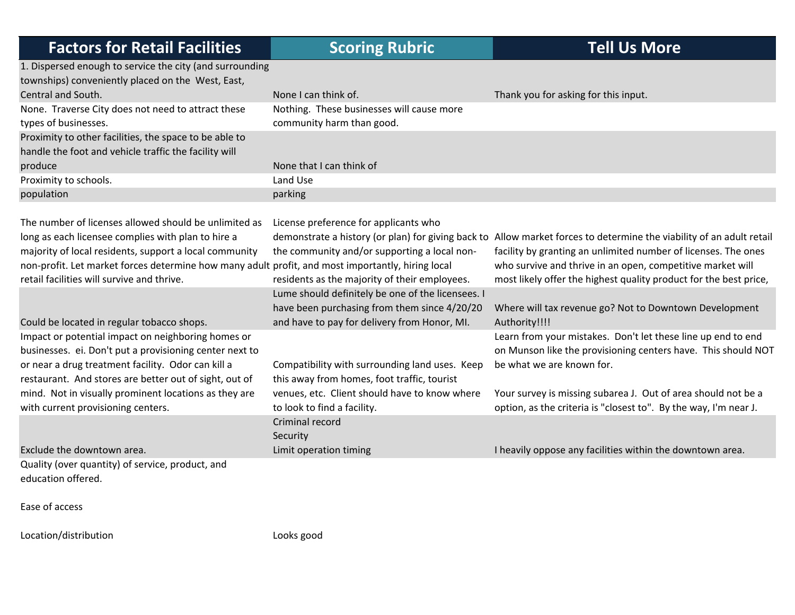| <b>Factors for Retail Facilities</b>                                                                                                                                  | <b>Scoring Rubric</b>                                                                         | <b>Tell Us More</b>                                                                                                                                                                    |
|-----------------------------------------------------------------------------------------------------------------------------------------------------------------------|-----------------------------------------------------------------------------------------------|----------------------------------------------------------------------------------------------------------------------------------------------------------------------------------------|
| 1. Dispersed enough to service the city (and surrounding                                                                                                              |                                                                                               |                                                                                                                                                                                        |
| townships) conveniently placed on the West, East,                                                                                                                     |                                                                                               |                                                                                                                                                                                        |
| Central and South.                                                                                                                                                    | None I can think of.                                                                          | Thank you for asking for this input.                                                                                                                                                   |
| None. Traverse City does not need to attract these<br>types of businesses.                                                                                            | Nothing. These businesses will cause more<br>community harm than good.                        |                                                                                                                                                                                        |
| Proximity to other facilities, the space to be able to                                                                                                                |                                                                                               |                                                                                                                                                                                        |
| handle the foot and vehicle traffic the facility will                                                                                                                 |                                                                                               |                                                                                                                                                                                        |
| produce                                                                                                                                                               | None that I can think of                                                                      |                                                                                                                                                                                        |
| Proximity to schools.                                                                                                                                                 | Land Use                                                                                      |                                                                                                                                                                                        |
| population                                                                                                                                                            | parking                                                                                       |                                                                                                                                                                                        |
|                                                                                                                                                                       |                                                                                               |                                                                                                                                                                                        |
| The number of licenses allowed should be unlimited as<br>long as each licensee complies with plan to hire a<br>majority of local residents, support a local community | License preference for applicants who<br>the community and/or supporting a local non-         | demonstrate a history (or plan) for giving back to Allow market forces to determine the viability of an adult retail<br>facility by granting an unlimited number of licenses. The ones |
| non-profit. Let market forces determine how many adult profit, and most importantly, hiring local<br>retail facilities will survive and thrive.                       | residents as the majority of their employees.                                                 | who survive and thrive in an open, competitive market will<br>most likely offer the highest quality product for the best price,                                                        |
|                                                                                                                                                                       | Lume should definitely be one of the licensees. I                                             |                                                                                                                                                                                        |
| Could be located in regular tobacco shops.                                                                                                                            | have been purchasing from them since 4/20/20<br>and have to pay for delivery from Honor, MI.  | Where will tax revenue go? Not to Downtown Development<br>Authority!!!!                                                                                                                |
| Impact or potential impact on neighboring homes or<br>businesses. ei. Don't put a provisioning center next to                                                         |                                                                                               | Learn from your mistakes. Don't let these line up end to end<br>on Munson like the provisioning centers have. This should NOT                                                          |
| or near a drug treatment facility. Odor can kill a<br>restaurant. And stores are better out of sight, out of                                                          | Compatibility with surrounding land uses. Keep<br>this away from homes, foot traffic, tourist | be what we are known for.                                                                                                                                                              |
| mind. Not in visually prominent locations as they are<br>with current provisioning centers.                                                                           | venues, etc. Client should have to know where<br>to look to find a facility.                  | Your survey is missing subarea J. Out of area should not be a<br>option, as the criteria is "closest to". By the way, I'm near J.                                                      |
|                                                                                                                                                                       | Criminal record<br>Security                                                                   |                                                                                                                                                                                        |
| Exclude the downtown area.                                                                                                                                            | Limit operation timing                                                                        | I heavily oppose any facilities within the downtown area.                                                                                                                              |
| Quality (over quantity) of service, product, and<br>education offered.                                                                                                |                                                                                               |                                                                                                                                                                                        |

Ease of access

Location/distribution Looks good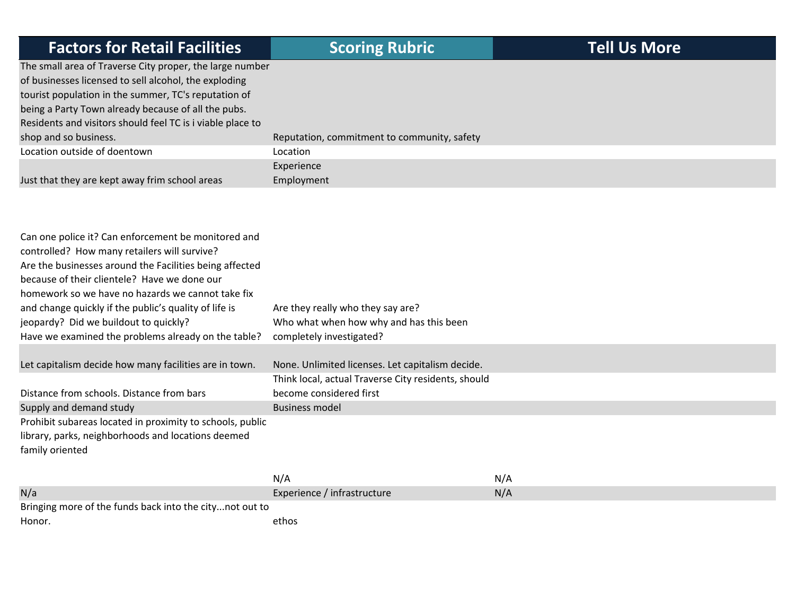| <b>Factors for Retail Facilities</b>                       | <b>Scoring Rubric</b>                       | <b>Tell Us More</b> |
|------------------------------------------------------------|---------------------------------------------|---------------------|
| The small area of Traverse City proper, the large number   |                                             |                     |
| of businesses licensed to sell alcohol, the exploding      |                                             |                     |
| tourist population in the summer, TC's reputation of       |                                             |                     |
| being a Party Town already because of all the pubs.        |                                             |                     |
| Residents and visitors should feel TC is i viable place to |                                             |                     |
| shop and so business.                                      | Reputation, commitment to community, safety |                     |
| Location outside of doentown                               | Location                                    |                     |
|                                                            | Experience                                  |                     |
| Just that they are kept away frim school areas             | Employment                                  |                     |

| Can one police it? Can enforcement be monitored and       |                                                     |     |
|-----------------------------------------------------------|-----------------------------------------------------|-----|
| controlled? How many retailers will survive?              |                                                     |     |
| Are the businesses around the Facilities being affected   |                                                     |     |
| because of their clientele? Have we done our              |                                                     |     |
| homework so we have no hazards we cannot take fix         |                                                     |     |
| and change quickly if the public's quality of life is     | Are they really who they say are?                   |     |
| jeopardy? Did we buildout to quickly?                     | Who what when how why and has this been             |     |
| Have we examined the problems already on the table?       | completely investigated?                            |     |
|                                                           |                                                     |     |
| Let capitalism decide how many facilities are in town.    | None. Unlimited licenses. Let capitalism decide.    |     |
|                                                           | Think local, actual Traverse City residents, should |     |
| Distance from schools. Distance from bars                 | become considered first                             |     |
| Supply and demand study                                   | <b>Business model</b>                               |     |
| Prohibit subareas located in proximity to schools, public |                                                     |     |
| library, parks, neighborhoods and locations deemed        |                                                     |     |
| family oriented                                           |                                                     |     |
|                                                           |                                                     |     |
|                                                           | N/A                                                 | N/A |
| N/a                                                       | Experience / infrastructure                         | N/A |
| Bringing more of the funds back into the citynot out to   |                                                     |     |
| Honor.                                                    | ethos                                               |     |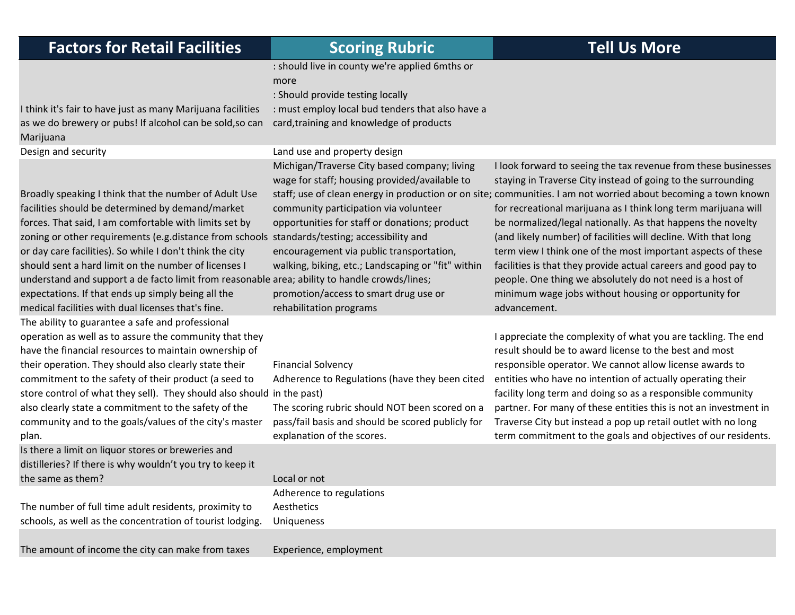think it's fair to have just as many Marijuana facilities as we do brewery or pubs! If alcohol can be sold,so can Marijuana

Broadly speaking I think that the number of Adult Use facilities should be determined by demand/market forces. That said, I am comfortable with limits set by zoning or other requirements (e.g.distance from schools standards/testing; accessibility and or day care facilities). So while I don't think the city should sent <sup>a</sup> hard limit on the number of licenses I understand and support <sup>a</sup> de facto limit from reasonable area; ability to handle crowds/lines; expectations. If that ends up simply being all the medical facilities with dual licenses that's fine. The ability to guarantee <sup>a</sup> safe and professional operation as well as to assure the community that they have the financial resources to maintain ownership of their operation. They should also clearly state their commitment to the safety of their product (a seed to store control of what they sell). They should also should in the past) also clearly state <sup>a</sup> commitment to the safety of the community and to the goals/values of the city's master plan.

Is there <sup>a</sup> limit on liquor stores or breweries and distilleries? If there is why wouldn't you try to keep it the same

The number of full time adult residents, proximity to schools, as well as the concentration of tourist lodging.

The amount of income the city can make from taxes and Experience, employment

: should live in county we're applied 6mths or more

: Should provide testing locally

: must employ local bud tenders that also have <sup>a</sup> card,training and knowledge of products

Design and security Land use and property design

Michigan/Traverse City based company; living wage for staff; housing provided/available to community participation via volunteer opportunities for staff or donations; product encouragement via public transportation, walking, biking, etc.; Landscaping or "fit" within promotion/access to smart drug use or rehabilitation programs

Financial Solvency

Adherence to Regulations (have they been cited

The scoring rubric should NOT been scored on <sup>a</sup> pass/fail basis and should be scored publicly for explanation of the scores.

Local or not Adherence to regulations **Aesthetics** Uniqueness

staff; use of clean energy in production or on site; communities. I am not worried about becoming a town known I look forward to seeing the tax revenue from these businesses staying in Traverse City instead of going to the surrounding for recreational marijuana as I think long term marijuana will be normalized/legal nationally. As that happens the novelty (and likely number) of facilities will decline. With that long term view I think one of the most important aspects of these facilities is that they provide actual careers and good pay to people. One thing we absolutely do not need is <sup>a</sup> host of minimum wage jobs without housing or opportunity for advancement.

> appreciate the complexity of what you are tackling. The end result should be to award license to the best and most responsible operator. We cannot allow license awards to entities who have no intention of actually operating their facility long term and doing so as <sup>a</sup> responsible community partner. For many of these entities this is not an investment in Traverse City but instead <sup>a</sup> pop up retail outlet with no long term commitment to the goals and objectives of our residents.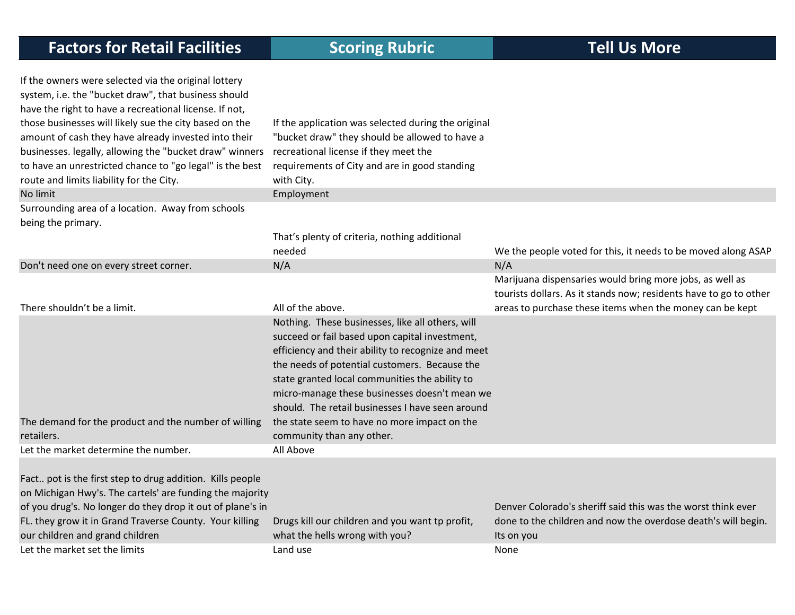| If the owners were selected via the original lottery<br>system, i.e. the "bucket draw", that business should<br>have the right to have a recreational license. If not, |                                                                                                 |                                                                   |
|------------------------------------------------------------------------------------------------------------------------------------------------------------------------|-------------------------------------------------------------------------------------------------|-------------------------------------------------------------------|
| those businesses will likely sue the city based on the                                                                                                                 | If the application was selected during the original                                             |                                                                   |
| amount of cash they have already invested into their                                                                                                                   | "bucket draw" they should be allowed to have a                                                  |                                                                   |
| businesses. legally, allowing the "bucket draw" winners                                                                                                                | recreational license if they meet the<br>requirements of City and are in good standing          |                                                                   |
| to have an unrestricted chance to "go legal" is the best<br>route and limits liability for the City.                                                                   | with City.                                                                                      |                                                                   |
| No limit                                                                                                                                                               | Employment                                                                                      |                                                                   |
| Surrounding area of a location. Away from schools                                                                                                                      |                                                                                                 |                                                                   |
| being the primary.                                                                                                                                                     |                                                                                                 |                                                                   |
|                                                                                                                                                                        | That's plenty of criteria, nothing additional                                                   |                                                                   |
|                                                                                                                                                                        | needed                                                                                          | We the people voted for this, it needs to be moved along ASAP     |
| Don't need one on every street corner.                                                                                                                                 | N/A                                                                                             | N/A                                                               |
|                                                                                                                                                                        |                                                                                                 | Marijuana dispensaries would bring more jobs, as well as          |
|                                                                                                                                                                        |                                                                                                 | tourists dollars. As it stands now; residents have to go to other |
| There shouldn't be a limit.                                                                                                                                            | All of the above.                                                                               | areas to purchase these items when the money can be kept          |
|                                                                                                                                                                        | Nothing. These businesses, like all others, will                                                |                                                                   |
|                                                                                                                                                                        | succeed or fail based upon capital investment,                                                  |                                                                   |
|                                                                                                                                                                        | efficiency and their ability to recognize and meet                                              |                                                                   |
|                                                                                                                                                                        | the needs of potential customers. Because the<br>state granted local communities the ability to |                                                                   |
|                                                                                                                                                                        | micro-manage these businesses doesn't mean we                                                   |                                                                   |
|                                                                                                                                                                        | should. The retail businesses I have seen around                                                |                                                                   |
| The demand for the product and the number of willing                                                                                                                   | the state seem to have no more impact on the                                                    |                                                                   |
| retailers.                                                                                                                                                             | community than any other.                                                                       |                                                                   |
| Let the market determine the number.                                                                                                                                   | All Above                                                                                       |                                                                   |
|                                                                                                                                                                        |                                                                                                 |                                                                   |
| Fact pot is the first step to drug addition. Kills people                                                                                                              |                                                                                                 |                                                                   |
| on Michigan Hwy's. The cartels' are funding the majority                                                                                                               |                                                                                                 |                                                                   |
| of you drug's. No longer do they drop it out of plane's in                                                                                                             |                                                                                                 | Denver Colorado's sheriff said this was the worst think ever      |
| FL. they grow it in Grand Traverse County. Your killing                                                                                                                | Drugs kill our children and you want tp profit,                                                 | done to the children and now the overdose death's will begin.     |
| our children and grand children                                                                                                                                        | what the hells wrong with you?                                                                  | Its on you                                                        |
| Let the market set the limits                                                                                                                                          | Land use                                                                                        | None                                                              |
|                                                                                                                                                                        |                                                                                                 |                                                                   |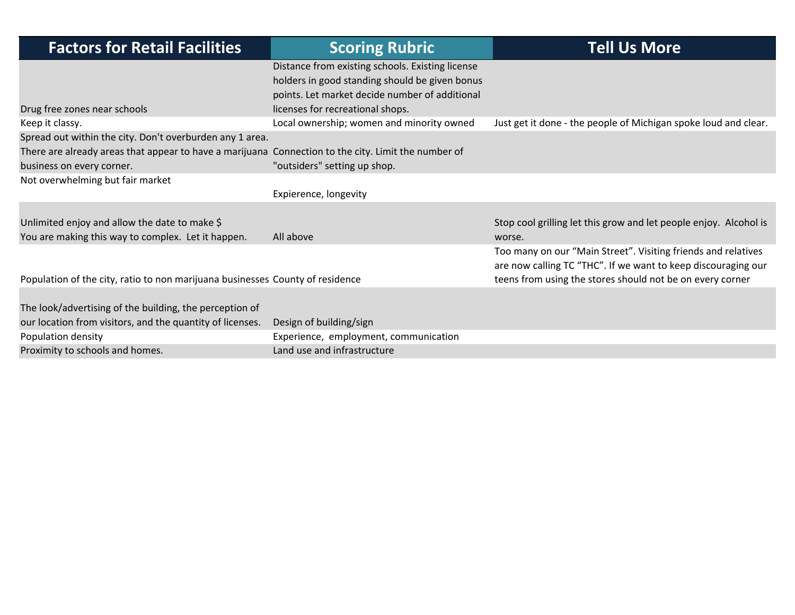| <b>Factors for Retail Facilities</b>                                                                                             | <b>Scoring Rubric</b>                                                                                                                                                                    | <b>Tell Us More</b>                                                                                                                                                                         |
|----------------------------------------------------------------------------------------------------------------------------------|------------------------------------------------------------------------------------------------------------------------------------------------------------------------------------------|---------------------------------------------------------------------------------------------------------------------------------------------------------------------------------------------|
| Drug free zones near schools                                                                                                     | Distance from existing schools. Existing license<br>holders in good standing should be given bonus<br>points. Let market decide number of additional<br>licenses for recreational shops. |                                                                                                                                                                                             |
| Keep it classy.                                                                                                                  | Local ownership; women and minority owned                                                                                                                                                | Just get it done - the people of Michigan spoke loud and clear.                                                                                                                             |
| Spread out within the city. Don't overburden any 1 area.                                                                         |                                                                                                                                                                                          |                                                                                                                                                                                             |
| There are already areas that appear to have a marijuana Connection to the city. Limit the number of<br>business on every corner. | "outsiders" setting up shop.                                                                                                                                                             |                                                                                                                                                                                             |
| Not overwhelming but fair market                                                                                                 |                                                                                                                                                                                          |                                                                                                                                                                                             |
|                                                                                                                                  | Expierence, longevity                                                                                                                                                                    |                                                                                                                                                                                             |
| Unlimited enjoy and allow the date to make \$<br>You are making this way to complex. Let it happen.                              | All above                                                                                                                                                                                | Stop cool grilling let this grow and let people enjoy. Alcohol is<br>worse.                                                                                                                 |
| Population of the city, ratio to non marijuana businesses County of residence                                                    |                                                                                                                                                                                          | Too many on our "Main Street". Visiting friends and relatives<br>are now calling TC "THC". If we want to keep discouraging our<br>teens from using the stores should not be on every corner |
| The look/advertising of the building, the perception of<br>our location from visitors, and the quantity of licenses.             | Design of building/sign                                                                                                                                                                  |                                                                                                                                                                                             |
| Population density                                                                                                               | Experience, employment, communication                                                                                                                                                    |                                                                                                                                                                                             |
| Proximity to schools and homes.                                                                                                  | Land use and infrastructure                                                                                                                                                              |                                                                                                                                                                                             |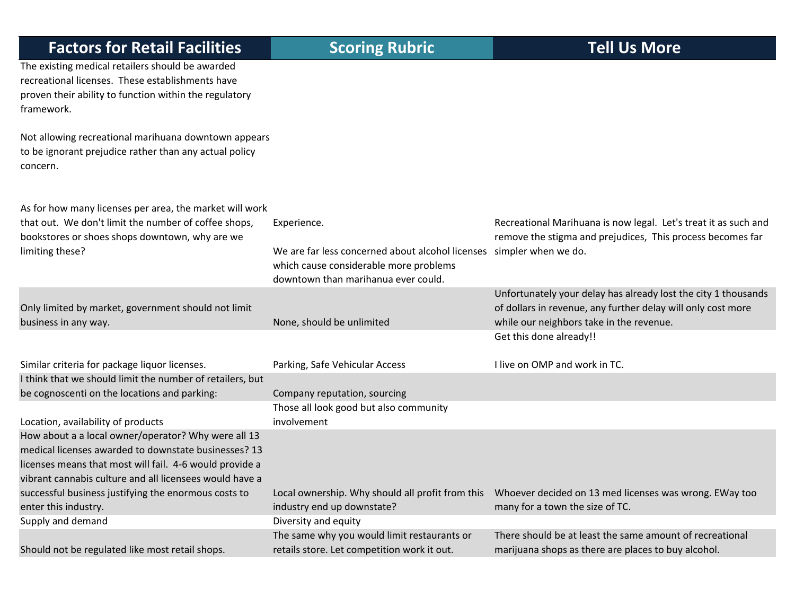The existing medical retailers should be awarded

recreational licenses. These establishments have proven their ability to function within the regulatory framework.

Not allowing recreational marihuana downtown appears to be ignorant prejudice rather than any actual policy concern.

As for how many licenses per area, the market will work that out. We don't limit the number of coffee shops, bookstores or shoes shops downtown, why are we limiting these? Experience. We are far less concerned about alcohol licenses which cause considerable more problems downtown than marihanua ever could. Recreational Marihuana is now legal. Let's treat it as such and remove the stigma and prejudices, This process becomes far simpler when we do. Only limited by market, government should not limit business inNone, should be unlimited Unfortunately your delay has already lost the city 1 thousands of dollars in revenue, any further delay will only cost more while our neighbors take in the revenue. Similar criteriaParking, Safe Vehicular Access. Get this done already!! live on OMP and work in TC. I think that we should limit the number of retailers, but be cognoscenti on the locations and parking: Company reputation, sourcing Location, availability of products Those all look good but also community involvementHow about <sup>a</sup> <sup>a</sup> local owner/operator? Why were all 13 medical licenses awarded to downstate businesses? 13 licenses means that most will fail. 4‐6 would provide <sup>a</sup> vibrant cannabis culture and all licensees would have <sup>a</sup> successful business justifying the enormous costs to enter this industry. Local ownership. Why should all profit from this industry end up downstate? Whoever decided on 13 med licenses was wrong. EWay too many for <sup>a</sup> town the size of TC. Supply and demand **Diversity and equity** Should not be regulated like most retail shops. The same why you would limit restaurants or retails store. Let competition work it out. There should be at least the same amount of recreational marijuana shops as there are places to buy alcohol.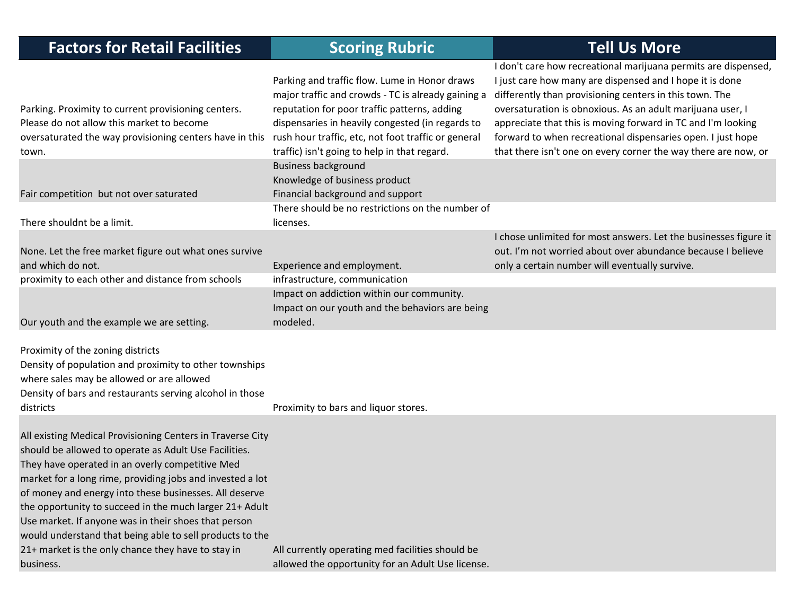| <b>Factors for Retail Facilities</b>                                                                                                                                                                                                                                                                                                                                                                                                                                                                                                            | <b>Scoring Rubric</b>                                                                                                                                                                                                                                                                                          | <b>Tell Us More</b>                                                                                                                                                                                                                                                                                                                                                                                                                                  |
|-------------------------------------------------------------------------------------------------------------------------------------------------------------------------------------------------------------------------------------------------------------------------------------------------------------------------------------------------------------------------------------------------------------------------------------------------------------------------------------------------------------------------------------------------|----------------------------------------------------------------------------------------------------------------------------------------------------------------------------------------------------------------------------------------------------------------------------------------------------------------|------------------------------------------------------------------------------------------------------------------------------------------------------------------------------------------------------------------------------------------------------------------------------------------------------------------------------------------------------------------------------------------------------------------------------------------------------|
| Parking. Proximity to current provisioning centers.<br>Please do not allow this market to become<br>oversaturated the way provisioning centers have in this<br>town.                                                                                                                                                                                                                                                                                                                                                                            | Parking and traffic flow. Lume in Honor draws<br>major traffic and crowds - TC is already gaining a<br>reputation for poor traffic patterns, adding<br>dispensaries in heavily congested (in regards to<br>rush hour traffic, etc, not foot traffic or general<br>traffic) isn't going to help in that regard. | I don't care how recreational marijuana permits are dispensed,<br>I just care how many are dispensed and I hope it is done<br>differently than provisioning centers in this town. The<br>oversaturation is obnoxious. As an adult marijuana user, I<br>appreciate that this is moving forward in TC and I'm looking<br>forward to when recreational dispensaries open. I just hope<br>that there isn't one on every corner the way there are now, or |
| Fair competition but not over saturated                                                                                                                                                                                                                                                                                                                                                                                                                                                                                                         | <b>Business background</b><br>Knowledge of business product<br>Financial background and support                                                                                                                                                                                                                |                                                                                                                                                                                                                                                                                                                                                                                                                                                      |
| There shouldnt be a limit.                                                                                                                                                                                                                                                                                                                                                                                                                                                                                                                      | There should be no restrictions on the number of<br>licenses.                                                                                                                                                                                                                                                  |                                                                                                                                                                                                                                                                                                                                                                                                                                                      |
| None. Let the free market figure out what ones survive<br>and which do not.                                                                                                                                                                                                                                                                                                                                                                                                                                                                     | Experience and employment.                                                                                                                                                                                                                                                                                     | I chose unlimited for most answers. Let the businesses figure it<br>out. I'm not worried about over abundance because I believe<br>only a certain number will eventually survive.                                                                                                                                                                                                                                                                    |
| proximity to each other and distance from schools                                                                                                                                                                                                                                                                                                                                                                                                                                                                                               | infrastructure, communication                                                                                                                                                                                                                                                                                  |                                                                                                                                                                                                                                                                                                                                                                                                                                                      |
| Our youth and the example we are setting.                                                                                                                                                                                                                                                                                                                                                                                                                                                                                                       | Impact on addiction within our community.<br>Impact on our youth and the behaviors are being<br>modeled.                                                                                                                                                                                                       |                                                                                                                                                                                                                                                                                                                                                                                                                                                      |
| Proximity of the zoning districts<br>Density of population and proximity to other townships<br>where sales may be allowed or are allowed<br>Density of bars and restaurants serving alcohol in those<br>districts                                                                                                                                                                                                                                                                                                                               | Proximity to bars and liquor stores.                                                                                                                                                                                                                                                                           |                                                                                                                                                                                                                                                                                                                                                                                                                                                      |
| All existing Medical Provisioning Centers in Traverse City<br>should be allowed to operate as Adult Use Facilities.<br>They have operated in an overly competitive Med<br>market for a long rime, providing jobs and invested a lot<br>of money and energy into these businesses. All deserve<br>the opportunity to succeed in the much larger 21+ Adult<br>Use market. If anyone was in their shoes that person<br>would understand that being able to sell products to the<br>21+ market is the only chance they have to stay in<br>business. | All currently operating med facilities should be<br>allowed the opportunity for an Adult Use license.                                                                                                                                                                                                          |                                                                                                                                                                                                                                                                                                                                                                                                                                                      |
|                                                                                                                                                                                                                                                                                                                                                                                                                                                                                                                                                 |                                                                                                                                                                                                                                                                                                                |                                                                                                                                                                                                                                                                                                                                                                                                                                                      |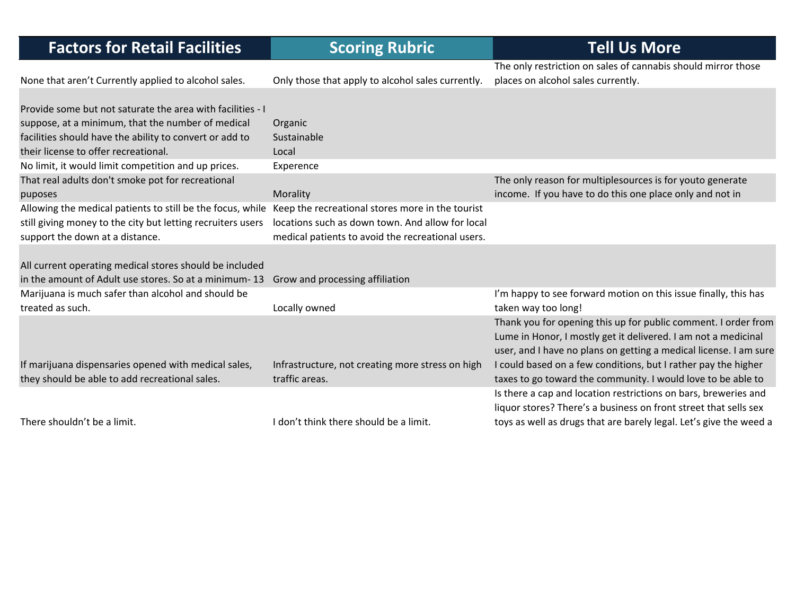| <b>Factors for Retail Facilities</b>                                                                        | <b>Scoring Rubric</b>                             | <b>Tell Us More</b>                                                |
|-------------------------------------------------------------------------------------------------------------|---------------------------------------------------|--------------------------------------------------------------------|
|                                                                                                             |                                                   | The only restriction on sales of cannabis should mirror those      |
| None that aren't Currently applied to alcohol sales.                                                        | Only those that apply to alcohol sales currently. | places on alcohol sales currently.                                 |
|                                                                                                             |                                                   |                                                                    |
| Provide some but not saturate the area with facilities - I                                                  |                                                   |                                                                    |
| suppose, at a minimum, that the number of medical                                                           | Organic                                           |                                                                    |
| facilities should have the ability to convert or add to                                                     | Sustainable                                       |                                                                    |
| their license to offer recreational.                                                                        | Local                                             |                                                                    |
| No limit, it would limit competition and up prices.                                                         | Experence                                         |                                                                    |
| That real adults don't smoke pot for recreational                                                           |                                                   | The only reason for multiplesources is for youto generate          |
| puposes                                                                                                     | Morality                                          | income. If you have to do this one place only and not in           |
| Allowing the medical patients to still be the focus, while Keep the recreational stores more in the tourist |                                                   |                                                                    |
| still giving money to the city but letting recruiters users                                                 | locations such as down town. And allow for local  |                                                                    |
| support the down at a distance.                                                                             | medical patients to avoid the recreational users. |                                                                    |
|                                                                                                             |                                                   |                                                                    |
| All current operating medical stores should be included                                                     |                                                   |                                                                    |
| in the amount of Adult use stores. So at a minimum-13 Grow and processing affiliation                       |                                                   |                                                                    |
| Marijuana is much safer than alcohol and should be                                                          |                                                   | I'm happy to see forward motion on this issue finally, this has    |
| treated as such.                                                                                            | Locally owned                                     | taken way too long!                                                |
|                                                                                                             |                                                   | Thank you for opening this up for public comment. I order from     |
|                                                                                                             |                                                   | Lume in Honor, I mostly get it delivered. I am not a medicinal     |
|                                                                                                             |                                                   | user, and I have no plans on getting a medical license. I am sure  |
| If marijuana dispensaries opened with medical sales,                                                        | Infrastructure, not creating more stress on high  | I could based on a few conditions, but I rather pay the higher     |
| they should be able to add recreational sales.                                                              | traffic areas.                                    | taxes to go toward the community. I would love to be able to       |
|                                                                                                             |                                                   | Is there a cap and location restrictions on bars, breweries and    |
|                                                                                                             |                                                   | liquor stores? There's a business on front street that sells sex   |
| There shouldn't be a limit.                                                                                 | I don't think there should be a limit.            | toys as well as drugs that are barely legal. Let's give the weed a |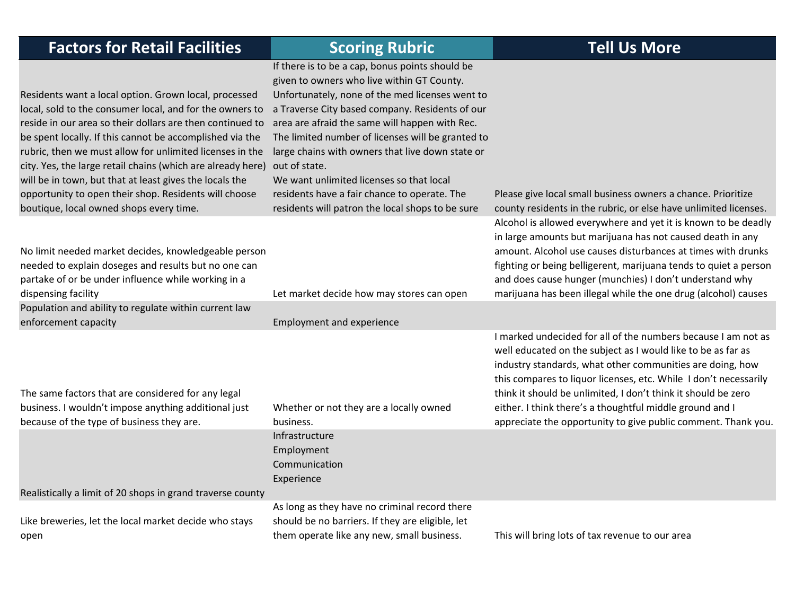| <b>Factors for Retail Facilities</b>                                                                                                                                                                                                                                                                                                                                                                                                                                                                                                 | <b>Scoring Rubric</b>                                                                                                                                                                                                                                                                                                                                                                                                                                                                                                           | <b>Tell Us More</b>                                                                                                                                                                                                                                                                                                                                                                                                                                          |
|--------------------------------------------------------------------------------------------------------------------------------------------------------------------------------------------------------------------------------------------------------------------------------------------------------------------------------------------------------------------------------------------------------------------------------------------------------------------------------------------------------------------------------------|---------------------------------------------------------------------------------------------------------------------------------------------------------------------------------------------------------------------------------------------------------------------------------------------------------------------------------------------------------------------------------------------------------------------------------------------------------------------------------------------------------------------------------|--------------------------------------------------------------------------------------------------------------------------------------------------------------------------------------------------------------------------------------------------------------------------------------------------------------------------------------------------------------------------------------------------------------------------------------------------------------|
| Residents want a local option. Grown local, processed<br>local, sold to the consumer local, and for the owners to<br>reside in our area so their dollars are then continued to<br>be spent locally. If this cannot be accomplished via the<br>rubric, then we must allow for unlimited licenses in the<br>city. Yes, the large retail chains (which are already here)<br>will be in town, but that at least gives the locals the<br>opportunity to open their shop. Residents will choose<br>boutique, local owned shops every time. | If there is to be a cap, bonus points should be<br>given to owners who live within GT County.<br>Unfortunately, none of the med licenses went to<br>a Traverse City based company. Residents of our<br>area are afraid the same will happen with Rec.<br>The limited number of licenses will be granted to<br>large chains with owners that live down state or<br>out of state.<br>We want unlimited licenses so that local<br>residents have a fair chance to operate. The<br>residents will patron the local shops to be sure | Please give local small business owners a chance. Prioritize<br>county residents in the rubric, or else have unlimited licenses.                                                                                                                                                                                                                                                                                                                             |
| No limit needed market decides, knowledgeable person<br>needed to explain doseges and results but no one can<br>partake of or be under influence while working in a<br>dispensing facility                                                                                                                                                                                                                                                                                                                                           | Let market decide how may stores can open                                                                                                                                                                                                                                                                                                                                                                                                                                                                                       | Alcohol is allowed everywhere and yet it is known to be deadly<br>in large amounts but marijuana has not caused death in any<br>amount. Alcohol use causes disturbances at times with drunks<br>fighting or being belligerent, marijuana tends to quiet a person<br>and does cause hunger (munchies) I don't understand why<br>marijuana has been illegal while the one drug (alcohol) causes                                                                |
| Population and ability to regulate within current law<br>enforcement capacity                                                                                                                                                                                                                                                                                                                                                                                                                                                        | <b>Employment and experience</b>                                                                                                                                                                                                                                                                                                                                                                                                                                                                                                |                                                                                                                                                                                                                                                                                                                                                                                                                                                              |
| The same factors that are considered for any legal<br>business. I wouldn't impose anything additional just<br>because of the type of business they are.                                                                                                                                                                                                                                                                                                                                                                              | Whether or not they are a locally owned<br>business.                                                                                                                                                                                                                                                                                                                                                                                                                                                                            | I marked undecided for all of the numbers because I am not as<br>well educated on the subject as I would like to be as far as<br>industry standards, what other communities are doing, how<br>this compares to liquor licenses, etc. While I don't necessarily<br>think it should be unlimited, I don't think it should be zero<br>either. I think there's a thoughtful middle ground and I<br>appreciate the opportunity to give public comment. Thank you. |
| Realistically a limit of 20 shops in grand traverse county                                                                                                                                                                                                                                                                                                                                                                                                                                                                           | Infrastructure<br>Employment<br>Communication<br>Experience                                                                                                                                                                                                                                                                                                                                                                                                                                                                     |                                                                                                                                                                                                                                                                                                                                                                                                                                                              |
|                                                                                                                                                                                                                                                                                                                                                                                                                                                                                                                                      | As long as they have no criminal record there                                                                                                                                                                                                                                                                                                                                                                                                                                                                                   |                                                                                                                                                                                                                                                                                                                                                                                                                                                              |
| Like breweries, let the local market decide who stays                                                                                                                                                                                                                                                                                                                                                                                                                                                                                | should be no barriers. If they are eligible, let                                                                                                                                                                                                                                                                                                                                                                                                                                                                                |                                                                                                                                                                                                                                                                                                                                                                                                                                                              |

them operate like any new, small business.

This will bring lots of tax revenue to our area

open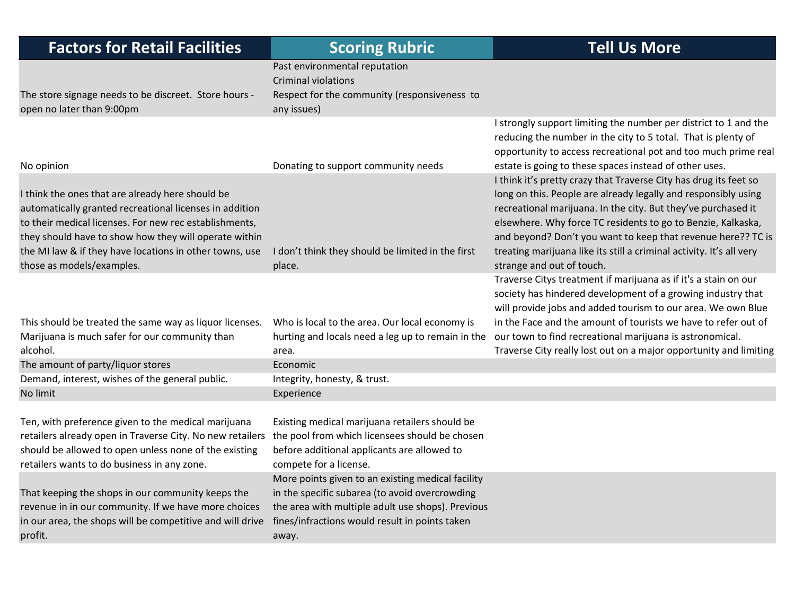| <b>Factors for Retail Facilities</b>                                                                                                                                                                                                                                    | <b>Scoring Rubric</b>                                                                                                                                                                                               | <b>Tell Us More</b>                                                                                                                                                                                                                                                                                                                  |
|-------------------------------------------------------------------------------------------------------------------------------------------------------------------------------------------------------------------------------------------------------------------------|---------------------------------------------------------------------------------------------------------------------------------------------------------------------------------------------------------------------|--------------------------------------------------------------------------------------------------------------------------------------------------------------------------------------------------------------------------------------------------------------------------------------------------------------------------------------|
|                                                                                                                                                                                                                                                                         | Past environmental reputation                                                                                                                                                                                       |                                                                                                                                                                                                                                                                                                                                      |
|                                                                                                                                                                                                                                                                         | <b>Criminal violations</b>                                                                                                                                                                                          |                                                                                                                                                                                                                                                                                                                                      |
| The store signage needs to be discreet. Store hours -                                                                                                                                                                                                                   | Respect for the community (responsiveness to                                                                                                                                                                        |                                                                                                                                                                                                                                                                                                                                      |
| open no later than 9:00pm                                                                                                                                                                                                                                               | any issues)                                                                                                                                                                                                         |                                                                                                                                                                                                                                                                                                                                      |
|                                                                                                                                                                                                                                                                         |                                                                                                                                                                                                                     | I strongly support limiting the number per district to 1 and the<br>reducing the number in the city to 5 total. That is plenty of<br>opportunity to access recreational pot and too much prime real                                                                                                                                  |
| No opinion                                                                                                                                                                                                                                                              | Donating to support community needs                                                                                                                                                                                 | estate is going to these spaces instead of other uses.                                                                                                                                                                                                                                                                               |
| I think the ones that are already here should be<br>automatically granted recreational licenses in addition<br>to their medical licenses. For new rec establishments,<br>they should have to show how they will operate within                                          |                                                                                                                                                                                                                     | I think it's pretty crazy that Traverse City has drug its feet so<br>long on this. People are already legally and responsibly using<br>recreational marijuana. In the city. But they've purchased it<br>elsewhere. Why force TC residents to go to Benzie, Kalkaska,<br>and beyond? Don't you want to keep that revenue here?? TC is |
| the MI law & if they have locations in other towns, use<br>those as models/examples.                                                                                                                                                                                    | I don't think they should be limited in the first<br>place.                                                                                                                                                         | treating marijuana like its still a criminal activity. It's all very<br>strange and out of touch.                                                                                                                                                                                                                                    |
|                                                                                                                                                                                                                                                                         |                                                                                                                                                                                                                     | Traverse Citys treatment if marijuana as if it's a stain on our<br>society has hindered development of a growing industry that<br>will provide jobs and added tourism to our area. We own Blue                                                                                                                                       |
| This should be treated the same way as liquor licenses.                                                                                                                                                                                                                 | Who is local to the area. Our local economy is                                                                                                                                                                      | in the Face and the amount of tourists we have to refer out of                                                                                                                                                                                                                                                                       |
| Marijuana is much safer for our community than<br>alcohol.                                                                                                                                                                                                              | hurting and locals need a leg up to remain in the<br>area.                                                                                                                                                          | our town to find recreational marijuana is astronomical.<br>Traverse City really lost out on a major opportunity and limiting                                                                                                                                                                                                        |
| The amount of party/liquor stores                                                                                                                                                                                                                                       | Economic                                                                                                                                                                                                            |                                                                                                                                                                                                                                                                                                                                      |
| Demand, interest, wishes of the general public.                                                                                                                                                                                                                         | Integrity, honesty, & trust.                                                                                                                                                                                        |                                                                                                                                                                                                                                                                                                                                      |
| No limit                                                                                                                                                                                                                                                                | Experience                                                                                                                                                                                                          |                                                                                                                                                                                                                                                                                                                                      |
| Ten, with preference given to the medical marijuana<br>retailers already open in Traverse City. No new retailers the pool from which licensees should be chosen<br>should be allowed to open unless none of the existing<br>retailers wants to do business in any zone. | Existing medical marijuana retailers should be<br>before additional applicants are allowed to<br>compete for a license.                                                                                             |                                                                                                                                                                                                                                                                                                                                      |
| That keeping the shops in our community keeps the<br>revenue in in our community. If we have more choices<br>in our area, the shops will be competitive and will drive<br>profit.                                                                                       | More points given to an existing medical facility<br>in the specific subarea (to avoid overcrowding<br>the area with multiple adult use shops). Previous<br>fines/infractions would result in points taken<br>away. |                                                                                                                                                                                                                                                                                                                                      |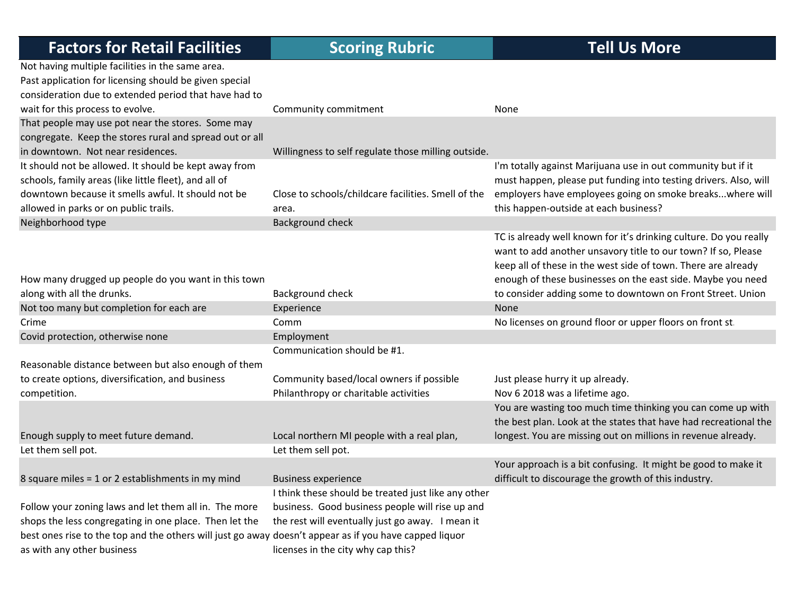| <b>Factors for Retail Facilities</b>                                                                   | <b>Scoring Rubric</b>                                                             | <b>Tell Us More</b>                                                                                                                                                                                 |
|--------------------------------------------------------------------------------------------------------|-----------------------------------------------------------------------------------|-----------------------------------------------------------------------------------------------------------------------------------------------------------------------------------------------------|
| Not having multiple facilities in the same area.                                                       |                                                                                   |                                                                                                                                                                                                     |
| Past application for licensing should be given special                                                 |                                                                                   |                                                                                                                                                                                                     |
| consideration due to extended period that have had to                                                  |                                                                                   |                                                                                                                                                                                                     |
| wait for this process to evolve.                                                                       | Community commitment                                                              | None                                                                                                                                                                                                |
| That people may use pot near the stores. Some may                                                      |                                                                                   |                                                                                                                                                                                                     |
| congregate. Keep the stores rural and spread out or all                                                |                                                                                   |                                                                                                                                                                                                     |
| in downtown. Not near residences.                                                                      | Willingness to self regulate those milling outside.                               |                                                                                                                                                                                                     |
| It should not be allowed. It should be kept away from                                                  |                                                                                   | I'm totally against Marijuana use in out community but if it                                                                                                                                        |
| schools, family areas (like little fleet), and all of                                                  |                                                                                   | must happen, please put funding into testing drivers. Also, will                                                                                                                                    |
| downtown because it smells awful. It should not be                                                     | Close to schools/childcare facilities. Smell of the                               | employers have employees going on smoke breakswhere will                                                                                                                                            |
| allowed in parks or on public trails.                                                                  | area.                                                                             | this happen-outside at each business?                                                                                                                                                               |
| Neighborhood type                                                                                      | <b>Background check</b>                                                           |                                                                                                                                                                                                     |
|                                                                                                        |                                                                                   | TC is already well known for it's drinking culture. Do you really<br>want to add another unsavory title to our town? If so, Please<br>keep all of these in the west side of town. There are already |
| How many drugged up people do you want in this town                                                    |                                                                                   | enough of these businesses on the east side. Maybe you need                                                                                                                                         |
| along with all the drunks.                                                                             | Background check                                                                  | to consider adding some to downtown on Front Street. Union                                                                                                                                          |
| Not too many but completion for each are                                                               | Experience                                                                        | None                                                                                                                                                                                                |
| Crime                                                                                                  | Comm                                                                              | No licenses on ground floor or upper floors on front st.                                                                                                                                            |
|                                                                                                        |                                                                                   |                                                                                                                                                                                                     |
| Covid protection, otherwise none                                                                       | Employment<br>Communication should be #1.                                         |                                                                                                                                                                                                     |
| Reasonable distance between but also enough of them                                                    |                                                                                   |                                                                                                                                                                                                     |
| to create options, diversification, and business                                                       |                                                                                   |                                                                                                                                                                                                     |
|                                                                                                        | Community based/local owners if possible<br>Philanthropy or charitable activities | Just please hurry it up already.                                                                                                                                                                    |
| competition.                                                                                           |                                                                                   | Nov 6 2018 was a lifetime ago.                                                                                                                                                                      |
|                                                                                                        |                                                                                   | You are wasting too much time thinking you can come up with<br>the best plan. Look at the states that have had recreational the                                                                     |
|                                                                                                        |                                                                                   |                                                                                                                                                                                                     |
| Enough supply to meet future demand.                                                                   | Local northern MI people with a real plan,                                        | longest. You are missing out on millions in revenue already.                                                                                                                                        |
| Let them sell pot.                                                                                     | Let them sell pot.                                                                |                                                                                                                                                                                                     |
|                                                                                                        |                                                                                   | Your approach is a bit confusing. It might be good to make it                                                                                                                                       |
| 8 square miles = 1 or 2 establishments in my mind                                                      | <b>Business experience</b>                                                        | difficult to discourage the growth of this industry.                                                                                                                                                |
|                                                                                                        | I think these should be treated just like any other                               |                                                                                                                                                                                                     |
| Follow your zoning laws and let them all in. The more                                                  | business. Good business people will rise up and                                   |                                                                                                                                                                                                     |
| shops the less congregating in one place. Then let the                                                 | the rest will eventually just go away. I mean it                                  |                                                                                                                                                                                                     |
| best ones rise to the top and the others will just go away doesn't appear as if you have capped liquor |                                                                                   |                                                                                                                                                                                                     |
| as with any other business                                                                             | licenses in the city why cap this?                                                |                                                                                                                                                                                                     |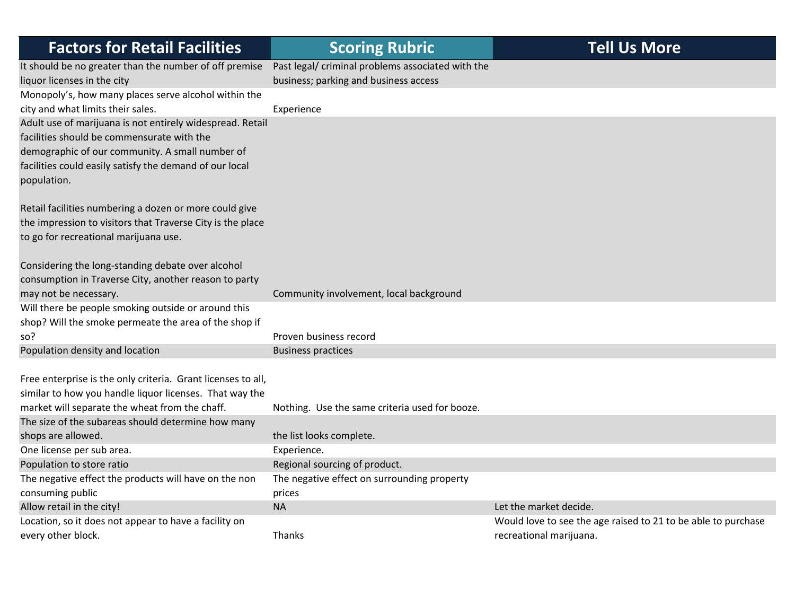| <b>Factors for Retail Facilities</b>                         | <b>Scoring Rubric</b>                             | <b>Tell Us More</b>                                           |
|--------------------------------------------------------------|---------------------------------------------------|---------------------------------------------------------------|
| It should be no greater than the number of off premise       | Past legal/ criminal problems associated with the |                                                               |
| liquor licenses in the city                                  | business; parking and business access             |                                                               |
| Monopoly's, how many places serve alcohol within the         |                                                   |                                                               |
| city and what limits their sales.                            | Experience                                        |                                                               |
| Adult use of marijuana is not entirely widespread. Retail    |                                                   |                                                               |
| facilities should be commensurate with the                   |                                                   |                                                               |
| demographic of our community. A small number of              |                                                   |                                                               |
| facilities could easily satisfy the demand of our local      |                                                   |                                                               |
| population.                                                  |                                                   |                                                               |
| Retail facilities numbering a dozen or more could give       |                                                   |                                                               |
| the impression to visitors that Traverse City is the place   |                                                   |                                                               |
| to go for recreational marijuana use.                        |                                                   |                                                               |
|                                                              |                                                   |                                                               |
| Considering the long-standing debate over alcohol            |                                                   |                                                               |
| consumption in Traverse City, another reason to party        |                                                   |                                                               |
| may not be necessary.                                        | Community involvement, local background           |                                                               |
| Will there be people smoking outside or around this          |                                                   |                                                               |
| shop? Will the smoke permeate the area of the shop if        |                                                   |                                                               |
| so?                                                          | Proven business record                            |                                                               |
| Population density and location                              | <b>Business practices</b>                         |                                                               |
|                                                              |                                                   |                                                               |
| Free enterprise is the only criteria. Grant licenses to all, |                                                   |                                                               |
| similar to how you handle liquor licenses. That way the      |                                                   |                                                               |
| market will separate the wheat from the chaff.               | Nothing. Use the same criteria used for booze.    |                                                               |
| The size of the subareas should determine how many           |                                                   |                                                               |
| shops are allowed.                                           | the list looks complete.                          |                                                               |
| One license per sub area.                                    | Experience.                                       |                                                               |
| Population to store ratio                                    | Regional sourcing of product.                     |                                                               |
| The negative effect the products will have on the non        | The negative effect on surrounding property       |                                                               |
| consuming public                                             | prices                                            |                                                               |
| Allow retail in the city!                                    | <b>NA</b>                                         | Let the market decide.                                        |
| Location, so it does not appear to have a facility on        |                                                   | Would love to see the age raised to 21 to be able to purchase |
| every other block.                                           | <b>Thanks</b>                                     | recreational marijuana.                                       |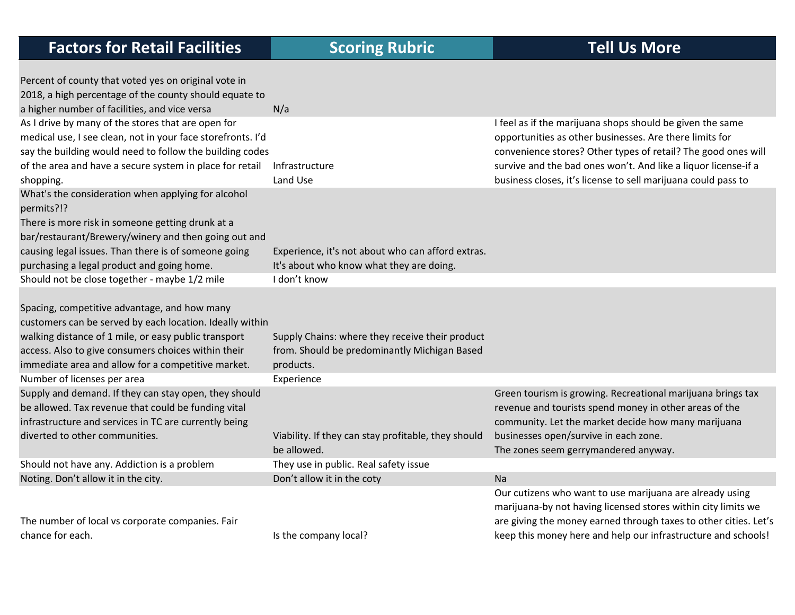| Percent of county that voted yes on original vote in        |                                                     |                                                                  |
|-------------------------------------------------------------|-----------------------------------------------------|------------------------------------------------------------------|
| 2018, a high percentage of the county should equate to      |                                                     |                                                                  |
| a higher number of facilities, and vice versa               | N/a                                                 |                                                                  |
| As I drive by many of the stores that are open for          |                                                     | I feel as if the marijuana shops should be given the same        |
| medical use, I see clean, not in your face storefronts. I'd |                                                     | opportunities as other businesses. Are there limits for          |
| say the building would need to follow the building codes    |                                                     | convenience stores? Other types of retail? The good ones will    |
| of the area and have a secure system in place for retail    | Infrastructure                                      | survive and the bad ones won't. And like a liquor license-if a   |
| shopping.                                                   | Land Use                                            | business closes, it's license to sell marijuana could pass to    |
| What's the consideration when applying for alcohol          |                                                     |                                                                  |
| permits?!?                                                  |                                                     |                                                                  |
| There is more risk in someone getting drunk at a            |                                                     |                                                                  |
| bar/restaurant/Brewery/winery and then going out and        |                                                     |                                                                  |
| causing legal issues. Than there is of someone going        | Experience, it's not about who can afford extras.   |                                                                  |
| purchasing a legal product and going home.                  | It's about who know what they are doing.            |                                                                  |
| Should not be close together - maybe 1/2 mile               | I don't know                                        |                                                                  |
|                                                             |                                                     |                                                                  |
| Spacing, competitive advantage, and how many                |                                                     |                                                                  |
| customers can be served by each location. Ideally within    |                                                     |                                                                  |
| walking distance of 1 mile, or easy public transport        | Supply Chains: where they receive their product     |                                                                  |
| access. Also to give consumers choices within their         | from. Should be predominantly Michigan Based        |                                                                  |
| immediate area and allow for a competitive market.          | products.                                           |                                                                  |
| Number of licenses per area                                 | Experience                                          |                                                                  |
| Supply and demand. If they can stay open, they should       |                                                     | Green tourism is growing. Recreational marijuana brings tax      |
| be allowed. Tax revenue that could be funding vital         |                                                     | revenue and tourists spend money in other areas of the           |
| infrastructure and services in TC are currently being       |                                                     | community. Let the market decide how many marijuana              |
| diverted to other communities.                              | Viability. If they can stay profitable, they should | businesses open/survive in each zone.                            |
|                                                             | be allowed.                                         | The zones seem gerrymandered anyway.                             |
| Should not have any. Addiction is a problem                 | They use in public. Real safety issue               |                                                                  |
| Noting. Don't allow it in the city.                         | Don't allow it in the coty                          | Na                                                               |
|                                                             |                                                     | Our cutizens who want to use marijuana are already using         |
|                                                             |                                                     | marijuana-by not having licensed stores within city limits we    |
| The number of local vs corporate companies. Fair            |                                                     | are giving the money earned through taxes to other cities. Let's |
| chance for each.                                            | Is the company local?                               | keep this money here and help our infrastructure and schools!    |
|                                                             |                                                     |                                                                  |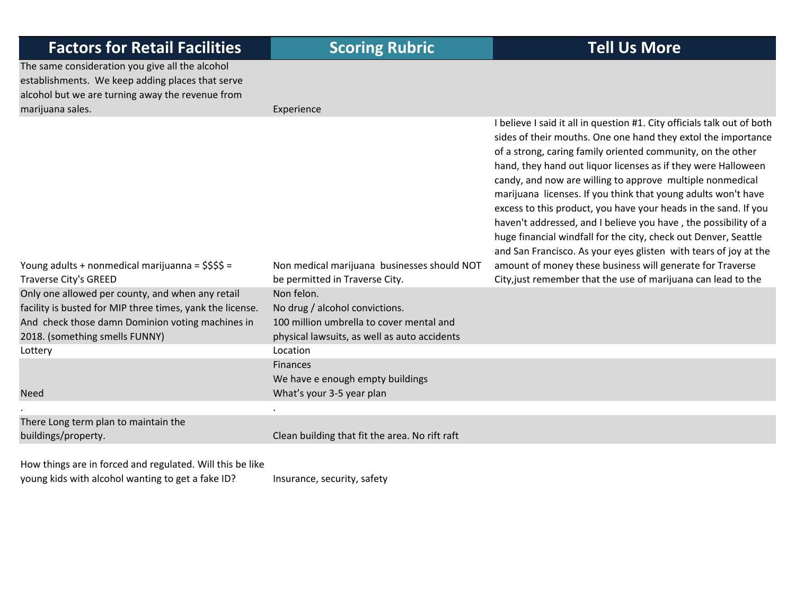| <b>Factors for Retail Facilities</b>                                                                                                                    | <b>Scoring Rubric</b>                          | <b>Tell Us More</b>                                                                                                                                                                                                                                                                                                                                                                                                                                                                                                                                                                                                                                                                 |
|---------------------------------------------------------------------------------------------------------------------------------------------------------|------------------------------------------------|-------------------------------------------------------------------------------------------------------------------------------------------------------------------------------------------------------------------------------------------------------------------------------------------------------------------------------------------------------------------------------------------------------------------------------------------------------------------------------------------------------------------------------------------------------------------------------------------------------------------------------------------------------------------------------------|
| The same consideration you give all the alcohol<br>establishments. We keep adding places that serve<br>alcohol but we are turning away the revenue from |                                                |                                                                                                                                                                                                                                                                                                                                                                                                                                                                                                                                                                                                                                                                                     |
| marijuana sales.                                                                                                                                        | Experience                                     |                                                                                                                                                                                                                                                                                                                                                                                                                                                                                                                                                                                                                                                                                     |
|                                                                                                                                                         |                                                | I believe I said it all in question #1. City officials talk out of both<br>sides of their mouths. One one hand they extol the importance<br>of a strong, caring family oriented community, on the other<br>hand, they hand out liquor licenses as if they were Halloween<br>candy, and now are willing to approve multiple nonmedical<br>marijuana licenses. If you think that young adults won't have<br>excess to this product, you have your heads in the sand. If you<br>haven't addressed, and I believe you have, the possibility of a<br>huge financial windfall for the city, check out Denver, Seattle<br>and San Francisco. As your eyes glisten with tears of joy at the |
| Young adults + nonmedical marijuanna = \$\$\$\$ =                                                                                                       | Non medical marijuana businesses should NOT    | amount of money these business will generate for Traverse                                                                                                                                                                                                                                                                                                                                                                                                                                                                                                                                                                                                                           |
| Traverse City's GREED                                                                                                                                   | be permitted in Traverse City.                 | City, just remember that the use of marijuana can lead to the                                                                                                                                                                                                                                                                                                                                                                                                                                                                                                                                                                                                                       |
| Only one allowed per county, and when any retail                                                                                                        | Non felon.                                     |                                                                                                                                                                                                                                                                                                                                                                                                                                                                                                                                                                                                                                                                                     |
| facility is busted for MIP three times, yank the license.                                                                                               | No drug / alcohol convictions.                 |                                                                                                                                                                                                                                                                                                                                                                                                                                                                                                                                                                                                                                                                                     |
| And check those damn Dominion voting machines in                                                                                                        | 100 million umbrella to cover mental and       |                                                                                                                                                                                                                                                                                                                                                                                                                                                                                                                                                                                                                                                                                     |
| 2018. (something smells FUNNY)                                                                                                                          | physical lawsuits, as well as auto accidents   |                                                                                                                                                                                                                                                                                                                                                                                                                                                                                                                                                                                                                                                                                     |
| Lottery                                                                                                                                                 | Location                                       |                                                                                                                                                                                                                                                                                                                                                                                                                                                                                                                                                                                                                                                                                     |
|                                                                                                                                                         | <b>Finances</b>                                |                                                                                                                                                                                                                                                                                                                                                                                                                                                                                                                                                                                                                                                                                     |
|                                                                                                                                                         | We have e enough empty buildings               |                                                                                                                                                                                                                                                                                                                                                                                                                                                                                                                                                                                                                                                                                     |
| <b>Need</b>                                                                                                                                             | What's your 3-5 year plan                      |                                                                                                                                                                                                                                                                                                                                                                                                                                                                                                                                                                                                                                                                                     |
|                                                                                                                                                         |                                                |                                                                                                                                                                                                                                                                                                                                                                                                                                                                                                                                                                                                                                                                                     |
| There Long term plan to maintain the<br>buildings/property.                                                                                             | Clean building that fit the area. No rift raft |                                                                                                                                                                                                                                                                                                                                                                                                                                                                                                                                                                                                                                                                                     |
|                                                                                                                                                         |                                                |                                                                                                                                                                                                                                                                                                                                                                                                                                                                                                                                                                                                                                                                                     |

How things are in forced and regulated. Will this be like young kids with alcohol wanting to get a fake ID? Insurance, security, safety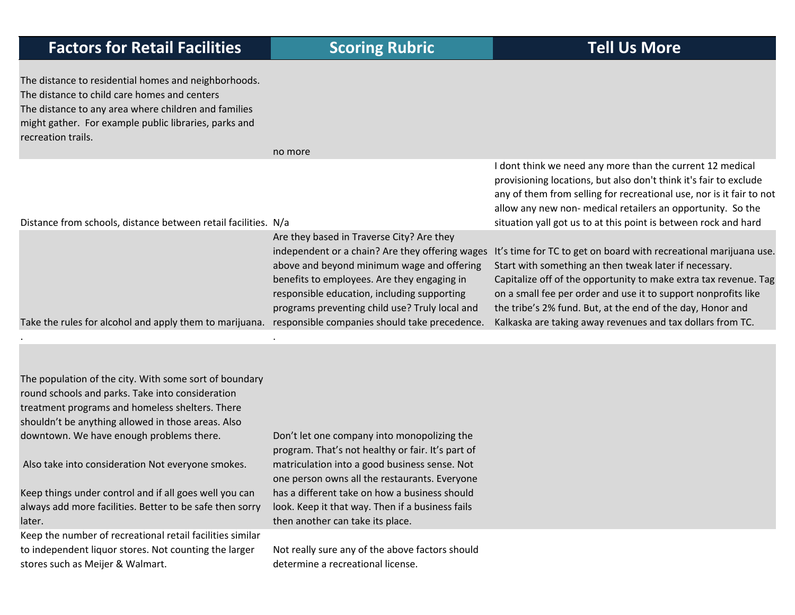| The distance to residential homes and neighborhoods.<br>The distance to child care homes and centers<br>The distance to any area where children and families<br>might gather. For example public libraries, parks and<br>recreation trails. |                                                                                                                                                                                                                                                                                                                                             |                                                                                                                                                                                                                                                                                                                                                                                               |
|---------------------------------------------------------------------------------------------------------------------------------------------------------------------------------------------------------------------------------------------|---------------------------------------------------------------------------------------------------------------------------------------------------------------------------------------------------------------------------------------------------------------------------------------------------------------------------------------------|-----------------------------------------------------------------------------------------------------------------------------------------------------------------------------------------------------------------------------------------------------------------------------------------------------------------------------------------------------------------------------------------------|
|                                                                                                                                                                                                                                             | no more                                                                                                                                                                                                                                                                                                                                     |                                                                                                                                                                                                                                                                                                                                                                                               |
| Distance from schools, distance between retail facilities. N/a                                                                                                                                                                              |                                                                                                                                                                                                                                                                                                                                             | I dont think we need any more than the current 12 medical<br>provisioning locations, but also don't think it's fair to exclude<br>any of them from selling for recreational use, nor is it fair to not<br>allow any new non- medical retailers an opportunity. So the<br>situation yall got us to at this point is between rock and hard                                                      |
|                                                                                                                                                                                                                                             |                                                                                                                                                                                                                                                                                                                                             |                                                                                                                                                                                                                                                                                                                                                                                               |
| Take the rules for alcohol and apply them to marijuana.                                                                                                                                                                                     | Are they based in Traverse City? Are they<br>independent or a chain? Are they offering wages<br>above and beyond minimum wage and offering<br>benefits to employees. Are they engaging in<br>responsible education, including supporting<br>programs preventing child use? Truly local and<br>responsible companies should take precedence. | It's time for TC to get on board with recreational marijuana use.<br>Start with something an then tweak later if necessary.<br>Capitalize off of the opportunity to make extra tax revenue. Tag<br>on a small fee per order and use it to support nonprofits like<br>the tribe's 2% fund. But, at the end of the day, Honor and<br>Kalkaska are taking away revenues and tax dollars from TC. |
|                                                                                                                                                                                                                                             |                                                                                                                                                                                                                                                                                                                                             |                                                                                                                                                                                                                                                                                                                                                                                               |

The population of the city. With some sort of boundary round schools and parks. Take into consideration treatment programs and homeless shelters. There shouldn't be anything allowed in those areas. Also downtown. We have enough problems there.

. The contract of the contract of the contract of the contract of the contract of the contract of the contract of the contract of the contract of the contract of the contract of the contract of the contract of the contrac

Also take into consideration Not everyone smokes.

Keep things under control and if all goes well you can always add more facilities. Better to be safe then sorry later.

Keep the number of recreational retail facilities similar to independent liquor stores. Not counting the larger stores such as Meijer & Walmart.

Don't let one company into monopolizing the program. That's not healthy or fair. It's part of matriculation into <sup>a</sup> good business sense. Not one person owns all the restaurants. Everyone has a different take on how <sup>a</sup> business should look. Keep it that way. Then if <sup>a</sup> business fails then another can take its place.

Not really sure any of the above factors should determine <sup>a</sup> recreational license.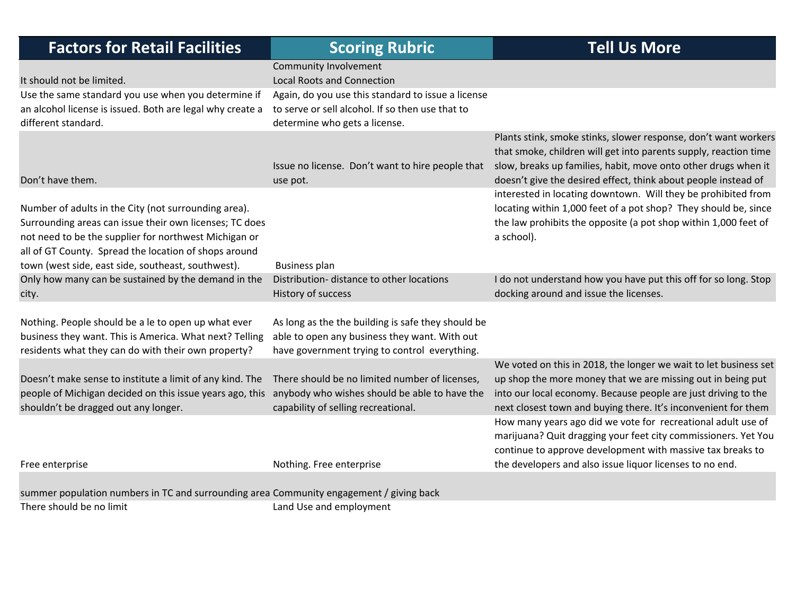| <b>Factors for Retail Facilities</b>                                                                                                                                                                                                                                                    | <b>Scoring Rubric</b>                                                                                                                                | <b>Tell Us More</b>                                                                                                                                                                                                                                                     |
|-----------------------------------------------------------------------------------------------------------------------------------------------------------------------------------------------------------------------------------------------------------------------------------------|------------------------------------------------------------------------------------------------------------------------------------------------------|-------------------------------------------------------------------------------------------------------------------------------------------------------------------------------------------------------------------------------------------------------------------------|
| It should not be limited.                                                                                                                                                                                                                                                               | Community Involvement<br><b>Local Roots and Connection</b>                                                                                           |                                                                                                                                                                                                                                                                         |
| Use the same standard you use when you determine if<br>an alcohol license is issued. Both are legal why create a<br>different standard.                                                                                                                                                 | Again, do you use this standard to issue a license<br>to serve or sell alcohol. If so then use that to<br>determine who gets a license.              |                                                                                                                                                                                                                                                                         |
| Don't have them.                                                                                                                                                                                                                                                                        | Issue no license. Don't want to hire people that<br>use pot.                                                                                         | Plants stink, smoke stinks, slower response, don't want workers<br>that smoke, children will get into parents supply, reaction time<br>slow, breaks up families, habit, move onto other drugs when it<br>doesn't give the desired effect, think about people instead of |
| Number of adults in the City (not surrounding area).<br>Surrounding areas can issue their own licenses; TC does<br>not need to be the supplier for northwest Michigan or<br>all of GT County. Spread the location of shops around<br>town (west side, east side, southeast, southwest). | <b>Business plan</b>                                                                                                                                 | interested in locating downtown. Will they be prohibited from<br>locating within 1,000 feet of a pot shop? They should be, since<br>the law prohibits the opposite (a pot shop within 1,000 feet of<br>a school).                                                       |
| Only how many can be sustained by the demand in the<br>city.                                                                                                                                                                                                                            | Distribution- distance to other locations<br>History of success                                                                                      | I do not understand how you have put this off for so long. Stop<br>docking around and issue the licenses.                                                                                                                                                               |
| Nothing. People should be a le to open up what ever<br>business they want. This is America. What next? Telling<br>residents what they can do with their own property?                                                                                                                   | As long as the the building is safe they should be<br>able to open any business they want. With out<br>have government trying to control everything. |                                                                                                                                                                                                                                                                         |
| Doesn't make sense to institute a limit of any kind. The<br>people of Michigan decided on this issue years ago, this anybody who wishes should be able to have the<br>shouldn't be dragged out any longer.                                                                              | There should be no limited number of licenses,<br>capability of selling recreational.                                                                | We voted on this in 2018, the longer we wait to let business set<br>up shop the more money that we are missing out in being put<br>into our local economy. Because people are just driving to the<br>next closest town and buying there. It's inconvenient for them     |
| Free enterprise                                                                                                                                                                                                                                                                         | Nothing. Free enterprise                                                                                                                             | How many years ago did we vote for recreational adult use of<br>marijuana? Quit dragging your feet city commissioners. Yet You<br>continue to approve development with massive tax breaks to<br>the developers and also issue liquor licenses to no end.                |
| summer population numbers in TC and surrounding area Community engagement / giving back                                                                                                                                                                                                 |                                                                                                                                                      |                                                                                                                                                                                                                                                                         |
| There should be no limit                                                                                                                                                                                                                                                                | Land Use and employment                                                                                                                              |                                                                                                                                                                                                                                                                         |